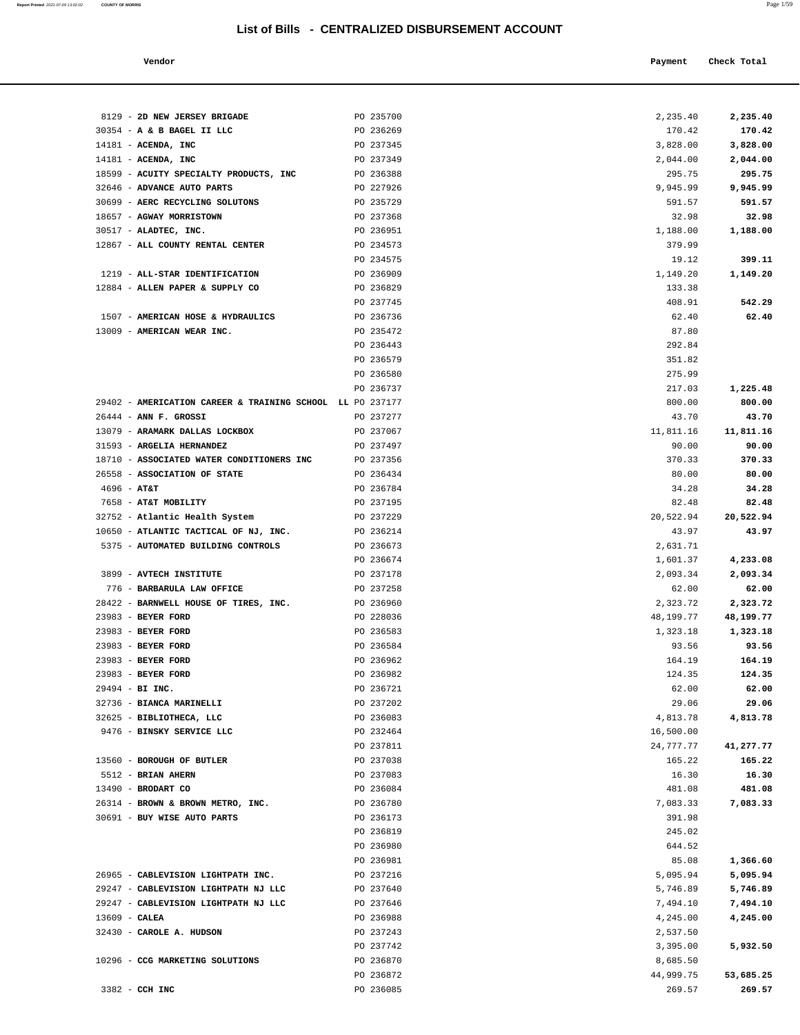| Vendor | Payment | Check Total |
|--------|---------|-------------|
|        |         |             |

|                 | 8129 - 2D NEW JERSEY BRIGADE                              | PO 235700              | 2,235.40             | 2,235.40              |
|-----------------|-----------------------------------------------------------|------------------------|----------------------|-----------------------|
|                 | 30354 - A & B BAGEL II LLC                                | PO 236269              | 170.42               | 170.42                |
|                 | $14181$ - ACENDA, INC                                     | PO 237345              | 3,828.00             | 3,828.00              |
|                 | $14181$ - ACENDA, INC                                     | PO 237349              | 2,044.00             | 2,044.00              |
|                 | 18599 - ACUITY SPECIALTY PRODUCTS, INC                    | PO 236388              | 295.75               | 295.75                |
|                 | 32646 - ADVANCE AUTO PARTS                                | PO 227926              | 9,945.99             | 9,945.99              |
|                 | 30699 - AERC RECYCLING SOLUTONS                           | PO 235729              | 591.57               | 591.57                |
|                 | 18657 - AGWAY MORRISTOWN                                  | PO 237368              | 32.98                | 32.98                 |
|                 | 30517 - ALADTEC, INC.                                     | PO 236951              | 1,188.00             | 1,188.00              |
|                 | 12867 - ALL COUNTY RENTAL CENTER                          | PO 234573              | 379.99               |                       |
|                 |                                                           | PO 234575              | 19.12                | 399.11                |
|                 | 1219 - ALL-STAR IDENTIFICATION                            | PO 236909              | 1,149.20             | 1,149.20              |
|                 | 12884 - ALLEN PAPER & SUPPLY CO                           | PO 236829              | 133.38               |                       |
|                 |                                                           | PO 237745              | 408.91               | 542.29                |
|                 | 1507 - AMERICAN HOSE & HYDRAULICS                         | PO 236736              | 62.40                | 62.40                 |
|                 | 13009 - AMERICAN WEAR INC.                                | PO 235472              | 87.80                |                       |
|                 |                                                           | PO 236443<br>PO 236579 | 292.84<br>351.82     |                       |
|                 |                                                           | PO 236580              | 275.99               |                       |
|                 |                                                           | PO 236737              | 217.03               | 1,225.48              |
|                 | 29402 - AMERICATION CAREER & TRAINING SCHOOL LL PO 237177 |                        | 800.00               | 800.00                |
|                 | $26444$ - ANN F. GROSSI                                   | PO 237277              | 43.70                | 43.70                 |
|                 | 13079 - ARAMARK DALLAS LOCKBOX                            | PO 237067              | 11,811.16            | 11,811.16             |
|                 | 31593 - ARGELIA HERNANDEZ                                 | PO 237497              | 90.00                | 90.00                 |
|                 | 18710 - ASSOCIATED WATER CONDITIONERS INC                 | PO 237356              | 370.33               | 370.33                |
|                 | 26558 - ASSOCIATION OF STATE                              | PO 236434              | 80.00                | 80.00                 |
| $4696 - AT&T$   |                                                           | PO 236784              | 34.28                | 34.28                 |
|                 | 7658 - AT&T MOBILITY                                      | PO 237195              | 82.48                | 82.48                 |
|                 | 32752 - Atlantic Health System                            | PO 237229              | 20,522.94            | 20,522.94             |
|                 | 10650 - ATLANTIC TACTICAL OF NJ, INC.                     | PO 236214              | 43.97                | 43.97                 |
|                 | 5375 - AUTOMATED BUILDING CONTROLS                        | PO 236673              | 2,631.71             |                       |
|                 |                                                           | PO 236674              | 1,601.37             | 4,233.08              |
|                 | 3899 - AVTECH INSTITUTE                                   | PO 237178              | 2,093.34             | 2,093.34              |
|                 | 776 - BARBARULA LAW OFFICE                                | PO 237258              | 62.00                | 62.00                 |
|                 | 28422 - BARNWELL HOUSE OF TIRES, INC.                     | PO 236960              | 2,323.72             | 2,323.72              |
|                 | 23983 - BEYER FORD<br>23983 - BEYER FORD                  | PO 228036<br>PO 236583 | 48,199.77            | 48,199.77<br>1,323.18 |
|                 | 23983 - BEYER FORD                                        | PO 236584              | 1,323.18<br>93.56    | 93.56                 |
|                 | 23983 - BEYER FORD                                        | PO 236962              | 164.19               | 164.19                |
|                 | 23983 - BEYER FORD                                        | PO 236982              | 124.35               | 124.35                |
|                 | 29494 - BI INC.                                           | PO 236721              | 62.00                | 62.00                 |
|                 | 32736 - BIANCA MARINELLI                                  | PO 237202              | 29.06                | 29.06                 |
|                 | 32625 - BIBLIOTHECA, LLC                                  | PO 236083              | 4,813.78             | 4,813.78              |
|                 | 9476 - BINSKY SERVICE LLC                                 | PO 232464              | 16,500.00            |                       |
|                 |                                                           | PO 237811              | 24,777.77            | 41,277.77             |
|                 | 13560 - BOROUGH OF BUTLER                                 | PO 237038              | 165.22               | 165.22                |
|                 | 5512 - BRIAN AHERN                                        | PO 237083              | 16.30                | 16.30                 |
|                 | 13490 - BRODART CO                                        | PO 236084              | 481.08               | 481.08                |
|                 | 26314 - BROWN & BROWN METRO, INC.                         | PO 236780              | 7,083.33             | 7,083.33              |
|                 | 30691 - BUY WISE AUTO PARTS                               | PO 236173              | 391.98               |                       |
|                 |                                                           | PO 236819              | 245.02               |                       |
|                 |                                                           | PO 236980              | 644.52               |                       |
|                 |                                                           | PO 236981              | 85.08                | 1,366.60              |
|                 | 26965 - CABLEVISION LIGHTPATH INC.                        | PO 237216              | 5,095.94             | 5,095.94              |
|                 | 29247 - CABLEVISION LIGHTPATH NJ LLC                      | PO 237640              | 5,746.89             | 5,746.89              |
| $13609$ - CALEA | 29247 - CABLEVISION LIGHTPATH NJ LLC                      | PO 237646<br>PO 236988 | 7,494.10<br>4,245.00 | 7,494.10<br>4,245.00  |
|                 | 32430 - CAROLE A. HUDSON                                  | PO 237243              | 2,537.50             |                       |
|                 |                                                           | PO 237742              | 3,395.00             | 5,932.50              |
|                 | 10296 - CCG MARKETING SOLUTIONS                           | PO 236870              | 8,685.50             |                       |
|                 |                                                           | PO 236872              | 44,999.75            | 53,685.25             |
|                 | 3382 - CCH INC                                            | PO 236085              | 269.57               | 269.57                |
|                 |                                                           |                        |                      |                       |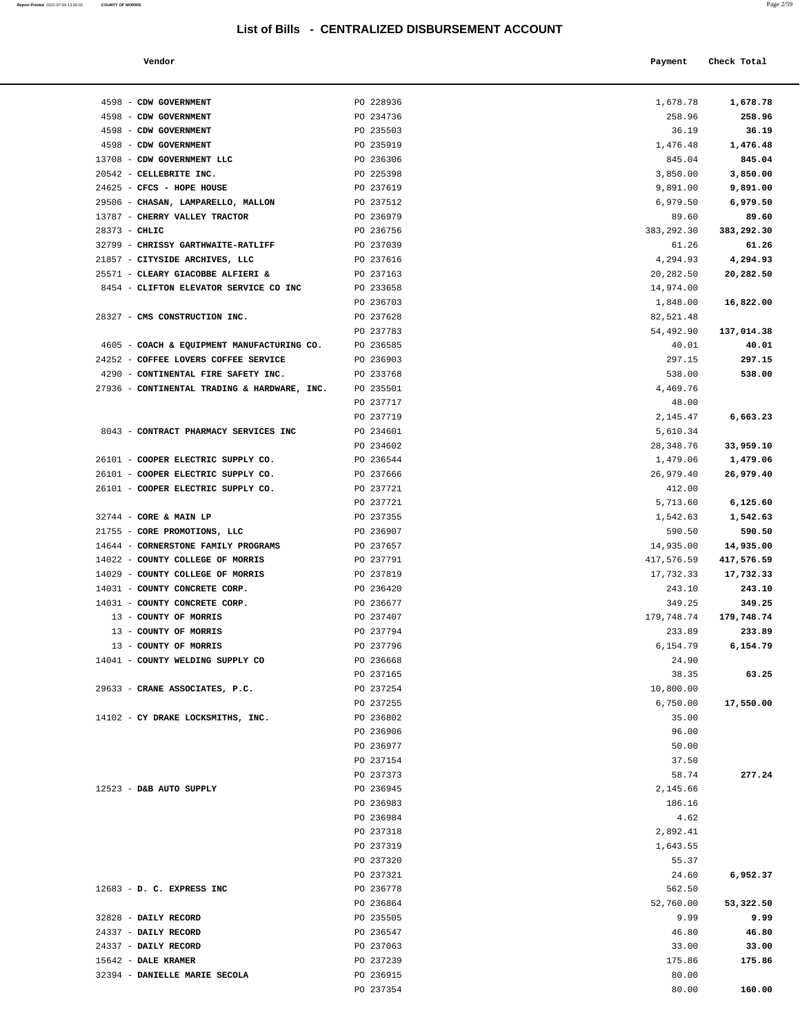| Report Printed 2021-07-09 13:02:02 | <b>COUNTY OF MORRIS</b> | Page 2/59 |
|------------------------------------|-------------------------|-----------|
|                                    |                         |           |

| Vendor |  | Payment Check Total |
|--------|--|---------------------|
|--------|--|---------------------|

| 4598 - CDW GOVERNMENT                       |                                              | PO 228936              | 1,678.78            | 1,678.78        |
|---------------------------------------------|----------------------------------------------|------------------------|---------------------|-----------------|
| 4598 - CDW GOVERNMENT                       |                                              | PO 234736              | 258.96              | 258.96          |
| 4598 - CDW GOVERNMENT                       |                                              | PO 235503              | 36.19               | 36.19           |
| 4598 - CDW GOVERNMENT                       |                                              | PO 235919              | 1,476.48            | 1,476.48        |
|                                             | 13708 - CDW GOVERNMENT LLC                   | PO 236306              | 845.04              | 845.04          |
| 20542 - CELLEBRITE INC.                     |                                              | PO 225398              | 3,850.00            | 3,850.00        |
| 24625 - CFCS - HOPE HOUSE                   |                                              | PO 237619              | 9,891.00            | 9,891.00        |
|                                             | 29506 - CHASAN, LAMPARELLO, MALLON           | PO 237512              | 6,979.50            | 6,979.50        |
|                                             | 13787 - CHERRY VALLEY TRACTOR                | PO 236979              | 89.60               | 89.60           |
| $28373 - CHLIC$                             |                                              | PO 236756              | 383,292.30          | 383,292.30      |
|                                             | 32799 - CHRISSY GARTHWAITE-RATLIFF           | PO 237039              | 61.26               | 61.26           |
|                                             | 21857 - CITYSIDE ARCHIVES, LLC               | PO 237616              | 4,294.93            | 4,294.93        |
|                                             | 25571 - CLEARY GIACOBBE ALFIERI &            | PO 237163              | 20,282.50           | 20,282.50       |
|                                             | 8454 - CLIFTON ELEVATOR SERVICE CO INC       | PO 233658              | 14,974.00           |                 |
|                                             |                                              | PO 236703              | 1,848.00            | 16,822.00       |
|                                             | 28327 - CMS CONSTRUCTION INC.                | PO 237628              | 82,521.48           |                 |
|                                             |                                              | PO 237783              | 54,492.90           | 137,014.38      |
|                                             | 4605 - COACH & EQUIPMENT MANUFACTURING CO.   | PO 236585              | 40.01               | 40.01           |
|                                             | 24252 - COFFEE LOVERS COFFEE SERVICE         | PO 236903              | 297.15              | 297.15          |
|                                             | 4290 - CONTINENTAL FIRE SAFETY INC.          | PO 233768              | 538.00              | 538.00          |
|                                             | 27936 - CONTINENTAL TRADING & HARDWARE, INC. | PO 235501              | 4,469.76            |                 |
|                                             |                                              | PO 237717              | 48.00               |                 |
|                                             |                                              | PO 237719              | 2,145.47            | 6,663.23        |
|                                             | 8043 - CONTRACT PHARMACY SERVICES INC        | PO 234601              | 5,610.34            |                 |
|                                             |                                              | PO 234602              | 28,348.76           | 33,959.10       |
|                                             | 26101 - COOPER ELECTRIC SUPPLY CO.           | PO 236544              | 1,479.06            | 1,479.06        |
|                                             | 26101 - COOPER ELECTRIC SUPPLY CO.           | PO 237666              | 26,979.40<br>412.00 | 26,979.40       |
|                                             | 26101 - COOPER ELECTRIC SUPPLY CO.           | PO 237721<br>PO 237721 | 5,713.60            | 6,125.60        |
| 32744 - CORE & MAIN LP                      |                                              | PO 237355              | 1,542.63            | 1,542.63        |
|                                             | 21755 - CORE PROMOTIONS, LLC                 | PO 236907              | 590.50              | 590.50          |
|                                             | 14644 - CORNERSTONE FAMILY PROGRAMS          | PO 237657              | 14,935.00           | 14,935.00       |
|                                             | 14022 - COUNTY COLLEGE OF MORRIS             | PO 237791              | 417,576.59          | 417,576.59      |
|                                             | 14029 - COUNTY COLLEGE OF MORRIS             | PO 237819              | 17,732.33           | 17,732.33       |
|                                             | 14031 - COUNTY CONCRETE CORP.                | PO 236420              | 243.10              | 243.10          |
|                                             | 14031 - COUNTY CONCRETE CORP.                | PO 236677              | 349.25              | 349.25          |
|                                             | 13 - COUNTY OF MORRIS                        | PO 237407              | 179,748.74          | 179,748.74      |
|                                             | 13 - COUNTY OF MORRIS                        | PO 237794              | 233.89              | 233.89          |
|                                             | 13 - COUNTY OF MORRIS                        | PO 237796              | 6,154.79            | 6,154.79        |
|                                             | 14041 - COUNTY WELDING SUPPLY CO             | PO 236668              | 24.90               |                 |
|                                             |                                              | PO 237165              | 38.35               | 63.25           |
|                                             | 29633 - CRANE ASSOCIATES, P.C.               | PO 237254              | 10,800.00           |                 |
|                                             |                                              | PO 237255              | 6,750.00            | 17,550.00       |
|                                             | 14102 - CY DRAKE LOCKSMITHS, INC.            | PO 236802              | 35.00               |                 |
|                                             |                                              | PO 236906              | 96.00               |                 |
|                                             |                                              | PO 236977              | 50.00               |                 |
|                                             |                                              | PO 237154              | 37.50               |                 |
|                                             |                                              | PO 237373              | 58.74               | 277.24          |
| $12523$ - D&B AUTO SUPPLY                   |                                              | PO 236945              | 2,145.66            |                 |
|                                             |                                              | PO 236983              | 186.16              |                 |
|                                             |                                              | PO 236984              | 4.62                |                 |
|                                             |                                              | PO 237318              | 2,892.41            |                 |
|                                             |                                              | PO 237319              | 1,643.55            |                 |
|                                             |                                              | PO 237320              | 55.37               |                 |
|                                             |                                              | PO 237321              | 24.60               | 6,952.37        |
| 12683 - D. C. EXPRESS INC                   |                                              | PO 236778              | 562.50              |                 |
|                                             |                                              | PO 236864              | 52,760.00           | 53,322.50       |
| 32828 - DAILY RECORD                        |                                              | PO 235505              | 9.99                | 9.99            |
| 24337 - DAILY RECORD                        |                                              | PO 236547              | 46.80               | 46.80           |
| 24337 - DAILY RECORD<br>15642 - DALE KRAMER |                                              | PO 237063<br>PO 237239 | 33.00<br>175.86     | 33.00<br>175.86 |
|                                             | 32394 - DANIELLE MARIE SECOLA                | PO 236915              | 80.00               |                 |
|                                             |                                              | PO 237354              | 80.00               | 160.00          |
|                                             |                                              |                        |                     |                 |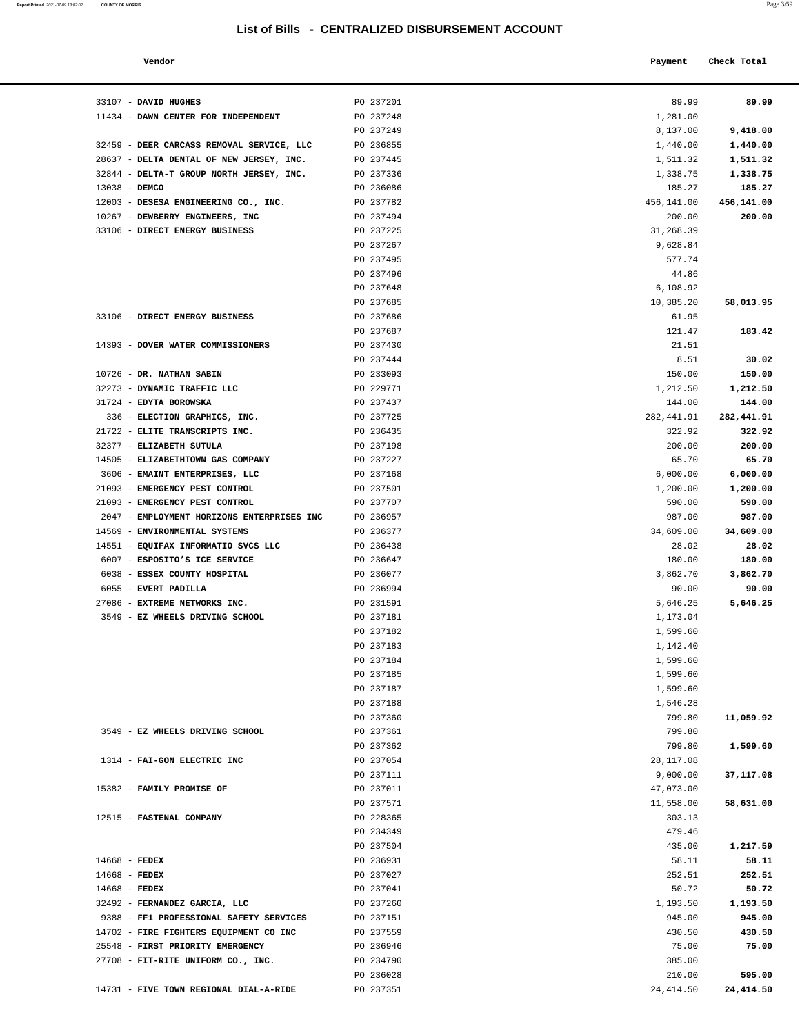**Report Printed** 2021-07-09 13:02:02 COUNTY OF MORRIS

| Vendor                                     |                        | Payment              | Check Total     |
|--------------------------------------------|------------------------|----------------------|-----------------|
|                                            |                        |                      |                 |
| 33107 - DAVID HUGHES                       | PO 237201              | 89.99                | 89.99           |
| 11434 - DAWN CENTER FOR INDEPENDENT        | PO 237248              | 1,281.00             |                 |
|                                            | PO 237249              | 8,137.00             | 9,418.00        |
| 32459 - DEER CARCASS REMOVAL SERVICE, LLC  | PO 236855              | 1,440.00             | 1,440.00        |
| 28637 - DELTA DENTAL OF NEW JERSEY, INC.   | PO 237445              | 1,511.32             | 1,511.32        |
| 32844 - DELTA-T GROUP NORTH JERSEY, INC.   | PO 237336              | 1,338.75             | 1,338.75        |
| 13038 - DEMCO                              | PO 236086              | 185.27               | 185.27          |
| 12003 - DESESA ENGINEERING CO., INC.       | PO 237782              | 456,141.00           | 456,141.00      |
| 10267 - DEWBERRY ENGINEERS, INC            | PO 237494              | 200.00               | 200.00          |
| 33106 - DIRECT ENERGY BUSINESS             | PO 237225              | 31,268.39            |                 |
|                                            | PO 237267              | 9,628.84             |                 |
|                                            | PO 237495              | 577.74               |                 |
|                                            | PO 237496              | 44.86                |                 |
|                                            | PO 237648              | 6,108.92             |                 |
|                                            | PO 237685              | 10,385.20            | 58,013.95       |
| 33106 - DIRECT ENERGY BUSINESS             | PO 237686              | 61.95                |                 |
|                                            | PO 237687              | 121.47               | 183.42          |
| 14393 - DOVER WATER COMMISSIONERS          | PO 237430              | 21.51                |                 |
| 10726 - DR. NATHAN SABIN                   | PO 237444<br>PO 233093 | 8.51<br>150.00       | 30.02<br>150.00 |
| 32273 - DYNAMIC TRAFFIC LLC                | PO 229771              | 1,212.50             | 1,212.50        |
| 31724 - EDYTA BOROWSKA                     | PO 237437              | 144.00               | 144.00          |
| 336 - ELECTION GRAPHICS, INC.              | PO 237725              | 282, 441.91          | 282,441.91      |
| 21722 - ELITE TRANSCRIPTS INC.             | PO 236435              | 322.92               | 322.92          |
| 32377 - ELIZABETH SUTULA                   | PO 237198              | 200.00               | 200.00          |
| 14505 - ELIZABETHTOWN GAS COMPANY          | PO 237227              | 65.70                | 65.70           |
| 3606 - EMAINT ENTERPRISES, LLC             | PO 237168              | 6,000.00             | 6,000.00        |
| 21093 - EMERGENCY PEST CONTROL             | PO 237501              | 1,200.00             | 1,200.00        |
| 21093 - EMERGENCY PEST CONTROL             | PO 237707              | 590.00               | 590.00          |
| 2047 - EMPLOYMENT HORIZONS ENTERPRISES INC | PO 236957              | 987.00               | 987.00          |
| 14569 - ENVIRONMENTAL SYSTEMS              | PO 236377              | 34,609.00            | 34,609.00       |
| 14551 - EQUIFAX INFORMATIO SVCS LLC        | PO 236438              | 28.02                | 28.02           |
| 6007 - ESPOSITO'S ICE SERVICE              | PO 236647              | 180.00               | 180.00          |
| 6038 - ESSEX COUNTY HOSPITAL               | PO 236077              | 3,862.70             | 3,862.70        |
| 6055 - EVERT PADILLA                       | PO 236994              | 90.00                | 90.00           |
| 27086 - EXTREME NETWORKS INC.              | PO 231591              | 5,646.25             | 5,646.25        |
| 3549 - EZ WHEELS DRIVING SCHOOL            | PO 237181              | 1,173.04             |                 |
|                                            | PO 237182              | 1,599.60             |                 |
|                                            | PO 237183              | 1,142.40             |                 |
|                                            | PO 237184              | 1,599.60             |                 |
|                                            | PO 237185<br>PO 237187 | 1,599.60             |                 |
|                                            | PO 237188              | 1,599.60<br>1,546.28 |                 |
|                                            | PO 237360              | 799.80               | 11,059.92       |
| 3549 - EZ WHEELS DRIVING SCHOOL            | PO 237361              | 799.80               |                 |
|                                            | PO 237362              | 799.80               | 1,599.60        |
| 1314 - FAI-GON ELECTRIC INC                | PO 237054              | 28, 117.08           |                 |
|                                            | PO 237111              | 9,000.00             | 37,117.08       |
| 15382 - FAMILY PROMISE OF                  | PO 237011              | 47,073.00            |                 |
|                                            | PO 237571              | 11,558.00            | 58,631.00       |
| 12515 - FASTENAL COMPANY                   | PO 228365              | 303.13               |                 |
|                                            | PO 234349              | 479.46               |                 |
|                                            | PO 237504              | 435.00               | 1,217.59        |
| 14668 - FEDEX                              | PO 236931              | 58.11                | 58.11           |
| 14668 - FEDEX                              | PO 237027              | 252.51               | 252.51          |
| 14668 - FEDEX                              | PO 237041              | 50.72                | 50.72           |
| 32492 - FERNANDEZ GARCIA, LLC              | PO 237260              | 1,193.50             | 1,193.50        |
| 9388 - FF1 PROFESSIONAL SAFETY SERVICES    | PO 237151              | 945.00               | 945.00          |
| 14702 - FIRE FIGHTERS EQUIPMENT CO INC     | PO 237559              | 430.50               | 430.50          |
| 25548 - FIRST PRIORITY EMERGENCY           | PO 236946              | 75.00                | 75.00           |

| 21722 - ELITE TRANSCRIPTS INC.             | PO 236435 | 322.92    | 322.92    |
|--------------------------------------------|-----------|-----------|-----------|
| 32377 - ELIZABETH SUTULA                   | PO 237198 | 200.00    | 200.00    |
| 14505 - ELIZABETHTOWN GAS COMPANY          | PO 237227 | 65.70     | 65.70     |
| 3606 - EMAINT ENTERPRISES, LLC             | PO 237168 | 6,000.00  | 6,000.00  |
| 21093 - EMERGENCY PEST CONTROL             | PO 237501 | 1,200.00  | 1,200.00  |
| 21093 - EMERGENCY PEST CONTROL             | PO 237707 | 590.00    | 590.00    |
| 2047 - EMPLOYMENT HORIZONS ENTERPRISES INC | PO 236957 | 987.00    | 987.00    |
| 14569 - ENVIRONMENTAL SYSTEMS              | PO 236377 | 34,609.00 | 34,609.00 |
| 14551 - EQUIFAX INFORMATIO SVCS LLC        | PO 236438 | 28.02     | 28.02     |
| 6007 - ESPOSITO'S ICE SERVICE              | PO 236647 | 180.00    | 180.00    |
| 6038 - ESSEX COUNTY HOSPITAL               | PO 236077 | 3,862.70  | 3,862.70  |
| 6055 - EVERT PADILLA                       | PO 236994 | 90.00     | 90.00     |
| 27086 - EXTREME NETWORKS INC.              | PO 231591 | 5,646.25  | 5,646.25  |
| 3549 - EZ WHEELS DRIVING SCHOOL            | PO 237181 | 1,173.04  |           |
|                                            | PO 237182 | 1,599.60  |           |
|                                            | PO 237183 | 1,142.40  |           |
|                                            | PO 237184 | 1,599.60  |           |
|                                            | PO 237185 | 1,599.60  |           |
|                                            | PO 237187 | 1,599.60  |           |
|                                            | PO 237188 | 1,546.28  |           |
|                                            | PO 237360 | 799.80    | 11,059.92 |
| 3549 - EZ WHEELS DRIVING SCHOOL            | PO 237361 | 799.80    |           |
|                                            | PO 237362 | 799.80    | 1,599.60  |
| 1314 - FAI-GON ELECTRIC INC                | PO 237054 | 28,117.08 |           |
|                                            | PO 237111 | 9,000.00  | 37,117.08 |
| 15382 - FAMILY PROMISE OF                  | PO 237011 | 47,073.00 |           |
|                                            | PO 237571 | 11,558.00 | 58,631.00 |
| 12515 - FASTENAL COMPANY                   | PO 228365 | 303.13    |           |
|                                            | PO 234349 | 479.46    |           |
|                                            | PO 237504 | 435.00    |           |
|                                            |           |           | 1,217.59  |
| $14668$ - FEDEX                            | PO 236931 | 58.11     | 58.11     |
| $14668$ - FEDEX                            | PO 237027 | 252.51    | 252.51    |
| $14668$ - FEDEX                            | PO 237041 | 50.72     | 50.72     |
| 32492 - FERNANDEZ GARCIA, LLC              | PO 237260 | 1,193.50  | 1,193.50  |
| 9388 - FF1 PROFESSIONAL SAFETY SERVICES    | PO 237151 | 945.00    | 945.00    |
| 14702 - FIRE FIGHTERS EQUIPMENT CO INC     | PO 237559 | 430.50    | 430.50    |
| 25548 - FIRST PRIORITY EMERGENCY           | PO 236946 | 75.00     | 75.00     |
| 27708 - FIT-RITE UNIFORM CO., INC.         | PO 234790 | 385.00    |           |
|                                            |           |           |           |
|                                            | PO 236028 | 210.00    | 595.00    |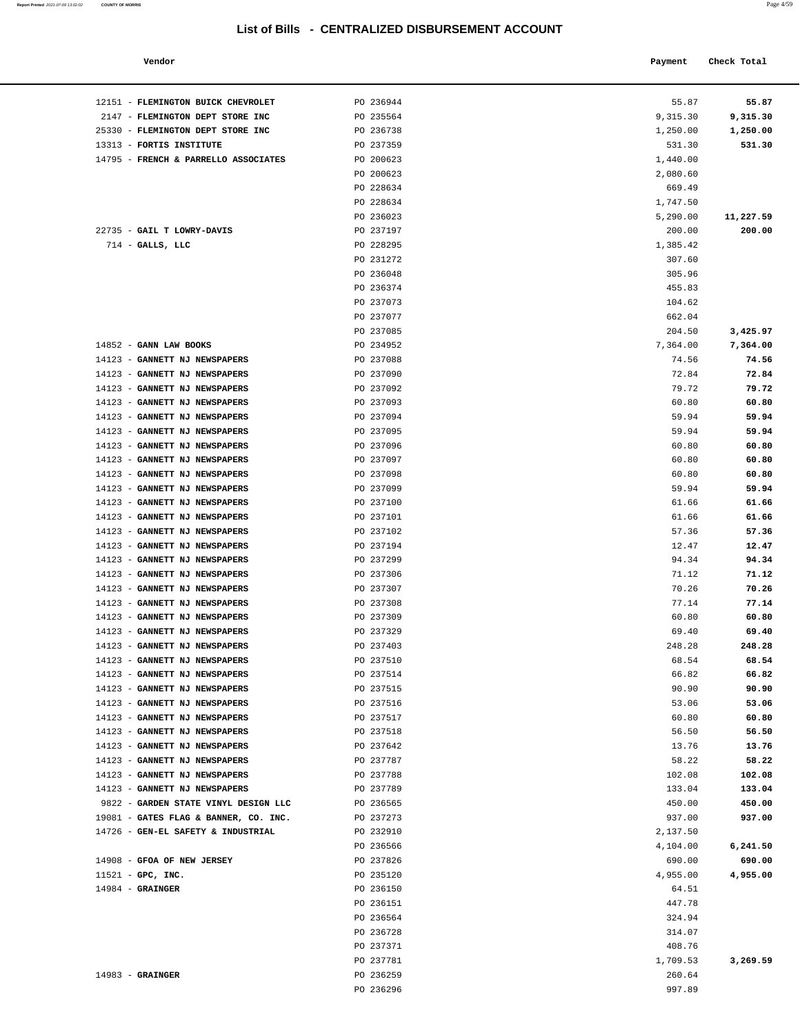### **Vendor Check Total Payment Check Total**

12151 - **FLEMINGTON BUICK CHEVROLET** PO 236944 2147 - **FLEMINGTON DEPT STORE INC** PO 235564

| Report Printed 2021-07-09 13:02:02 | <b>COUNTY OF MORRIS</b> | Page 4/59 |
|------------------------------------|-------------------------|-----------|
|                                    |                         |           |

| 55.87            | 55.87              |
|------------------|--------------------|
| 9,315.30         | 9,315.30           |
| 1,250.00         | 1,250.00           |
| 531.30           | 531.30             |
|                  | 1,440.00           |
|                  | 2,080.60           |
|                  | 669.49<br>1,747.50 |
| 11,227.59        | 5,290.00           |
| 200.00           | 200.00             |
|                  | 1,385.42           |
|                  | 307.60             |
|                  | 305.96             |
|                  | 455.83             |
|                  | 104.62             |
|                  | 662.04             |
| 3,425.97         | 204.50             |
| 7,364.00         | 7,364.00           |
| 74.56            | 74.56              |
| 72.84            | 72.84              |
| 79.72            | 79.72              |
| 60.80            | 60.80<br>59.94     |
| 59.94<br>59.94   | 59.94              |
| 60.80            | 60.80              |
| 60.80            | 60.80              |
| 60.80            | 60.80              |
| 59.94            | 59.94              |
| 61.66            | 61.66              |
| 61.66            | 61.66              |
| 57.36            | 57.36              |
| 12.47            | 12.47              |
| 94.34            | 94.34              |
| 71.12            | 71.12              |
| 70.26            | 70.26              |
| 77.14            | 77.14              |
| 60.80<br>69.40   | 60.80<br>69.40     |
| 248.28           | 248.28             |
| 68.54            | 68.54              |
| 66.82            | 66.82              |
| 90.90            | 90.90              |
| 53.06            | 53.06              |
| 60.80            | 60.80              |
| 56.50            | 56.50              |
| 13.76            | 13.76              |
| 58.22            | 58.22              |
| 102.08           | 102.08             |
| 133.04           | 133.04             |
| 450.00<br>937.00 | 450.00<br>937.00   |
|                  | 2,137.50           |
| 6,241.50         | 4,104.00           |
| 690.00           | 690.00             |
| 4,955.00         | 4,955.00           |
|                  | 64.51              |
|                  | 447.78             |
|                  | 324.94             |
|                  | 314.07             |
|                  | 408.76             |
| 3,269.59         | 1,709.53           |
|                  | 260.64             |
|                  | 997.89             |
|                  |                    |

| 25330 - FLEMINGTON DEPT STORE INC     | PO 236738 | 1,250.00<br>1,250.00  |       |
|---------------------------------------|-----------|-----------------------|-------|
| 13313 - FORTIS INSTITUTE              | PO 237359 | 531.30<br>531.30      |       |
| 14795 - FRENCH & PARRELLO ASSOCIATES  | PO 200623 | 1,440.00              |       |
|                                       | PO 200623 | 2,080.60              |       |
|                                       | PO 228634 | 669.49                |       |
|                                       | PO 228634 | 1,747.50              |       |
|                                       | PO 236023 | 11,227.59<br>5,290.00 |       |
| 22735 - GAIL T LOWRY-DAVIS            | PO 237197 | 200.00<br>200.00      |       |
| $714$ - GALLS, LLC                    | PO 228295 | 1,385.42              |       |
|                                       | PO 231272 | 307.60                |       |
|                                       | PO 236048 | 305.96                |       |
|                                       | PO 236374 | 455.83                |       |
|                                       | PO 237073 | 104.62                |       |
|                                       | PO 237077 | 662.04                |       |
|                                       | PO 237085 | 204.50<br>3,425.97    |       |
| 14852 - GANN LAW BOOKS                | PO 234952 | 7,364.00<br>7,364.00  |       |
| 14123 - GANNETT NJ NEWSPAPERS         | PO 237088 | 74.56                 | 74.56 |
| 14123 - GANNETT NJ NEWSPAPERS         | PO 237090 | 72.84                 | 72.84 |
| 14123 - GANNETT NJ NEWSPAPERS         | PO 237092 | 79.72                 | 79.72 |
| 14123 - GANNETT NJ NEWSPAPERS         | PO 237093 | 60.80                 | 60.80 |
| 14123 - GANNETT NJ NEWSPAPERS         | PO 237094 | 59.94                 | 59.94 |
| 14123 - GANNETT NJ NEWSPAPERS         | PO 237095 | 59.94                 | 59.94 |
| 14123 - GANNETT NJ NEWSPAPERS         | PO 237096 | 60.80                 | 60.80 |
| 14123 - GANNETT NJ NEWSPAPERS         | PO 237097 | 60.80                 | 60.80 |
| 14123 - GANNETT NJ NEWSPAPERS         | PO 237098 | 60.80                 | 60.80 |
| 14123 - GANNETT NJ NEWSPAPERS         | PO 237099 | 59.94                 | 59.94 |
| 14123 - GANNETT NJ NEWSPAPERS         | PO 237100 | 61.66                 | 61.66 |
| 14123 - GANNETT NJ NEWSPAPERS         | PO 237101 | 61.66                 | 61.66 |
| 14123 - GANNETT NJ NEWSPAPERS         | PO 237102 | 57.36                 | 57.36 |
| 14123 - GANNETT NJ NEWSPAPERS         | PO 237194 | 12.47                 | 12.47 |
| 14123 - GANNETT NJ NEWSPAPERS         | PO 237299 | 94.34                 | 94.34 |
| 14123 - GANNETT NJ NEWSPAPERS         | PO 237306 | 71.12                 | 71.12 |
| 14123 - GANNETT NJ NEWSPAPERS         | PO 237307 | 70.26                 | 70.26 |
| 14123 - GANNETT NJ NEWSPAPERS         | PO 237308 | 77.14                 | 77.14 |
| 14123 - GANNETT NJ NEWSPAPERS         | PO 237309 | 60.80                 | 60.80 |
| 14123 - GANNETT NJ NEWSPAPERS         | PO 237329 | 69.40                 | 69.40 |
| 14123 - GANNETT NJ NEWSPAPERS         | PO 237403 | 248.28<br>248.28      |       |
| 14123 - GANNETT NJ NEWSPAPERS         | PO 237510 | 68.54                 | 68.54 |
| 14123 - GANNETT NJ NEWSPAPERS         | PO 237514 | 66.82                 | 66.82 |
| 14123 - GANNETT NJ NEWSPAPERS         | PO 237515 | 90.90                 | 90.90 |
| 14123 - GANNETT NJ NEWSPAPERS         | PO 237516 | 53.06                 | 53.06 |
| 14123 - GANNETT NJ NEWSPAPERS         | PO 237517 | 60.80                 | 60.80 |
| 14123 - GANNETT NJ NEWSPAPERS         | PO 237518 | 56.50                 | 56.50 |
| 14123 - GANNETT NJ NEWSPAPERS         | PO 237642 | 13.76                 | 13.76 |
| 14123 - GANNETT NJ NEWSPAPERS         | PO 237787 | 58.22                 | 58.22 |
| 14123 - GANNETT NJ NEWSPAPERS         | PO 237788 | 102.08<br>102.08      |       |
| 14123 - GANNETT NJ NEWSPAPERS         | PO 237789 | 133.04<br>133.04      |       |
| 9822 - GARDEN STATE VINYL DESIGN LLC  | PO 236565 | 450.00<br>450.00      |       |
| 19081 - GATES FLAG & BANNER, CO. INC. | PO 237273 | 937.00<br>937.00      |       |
| 14726 - GEN-EL SAFETY & INDUSTRIAL    | PO 232910 | 2,137.50              |       |
|                                       | PO 236566 | 6,241.50<br>4,104.00  |       |
| 14908 - GFOA OF NEW JERSEY            | PO 237826 | 690.00<br>690.00      |       |
| $11521$ - GPC, INC.                   | PO 235120 | 4,955.00<br>4,955.00  |       |
| $14984 -$ GRAINGER                    | PO 236150 | 64.51                 |       |
|                                       | PO 236151 | 447.78                |       |
|                                       | PO 236564 | 324.94                |       |
|                                       | PO 236728 | 314.07                |       |
|                                       | PO 237371 | 408.76                |       |
|                                       | PO 237781 | 1,709.53<br>3,269.59  |       |
| $14983$ - GRAINGER                    | PO 236259 | 260.64                |       |
|                                       | PO 236296 | 997.89                |       |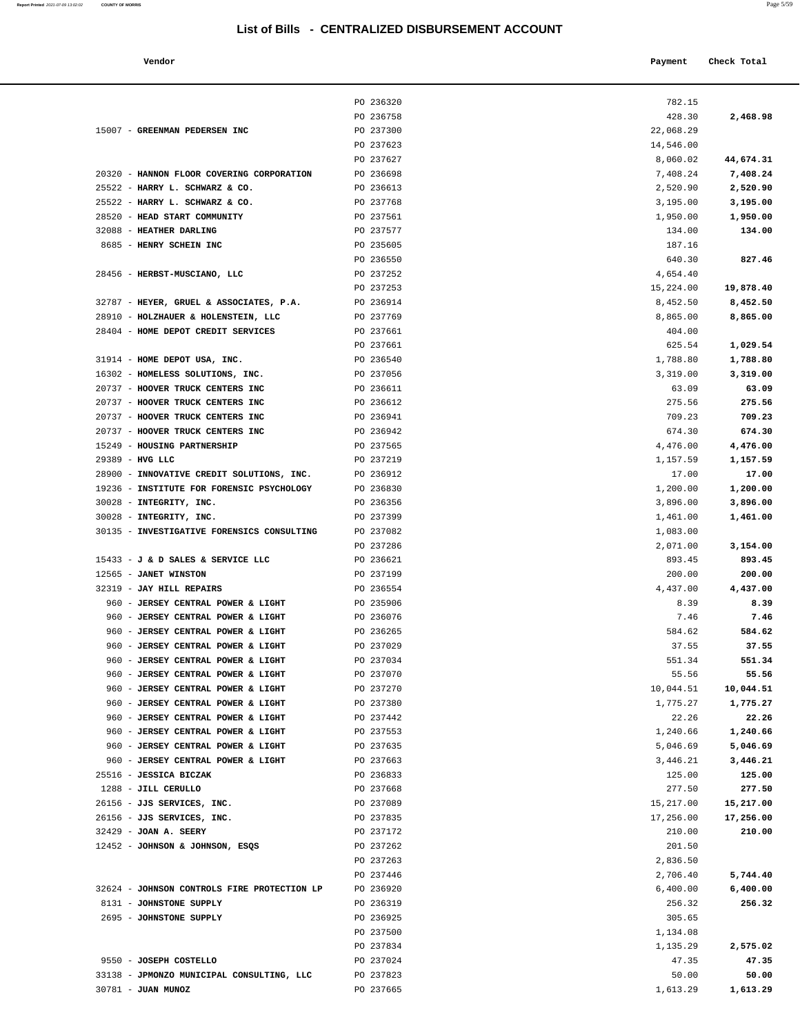|--|--|

| Vendor                                     |                        | Payment          | Check Total      |
|--------------------------------------------|------------------------|------------------|------------------|
|                                            | PO 236320              | 782.15           |                  |
|                                            | PO 236758              | 428.30           | 2,468.98         |
| GREENMAN PEDERSEN INC                      | PO 237300              | 22,068.29        |                  |
|                                            | PO 237623              | 14,546.00        |                  |
|                                            | PO 237627              | 8,060.02         | 44,674.31        |
| HANNON FLOOR COVERING CORPORATION          | PO 236698              | 7,408.24         | 7,408.24         |
| HARRY L. SCHWARZ & CO.                     | PO 236613              | 2,520.90         | 2,520.90         |
| HARRY L. SCHWARZ & CO.                     | PO 237768              | 3,195.00         | 3,195.00         |
| HEAD START COMMUNITY                       | PO 237561              | 1,950.00         | 1,950.00         |
| <b>HEATHER DARLING</b>                     | PO 237577              | 134.00           | 134.00           |
| HENRY SCHEIN INC                           | PO 235605              | 187.16           |                  |
|                                            | PO 236550              | 640.30           | 827.46           |
| HERBST-MUSCIANO, LLC                       | PO 237252              | 4,654.40         |                  |
|                                            | PO 237253              | 15,224.00        | 19,878.40        |
| HEYER, GRUEL & ASSOCIATES, P.A.            | PO 236914              | 8,452.50         | 8,452.50         |
| HOLZHAUER & HOLENSTEIN, LLC                | PO 237769              | 8,865.00         | 8,865.00         |
| HOME DEPOT CREDIT SERVICES                 | PO 237661              | 404.00           |                  |
|                                            | PO 237661              | 625.54           | 1,029.54         |
| HOME DEPOT USA, INC.                       | PO 236540              | 1,788.80         | 1,788.80         |
| HOMELESS SOLUTIONS, INC.                   | PO 237056              | 3,319.00         | 3,319.00         |
| HOOVER TRUCK CENTERS INC                   | PO 236611              | 63.09            | 63.09            |
| <b>HOOVER TRUCK CENTERS INC</b>            | PO 236612              |                  |                  |
| <b>HOOVER TRUCK CENTERS INC</b>            | PO 236941              | 275.56<br>709.23 | 275.56<br>709.23 |
| HOOVER TRUCK CENTERS INC                   | PO 236942              | 674.30           | 674.30           |
| <b>HOUSING PARTNERSHIP</b>                 |                        |                  |                  |
| HVG LLC                                    | PO 237565<br>PO 237219 | 4,476.00         | 4,476.00         |
|                                            |                        | 1,157.59         | 1,157.59         |
| INNOVATIVE CREDIT SOLUTIONS, INC.          | PO 236912              | 17.00            | 17.00            |
| INSTITUTE FOR FORENSIC PSYCHOLOGY          | PO 236830              | 1,200.00         | 1,200.00         |
| INTEGRITY, INC.                            | PO 236356<br>PO 237399 | 3,896.00         | 3,896.00         |
| INTEGRITY, INC.                            | PO 237082              | 1,461.00         | 1,461.00         |
| INVESTIGATIVE FORENSICS CONSULTING         |                        | 1,083.00         |                  |
|                                            | PO 237286              | 2,071.00         | 3,154.00         |
| <b>J &amp; D SALES &amp; SERVICE LLC</b>   | PO 236621              | 893.45           | 893.45           |
| <b>JANET WINSTON</b>                       | PO 237199              | 200.00           | 200.00           |
| <b>JAY HILL REPAIRS</b>                    | PO 236554              | 4,437.00         | 4,437.00         |
| <b>JERSEY CENTRAL POWER &amp; LIGHT</b>    | PO 235906              | 8.39             | 8.39             |
| <b>JERSEY CENTRAL POWER &amp; LIGHT</b>    | PO 236076              | 7.46             | 7.46             |
| <b>JERSEY CENTRAL POWER &amp; LIGHT</b>    | PO 236265              | 584.62           | 584.62           |
| <b>JERSEY CENTRAL POWER &amp; LIGHT</b>    | PO 237029              | 37.55            | 37.55            |
| <b>JERSEY CENTRAL POWER &amp; LIGHT</b>    | PO 237034              | 551.34           | 551.34           |
| <b>JERSEY CENTRAL POWER &amp; LIGHT</b>    | PO 237070              | 55.56            | 55.56            |
| <b>JERSEY CENTRAL POWER &amp; LIGHT</b>    | PO 237270              | 10,044.51        | 10,044.51        |
| <b>JERSEY CENTRAL POWER &amp; LIGHT</b>    | PO 237380              | 1,775.27         | 1,775.27         |
| <b>JERSEY CENTRAL POWER &amp; LIGHT</b>    | PO 237442              | 22.26            | 22.26            |
| <b>JERSEY CENTRAL POWER &amp; LIGHT</b>    | PO 237553              | 1,240.66         | 1,240.66         |
| <b>JERSEY CENTRAL POWER &amp; LIGHT</b>    | PO 237635              | 5,046.69         | 5,046.69         |
| <b>JERSEY CENTRAL POWER &amp; LIGHT</b>    | PO 237663              | 3,446.21         | 3,446.21         |
| <b>JESSICA BICZAK</b>                      | PO 236833              | 125.00           | 125.00           |
| <b>JILL CERULLO</b>                        | PO 237668              | 277.50           | 277.50           |
| JJS SERVICES, INC.                         | PO 237089              | 15,217.00        | 15,217.00        |
| JJS SERVICES, INC.                         | PO 237835              | 17,256.00        | 17,256.00        |
| <b>JOAN A. SEERY</b>                       | PO 237172              | 210.00           | 210.00           |
| JOHNSON & JOHNSON, ESQS                    | PO 237262              | 201.50           |                  |
|                                            | PO 237263              | 2,836.50         |                  |
|                                            | PO 237446              | 2,706.40         | 5,744.40         |
| <b>JOHNSON CONTROLS FIRE PROTECTION LP</b> | PO 236920              | 6,400.00         | 6,400.00         |
| TOIBIGROUP SUPPLY                          | DQ 22522               | 250              |                  |

| 12452 - JOHNSON & JOHNSON, ESQS             | PO 237262 | 201.50   |          |
|---------------------------------------------|-----------|----------|----------|
|                                             | PO 237263 | 2,836.50 |          |
|                                             | PO 237446 | 2,706.40 | 5,744.40 |
| 32624 - JOHNSON CONTROLS FIRE PROTECTION LP | PO 236920 | 6,400.00 | 6,400.00 |
| 8131 - JOHNSTONE SUPPLY                     | PO 236319 | 256.32   | 256.32   |
| 2695 - JOHNSTONE SUPPLY                     | PO 236925 | 305.65   |          |
|                                             | PO 237500 | 1,134.08 |          |
|                                             | PO 237834 | 1,135.29 | 2,575.02 |
| 9550 - JOSEPH COSTELLO                      | PO 237024 | 47.35    | 47.35    |
| 33138 - JPMONZO MUNICIPAL CONSULTING, LLC   | PO 237823 | 50.00    | 50.00    |
| 30781 - JUAN MUNOZ                          | PO 237665 | 1,613.29 | 1,613.29 |
|                                             |           |          |          |
|                                             |           |          |          |
|                                             |           |          |          |
|                                             |           |          |          |

15007 - **GREENMAN PEDERSEN INC** PO 237300

20320 - **HANNON FLOOR COVERING CORPORATION** PO 236698 25522 - **HARRY L. SCHWARZ & CO.** PO 236613 25522 - **HARRY L. SCHWARZ & CO.** PO 237768 28520 - **HEAD START COMMUNITY PO 237561** 32088 - **HEATHER DARLING PO 237577** 8685 - **HENRY SCHEIN INC PO 235605** 

28456 - **HERBST-MUSCIANO, LLC** PO 237252

32787 - **HEYER, GRUEL & ASSOCIATES, P.A.** PO 236914 28910 - **HOLZHAUER & HOLENSTEIN, LLC** PO 237769 28404 - **HOME DEPOT CREDIT SERVICES** PO 237661

31914 - **HOME DEPOT USA, INC.** PO 236540 16302 - **HOMELESS SOLUTIONS, INC.** PO 237056 20737 - **HOOVER TRUCK CENTERS INC** PO 236611 20737 - **HOOVER TRUCK CENTERS INC PO 236612** 20737 - **HOOVER TRUCK CENTERS INC** PO 236941 20737 - **HOOVER TRUCK CENTERS INC PO 236942** 15249 - **HOUSING PARTNERSHIP PO 237565** 29389 - **HVG LLC** PO 237219 28900 - **INNOVATIVE CREDIT SOLUTIONS, INC.** PO 236912 17.00 **17.00** 19236 - **INSTITUTE FOR FORENSIC PSYCHOLOGY** PO 236830 30028 - **INTEGRITY, INC. PO 236356** 30028 - **INTEGRITY, INC. PO 237399** 30135 - **INVESTIGATIVE FORENSICS CONSULTING** PO 237082

15433 - **J & D SALES & SERVICE LLC** PO 236621 12565 - **JANET WINSTON PO 237199** 32319 - **JAY HILL REPAIRS PO 236554** 960 - **JERSEY CENTRAL POWER & LIGHT** PO 235906 960 - **JERSEY CENTRAL POWER & LIGHT** PO 236076 960 - **JERSEY CENTRAL POWER & LIGHT** PO 236265 960 - **JERSEY CENTRAL POWER & LIGHT** PO 237029 960 - **JERSEY CENTRAL POWER & LIGHT** PO 237034 960 - **JERSEY CENTRAL POWER & LIGHT** PO 237070 960 - **JERSEY CENTRAL POWER & LIGHT** PO 237270 960 - **JERSEY CENTRAL POWER & LIGHT** PO 237380 960 - **JERSEY CENTRAL POWER & LIGHT** PO 237442 960 - **JERSEY CENTRAL POWER & LIGHT** PO 237553 960 - **JERSEY CENTRAL POWER & LIGHT** PO 237635 960 - **JERSEY CENTRAL POWER & LIGHT** PO 237663 25516 - **JESSICA BICZAK** PO 236833 125.00 **125.00** 1288 - **JILL CERULLO PO 237668** 26156 - **JJS SERVICES, INC.** PO 237089 26156 - **JJS SERVICES, INC. PO 237835** 32429 - **JOAN A. SEERY** PO 237172

**Report Printed** 2021-07-09 13:02:02 **COUNTY OF MORRIS**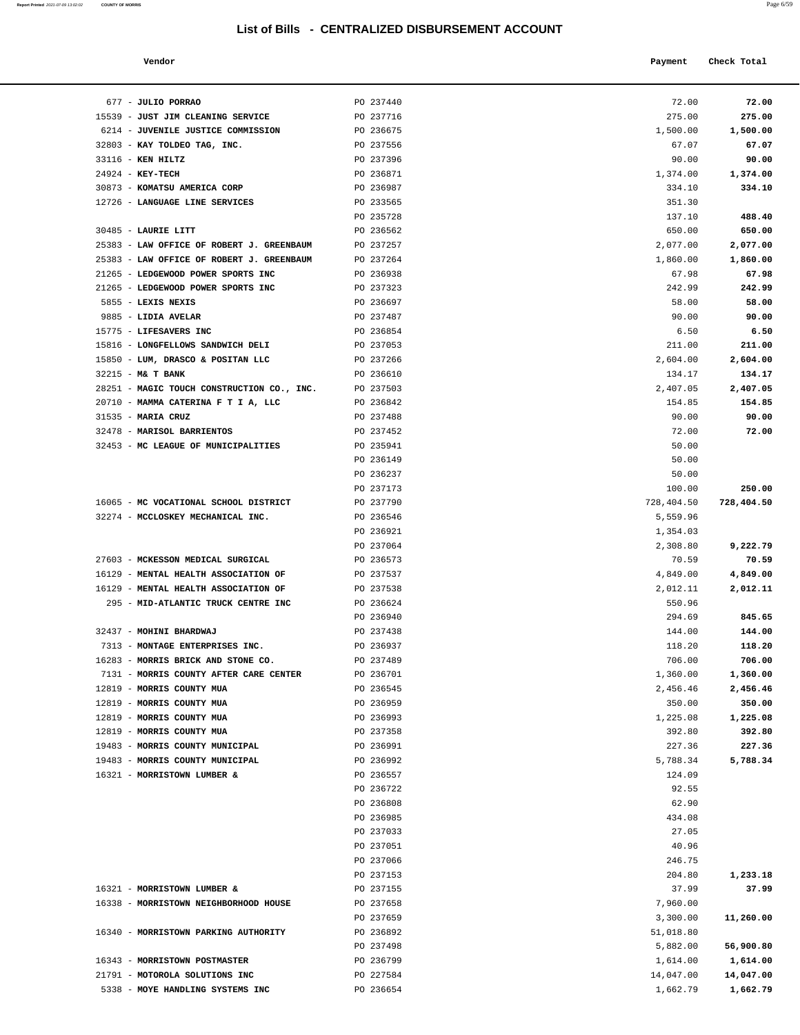| Report Printed 2021-07-09 13:02:02 | <b>COUNTY OF MORRIS</b> |  |  | Page 6/59 |
|------------------------------------|-------------------------|--|--|-----------|
|                                    |                         |  |  |           |

| Vendor |  | Payment Check Total |
|--------|--|---------------------|
|--------|--|---------------------|

| 677 - JULIO PORRAO                                                 | PO 237440              | 72.00              | 72.00              |
|--------------------------------------------------------------------|------------------------|--------------------|--------------------|
| 15539 - JUST JIM CLEANING SERVICE                                  | PO 237716              | 275.00             | 275.00             |
| 6214 - JUVENILE JUSTICE COMMISSION                                 | PO 236675              | 1,500.00           | 1,500.00           |
| 32803 - KAY TOLDEO TAG, INC.                                       | PO 237556              | 67.07              | 67.07              |
| 33116 - KEN HILTZ                                                  | PO 237396              | 90.00              | 90.00              |
| 24924 - KEY-TECH                                                   | PO 236871              | 1,374.00           | 1,374.00           |
| 30873 - KOMATSU AMERICA CORP                                       | PO 236987              | 334.10             | 334.10             |
| 12726 - LANGUAGE LINE SERVICES                                     | PO 233565              | 351.30             |                    |
|                                                                    | PO 235728              | 137.10             | 488.40             |
| 30485 - LAURIE LITT                                                | PO 236562              | 650.00             | 650.00             |
| 25383 - LAW OFFICE OF ROBERT J. GREENBAUM                          | PO 237257              | 2,077.00           | 2,077.00           |
| 25383 - LAW OFFICE OF ROBERT J. GREENBAUM                          | PO 237264              | 1,860.00           | 1,860.00           |
| 21265 - LEDGEWOOD POWER SPORTS INC                                 | PO 236938              | 67.98              | 67.98              |
| 21265 - LEDGEWOOD POWER SPORTS INC                                 | PO 237323              | 242.99             | 242.99             |
| 5855 - LEXIS NEXIS                                                 | PO 236697              | 58.00              | 58.00              |
| 9885 - LIDIA AVELAR                                                | PO 237487              | 90.00              | 90.00              |
| 15775 - LIFESAVERS INC                                             | PO 236854              | 6.50               | 6.50               |
| 15816 - LONGFELLOWS SANDWICH DELI                                  | PO 237053<br>PO 237266 | 211.00             | 211.00<br>2,604.00 |
| 15850 - LUM, DRASCO & POSITAN LLC<br>$32215$ - M& T BANK           | PO 236610              | 2,604.00<br>134.17 | 134.17             |
| 28251 - MAGIC TOUCH CONSTRUCTION CO., INC.                         | PO 237503              | 2,407.05           | 2,407.05           |
| 20710 - MAMMA CATERINA F T I A, LLC                                | PO 236842              | 154.85             | 154.85             |
| 31535 - MARIA CRUZ                                                 | PO 237488              | 90.00              | 90.00              |
| 32478 - MARISOL BARRIENTOS                                         | PO 237452              | 72.00              | 72.00              |
| 32453 - MC LEAGUE OF MUNICIPALITIES                                | PO 235941              | 50.00              |                    |
|                                                                    | PO 236149              | 50.00              |                    |
|                                                                    | PO 236237              | 50.00              |                    |
|                                                                    | PO 237173              | 100.00             | 250.00             |
| 16065 - MC VOCATIONAL SCHOOL DISTRICT                              | PO 237790              | 728,404.50         | 728,404.50         |
| 32274 - MCCLOSKEY MECHANICAL INC.                                  | PO 236546              | 5,559.96           |                    |
|                                                                    | PO 236921              | 1,354.03           |                    |
|                                                                    | PO 237064              | 2,308.80           | 9,222.79           |
| 27603 - MCKESSON MEDICAL SURGICAL                                  | PO 236573              | 70.59              | 70.59              |
| 16129 - MENTAL HEALTH ASSOCIATION OF                               | PO 237537              | 4,849.00           | 4,849.00           |
| 16129 - MENTAL HEALTH ASSOCIATION OF                               | PO 237538              | 2,012.11           | 2,012.11           |
| 295 - MID-ATLANTIC TRUCK CENTRE INC                                | PO 236624              | 550.96             |                    |
|                                                                    | PO 236940              | 294.69             | 845.65             |
| 32437 - MOHINI BHARDWAJ                                            | PO 237438              | 144.00             | 144.00             |
| 7313 - MONTAGE ENTERPRISES INC.                                    | PO 236937              | 118.20             | 118.20             |
| 16283 - MORRIS BRICK AND STONE CO.                                 | PO 237489              | 706.00             | 706.00             |
| 7131 - MORRIS COUNTY AFTER CARE CENTER                             | PO 236701              | 1,360.00           | 1,360.00           |
| 12819 - MORRIS COUNTY MUA                                          | PO 236545              | 2,456.46           | 2,456.46           |
| 12819 - MORRIS COUNTY MUA                                          | PO 236959              | 350.00             | 350.00             |
| 12819 - MORRIS COUNTY MUA                                          | PO 236993              | 1,225.08           | 1,225.08           |
| 12819 - MORRIS COUNTY MUA                                          | PO 237358              | 392.80             | 392.80             |
| 19483 - MORRIS COUNTY MUNICIPAL<br>19483 - MORRIS COUNTY MUNICIPAL | PO 236991              | 227.36             | 227.36             |
| 16321 - MORRISTOWN LUMBER &                                        | PO 236992<br>PO 236557 | 5,788.34<br>124.09 | 5,788.34           |
|                                                                    | PO 236722              | 92.55              |                    |
|                                                                    | PO 236808              | 62.90              |                    |
|                                                                    | PO 236985              | 434.08             |                    |
|                                                                    | PO 237033              | 27.05              |                    |
|                                                                    | PO 237051              | 40.96              |                    |
|                                                                    | PO 237066              | 246.75             |                    |
|                                                                    | PO 237153              | 204.80             | 1,233.18           |
| 16321 - MORRISTOWN LUMBER &                                        | PO 237155              | 37.99              | 37.99              |
| 16338 - MORRISTOWN NEIGHBORHOOD HOUSE                              | PO 237658              | 7,960.00           |                    |
|                                                                    | PO 237659              | 3,300.00           | 11,260.00          |
| 16340 - MORRISTOWN PARKING AUTHORITY                               | PO 236892              | 51,018.80          |                    |
|                                                                    | PO 237498              | 5,882.00           | 56,900.80          |
| 16343 - MORRISTOWN POSTMASTER                                      | PO 236799              | 1,614.00           | 1,614.00           |
| 21791 - MOTOROLA SOLUTIONS INC                                     | PO 227584              | 14,047.00          | 14,047.00          |
| 5338 - MOYE HANDLING SYSTEMS INC                                   | PO 236654              | 1,662.79           | 1,662.79           |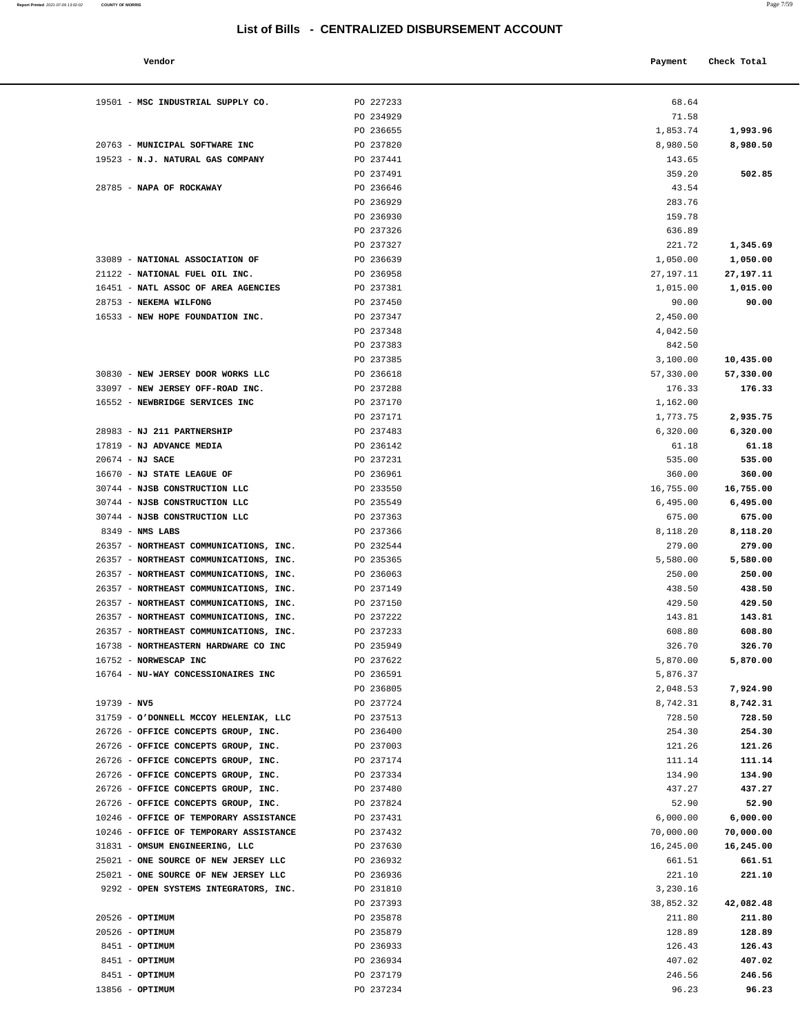| Vendor                                 |           | Payment   | Check Total |
|----------------------------------------|-----------|-----------|-------------|
| 19501 - MSC INDUSTRIAL SUPPLY CO.      | PO 227233 | 68.64     |             |
|                                        | PO 234929 | 71.58     |             |
|                                        | PO 236655 | 1,853.74  | 1,993.96    |
| 20763 - MUNICIPAL SOFTWARE INC         | PO 237820 | 8,980.50  | 8,980.50    |
| 19523 - N.J. NATURAL GAS COMPANY       | PO 237441 | 143.65    |             |
|                                        | PO 237491 | 359.20    | 502.85      |
| 28785 - NAPA OF ROCKAWAY               | PO 236646 | 43.54     |             |
|                                        | PO 236929 | 283.76    |             |
|                                        | PO 236930 | 159.78    |             |
|                                        | PO 237326 | 636.89    |             |
|                                        | PO 237327 | 221.72    | 1,345.69    |
| 33089 - NATIONAL ASSOCIATION OF        | PO 236639 | 1,050.00  | 1,050.00    |
| 21122 - NATIONAL FUEL OIL INC.         | PO 236958 | 27,197.11 | 27,197.11   |
| 16451 - NATL ASSOC OF AREA AGENCIES    | PO 237381 | 1,015.00  | 1,015.00    |
| 28753 - NEKEMA WILFONG                 | PO 237450 | 90.00     | 90.00       |
| 16533 - NEW HOPE FOUNDATION INC.       | PO 237347 | 2,450.00  |             |
|                                        | PO 237348 | 4,042.50  |             |
|                                        | PO 237383 | 842.50    |             |
|                                        | PO 237385 | 3,100.00  | 10,435.00   |
| 30830 - NEW JERSEY DOOR WORKS LLC      | PO 236618 | 57,330.00 | 57,330.00   |
| 33097 - NEW JERSEY OFF-ROAD INC.       | PO 237288 | 176.33    | 176.33      |
| 16552 - NEWBRIDGE SERVICES INC         | PO 237170 | 1,162.00  |             |
|                                        | PO 237171 | 1,773.75  | 2,935.75    |
| 28983 - NJ 211 PARTNERSHIP             | PO 237483 | 6,320.00  | 6,320.00    |
| 17819 - NJ ADVANCE MEDIA               | PO 236142 | 61.18     | 61.18       |
| $20674 - NJ$ SACE                      | PO 237231 | 535.00    | 535.00      |
| 16670 - NJ STATE LEAGUE OF             | PO 236961 | 360.00    | 360.00      |
| 30744 - NJSB CONSTRUCTION LLC          | PO 233550 | 16,755.00 | 16,755.00   |
| 30744 - NJSB CONSTRUCTION LLC          | PO 235549 | 6,495.00  | 6,495.00    |
| 30744 - NJSB CONSTRUCTION LLC          | PO 237363 | 675.00    | 675.00      |
| 8349 - NMS LABS                        | PO 237366 | 8,118.20  | 8,118.20    |
| 26357 - NORTHEAST COMMUNICATIONS, INC. | PO 232544 | 279.00    | 279.00      |
| 26357 - NORTHEAST COMMUNICATIONS, INC. | PO 235365 | 5,580.00  | 5,580.00    |
| 26357 - NORTHEAST COMMUNICATIONS, INC. | PO 236063 | 250.00    | 250.00      |
| 26357 - NORTHEAST COMMUNICATIONS, INC. | PO 237149 | 438.50    | 438.50      |
| 26357 - NORTHEAST COMMUNICATIONS, INC. | PO 237150 | 429.50    | 429.50      |
| 26357 - NORTHEAST COMMUNICATIONS, INC. | PO 237222 | 143.81    | 143.81      |
| 26357 - NORTHEAST COMMUNICATIONS, INC. | PO 237233 | 608.80    | 608.80      |
| 16738 - NORTHEASTERN HARDWARE CO INC   | PO 235949 | 326.70    | 326.70      |
| 16752 - NORWESCAP INC                  | PO 237622 | 5,870.00  | 5,870.00    |
| 16764 - NU-WAY CONCESSIONAIRES INC     | PO 236591 | 5,876.37  |             |
|                                        | PO 236805 | 2,048.53  | 7,924.90    |
| $19739 - NV5$                          | PO 237724 | 8,742.31  | 8,742.31    |
| 31759 - O'DONNELL MCCOY HELENIAK, LLC  | PO 237513 | 728.50    | 728.50      |
| 26726 - OFFICE CONCEPTS GROUP, INC.    | PO 236400 | 254.30    | 254.30      |
| 26726 - OFFICE CONCEPTS GROUP, INC.    | PO 237003 | 121.26    | 121.26      |
| 26726 - OFFICE CONCEPTS GROUP, INC.    | PO 237174 | 111.14    | 111.14      |
| 26726 - OFFICE CONCEPTS GROUP, INC.    | PO 237334 | 134.90    | 134.90      |
| 26726 - OFFICE CONCEPTS GROUP, INC.    | PO 237480 | 437.27    | 437.27      |
| 26726 - OFFICE CONCEPTS GROUP, INC.    | PO 237824 | 52.90     | 52.90       |
| 10246 - OFFICE OF TEMPORARY ASSISTANCE | PO 237431 | 6,000.00  | 6,000.00    |
| 10246 - OFFICE OF TEMPORARY ASSISTANCE | PO 237432 | 70,000.00 | 70,000.00   |
| 31831 - OMSUM ENGINEERING, LLC         | PO 237630 | 16,245.00 | 16,245.00   |
| 25021 - ONE SOURCE OF NEW JERSEY LLC   | PO 236932 | 661.51    | 661.51      |
| 25021 - ONE SOURCE OF NEW JERSEY LLC   | PO 236936 | 221.10    | 221.10      |
| 9292 - OPEN SYSTEMS INTEGRATORS, INC.  | PO 231810 | 3,230.16  |             |
|                                        | PO 237393 | 38,852.32 | 42,082.48   |
| 20526 - OPTIMUM                        | PO 235878 | 211.80    | 211.80      |
| 20526 - OPTIMUM                        | PO 235879 | 128.89    | 128.89      |
| 8451 - OPTIMUM                         | PO 236933 | 126.43    | 126.43      |
| 8451 - OPTIMUM                         | PO 236934 | 407.02    | 407.02      |
| 8451 - OPTIMUM                         | PO 237179 | 246.56    | 246.56      |

13856 - **OPTIMUM** PO 237234 96.23 **96.23** 

**Report Printed** 2021-07-09 13:02:02 **COUNTY OF MORRIS** Page 7/59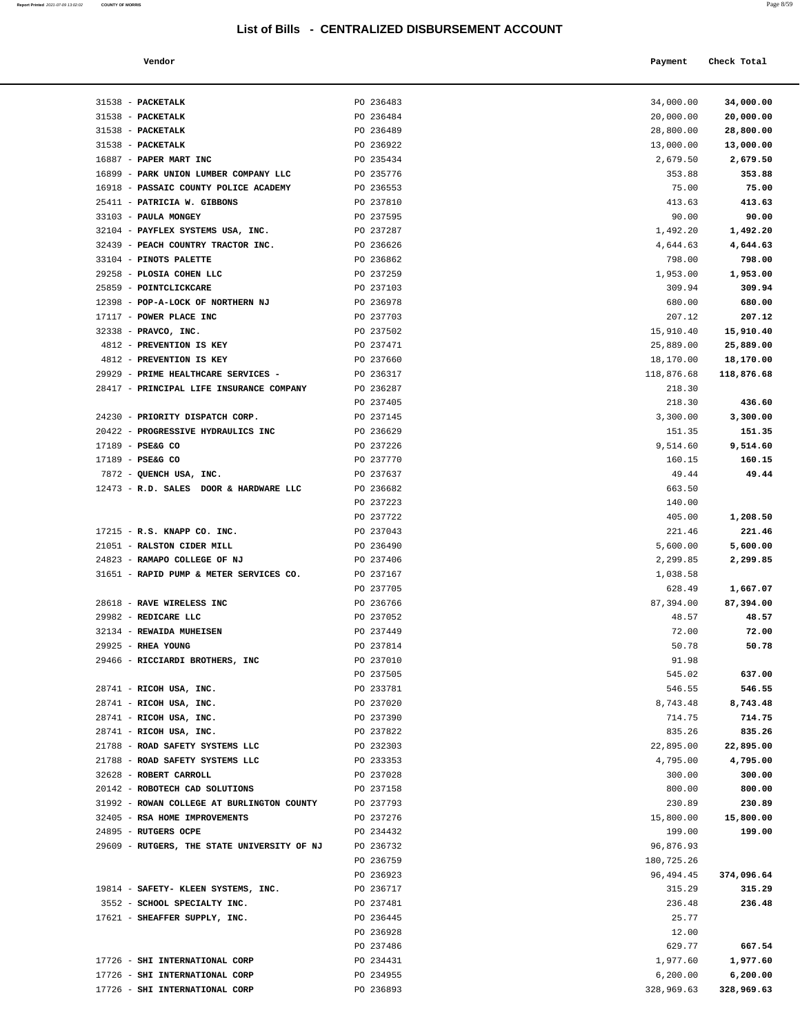| a. | ٦<br>٧<br>×<br>٠<br>٧ |  |
|----|-----------------------|--|
|    |                       |  |

| Report Printed 2021-07-09 13:02:02 | <b>COUNTY OF MORRIS</b>                                                 |                                                  |                     | Page 8/59           |
|------------------------------------|-------------------------------------------------------------------------|--------------------------------------------------|---------------------|---------------------|
|                                    |                                                                         | List of Bills - CENTRALIZED DISBURSEMENT ACCOUNT |                     |                     |
|                                    | Vendor                                                                  |                                                  | Payment             | Check Total         |
|                                    | 31538 - PACKETALK                                                       | PO 236483                                        | 34,000.00           | 34,000.00           |
|                                    | 31538 - PACKETALK                                                       | PO 236484                                        | 20,000.00           | 20,000.00           |
|                                    | 31538 - PACKETALK                                                       | PO 236489                                        | 28,800.00           | 28,800.00           |
|                                    | 31538 - PACKETALK                                                       | PO 236922                                        | 13,000.00           | 13,000.00           |
|                                    | 16887 - PAPER MART INC                                                  | PO 235434                                        | 2,679.50            | 2,679.50            |
|                                    | 16899 - PARK UNION LUMBER COMPANY LLC                                   | PO 235776                                        | 353.88              | 353.88              |
|                                    | 16918 - PASSAIC COUNTY POLICE ACADEMY                                   | PO 236553                                        | 75.00               | 75.00               |
|                                    | 25411 - PATRICIA W. GIBBONS                                             | PO 237810                                        | 413.63              | 413.63              |
|                                    | 33103 - PAULA MONGEY                                                    | PO 237595                                        | 90.00               | 90.00               |
|                                    | 32104 - PAYFLEX SYSTEMS USA, INC.<br>32439 - PEACH COUNTRY TRACTOR INC. | PO 237287<br>PO 236626                           | 1,492.20            | 1,492.20            |
|                                    | 33104 - PINOTS PALETTE                                                  | PO 236862                                        | 4,644.63<br>798.00  | 4,644.63<br>798.00  |
|                                    | 29258 - PLOSIA COHEN LLC                                                | PO 237259                                        | 1,953.00            | 1,953.00            |
|                                    | 25859 - POINTCLICKCARE                                                  | PO 237103                                        | 309.94              | 309.94              |
|                                    | 12398 - POP-A-LOCK OF NORTHERN NJ                                       | PO 236978                                        | 680.00              | 680.00              |
|                                    | 17117 - POWER PLACE INC                                                 | PO 237703                                        | 207.12              | 207.12              |
|                                    | 32338 - PRAVCO, INC.                                                    | PO 237502                                        | 15,910.40           | 15,910.40           |
|                                    | 4812 - PREVENTION IS KEY                                                | PO 237471                                        | 25,889.00           | 25,889.00           |
|                                    | 4812 - PREVENTION IS KEY                                                | PO 237660                                        | 18,170.00           | 18,170.00           |
|                                    | 29929 - PRIME HEALTHCARE SERVICES -                                     | PO 236317                                        | 118,876.68          | 118,876.68          |
|                                    | 28417 - PRINCIPAL LIFE INSURANCE COMPANY                                | PO 236287                                        | 218.30              |                     |
|                                    |                                                                         | PO 237405                                        | 218.30              | 436.60              |
|                                    | 24230 - PRIORITY DISPATCH CORP.                                         | PO 237145                                        | 3,300.00            | 3,300.00            |
|                                    | 20422 - PROGRESSIVE HYDRAULICS INC                                      | PO 236629                                        | 151.35              | 151.35              |
|                                    | 17189 - PSE&G CO                                                        | PO 237226                                        | 9,514.60            | 9,514.60            |
|                                    | 17189 - PSE&G CO                                                        | PO 237770                                        | 160.15              | 160.15              |
|                                    | 7872 - QUENCH USA, INC.                                                 | PO 237637                                        | 49.44<br>663.50     | 49.44               |
|                                    | 12473 - R.D. SALES DOOR & HARDWARE LLC                                  | PO 236682<br>PO 237223                           | 140.00              |                     |
|                                    |                                                                         | PO 237722                                        | 405.00              | 1,208.50            |
|                                    | 17215 - R.S. KNAPP CO. INC.                                             | PO 237043                                        | 221.46              | 221.46              |
|                                    | 21051 - RALSTON CIDER MILL                                              | PO 236490                                        | 5,600.00            | 5,600.00            |
|                                    | 24823 - RAMAPO COLLEGE OF NJ                                            | PO 237406                                        | 2,299.85            | 2,299.85            |
|                                    | 31651 - RAPID PUMP & METER SERVICES CO.                                 | PO 237167                                        | 1,038.58            |                     |
|                                    |                                                                         | PO 237705                                        | 628.49              | 1,667.07            |
|                                    | 28618 - RAVE WIRELESS INC                                               | PO 236766                                        | 87,394.00           | 87,394.00           |
|                                    | 29982 - REDICARE LLC                                                    | PO 237052                                        | 48.57               | 48.57               |
|                                    | 32134 - REWAIDA MUHEISEN                                                | PO 237449                                        | 72.00               | 72.00               |
|                                    | 29925 - RHEA YOUNG                                                      | PO 237814                                        | 50.78               | 50.78               |
|                                    | 29466 - RICCIARDI BROTHERS, INC                                         | PO 237010                                        | 91.98               |                     |
|                                    |                                                                         | PO 237505                                        | 545.02              | 637.00              |
|                                    | 28741 - RICOH USA, INC.                                                 | PO 233781                                        | 546.55              | 546.55              |
|                                    | 28741 - RICOH USA, INC.                                                 | PO 237020                                        | 8,743.48            | 8,743.48            |
|                                    | 28741 - RICOH USA, INC.                                                 | PO 237390                                        | 714.75              | 714.75              |
|                                    | 28741 - RICOH USA, INC.<br>21788 - ROAD SAFETY SYSTEMS LLC              | PO 237822<br>PO 232303                           | 835.26<br>22,895.00 | 835.26<br>22,895.00 |
|                                    | 21788 - ROAD SAFETY SYSTEMS LLC                                         | PO 233353                                        | 4,795.00            | 4,795.00            |
|                                    | 32628 - ROBERT CARROLL                                                  | PO 237028                                        | 300.00              | 300.00              |
|                                    | 20142 - ROBOTECH CAD SOLUTIONS                                          | PO 237158                                        | 800.00              | 800.00              |
|                                    | 31992 - ROWAN COLLEGE AT BURLINGTON COUNTY                              | PO 237793                                        | 230.89              | 230.89              |
|                                    | 32405 - RSA HOME IMPROVEMENTS                                           | PO 237276                                        | 15,800.00           | 15,800.00           |
|                                    | 24895 - RUTGERS OCPE                                                    | PO 234432                                        | 199.00              | 199.00              |
|                                    | 29609 - RUTGERS, THE STATE UNIVERSITY OF NJ                             | PO 236732                                        | 96,876.93           |                     |

| 16899 - PARK UNION LUMBER COMPANY LLC            | PO 235776              | 353.88         | 353.88         |
|--------------------------------------------------|------------------------|----------------|----------------|
| 16918 - PASSAIC COUNTY POLICE ACADEMY            | PO 236553              | 75.00          | 75.00          |
| 25411 - PATRICIA W. GIBBONS                      | PO 237810              | 413.63         | 413.63         |
| 33103 - PAULA MONGEY                             | PO 237595              | 90.00          | 90.00          |
| 32104 - PAYFLEX SYSTEMS USA, INC.                | PO 237287              | 1,492.20       | 1,492.20       |
| 32439 - PEACH COUNTRY TRACTOR INC.               | PO 236626              | 4,644.63       | 4,644.63       |
| 33104 - PINOTS PALETTE                           | PO 236862              | 798.00         | 798.00         |
| 29258 - PLOSIA COHEN LLC                         | PO 237259              | 1,953.00       | 1,953.00       |
| 25859 - POINTCLICKCARE                           | PO 237103              | 309.94         | 309.94         |
| 12398 - POP-A-LOCK OF NORTHERN NJ                | PO 236978              | 680.00         | 680.00         |
| 17117 - POWER PLACE INC                          | PO 237703              | 207.12         | 207.12         |
| 32338 - PRAVCO, INC.                             | PO 237502              | 15,910.40      | 15,910.40      |
| 4812 - PREVENTION IS KEY                         | PO 237471              | 25,889.00      | 25,889.00      |
| 4812 - PREVENTION IS KEY                         | PO 237660              | 18,170.00      | 18,170.00      |
| 29929 - PRIME HEALTHCARE SERVICES -              | PO 236317              | 118,876.68     | 118,876.68     |
| 28417 - PRINCIPAL LIFE INSURANCE COMPANY         | PO 236287              | 218.30         |                |
|                                                  | PO 237405              | 218.30         | 436.60         |
| 24230 - PRIORITY DISPATCH CORP.                  | PO 237145              | 3,300.00       | 3,300.00       |
| 20422 - PROGRESSIVE HYDRAULICS INC               | PO 236629              | 151.35         | 151.35         |
| 17189 - PSE&G CO                                 | PO 237226              | 9,514.60       | 9,514.60       |
| 17189 - PSE&G CO                                 | PO 237770              | 160.15         | 160.15         |
| 7872 - QUENCH USA, INC.                          | PO 237637              | 49.44          | 49.44          |
| 12473 - R.D. SALES DOOR & HARDWARE LLC           | PO 236682              | 663.50         |                |
|                                                  | PO 237223              | 140.00         |                |
|                                                  | PO 237722              | 405.00         | 1,208.50       |
| 17215 - R.S. KNAPP CO. INC.                      | PO 237043              | 221.46         | 221.46         |
| 21051 - RALSTON CIDER MILL                       | PO 236490              | 5,600.00       | 5,600.00       |
| 24823 - RAMAPO COLLEGE OF NJ                     | PO 237406              | 2,299.85       | 2,299.85       |
| 31651 - RAPID PUMP & METER SERVICES CO.          | PO 237167              | 1,038.58       |                |
|                                                  | PO 237705              | 628.49         | 1,667.07       |
| 28618 - RAVE WIRELESS INC                        | PO 236766              | 87,394.00      | 87,394.00      |
| 29982 - REDICARE LLC<br>32134 - REWAIDA MUHEISEN | PO 237052<br>PO 237449 | 48.57<br>72.00 | 48.57<br>72.00 |
| 29925 - RHEA YOUNG                               | PO 237814              | 50.78          | 50.78          |
| 29466 - RICCIARDI BROTHERS, INC                  | PO 237010              | 91.98          |                |
|                                                  | PO 237505              | 545.02         | 637.00         |
| 28741 - RICOH USA, INC.                          | PO 233781              | 546.55         | 546.55         |
| 28741 - RICOH USA, INC.                          | PO 237020              | 8,743.48       | 8,743.48       |
| 28741 - RICOH USA, INC.                          | PO 237390              | 714.75         | 714.75         |
| 28741 - RICOH USA, INC.                          | PO 237822              | 835.26         | 835.26         |
| 21788 - ROAD SAFETY SYSTEMS LLC                  | PO 232303              | 22,895.00      | 22,895.00      |
| 21788 - ROAD SAFETY SYSTEMS LLC                  | PO 233353              | 4,795.00       | 4,795.00       |
| 32628 - ROBERT CARROLL                           | PO 237028              | 300.00         | 300.00         |
| 20142 - ROBOTECH CAD SOLUTIONS                   | PO 237158              | 800.00         | 800.00         |
| 31992 - ROWAN COLLEGE AT BURLINGTON COUNTY       | PO 237793              | 230.89         | 230.89         |
| 32405 - RSA HOME IMPROVEMENTS                    | PO 237276              | 15,800.00      | 15,800.00      |
| 24895 - RUTGERS OCPE                             | PO 234432              | 199.00         | 199.00         |
| 29609 - RUTGERS, THE STATE UNIVERSITY OF NJ      | PO 236732              | 96,876.93      |                |
|                                                  | PO 236759              | 180,725.26     |                |
|                                                  | PO 236923              | 96,494.45      | 374,096.64     |
| 19814 - SAFETY- KLEEN SYSTEMS, INC.              | PO 236717              | 315.29         | 315.29         |
| 3552 - SCHOOL SPECIALTY INC.                     | PO 237481              | 236.48         | 236.48         |
| 17621 - SHEAFFER SUPPLY, INC.                    | PO 236445              | 25.77          |                |
|                                                  | PO 236928              | 12.00          |                |
|                                                  | PO 237486              | 629.77         | 667.54         |
|                                                  |                        | 1,977.60       | 1,977.60       |
| 17726 - SHI INTERNATIONAL CORP                   | PO 234431              |                |                |
| 17726 - SHI INTERNATIONAL CORP                   | PO 234955              | 6,200.00       | 6,200.00       |
| 17726 - SHI INTERNATIONAL CORP                   | PO 236893              | 328,969.63     | 328,969.63     |
|                                                  |                        |                |                |
|                                                  |                        |                |                |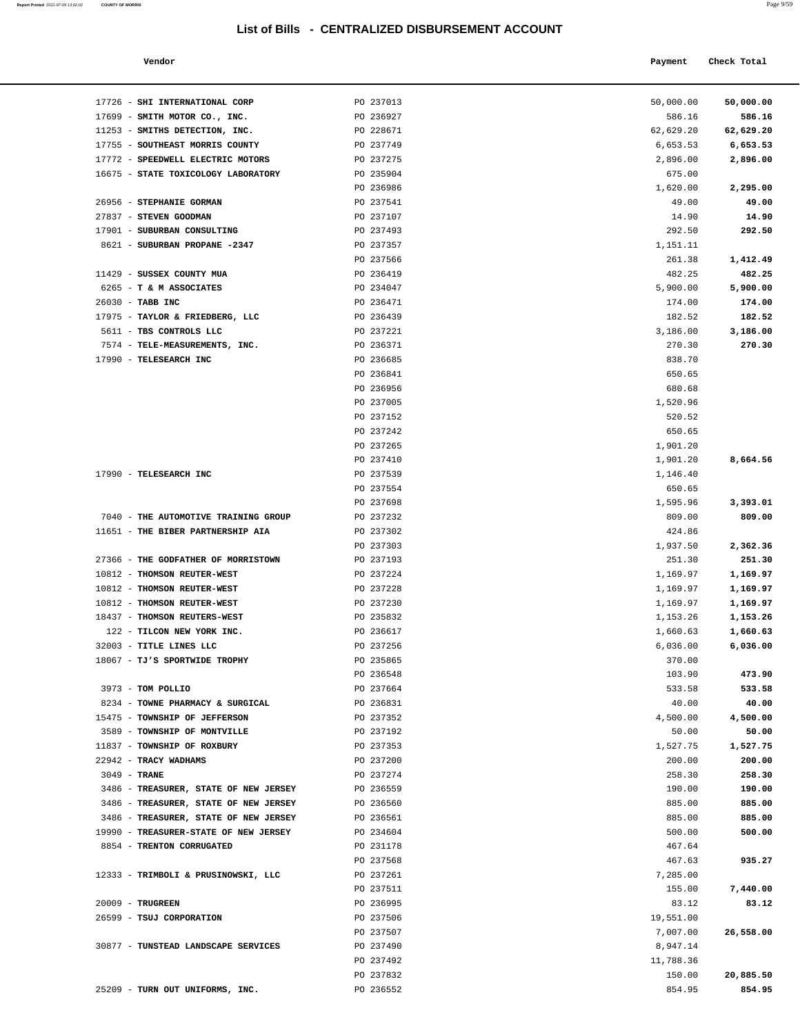| Report Printed 2021-07-09 13:02:02<br>the contract of the contract of the contract of the contract of the contract of the contract of the contract of | <b>COUNTY OF MORRIS</b> |  |  | Page 9/59 |
|-------------------------------------------------------------------------------------------------------------------------------------------------------|-------------------------|--|--|-----------|
|                                                                                                                                                       |                         |  |  |           |

| Vendor | Payment | Check Total |
|--------|---------|-------------|
|        |         |             |

| 17726 - SHI INTERNATIONAL CORP                           |                                       | PO 237013              | 50,000.00        | 50,000.00          |
|----------------------------------------------------------|---------------------------------------|------------------------|------------------|--------------------|
| 17699 - SMITH MOTOR CO., INC.                            |                                       | PO 236927              | 586.16           | 586.16             |
| 11253 - SMITHS DETECTION, INC.                           |                                       | PO 228671              | 62,629.20        | 62,629.20          |
| 17755 - SOUTHEAST MORRIS COUNTY                          |                                       | PO 237749              | 6,653.53         | 6,653.53           |
| 17772 - SPEEDWELL ELECTRIC MOTORS                        |                                       | PO 237275              | 2,896.00         | 2,896.00           |
|                                                          | 16675 - STATE TOXICOLOGY LABORATORY   | PO 235904              | 675.00           |                    |
|                                                          |                                       | PO 236986              | 1,620.00         | 2,295.00           |
| 26956 - STEPHANIE GORMAN                                 |                                       | PO 237541              | 49.00            | 49.00              |
| 27837 - STEVEN GOODMAN                                   |                                       | PO 237107              | 14.90            | 14.90              |
| 17901 - SUBURBAN CONSULTING                              |                                       | PO 237493              | 292.50           | 292.50             |
| 8621 - SUBURBAN PROPANE -2347                            |                                       | PO 237357              | 1,151.11         |                    |
|                                                          |                                       | PO 237566              | 261.38           | 1,412.49           |
| 11429 - SUSSEX COUNTY MUA                                |                                       | PO 236419              | 482.25           | 482.25             |
| 6265 - T & M ASSOCIATES                                  |                                       | PO 234047              | 5,900.00         | 5,900.00           |
| 26030 - TABB INC                                         |                                       | PO 236471              | 174.00           | 174.00             |
| 17975 - TAYLOR & FRIEDBERG, LLC                          |                                       | PO 236439              | 182.52           | 182.52             |
| 5611 - TBS CONTROLS LLC                                  |                                       | PO 237221<br>PO 236371 | 3,186.00         | 3,186.00<br>270.30 |
| 7574 - TELE-MEASUREMENTS, INC.<br>17990 - TELESEARCH INC |                                       | PO 236685              | 270.30<br>838.70 |                    |
|                                                          |                                       | PO 236841              | 650.65           |                    |
|                                                          |                                       | PO 236956              | 680.68           |                    |
|                                                          |                                       | PO 237005              | 1,520.96         |                    |
|                                                          |                                       | PO 237152              | 520.52           |                    |
|                                                          |                                       | PO 237242              | 650.65           |                    |
|                                                          |                                       | PO 237265              | 1,901.20         |                    |
|                                                          |                                       | PO 237410              | 1,901.20         | 8,664.56           |
| 17990 - TELESEARCH INC                                   |                                       | PO 237539              | 1,146.40         |                    |
|                                                          |                                       | PO 237554              | 650.65           |                    |
|                                                          |                                       | PO 237698              | 1,595.96         | 3,393.01           |
|                                                          | 7040 - THE AUTOMOTIVE TRAINING GROUP  | PO 237232              | 809.00           | 809.00             |
| 11651 - THE BIBER PARTNERSHIP AIA                        |                                       | PO 237302              | 424.86           |                    |
|                                                          |                                       | PO 237303              | 1,937.50         | 2,362.36           |
|                                                          | 27366 - THE GODFATHER OF MORRISTOWN   | PO 237193              | 251.30           | 251.30             |
| 10812 - THOMSON REUTER-WEST                              |                                       | PO 237224              | 1,169.97         | 1,169.97           |
| 10812 - THOMSON REUTER-WEST                              |                                       | PO 237228              | 1,169.97         | 1,169.97           |
| 10812 - THOMSON REUTER-WEST                              |                                       | PO 237230              | 1,169.97         | 1,169.97           |
| 18437 - THOMSON REUTERS-WEST                             |                                       | PO 235832              | 1,153.26         | 1,153.26           |
| 122 - TILCON NEW YORK INC.                               |                                       | PO 236617              | 1,660.63         | 1,660.63           |
| 32003 - TITLE LINES LLC                                  |                                       | PO 237256              | 6,036.00         | 6,036.00           |
| 18067 - TJ'S SPORTWIDE TROPHY                            |                                       | PO 235865              | 370.00           |                    |
|                                                          |                                       | PO 236548              | 103.90           | 473.90             |
| 3973 - TOM POLLIO                                        |                                       | PO 237664              | 533.58           | 533.58             |
| 8234 - TOWNE PHARMACY & SURGICAL                         |                                       | PO 236831              | 40.00            | 40.00              |
| 15475 - TOWNSHIP OF JEFFERSON                            |                                       | PO 237352              | 4,500.00         | 4,500.00           |
| 3589 - TOWNSHIP OF MONTVILLE                             |                                       | PO 237192              | 50.00            | 50.00              |
| 11837 - TOWNSHIP OF ROXBURY                              |                                       | PO 237353              | 1,527.75         | 1,527.75           |
| 22942 - TRACY WADHAMS                                    |                                       | PO 237200              | 200.00           | 200.00             |
| $3049$ - TRANE                                           | 3486 - TREASURER, STATE OF NEW JERSEY | PO 237274              | 258.30           | 258.30             |
|                                                          | 3486 - TREASURER, STATE OF NEW JERSEY | PO 236559<br>PO 236560 | 190.00<br>885.00 | 190.00<br>885.00   |
|                                                          | 3486 - TREASURER, STATE OF NEW JERSEY | PO 236561              | 885.00           | 885.00             |
|                                                          | 19990 - TREASURER-STATE OF NEW JERSEY | PO 234604              | 500.00           | 500.00             |
| 8854 - TRENTON CORRUGATED                                |                                       | PO 231178              | 467.64           |                    |
|                                                          |                                       | PO 237568              | 467.63           | 935.27             |
| 12333 - TRIMBOLI & PRUSINOWSKI, LLC                      |                                       | PO 237261              | 7,285.00         |                    |
|                                                          |                                       | PO 237511              | 155.00           | 7,440.00           |
| 20009 - TRUGREEN                                         |                                       | PO 236995              | 83.12            | 83.12              |
| 26599 - TSUJ CORPORATION                                 |                                       | PO 237506              | 19,551.00        |                    |
|                                                          |                                       | PO 237507              | 7,007.00         | 26,558.00          |
| 30877 - TUNSTEAD LANDSCAPE SERVICES                      |                                       | PO 237490              | 8,947.14         |                    |
|                                                          |                                       | PO 237492              | 11,788.36        |                    |
|                                                          |                                       | PO 237832              | 150.00           | 20,885.50          |
| 25209 - TURN OUT UNIFORMS, INC.                          |                                       | PO 236552              | 854.95           | 854.95             |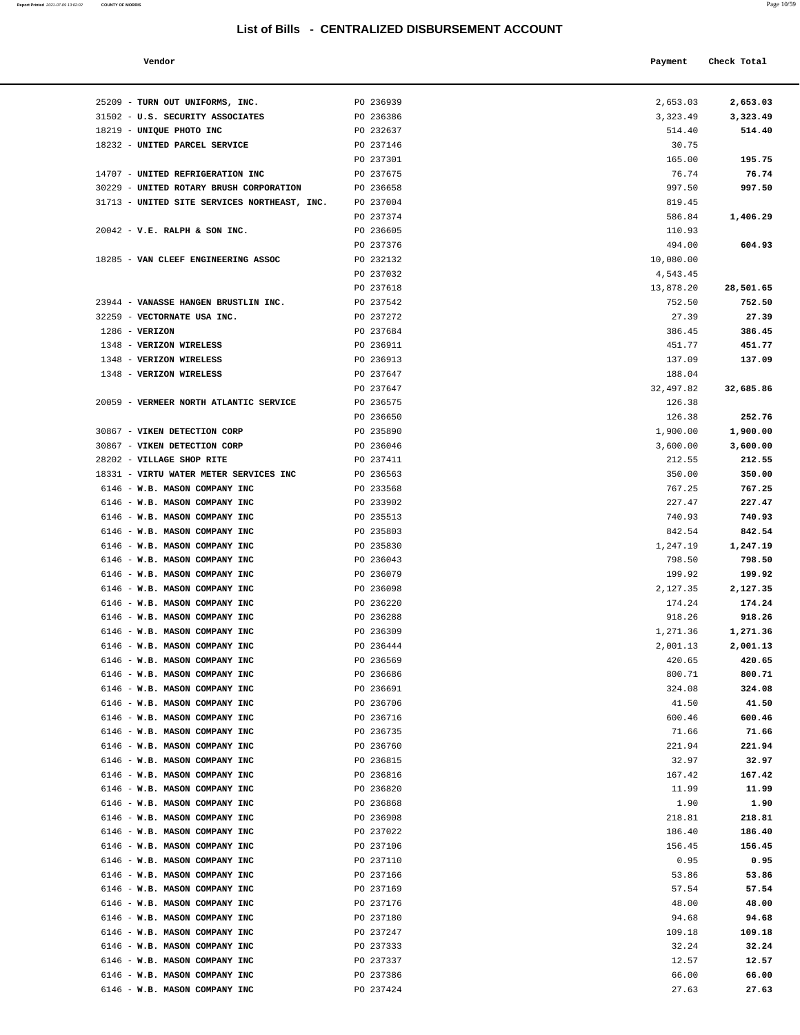| Report Printed 2021-07-09 13:02:02<br>the contract of the contract of the contract of the contract of the contract of the contract of the contract of | <b>COUNTY OF MORRIS</b> | Page 10/59 |
|-------------------------------------------------------------------------------------------------------------------------------------------------------|-------------------------|------------|
|                                                                                                                                                       |                         |            |

| Vendor                                                                  |                        | Payment            | Check Total      |
|-------------------------------------------------------------------------|------------------------|--------------------|------------------|
|                                                                         |                        |                    |                  |
| TURN OUT UNIFORMS, INC.                                                 | PO 236939              | 2,653.03           | 2,653.03         |
| U.S. SECURITY ASSOCIATES                                                | PO 236386              | 3,323.49           | 3,323.49         |
| UNIQUE PHOTO INC                                                        | PO 232637              | 514.40             | 514.40           |
| UNITED PARCEL SERVICE                                                   | PO 237146              | 30.75              |                  |
|                                                                         | PO 237301              | 165.00             | 195.75           |
| UNITED REFRIGERATION INC                                                | PO 237675              | 76.74              | 76.74            |
| UNITED ROTARY BRUSH CORPORATION<br>UNITED SITE SERVICES NORTHEAST, INC. | PO 236658<br>PO 237004 | 997.50<br>819.45   | 997.50           |
|                                                                         | PO 237374              | 586.84             | 1,406.29         |
| V.E. RALPH & SON INC.                                                   | PO 236605              | 110.93             |                  |
|                                                                         | PO 237376              | 494.00             | 604.93           |
| VAN CLEEF ENGINEERING ASSOC                                             | PO 232132              | 10,080.00          |                  |
|                                                                         | PO 237032              | 4,543.45           |                  |
|                                                                         | PO 237618              | 13,878.20          | 28,501.65        |
| VANASSE HANGEN BRUSTLIN INC.                                            | PO 237542              | 752.50             | 752.50           |
| VECTORNATE USA INC.                                                     | PO 237272              | 27.39              | 27.39            |
| <b>VERIZON</b>                                                          | PO 237684<br>PO 236911 | 386.45<br>451.77   | 386.45           |
| <b>VERIZON WIRELESS</b><br>VERIZON WIRELESS                             | PO 236913              | 137.09             | 451.77<br>137.09 |
| VERIZON WIRELESS                                                        | PO 237647              | 188.04             |                  |
|                                                                         | PO 237647              | 32,497.82          | 32,685.86        |
| VERMEER NORTH ATLANTIC SERVICE                                          | PO 236575              | 126.38             |                  |
|                                                                         | PO 236650              | 126.38             | 252.76           |
| VIKEN DETECTION CORP                                                    | PO 235890              | 1,900.00           | 1,900.00         |
| VIKEN DETECTION CORP                                                    | PO 236046              | 3,600.00           | 3,600.00         |
| VILLAGE SHOP RITE                                                       | PO 237411              | 212.55             | 212.55           |
| VIRTU WATER METER SERVICES INC                                          | PO 236563              | 350.00             | 350.00           |
| W.B. MASON COMPANY INC                                                  | PO 233568              | 767.25             | 767.25           |
| W.B. MASON COMPANY INC                                                  | PO 233902              | 227.47             | 227.47           |
| W.B. MASON COMPANY INC<br>W.B. MASON COMPANY INC                        | PO 235513<br>PO 235803 | 740.93             | 740.93<br>842.54 |
| W.B. MASON COMPANY INC                                                  | PO 235830              | 842.54<br>1,247.19 | 1,247.19         |
| W.B. MASON COMPANY INC                                                  | PO 236043              | 798.50             | 798.50           |
| W.B. MASON COMPANY INC                                                  | PO 236079              | 199.92             | 199.92           |
| W.B. MASON COMPANY INC                                                  | PO 236098              | 2,127.35           | 2,127.35         |
| W.B. MASON COMPANY INC                                                  | PO 236220              | 174.24             | 174.24           |
| W.B. MASON COMPANY INC                                                  | PO 236288              | 918.26             | 918.26           |
| W.B. MASON COMPANY INC                                                  | PO 236309              | 1,271.36           | 1,271.36         |
| W.B. MASON COMPANY INC                                                  | PO 236444              | 2,001.13           | 2,001.13         |
| W.B. MASON COMPANY INC                                                  | PO 236569              | 420.65             | 420.65           |
| W.B. MASON COMPANY INC                                                  | PO 236686              | 800.71             | 800.71           |
| W.B. MASON COMPANY INC                                                  | PO 236691              | 324.08             | 324.08           |
| W.B. MASON COMPANY INC<br>W.B. MASON COMPANY INC                        | PO 236706<br>PO 236716 | 41.50<br>600.46    | 41.50<br>600.46  |
| W.B. MASON COMPANY INC                                                  | PO 236735              | 71.66              | 71.66            |
| W.B. MASON COMPANY INC                                                  | PO 236760              | 221.94             | 221.94           |
| W.B. MASON COMPANY INC                                                  | PO 236815              | 32.97              | 32.97            |
| W.B. MASON COMPANY INC                                                  | PO 236816              | 167.42             | 167.42           |
| W.B. MASON COMPANY INC                                                  | PO 236820              | 11.99              | 11.99            |
| W.B. MASON COMPANY INC                                                  | PO 236868              | 1.90               | 1.90             |
| W.B. MASON COMPANY INC                                                  | PO 236908              | 218.81             | 218.81           |
| W.B. MASON COMPANY INC                                                  | PO 237022              | 186.40             | 186.40           |
| W.B. MASON COMPANY INC                                                  | PO 237106              | 156.45             | 156.45           |
| W.B. MASON COMPANY INC                                                  | PO 237110              | 0.95               | 0.95             |
| W.B. MASON COMPANY INC<br>W.B. MASON COMPANY INC                        | PO 237166<br>PO 237169 | 53.86<br>57.54     | 53.86<br>57.54   |
| W.B. MASON COMPANY INC                                                  | PO 237176              | 48.00              | 48.00            |
| W.B. MASON COMPANY INC                                                  | PO 237180              | 94.68              | 94.68            |
| W.B. MASON COMPANY INC                                                  | PO 237247              | 109.18             | 109.18           |
| W.B. MASON COMPANY INC                                                  | PO 237333              | 32.24              | 32.24            |
| W.B. MASON COMPANY INC                                                  | PO 237337              | 12.57              | 12.57            |
| W.B. MASON COMPANY INC                                                  | PO 237386              | 66.00              | 66.00            |
| W.B. MASON COMPANY INC                                                  | PO 237424              | 27.63              | 27.63            |
|                                                                         |                        |                    |                  |

| 25209 - TURN OUT UNIFORMS, INC.              | PO 236939              | 2,653.03  | 2,653.03        |
|----------------------------------------------|------------------------|-----------|-----------------|
| 31502 - U.S. SECURITY ASSOCIATES             | PO 236386              | 3,323.49  | 3,323.49        |
| 18219 - UNIQUE PHOTO INC                     | PO 232637              | 514.40    | 514.40          |
| 18232 - UNITED PARCEL SERVICE                | PO 237146              | 30.75     |                 |
|                                              | PO 237301              | 165.00    | 195.75          |
| 14707 - UNITED REFRIGERATION INC             | PO 237675              | 76.74     | 76.74           |
| 30229 - UNITED ROTARY BRUSH CORPORATION      | PO 236658              | 997.50    | 997.50          |
| 31713 - UNITED SITE SERVICES NORTHEAST, INC. | PO 237004              | 819.45    |                 |
|                                              | PO 237374              | 586.84    | 1,406.29        |
| $20042$ - V.E. RALPH & SON INC.              | PO 236605              | 110.93    |                 |
|                                              | PO 237376              | 494.00    | 604.93          |
| 18285 - VAN CLEEF ENGINEERING ASSOC          | PO 232132              | 10,080.00 |                 |
|                                              |                        | 4,543.45  |                 |
|                                              | PO 237032              |           |                 |
|                                              | PO 237618<br>PO 237542 | 13,878.20 | 28,501.65       |
| 23944 - VANASSE HANGEN BRUSTLIN INC.         |                        | 752.50    | 752.50<br>27.39 |
| 32259 - VECTORNATE USA INC.                  | PO 237272              | 27.39     |                 |
| $1286$ - VERIZON                             | PO 237684              | 386.45    | 386.45          |
| 1348 - VERIZON WIRELESS                      | PO 236911              | 451.77    | 451.77          |
| 1348 - VERIZON WIRELESS                      | PO 236913              | 137.09    | 137.09          |
| 1348 - VERIZON WIRELESS                      | PO 237647              | 188.04    |                 |
|                                              | PO 237647              | 32,497.82 | 32,685.86       |
| 20059 - VERMEER NORTH ATLANTIC SERVICE       | PO 236575              | 126.38    |                 |
|                                              | PO 236650              | 126.38    | 252.76          |
| 30867 - VIKEN DETECTION CORP                 | PO 235890              | 1,900.00  | 1,900.00        |
| 30867 - VIKEN DETECTION CORP                 | PO 236046              | 3,600.00  | 3,600.00        |
| 28202 - VILLAGE SHOP RITE                    | PO 237411              | 212.55    | 212.55          |
| 18331 - VIRTU WATER METER SERVICES INC       | PO 236563              | 350.00    | 350.00          |
| 6146 - W.B. MASON COMPANY INC                | PO 233568              | 767.25    | 767.25          |
| 6146 - W.B. MASON COMPANY INC                | PO 233902              | 227.47    | 227.47          |
| 6146 - W.B. MASON COMPANY INC                | PO 235513              | 740.93    | 740.93          |
| 6146 - W.B. MASON COMPANY INC                | PO 235803              | 842.54    | 842.54          |
| 6146 - W.B. MASON COMPANY INC                | PO 235830              | 1,247.19  | 1,247.19        |
| 6146 - W.B. MASON COMPANY INC                | PO 236043              | 798.50    | 798.50          |
| 6146 - W.B. MASON COMPANY INC                | PO 236079              | 199.92    | 199.92          |
| 6146 - W.B. MASON COMPANY INC                | PO 236098              | 2,127.35  | 2,127.35        |
| 6146 - W.B. MASON COMPANY INC                | PO 236220              | 174.24    | 174.24          |
| 6146 - W.B. MASON COMPANY INC                | PO 236288              | 918.26    | 918.26          |
| 6146 - W.B. MASON COMPANY INC                | PO 236309              | 1,271.36  | 1,271.36        |
| 6146 - W.B. MASON COMPANY INC                | PO 236444              | 2,001.13  | 2,001.13        |
| 6146 - W.B. MASON COMPANY INC                | PO 236569              | 420.65    | 420.65          |
| 6146 - W.B. MASON COMPANY INC                | PO 236686              | 800.71    | 800.71          |
| 6146 - W.B. MASON COMPANY INC                | PO 236691              | 324.08    | 324.08          |
| 6146 - W.B. MASON COMPANY INC                | PO 236706              | 41.50     | 41.50           |
| 6146 - W.B. MASON COMPANY INC                | PO 236716              | 600.46    | 600.46          |
| 6146 - W.B. MASON COMPANY INC                | PO 236735              | 71.66     | 71.66           |
| 6146 - W.B. MASON COMPANY INC                | PO 236760              | 221.94    | 221.94          |
| 6146 - W.B. MASON COMPANY INC                | PO 236815              | 32.97     | 32.97           |
| 6146 - W.B. MASON COMPANY INC                | PO 236816              | 167.42    | 167.42          |
| 6146 - W.B. MASON COMPANY INC                | PO 236820              | 11.99     | 11.99           |
| 6146 - W.B. MASON COMPANY INC                | PO 236868              | 1.90      | 1.90            |
| 6146 - W.B. MASON COMPANY INC                | PO 236908              | 218.81    | 218.81          |
| 6146 - W.B. MASON COMPANY INC                | PO 237022              | 186.40    | 186.40          |
| 6146 - W.B. MASON COMPANY INC                | PO 237106              | 156.45    | 156.45          |
| 6146 - W.B. MASON COMPANY INC                | PO 237110              | 0.95      | 0.95            |
| 6146 - W.B. MASON COMPANY INC                | PO 237166              | 53.86     | 53.86           |
| 6146 - W.B. MASON COMPANY INC                | PO 237169              | 57.54     | 57.54           |
| 6146 - W.B. MASON COMPANY INC                | PO 237176              | 48.00     | 48.00           |
| 6146 - W.B. MASON COMPANY INC                | PO 237180              | 94.68     | 94.68           |
| 6146 - W.B. MASON COMPANY INC                | PO 237247              | 109.18    | 109.18          |
| 6146 - W.B. MASON COMPANY INC                | PO 237333              | 32.24     | 32.24           |
| 6146 - W.B. MASON COMPANY INC                | PO 237337              | 12.57     | 12.57           |
| 6146 - W.B. MASON COMPANY INC                | PO 237386              | 66.00     | 66.00           |
| 6146 - W.B. MASON COMPANY INC                | PO 237424              | 27.63     | 27.63           |
|                                              |                        |           |                 |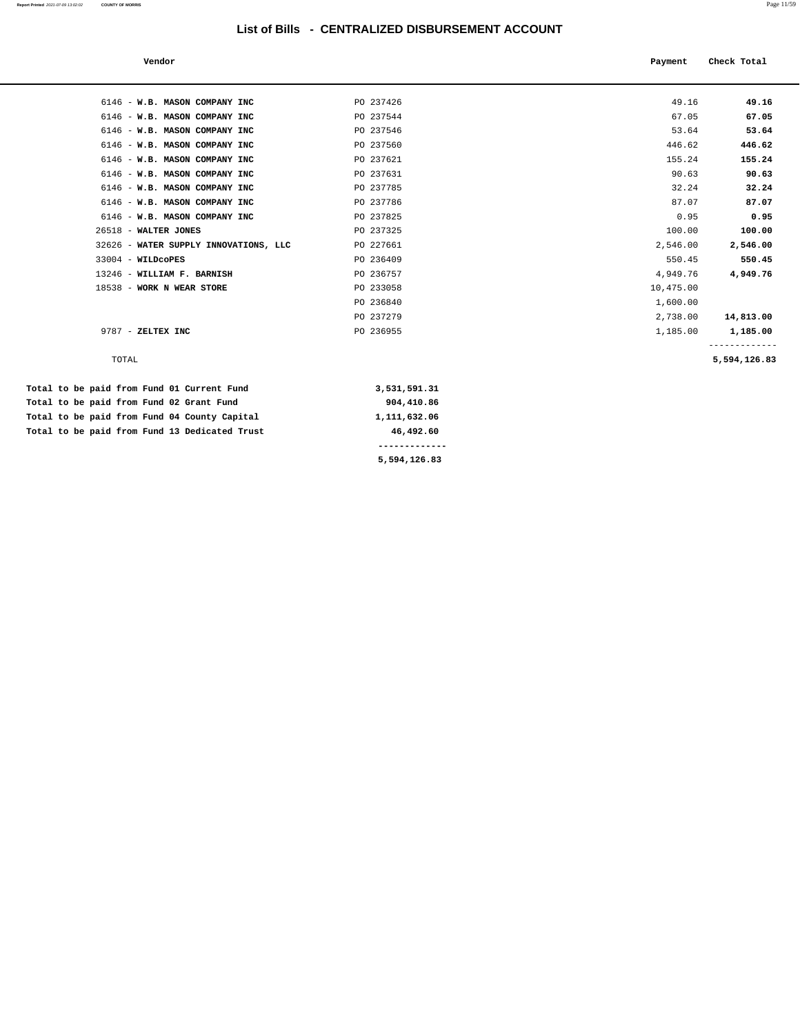| Vendor                                |           | Payment   | Check Total  |
|---------------------------------------|-----------|-----------|--------------|
|                                       |           |           |              |
| 6146 - W.B. MASON COMPANY INC         | PO 237426 | 49.16     | 49.16        |
| 6146 - W.B. MASON COMPANY INC         | PO 237544 | 67.05     | 67.05        |
| 6146 - W.B. MASON COMPANY INC         | PO 237546 | 53.64     | 53.64        |
| 6146 - W.B. MASON COMPANY INC         | PO 237560 | 446.62    | 446.62       |
| 6146 - W.B. MASON COMPANY INC         | PO 237621 | 155.24    | 155.24       |
| 6146 - W.B. MASON COMPANY INC         | PO 237631 | 90.63     | 90.63        |
| 6146 - W.B. MASON COMPANY INC         | PO 237785 | 32.24     | 32.24        |
| 6146 - W.B. MASON COMPANY INC         | PO 237786 | 87.07     | 87.07        |
| 6146 - W.B. MASON COMPANY INC         | PO 237825 | 0.95      | 0.95         |
| 26518 - WALTER JONES                  | PO 237325 | 100.00    | 100.00       |
| 32626 - WATER SUPPLY INNOVATIONS, LLC | PO 227661 | 2,546.00  | 2,546.00     |
| 33004 - WILDCOPES                     | PO 236409 | 550.45    | 550.45       |
| 13246 - WILLIAM F. BARNISH            | PO 236757 | 4,949.76  | 4,949.76     |
| 18538 - WORK N WEAR STORE             | PO 233058 | 10,475.00 |              |
|                                       | PO 236840 | 1,600.00  |              |
|                                       | PO 237279 | 2,738.00  | 14,813.00    |
| 9787 - ZELTEX INC                     | PO 236955 | 1,185.00  | 1,185.00     |
| TOTAL                                 |           |           | 5,594,126.83 |

 **Total to be paid from Fund 01 Current Fund 3,531,591.31** Total to be paid from Fund 02 Grant Fund 904,410.86 Total to be paid from Fund 04 County Capital 1,111,632.06 Total to be paid from Fund 13 Dedicated Trust 46,492.60  **------------- 5,594,126.83**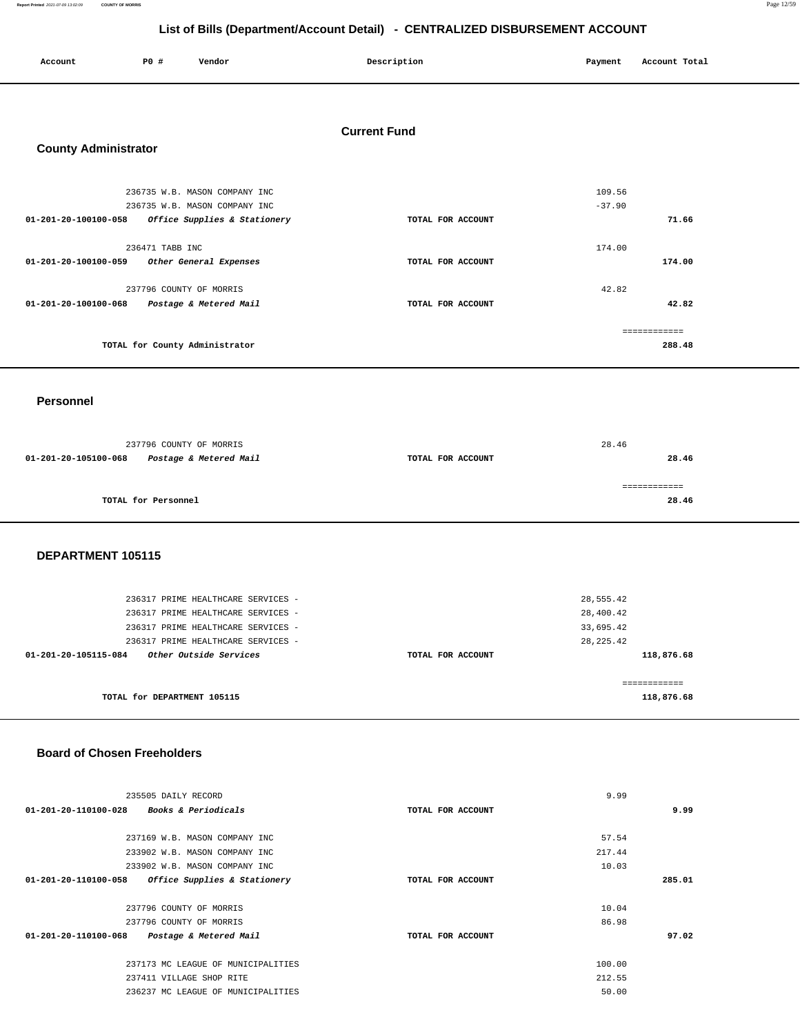**Report Printed** 2021-07-09 13:02:09 **COUNTY OF MORRIS** Page 12/59

### **List of Bills (Department/Account Detail) - CENTRALIZED DISBURSEMENT ACCOUNT**

| Account | <b>PO #</b> | Vendor | Description | Payment | Account Total |
|---------|-------------|--------|-------------|---------|---------------|
|         |             |        |             |         |               |

### **Current Fund**

### **County Administrator**

| 236735 W.B. MASON COMPANY INC                            |                   | 109.56   |
|----------------------------------------------------------|-------------------|----------|
| 236735 W.B. MASON COMPANY INC                            |                   | $-37.90$ |
| 01-201-20-100100-058<br>Office Supplies & Stationery     | TOTAL FOR ACCOUNT | 71.66    |
|                                                          |                   |          |
| 236471 TABB INC                                          |                   | 174.00   |
| 01-201-20-100100-059<br>Other General Expenses           | TOTAL FOR ACCOUNT | 174.00   |
|                                                          |                   |          |
| 237796 COUNTY OF MORRIS                                  |                   | 42.82    |
| $01 - 201 - 20 - 100100 - 068$<br>Postage & Metered Mail | TOTAL FOR ACCOUNT | 42.82    |
|                                                          |                   |          |
|                                                          |                   |          |
| TOTAL for County Administrator                           |                   | 288.48   |
|                                                          |                   |          |

### **Personnel**

|                      | 237796 COUNTY OF MORRIS | 28.46             |  |       |
|----------------------|-------------------------|-------------------|--|-------|
| 01-201-20-105100-068 | Postage & Metered Mail  | TOTAL FOR ACCOUNT |  | 28.46 |
|                      |                         |                   |  |       |
|                      | TOTAL for Personnel     |                   |  | 28.46 |
|                      |                         |                   |  |       |

### **DEPARTMENT 105115**

| 236317 PRIME HEALTHCARE SERVICES -<br>236317 PRIME HEALTHCARE SERVICES -<br>236317 PRIME HEALTHCARE SERVICES - |                   | 28,555.42<br>28,400.42<br>33,695.42 |
|----------------------------------------------------------------------------------------------------------------|-------------------|-------------------------------------|
| 236317 PRIME HEALTHCARE SERVICES -<br>Other Outside Services<br>01-201-20-105115-084                           | TOTAL FOR ACCOUNT | 28, 225.42<br>118,876.68            |
| TOTAL for DEPARTMENT 105115                                                                                    |                   | 118,876.68                          |

### **Board of Chosen Freeholders**

| 235505 DAILY RECORD                                            | 9.99              |        |
|----------------------------------------------------------------|-------------------|--------|
| 01-201-20-110100-028 Books & Periodicals                       | TOTAL FOR ACCOUNT | 9.99   |
|                                                                |                   |        |
| 237169 W.B. MASON COMPANY INC                                  | 57.54             |        |
| 233902 W.B. MASON COMPANY INC                                  | 217.44            |        |
| 233902 W.B. MASON COMPANY INC                                  | 10.03             |        |
| $01 - 201 - 20 - 110100 - 058$<br>Office Supplies & Stationery | TOTAL FOR ACCOUNT | 285.01 |
|                                                                |                   |        |
| 237796 COUNTY OF MORRIS                                        | 10.04             |        |
| 237796 COUNTY OF MORRIS                                        | 86.98             |        |
| 01-201-20-110100-068<br>Postage & Metered Mail                 | TOTAL FOR ACCOUNT | 97.02  |
|                                                                |                   |        |
| 237173 MC LEAGUE OF MUNICIPALITIES                             | 100.00            |        |
| 237411 VILLAGE SHOP RITE                                       | 212.55            |        |
| 236237 MC LEAGUE OF MUNICIPALITIES                             | 50.00             |        |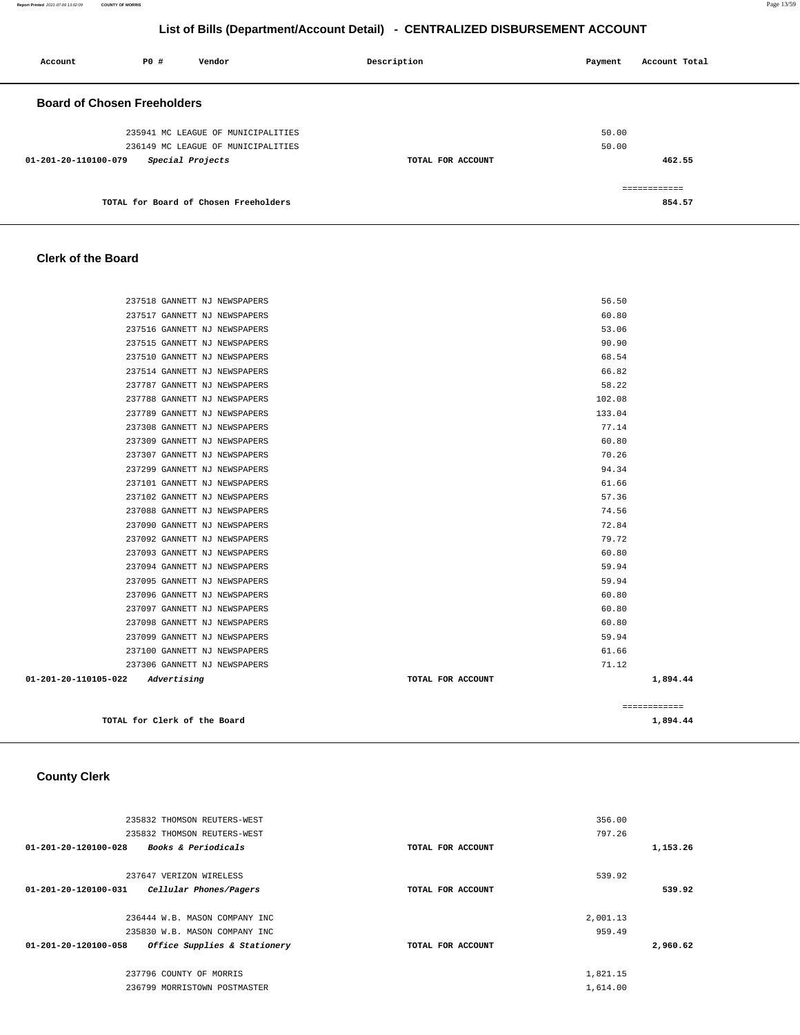| Account                            | P0# | Vendor                                | Description       | Payment | Account Total |
|------------------------------------|-----|---------------------------------------|-------------------|---------|---------------|
| <b>Board of Chosen Freeholders</b> |     |                                       |                   |         |               |
|                                    |     | 235941 MC LEAGUE OF MUNICIPALITIES    |                   | 50.00   |               |
|                                    |     | 236149 MC LEAGUE OF MUNICIPALITIES    |                   | 50.00   |               |
| 01-201-20-110100-079               |     | Special Projects                      | TOTAL FOR ACCOUNT |         | 462.55        |
|                                    |     |                                       |                   |         | ------------  |
|                                    |     | TOTAL for Board of Chosen Freeholders |                   |         | 854.57        |

### **Clerk of the Board**

| 237518 GANNETT NJ NEWSPAPERS        | 56.50             |              |
|-------------------------------------|-------------------|--------------|
| 237517 GANNETT NJ NEWSPAPERS        | 60.80             |              |
| 237516 GANNETT NJ NEWSPAPERS        | 53.06             |              |
| 237515 GANNETT NJ NEWSPAPERS        | 90.90             |              |
| 237510 GANNETT NJ NEWSPAPERS        | 68.54             |              |
| 237514 GANNETT NJ NEWSPAPERS        | 66.82             |              |
| 237787 GANNETT NJ NEWSPAPERS        | 58.22             |              |
| 237788 GANNETT NJ NEWSPAPERS        | 102.08            |              |
| 237789 GANNETT NJ NEWSPAPERS        | 133.04            |              |
| 237308 GANNETT NJ NEWSPAPERS        | 77.14             |              |
| 237309 GANNETT NJ NEWSPAPERS        | 60.80             |              |
| 237307 GANNETT NJ NEWSPAPERS        | 70.26             |              |
| 237299 GANNETT NJ NEWSPAPERS        | 94.34             |              |
| 237101 GANNETT NJ NEWSPAPERS        | 61.66             |              |
| 237102 GANNETT NJ NEWSPAPERS        | 57.36             |              |
| 237088 GANNETT NJ NEWSPAPERS        | 74.56             |              |
| 237090 GANNETT NJ NEWSPAPERS        | 72.84             |              |
| 237092 GANNETT NJ NEWSPAPERS        | 79.72             |              |
| 237093 GANNETT NJ NEWSPAPERS        | 60.80             |              |
| 237094 GANNETT NJ NEWSPAPERS        | 59.94             |              |
| 237095 GANNETT NJ NEWSPAPERS        | 59.94             |              |
| 237096 GANNETT NJ NEWSPAPERS        | 60.80             |              |
| 237097 GANNETT NJ NEWSPAPERS        | 60.80             |              |
| 237098 GANNETT NJ NEWSPAPERS        | 60.80             |              |
| 237099 GANNETT NJ NEWSPAPERS        | 59.94             |              |
| 237100 GANNETT NJ NEWSPAPERS        | 61.66             |              |
| 237306 GANNETT NJ NEWSPAPERS        | 71.12             |              |
| 01-201-20-110105-022<br>Advertising | TOTAL FOR ACCOUNT | 1,894.44     |
|                                     |                   | ============ |
| TOTAL for Clerk of the Board        |                   | 1,894.44     |

### **County Clerk**

|          | 356.00   |                   | 235832 THOMSON REUTERS-WEST    |                                |
|----------|----------|-------------------|--------------------------------|--------------------------------|
|          | 797.26   |                   | 235832 THOMSON REUTERS-WEST    |                                |
| 1,153.26 |          | TOTAL FOR ACCOUNT | <b>Books &amp; Periodicals</b> | 01-201-20-120100-028           |
|          | 539.92   |                   | 237647 VERIZON WIRELESS        |                                |
| 539.92   |          | TOTAL FOR ACCOUNT | Cellular Phones/Pagers         | $01 - 201 - 20 - 120100 - 031$ |
|          | 2,001.13 |                   | 236444 W.B. MASON COMPANY INC  |                                |
|          | 959.49   |                   | 235830 W.B. MASON COMPANY INC  |                                |
| 2,960.62 |          | TOTAL FOR ACCOUNT | Office Supplies & Stationery   | $01 - 201 - 20 - 120100 - 058$ |
|          | 1,821.15 |                   | 237796 COUNTY OF MORRIS        |                                |
|          | 1,614.00 |                   | 236799 MORRISTOWN POSTMASTER   |                                |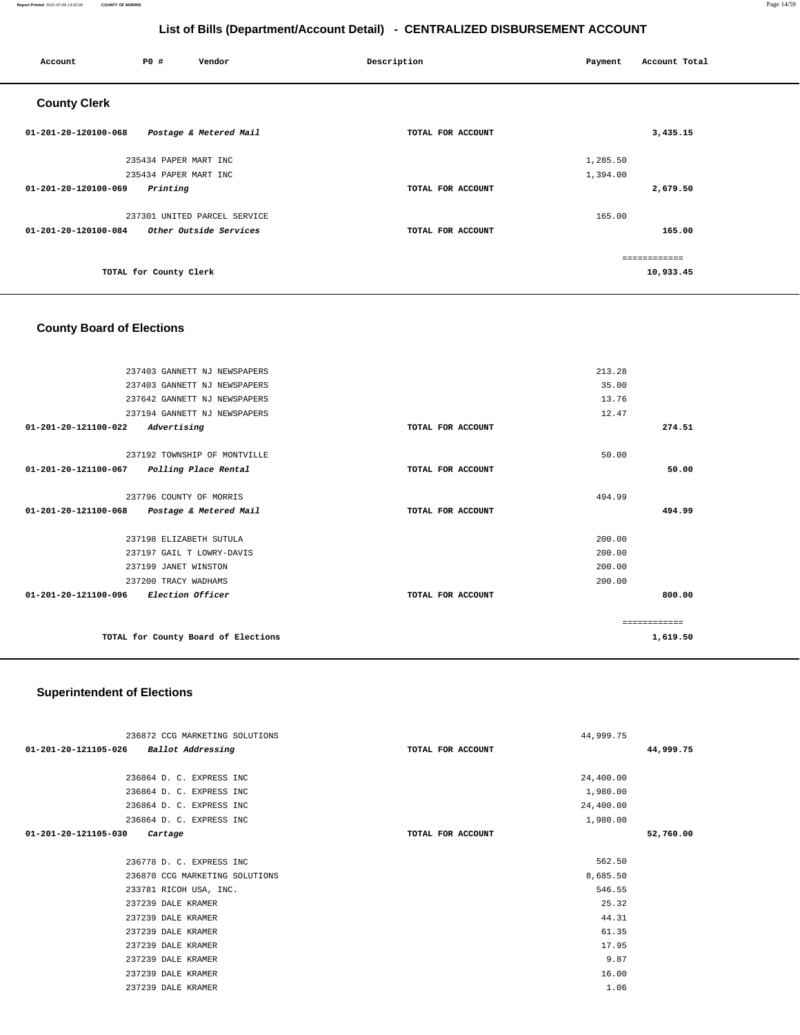### **Report Printed** 2021-07-09 13:02:09 **COUNTY OF MORRIS** Page 14/59

### **List of Bills (Department/Account Detail) - CENTRALIZED DISBURSEMENT ACCOUNT**

| Account              | P0 #                   | Vendor                       | Description       | Payment  | Account Total |
|----------------------|------------------------|------------------------------|-------------------|----------|---------------|
| <b>County Clerk</b>  |                        |                              |                   |          |               |
| 01-201-20-120100-068 |                        | Postage & Metered Mail       | TOTAL FOR ACCOUNT |          | 3,435.15      |
|                      | 235434 PAPER MART INC  |                              |                   | 1,285.50 |               |
|                      | 235434 PAPER MART INC  |                              |                   | 1,394.00 |               |
| 01-201-20-120100-069 | Printing               |                              | TOTAL FOR ACCOUNT |          | 2,679.50      |
|                      |                        | 237301 UNITED PARCEL SERVICE |                   | 165.00   |               |
| 01-201-20-120100-084 |                        | Other Outside Services       | TOTAL FOR ACCOUNT |          | 165.00        |
|                      |                        |                              |                   |          | ============  |
|                      | TOTAL for County Clerk |                              |                   |          | 10,933.45     |

### **County Board of Elections**

| 237403 GANNETT NJ NEWSPAPERS                    |                   | 213.28       |
|-------------------------------------------------|-------------------|--------------|
| 237403 GANNETT NJ NEWSPAPERS                    |                   | 35.00        |
| 237642 GANNETT NJ NEWSPAPERS                    |                   | 13.76        |
| 237194 GANNETT NJ NEWSPAPERS                    |                   | 12.47        |
| 01-201-20-121100-022<br>Advertising             | TOTAL FOR ACCOUNT | 274.51       |
|                                                 |                   |              |
| 237192 TOWNSHIP OF MONTVILLE                    |                   | 50.00        |
| 01-201-20-121100-067<br>Polling Place Rental    | TOTAL FOR ACCOUNT | 50.00        |
|                                                 |                   |              |
| 237796 COUNTY OF MORRIS                         |                   | 494.99       |
| 01-201-20-121100-068 Postage & Metered Mail     | TOTAL FOR ACCOUNT | 494.99       |
|                                                 |                   |              |
| 237198 ELIZABETH SUTULA                         |                   | 200.00       |
| 237197 GAIL T LOWRY-DAVIS                       |                   | 200.00       |
| 237199 JANET WINSTON                            |                   | 200.00       |
| 237200 TRACY WADHAMS                            |                   | 200.00       |
| 01-201-20-121100-096<br><i>Election Officer</i> | TOTAL FOR ACCOUNT | 800.00       |
|                                                 |                   |              |
|                                                 |                   | ------------ |
| TOTAL for County Board of Elections             |                   | 1,619.50     |
|                                                 |                   |              |

## **Superintendent of Elections**

| 236872 CCG MARKETING SOLUTIONS            |                   | 44,999.75 |           |
|-------------------------------------------|-------------------|-----------|-----------|
| Ballot Addressing<br>01-201-20-121105-026 | TOTAL FOR ACCOUNT |           | 44,999.75 |
|                                           |                   |           |           |
| 236864 D. C. EXPRESS INC                  |                   | 24,400.00 |           |
| 236864 D. C. EXPRESS INC                  |                   | 1,980.00  |           |
| 236864 D. C. EXPRESS INC                  |                   | 24,400.00 |           |
| 236864 D. C. EXPRESS INC                  |                   | 1,980.00  |           |
| 01-201-20-121105-030<br>Cartage           | TOTAL FOR ACCOUNT |           | 52,760.00 |
|                                           |                   |           |           |
| 236778 D. C. EXPRESS INC                  |                   | 562.50    |           |
| 236870 CCG MARKETING SOLUTIONS            |                   | 8,685.50  |           |
| 233781 RICOH USA, INC.                    |                   | 546.55    |           |
| 237239 DALE KRAMER                        |                   | 25.32     |           |
| 237239 DALE KRAMER                        |                   | 44.31     |           |
| 237239 DALE KRAMER                        |                   | 61.35     |           |
| 237239 DALE KRAMER                        |                   | 17.95     |           |
| 237239 DALE KRAMER                        |                   | 9.87      |           |
| 237239 DALE KRAMER                        |                   | 16.00     |           |
| 237239 DALE KRAMER                        |                   | 1.06      |           |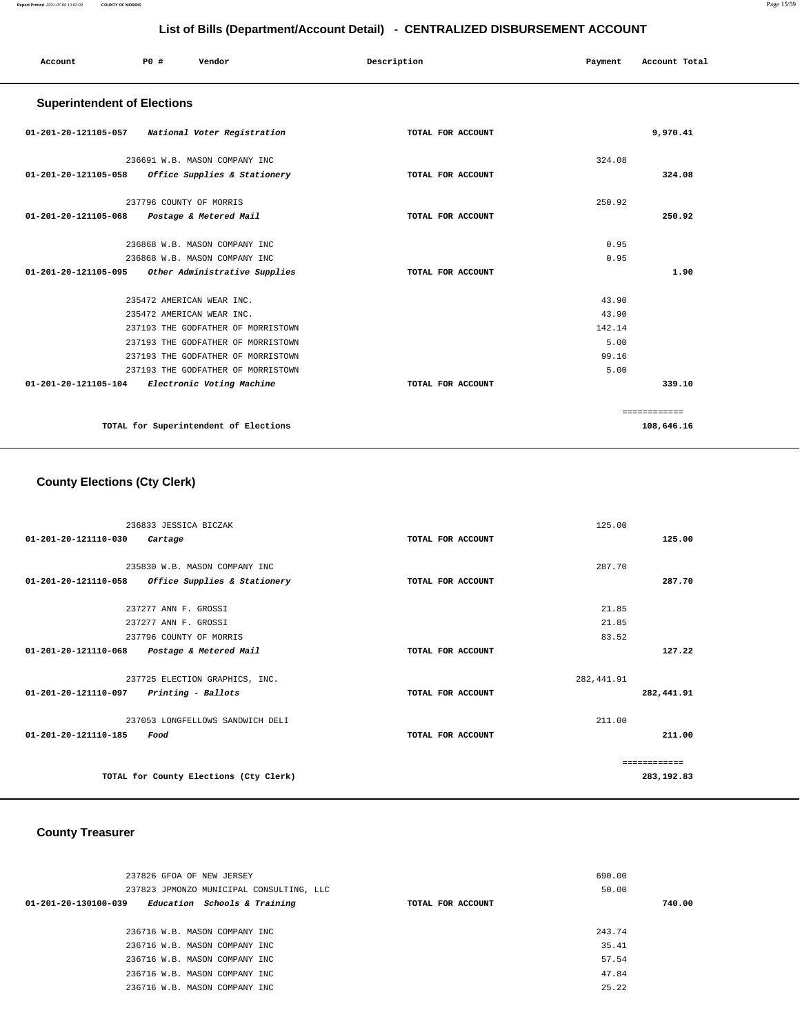| Account                            | P0 #                      | Vendor                                | Description       | Payment | Account Total |
|------------------------------------|---------------------------|---------------------------------------|-------------------|---------|---------------|
| <b>Superintendent of Elections</b> |                           |                                       |                   |         |               |
| 01-201-20-121105-057               |                           | National Voter Registration           | TOTAL FOR ACCOUNT |         | 9,970.41      |
|                                    |                           | 236691 W.B. MASON COMPANY INC         |                   | 324.08  |               |
| 01-201-20-121105-058               |                           | Office Supplies & Stationery          | TOTAL FOR ACCOUNT |         | 324.08        |
|                                    | 237796 COUNTY OF MORRIS   |                                       |                   | 250.92  |               |
| 01-201-20-121105-068               |                           | Postage & Metered Mail                | TOTAL FOR ACCOUNT |         | 250.92        |
|                                    |                           | 236868 W.B. MASON COMPANY INC         |                   | 0.95    |               |
|                                    |                           | 236868 W.B. MASON COMPANY INC         |                   | 0.95    |               |
| $01 - 201 - 20 - 121105 - 095$     |                           | Other Administrative Supplies         | TOTAL FOR ACCOUNT |         | 1.90          |
|                                    | 235472 AMERICAN WEAR INC. |                                       |                   | 43.90   |               |
|                                    | 235472 AMERICAN WEAR INC. |                                       |                   | 43.90   |               |
|                                    |                           | 237193 THE GODFATHER OF MORRISTOWN    |                   | 142.14  |               |
|                                    |                           | 237193 THE GODFATHER OF MORRISTOWN    |                   | 5.00    |               |
|                                    |                           | 237193 THE GODFATHER OF MORRISTOWN    |                   | 99.16   |               |
|                                    |                           | 237193 THE GODFATHER OF MORRISTOWN    |                   | 5.00    |               |
| 01-201-20-121105-104               |                           | Electronic Voting Machine             | TOTAL FOR ACCOUNT |         | 339.10        |
|                                    |                           |                                       |                   |         | ============  |
|                                    |                           | TOTAL for Superintendent of Elections |                   |         | 108,646.16    |

### **County Elections (Cty Clerk)**

| 236833 JESSICA BICZAK                                          | 125.00            |               |
|----------------------------------------------------------------|-------------------|---------------|
| 01-201-20-121110-030<br>Cartage                                | TOTAL FOR ACCOUNT | 125.00        |
|                                                                |                   |               |
| 235830 W.B. MASON COMPANY INC                                  | 287.70            |               |
| $01 - 201 - 20 - 121110 - 058$<br>Office Supplies & Stationery | TOTAL FOR ACCOUNT | 287.70        |
|                                                                |                   |               |
| 237277 ANN F. GROSSI                                           | 21.85             |               |
| 237277 ANN F. GROSSI                                           | 21.85             |               |
| 237796 COUNTY OF MORRIS                                        | 83.52             |               |
| 01-201-20-121110-068<br>Postage & Metered Mail                 | TOTAL FOR ACCOUNT | 127.22        |
| 237725 ELECTION GRAPHICS, INC.                                 | 282, 441.91       |               |
| 01-201-20-121110-097<br>Printing - Ballots                     | TOTAL FOR ACCOUNT | 282,441.91    |
| 237053 LONGFELLOWS SANDWICH DELI                               | 211.00            |               |
| $01 - 201 - 20 - 121110 - 185$<br>Food                         | TOTAL FOR ACCOUNT | 211.00        |
|                                                                |                   | ------------- |
| TOTAL for County Elections (Cty Clerk)                         |                   | 283,192.83    |

### **County Treasurer**

| 237826 GFOA OF NEW JERSEY<br>237823 JPMONZO MUNICIPAL CONSULTING, LLC<br>Education Schools & Training<br>01-201-20-130100-039 | TOTAL FOR ACCOUNT | 690.00<br>50.00 | 740.00 |
|-------------------------------------------------------------------------------------------------------------------------------|-------------------|-----------------|--------|
| 236716 W.B. MASON COMPANY INC                                                                                                 |                   | 243.74          |        |
| 236716 W.B. MASON COMPANY INC                                                                                                 |                   | 35.41           |        |
| 236716 W.B. MASON COMPANY INC                                                                                                 |                   | 57.54           |        |
| 236716 W.B. MASON COMPANY INC                                                                                                 |                   | 47.84           |        |
| 236716 W.B. MASON COMPANY INC                                                                                                 |                   | 25.22           |        |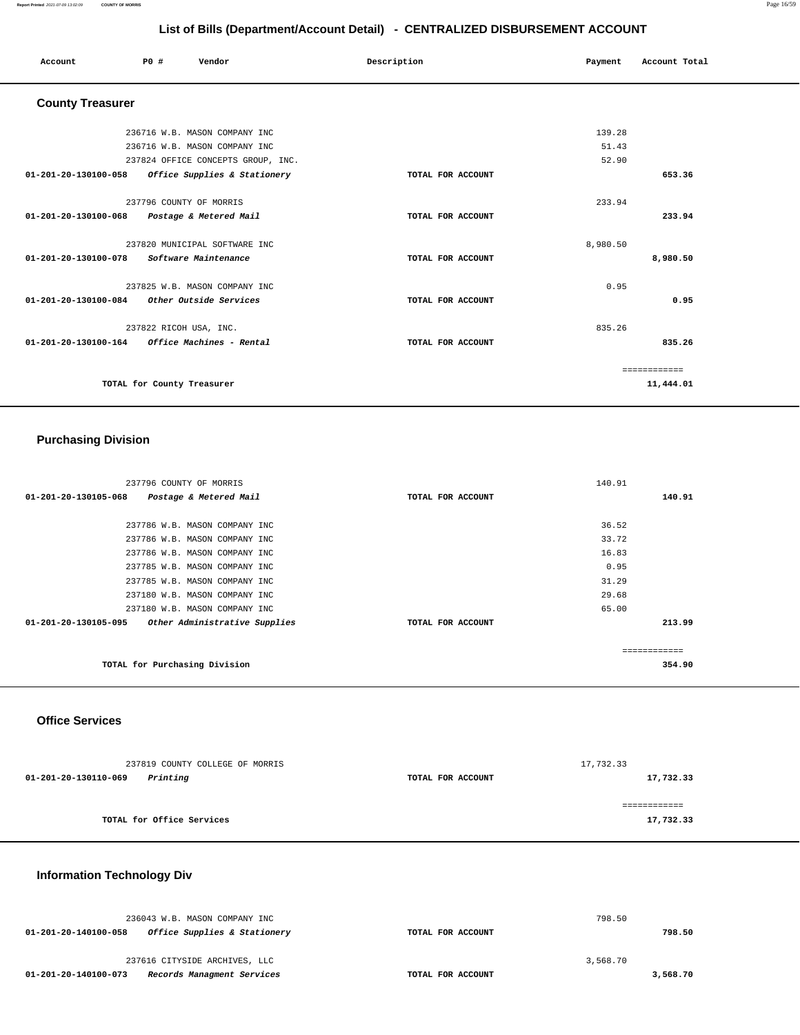### **Report Printed** 2021-07-09 13:02:09 **COUNTY OF MORRIS** Page 16/59

**List of Bills (Department/Account Detail) - CENTRALIZED DISBURSEMENT ACCOUNT**

| Account                                           | <b>PO #</b>                | Vendor                             | Description       | Payment  | Account Total |  |
|---------------------------------------------------|----------------------------|------------------------------------|-------------------|----------|---------------|--|
| <b>County Treasurer</b>                           |                            |                                    |                   |          |               |  |
|                                                   |                            | 236716 W.B. MASON COMPANY INC      |                   | 139.28   |               |  |
|                                                   |                            | 236716 W.B. MASON COMPANY INC      |                   | 51.43    |               |  |
|                                                   |                            | 237824 OFFICE CONCEPTS GROUP, INC. |                   | 52.90    |               |  |
| 01-201-20-130100-058 Office Supplies & Stationery |                            |                                    | TOTAL FOR ACCOUNT |          | 653.36        |  |
|                                                   | 237796 COUNTY OF MORRIS    |                                    |                   | 233.94   |               |  |
| 01-201-20-130100-068 Postage & Metered Mail       |                            |                                    | TOTAL FOR ACCOUNT |          | 233.94        |  |
|                                                   |                            | 237820 MUNICIPAL SOFTWARE INC      |                   | 8,980.50 |               |  |
| 01-201-20-130100-078 Software Maintenance         |                            |                                    | TOTAL FOR ACCOUNT |          | 8,980.50      |  |
|                                                   |                            | 237825 W.B. MASON COMPANY INC      |                   | 0.95     |               |  |
| 01-201-20-130100-084 Other Outside Services       |                            |                                    | TOTAL FOR ACCOUNT |          | 0.95          |  |
|                                                   | 237822 RICOH USA, INC.     |                                    |                   | 835.26   |               |  |
|                                                   |                            |                                    | TOTAL FOR ACCOUNT |          | 835.26        |  |
|                                                   |                            |                                    |                   |          | ============  |  |
|                                                   | TOTAL for County Treasurer |                                    |                   |          | 11,444.01     |  |
|                                                   |                            |                                    |                   |          |               |  |

## **Purchasing Division**

| 237796 COUNTY OF MORRIS                               |                   | 140.91 |
|-------------------------------------------------------|-------------------|--------|
| 01-201-20-130105-068<br>Postage & Metered Mail        | TOTAL FOR ACCOUNT | 140.91 |
|                                                       |                   |        |
| 237786 W.B. MASON COMPANY INC                         |                   | 36.52  |
| 237786 W.B. MASON COMPANY INC                         |                   | 33.72  |
| 237786 W.B. MASON COMPANY INC                         |                   | 16.83  |
| 237785 W.B. MASON COMPANY INC                         |                   | 0.95   |
| 237785 W.B. MASON COMPANY INC                         |                   | 31.29  |
| 237180 W.B. MASON COMPANY INC                         |                   | 29.68  |
| 237180 W.B. MASON COMPANY INC                         |                   | 65.00  |
| 01-201-20-130105-095<br>Other Administrative Supplies | TOTAL FOR ACCOUNT | 213.99 |
|                                                       |                   |        |
|                                                       |                   |        |
| TOTAL for Purchasing Division                         |                   | 354.90 |
|                                                       |                   |        |

### **Office Services**

| 237819 COUNTY COLLEGE OF MORRIS  |                   | 17,732.33 |
|----------------------------------|-------------------|-----------|
| Printing<br>01-201-20-130110-069 | TOTAL FOR ACCOUNT | 17,732.33 |
|                                  |                   |           |
| TOTAL for Office Services        |                   | 17,732.33 |
|                                  |                   |           |

### **Information Technology Div**

| 236043 W.B. MASON COMPANY INC<br>Office Supplies & Stationery<br>01-201-20-140100-058 | TOTAL FOR ACCOUNT | 798.50<br>798.50 |
|---------------------------------------------------------------------------------------|-------------------|------------------|
| 237616 CITYSIDE ARCHIVES, LLC                                                         |                   | 3,568.70         |
| 01-201-20-140100-073<br>Records Managment Services                                    | TOTAL FOR ACCOUNT | 3,568.70         |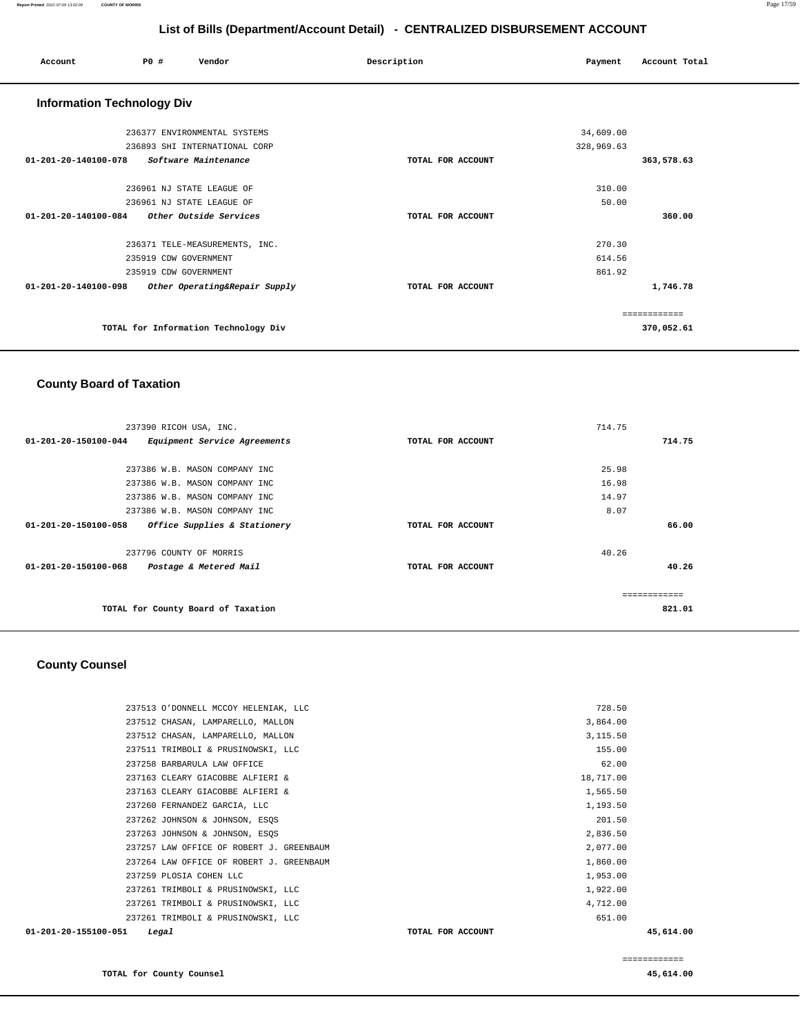| Account                           | PO#                       | Vendor                               | Description       | Payment    | Account Total |
|-----------------------------------|---------------------------|--------------------------------------|-------------------|------------|---------------|
| <b>Information Technology Div</b> |                           |                                      |                   |            |               |
|                                   |                           | 236377 ENVIRONMENTAL SYSTEMS         |                   | 34,609.00  |               |
|                                   |                           | 236893 SHI INTERNATIONAL CORP        |                   | 328,969.63 |               |
| 01-201-20-140100-078              |                           | Software Maintenance                 | TOTAL FOR ACCOUNT |            | 363,578.63    |
|                                   | 236961 NJ STATE LEAGUE OF |                                      |                   | 310.00     |               |
|                                   | 236961 NJ STATE LEAGUE OF |                                      |                   | 50.00      |               |
| 01-201-20-140100-084              |                           | Other Outside Services               | TOTAL FOR ACCOUNT |            | 360.00        |
|                                   |                           | 236371 TELE-MEASUREMENTS, INC.       |                   | 270.30     |               |
|                                   | 235919 CDW GOVERNMENT     |                                      |                   | 614.56     |               |
|                                   | 235919 CDW GOVERNMENT     |                                      |                   | 861.92     |               |
| 01-201-20-140100-098              |                           | Other Operating&Repair Supply        | TOTAL FOR ACCOUNT |            | 1,746.78      |
|                                   |                           |                                      |                   |            | ------------  |
|                                   |                           | TOTAL for Information Technology Div |                   |            | 370,052.61    |

### **County Board of Taxation**

| 237390 RICOH USA, INC.                                         |                   | 714.75       |
|----------------------------------------------------------------|-------------------|--------------|
| $01 - 201 - 20 - 150100 - 044$<br>Equipment Service Agreements | TOTAL FOR ACCOUNT | 714.75       |
|                                                                |                   |              |
| 237386 W.B. MASON COMPANY INC                                  |                   | 25.98        |
| 237386 W.B. MASON COMPANY INC                                  |                   | 16.98        |
| 237386 W.B. MASON COMPANY INC                                  |                   | 14.97        |
| 237386 W.B. MASON COMPANY INC                                  |                   | 8.07         |
| 01-201-20-150100-058<br>Office Supplies & Stationery           | TOTAL FOR ACCOUNT | 66.00        |
| 237796 COUNTY OF MORRIS                                        |                   | 40.26        |
| $01 - 201 - 20 - 150100 - 068$<br>Postage & Metered Mail       | TOTAL FOR ACCOUNT | 40.26        |
|                                                                |                   | ------------ |
| TOTAL for County Board of Taxation                             |                   | 821.01       |

### **County Counsel**

| 01-201-20-155100-051 | Legal                                    | TOTAL FOR ACCOUNT | 45,614.00 |
|----------------------|------------------------------------------|-------------------|-----------|
|                      | 237261 TRIMBOLI & PRUSINOWSKI, LLC       | 651.00            |           |
|                      | 237261 TRIMBOLI & PRUSINOWSKI, LLC       | 4,712.00          |           |
|                      | 237261 TRIMBOLI & PRUSINOWSKI, LLC       | 1,922.00          |           |
|                      | 237259 PLOSIA COHEN LLC                  | 1,953.00          |           |
|                      | 237264 LAW OFFICE OF ROBERT J. GREENBAUM | 1,860.00          |           |
|                      | 237257 LAW OFFICE OF ROBERT J. GREENBAUM | 2,077.00          |           |
|                      | 237263 JOHNSON & JOHNSON, ESQS           | 2,836.50          |           |
|                      | 237262 JOHNSON & JOHNSON, ESOS           | 201.50            |           |
|                      | 237260 FERNANDEZ GARCIA, LLC             | 1,193.50          |           |
|                      | 237163 CLEARY GIACOBBE ALFIERI &         | 1,565.50          |           |
|                      | 237163 CLEARY GIACOBBE ALFIERI &         | 18,717.00         |           |
|                      | 237258 BARBARULA LAW OFFICE              | 62.00             |           |
|                      | 237511 TRIMBOLI & PRUSINOWSKI, LLC       | 155.00            |           |
|                      | 237512 CHASAN, LAMPARELLO, MALLON        | 3,115.50          |           |
|                      | 237512 CHASAN, LAMPARELLO, MALLON        | 3,864.00          |           |
|                      | 237513 O'DONNELL MCCOY HELENIAK, LLC     | 728.50            |           |
|                      |                                          |                   |           |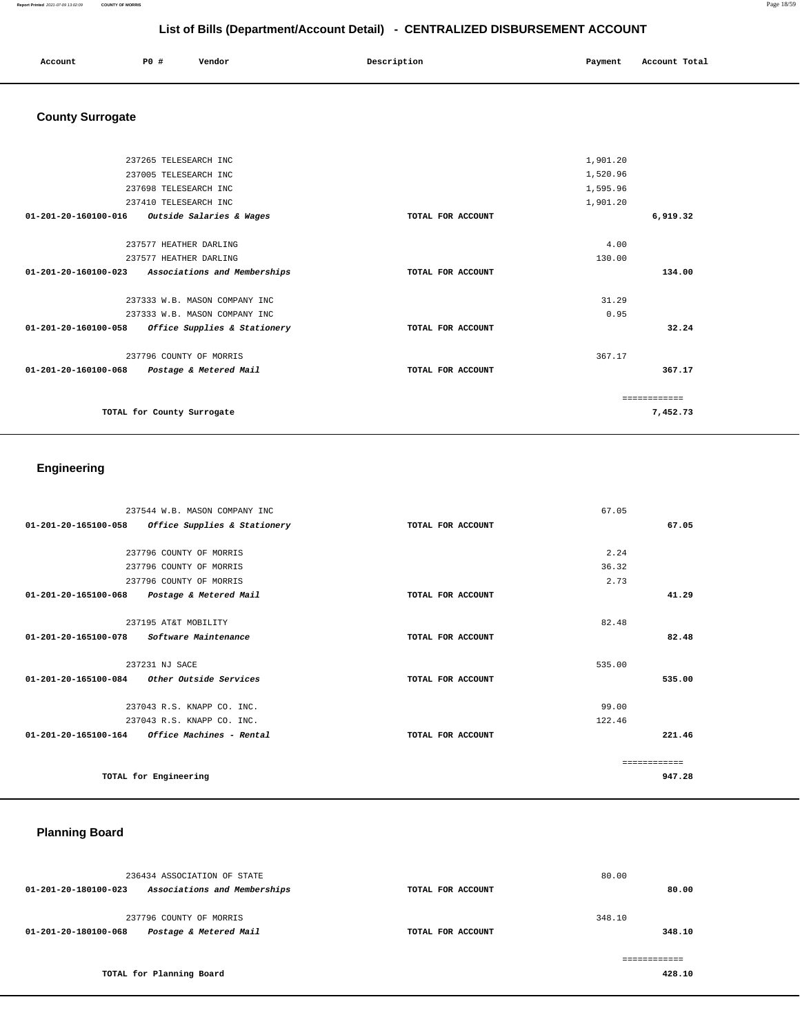| Account | P0 # | Vendor | Description | Payment | Account Total |
|---------|------|--------|-------------|---------|---------------|
|         |      |        |             |         |               |
|         |      |        |             |         |               |

## **County Surrogate**

|                                | 237265 TELESEARCH INC                         |                   | 1,901.20 |          |
|--------------------------------|-----------------------------------------------|-------------------|----------|----------|
|                                | 237005 TELESEARCH INC                         |                   | 1,520.96 |          |
|                                | 237698 TELESEARCH INC                         |                   | 1,595.96 |          |
|                                | 237410 TELESEARCH INC                         |                   | 1,901.20 |          |
|                                | 01-201-20-160100-016 Outside Salaries & Wages | TOTAL FOR ACCOUNT |          | 6,919.32 |
|                                | 237577 HEATHER DARLING                        |                   | 4.00     |          |
|                                | 237577 HEATHER DARLING                        |                   | 130.00   |          |
| 01-201-20-160100-023           | Associations and Memberships                  | TOTAL FOR ACCOUNT |          | 134.00   |
|                                | 237333 W.B. MASON COMPANY INC                 |                   | 31.29    |          |
|                                | 237333 W.B. MASON COMPANY INC                 |                   | 0.95     |          |
| 01-201-20-160100-058           | Office Supplies & Stationery                  | TOTAL FOR ACCOUNT |          | 32.24    |
|                                | 237796 COUNTY OF MORRIS                       |                   | 367.17   |          |
| $01 - 201 - 20 - 160100 - 068$ | Postage & Metered Mail                        | TOTAL FOR ACCOUNT |          | 367.17   |
|                                |                                               |                   |          |          |
|                                | TOTAL for County Surrogate                    |                   |          | 7,452.73 |
|                                |                                               |                   |          |          |

### **Engineering**

| 237544 W.B. MASON COMPANY INC                           |                   | 67.05        |
|---------------------------------------------------------|-------------------|--------------|
| 01-201-20-165100-058<br>Office Supplies & Stationery    | TOTAL FOR ACCOUNT | 67.05        |
|                                                         |                   |              |
| 237796 COUNTY OF MORRIS                                 |                   | 2.24         |
| 237796 COUNTY OF MORRIS                                 |                   | 36.32        |
| 237796 COUNTY OF MORRIS                                 |                   | 2.73         |
| 01-201-20-165100-068<br>Postage & Metered Mail          | TOTAL FOR ACCOUNT | 41.29        |
|                                                         |                   |              |
| 237195 AT&T MOBILITY                                    |                   | 82.48        |
| 01-201-20-165100-078 Software Maintenance               | TOTAL FOR ACCOUNT | 82.48        |
| 237231 NJ SACE                                          |                   | 535.00       |
| $01-201-20-165100-084$ Other Outside Services           | TOTAL FOR ACCOUNT | 535.00       |
|                                                         |                   |              |
| 237043 R.S. KNAPP CO. INC.                              |                   | 99.00        |
| 237043 R.S. KNAPP CO. INC.                              |                   | 122.46       |
| $01 - 201 - 20 - 165100 - 164$ Office Machines - Rental | TOTAL FOR ACCOUNT | 221.46       |
|                                                         |                   | ------------ |
| TOTAL for Engineering                                   |                   | 947.28       |

## **Planning Board**

|                      | 236434 ASSOCIATION OF STATE  |                   | 80.00  |        |
|----------------------|------------------------------|-------------------|--------|--------|
| 01-201-20-180100-023 | Associations and Memberships | TOTAL FOR ACCOUNT |        | 80.00  |
|                      | 237796 COUNTY OF MORRIS      |                   | 348.10 |        |
| 01-201-20-180100-068 | Postage & Metered Mail       | TOTAL FOR ACCOUNT |        | 348.10 |
|                      |                              |                   |        |        |
|                      | TOTAL for Planning Board     |                   |        | 428.10 |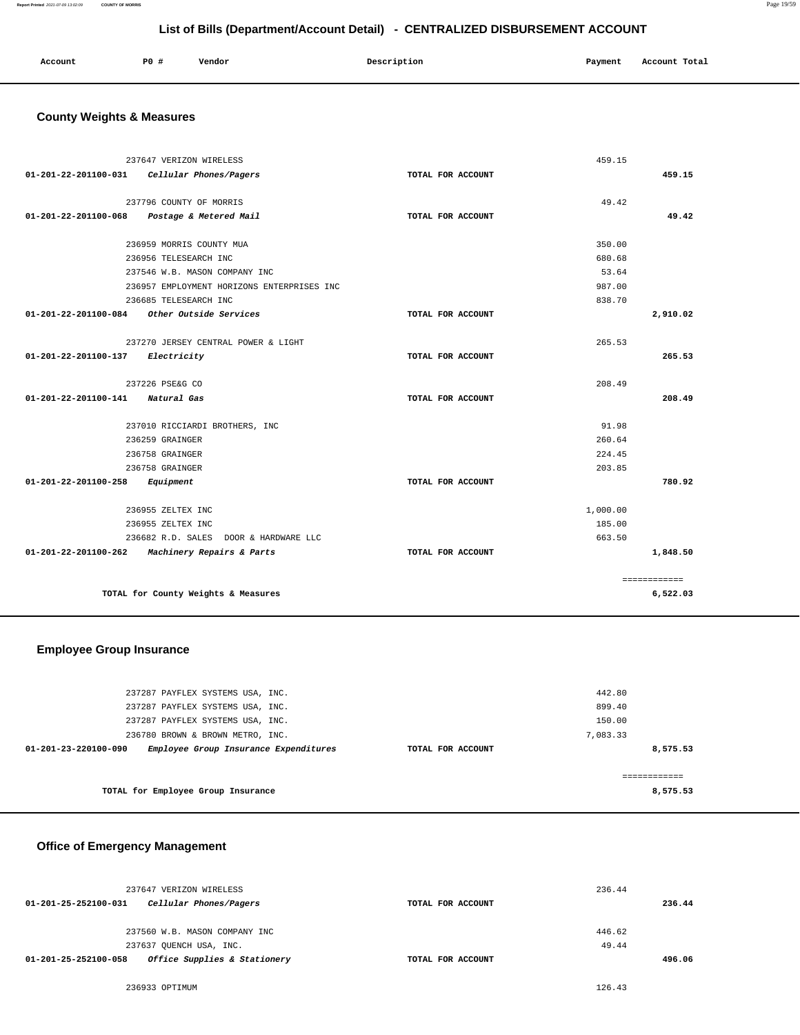### **Report Printed** 2021-07-09 13:02:09 **COUNTY OF MORRIS** Page 19/59

### **List of Bills (Department/Account Detail) - CENTRALIZED DISBURSEMENT ACCOUNT**

| Account<br>. | P0 # | Vendor | Description | Payment | Account Total |
|--------------|------|--------|-------------|---------|---------------|
|              |      |        |             |         |               |

### **County Weights & Measures**

|                      | 237647 VERIZON WIRELESS                    |                   | 459.15   |              |
|----------------------|--------------------------------------------|-------------------|----------|--------------|
| 01-201-22-201100-031 | Cellular Phones/Pagers                     | TOTAL FOR ACCOUNT |          | 459.15       |
|                      |                                            |                   |          |              |
|                      | 237796 COUNTY OF MORRIS                    |                   | 49.42    |              |
| 01-201-22-201100-068 | Postage & Metered Mail                     | TOTAL FOR ACCOUNT |          | 49.42        |
|                      | 236959 MORRIS COUNTY MUA                   |                   | 350.00   |              |
|                      | 236956 TELESEARCH INC                      |                   | 680.68   |              |
|                      | 237546 W.B. MASON COMPANY INC              |                   | 53.64    |              |
|                      | 236957 EMPLOYMENT HORIZONS ENTERPRISES INC |                   | 987.00   |              |
|                      | 236685 TELESEARCH INC                      |                   | 838.70   |              |
| 01-201-22-201100-084 | Other Outside Services                     | TOTAL FOR ACCOUNT |          | 2,910.02     |
|                      |                                            |                   |          |              |
|                      | 237270 JERSEY CENTRAL POWER & LIGHT        |                   | 265.53   |              |
| 01-201-22-201100-137 | Electricity                                | TOTAL FOR ACCOUNT |          | 265.53       |
|                      | 237226 PSE&G CO                            |                   | 208.49   |              |
| 01-201-22-201100-141 | Natural Gas                                | TOTAL FOR ACCOUNT |          | 208.49       |
|                      | 237010 RICCIARDI BROTHERS, INC             |                   | 91.98    |              |
|                      | 236259 GRAINGER                            |                   | 260.64   |              |
|                      | 236758 GRAINGER                            |                   | 224.45   |              |
|                      | 236758 GRAINGER                            |                   | 203.85   |              |
| 01-201-22-201100-258 | Equipment                                  | TOTAL FOR ACCOUNT |          | 780.92       |
|                      | 236955 ZELTEX INC                          |                   | 1,000.00 |              |
|                      | 236955 ZELTEX INC                          |                   | 185.00   |              |
|                      | 236682 R.D. SALES DOOR & HARDWARE LLC      |                   | 663.50   |              |
| 01-201-22-201100-262 | Machinery Repairs & Parts                  | TOTAL FOR ACCOUNT |          | 1,848.50     |
|                      |                                            |                   |          |              |
|                      |                                            |                   |          | ============ |
|                      | TOTAL for County Weights & Measures        |                   |          | 6,522.03     |

### **Employee Group Insurance**

| 237287 PAYFLEX SYSTEMS USA, INC.<br>237287 PAYFLEX SYSTEMS USA, INC.                                                                  |                   | 442.80<br>899.40               |
|---------------------------------------------------------------------------------------------------------------------------------------|-------------------|--------------------------------|
| 237287 PAYFLEX SYSTEMS USA, INC.<br>236780 BROWN & BROWN METRO, INC.<br>Employee Group Insurance Expenditures<br>01-201-23-220100-090 | TOTAL FOR ACCOUNT | 150.00<br>7,083.33<br>8,575.53 |
| TOTAL for Employee Group Insurance                                                                                                    |                   | 8,575.53                       |

### **Office of Emergency Management**

| 237647 VERIZON WIRELESS                              |                   | 236.44 |        |
|------------------------------------------------------|-------------------|--------|--------|
| Cellular Phones/Pagers<br>01-201-25-252100-031       | TOTAL FOR ACCOUNT |        | 236.44 |
|                                                      |                   |        |        |
| 237560 W.B. MASON COMPANY INC                        |                   | 446.62 |        |
| 237637 OUENCH USA, INC.                              |                   | 49.44  |        |
| Office Supplies & Stationery<br>01-201-25-252100-058 | TOTAL FOR ACCOUNT |        | 496.06 |

236933 OPTIMUM 126.43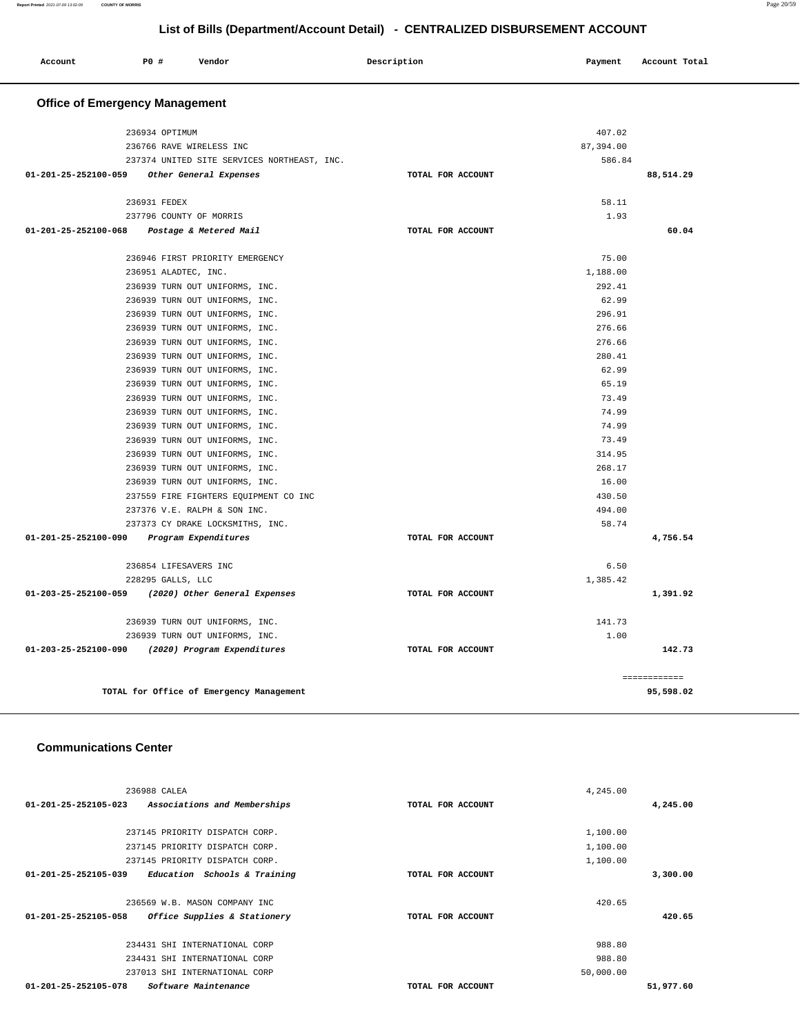| Account                               | P0 #                  | Vendor                                                           | Description       | Payment         | Account Total |
|---------------------------------------|-----------------------|------------------------------------------------------------------|-------------------|-----------------|---------------|
| <b>Office of Emergency Management</b> |                       |                                                                  |                   |                 |               |
|                                       | 236934 OPTIMUM        |                                                                  |                   | 407.02          |               |
|                                       |                       | 236766 RAVE WIRELESS INC                                         |                   | 87,394.00       |               |
|                                       |                       | 237374 UNITED SITE SERVICES NORTHEAST, INC.                      |                   | 586.84          |               |
| 01-201-25-252100-059                  |                       | Other General Expenses                                           | TOTAL FOR ACCOUNT |                 | 88,514.29     |
|                                       | 236931 FEDEX          |                                                                  |                   | 58.11           |               |
|                                       |                       | 237796 COUNTY OF MORRIS                                          |                   | 1.93            |               |
| $01 - 201 - 25 - 252100 - 068$        |                       | Postage & Metered Mail                                           | TOTAL FOR ACCOUNT |                 | 60.04         |
|                                       |                       | 236946 FIRST PRIORITY EMERGENCY                                  |                   | 75.00           |               |
|                                       | 236951 ALADTEC, INC.  |                                                                  |                   | 1,188.00        |               |
|                                       |                       | 236939 TURN OUT UNIFORMS, INC.                                   |                   | 292.41          |               |
|                                       |                       | 236939 TURN OUT UNIFORMS, INC.                                   |                   | 62.99           |               |
|                                       |                       | 236939 TURN OUT UNIFORMS, INC.                                   |                   | 296.91          |               |
|                                       |                       | 236939 TURN OUT UNIFORMS, INC.                                   |                   | 276.66          |               |
|                                       |                       | 236939 TURN OUT UNIFORMS, INC.                                   |                   | 276.66          |               |
|                                       |                       | 236939 TURN OUT UNIFORMS, INC.                                   |                   | 280.41<br>62.99 |               |
|                                       |                       | 236939 TURN OUT UNIFORMS, INC.                                   |                   | 65.19           |               |
|                                       |                       | 236939 TURN OUT UNIFORMS, INC.<br>236939 TURN OUT UNIFORMS, INC. |                   | 73.49           |               |
|                                       |                       | 236939 TURN OUT UNIFORMS, INC.                                   |                   | 74.99           |               |
|                                       |                       | 236939 TURN OUT UNIFORMS, INC.                                   |                   | 74.99           |               |
|                                       |                       | 236939 TURN OUT UNIFORMS, INC.                                   |                   | 73.49           |               |
|                                       |                       | 236939 TURN OUT UNIFORMS, INC.                                   |                   | 314.95          |               |
|                                       |                       | 236939 TURN OUT UNIFORMS, INC.                                   |                   | 268.17          |               |
|                                       |                       | 236939 TURN OUT UNIFORMS, INC.                                   |                   | 16.00           |               |
|                                       |                       | 237559 FIRE FIGHTERS EQUIPMENT CO INC                            |                   | 430.50          |               |
|                                       |                       | 237376 V.E. RALPH & SON INC.                                     |                   | 494.00          |               |
|                                       |                       | 237373 CY DRAKE LOCKSMITHS, INC.                                 |                   | 58.74           |               |
| 01-201-25-252100-090                  |                       | Program Expenditures                                             | TOTAL FOR ACCOUNT |                 | 4,756.54      |
|                                       | 236854 LIFESAVERS INC |                                                                  |                   | 6.50            |               |
|                                       | 228295 GALLS, LLC     |                                                                  |                   | 1,385.42        |               |
| 01-203-25-252100-059                  |                       | (2020) Other General Expenses                                    | TOTAL FOR ACCOUNT |                 | 1,391.92      |
|                                       |                       | 236939 TURN OUT UNIFORMS, INC.                                   |                   | 141.73          |               |
|                                       |                       | 236939 TURN OUT UNIFORMS, INC.                                   |                   | 1.00            |               |
| 01-203-25-252100-090                  |                       | (2020) Program Expenditures                                      | TOTAL FOR ACCOUNT |                 | 142.73        |
|                                       |                       |                                                                  |                   |                 | ============  |
|                                       |                       | TOTAL for Office of Emergency Management                         |                   |                 | 95,598.02     |

### **Communications Center**

| 236988 CALEA                                                   |                   | 4,245.00  |
|----------------------------------------------------------------|-------------------|-----------|
| $01 - 201 - 25 - 252105 - 023$<br>Associations and Memberships | TOTAL FOR ACCOUNT | 4,245.00  |
|                                                                |                   |           |
| 237145 PRIORITY DISPATCH CORP.                                 |                   | 1,100.00  |
| 237145 PRIORITY DISPATCH CORP.                                 |                   | 1,100.00  |
| 237145 PRIORITY DISPATCH CORP.                                 |                   | 1,100.00  |
| 01-201-25-252105-039<br>Education Schools & Training           | TOTAL FOR ACCOUNT | 3,300.00  |
|                                                                |                   |           |
| 236569 W.B. MASON COMPANY INC                                  |                   | 420.65    |
| 01-201-25-252105-058<br>Office Supplies & Stationery           | TOTAL FOR ACCOUNT | 420.65    |
|                                                                |                   |           |
| 234431 SHI INTERNATIONAL CORP                                  |                   | 988.80    |
| 234431 SHI INTERNATIONAL CORP                                  |                   | 988.80    |
| 237013 SHI INTERNATIONAL CORP                                  |                   | 50,000.00 |
| 01-201-25-252105-078<br>Software Maintenance                   | TOTAL FOR ACCOUNT | 51,977.60 |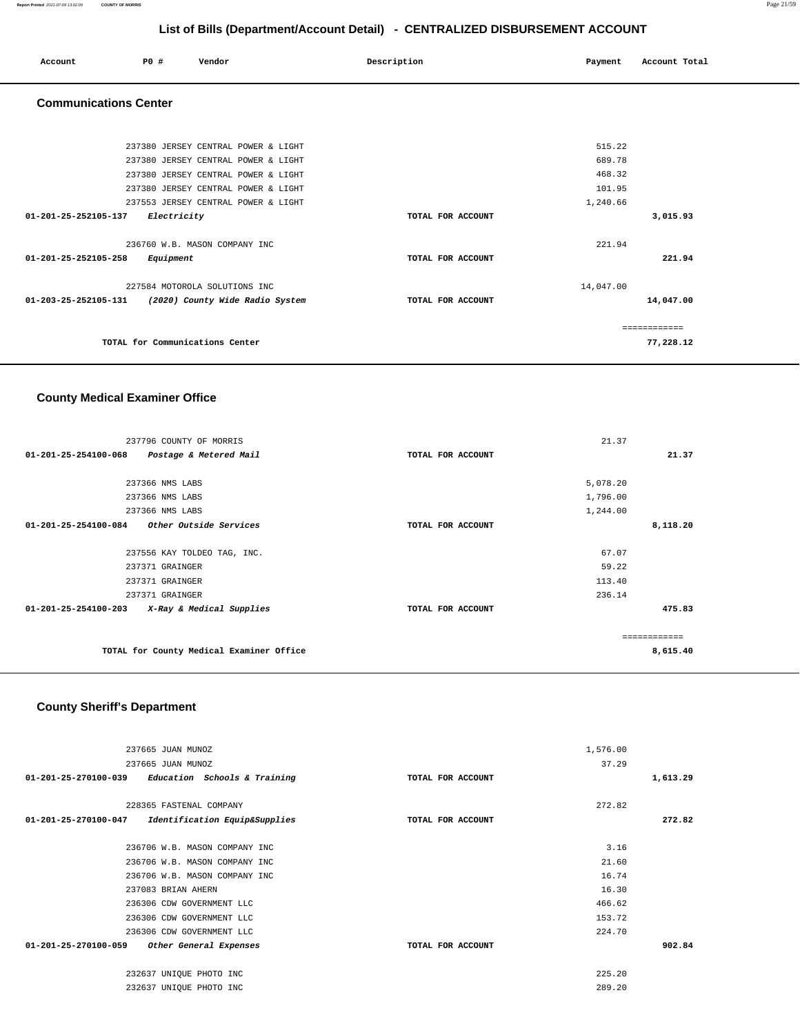| Account | P0 # | Vendor | Description | Payment | Account Total<br>. |
|---------|------|--------|-------------|---------|--------------------|
|         |      |        |             |         |                    |

### **Communications Center**

| 237380 JERSEY CENTRAL POWER & LIGHT                     |                   | 515.22        |
|---------------------------------------------------------|-------------------|---------------|
| 237380 JERSEY CENTRAL POWER & LIGHT                     |                   | 689.78        |
| 237380 JERSEY CENTRAL POWER & LIGHT                     |                   | 468.32        |
| 237380 JERSEY CENTRAL POWER & LIGHT                     |                   | 101.95        |
| 237553 JERSEY CENTRAL POWER & LIGHT                     |                   | 1,240.66      |
| 01-201-25-252105-137<br>Electricity                     | TOTAL FOR ACCOUNT | 3,015.93      |
|                                                         |                   |               |
| 236760 W.B. MASON COMPANY INC                           |                   | 221.94        |
| 01-201-25-252105-258<br>Equipment                       | TOTAL FOR ACCOUNT | 221.94        |
|                                                         |                   |               |
| 227584 MOTOROLA SOLUTIONS INC                           |                   | 14,047.00     |
| 01-203-25-252105-131<br>(2020) County Wide Radio System | TOTAL FOR ACCOUNT | 14,047.00     |
|                                                         |                   |               |
|                                                         |                   | ------------- |
| TOTAL for Communications Center                         |                   | 77,228.12     |
|                                                         |                   |               |

### **County Medical Examiner Office**

| 237796 COUNTY OF MORRIS                          |                   | 21.37    |  |
|--------------------------------------------------|-------------------|----------|--|
| 01-201-25-254100-068<br>Postage & Metered Mail   | TOTAL FOR ACCOUNT | 21.37    |  |
|                                                  |                   |          |  |
| 237366 NMS LABS                                  |                   | 5,078.20 |  |
| 237366 NMS LABS                                  |                   | 1,796.00 |  |
| 237366 NMS LABS                                  |                   | 1,244.00 |  |
| $01-201-25-254100-084$ Other Outside Services    | TOTAL FOR ACCOUNT | 8,118.20 |  |
|                                                  |                   |          |  |
| 237556 KAY TOLDEO TAG, INC.                      |                   | 67.07    |  |
| 237371 GRAINGER                                  |                   | 59.22    |  |
| 237371 GRAINGER                                  |                   | 113.40   |  |
| 237371 GRAINGER                                  |                   | 236.14   |  |
| 01-201-25-254100-203<br>X-Ray & Medical Supplies | TOTAL FOR ACCOUNT | 475.83   |  |
|                                                  |                   |          |  |
|                                                  |                   |          |  |
| TOTAL for County Medical Examiner Office         |                   | 8,615.40 |  |
|                                                  |                   |          |  |

### **County Sheriff's Department**

| 237665 JUAN MUNOZ                                               |                   | 1,576.00 |          |
|-----------------------------------------------------------------|-------------------|----------|----------|
| 237665 JUAN MUNOZ                                               |                   | 37.29    |          |
| Education Schools & Training<br>01-201-25-270100-039            | TOTAL FOR ACCOUNT |          | 1,613.29 |
| 228365 FASTENAL COMPANY                                         |                   | 272.82   |          |
| Identification Equip&Supplies<br>$01 - 201 - 25 - 270100 - 047$ | TOTAL FOR ACCOUNT |          | 272.82   |
| 236706 W.B. MASON COMPANY INC                                   |                   | 3.16     |          |
| 236706 W.B. MASON COMPANY INC                                   |                   | 21.60    |          |
| 236706 W.B. MASON COMPANY INC                                   |                   | 16.74    |          |
| 237083 BRIAN AHERN                                              |                   | 16.30    |          |
| 236306 CDW GOVERNMENT LLC                                       |                   | 466.62   |          |
| 236306 CDW GOVERNMENT LLC                                       |                   | 153.72   |          |
| 236306 CDW GOVERNMENT LLC                                       |                   | 224.70   |          |
| 01-201-25-270100-059<br>Other General Expenses                  | TOTAL FOR ACCOUNT |          | 902.84   |
| 232637 UNIQUE PHOTO INC                                         |                   | 225.20   |          |
| 232637 UNIQUE PHOTO INC                                         |                   | 289.20   |          |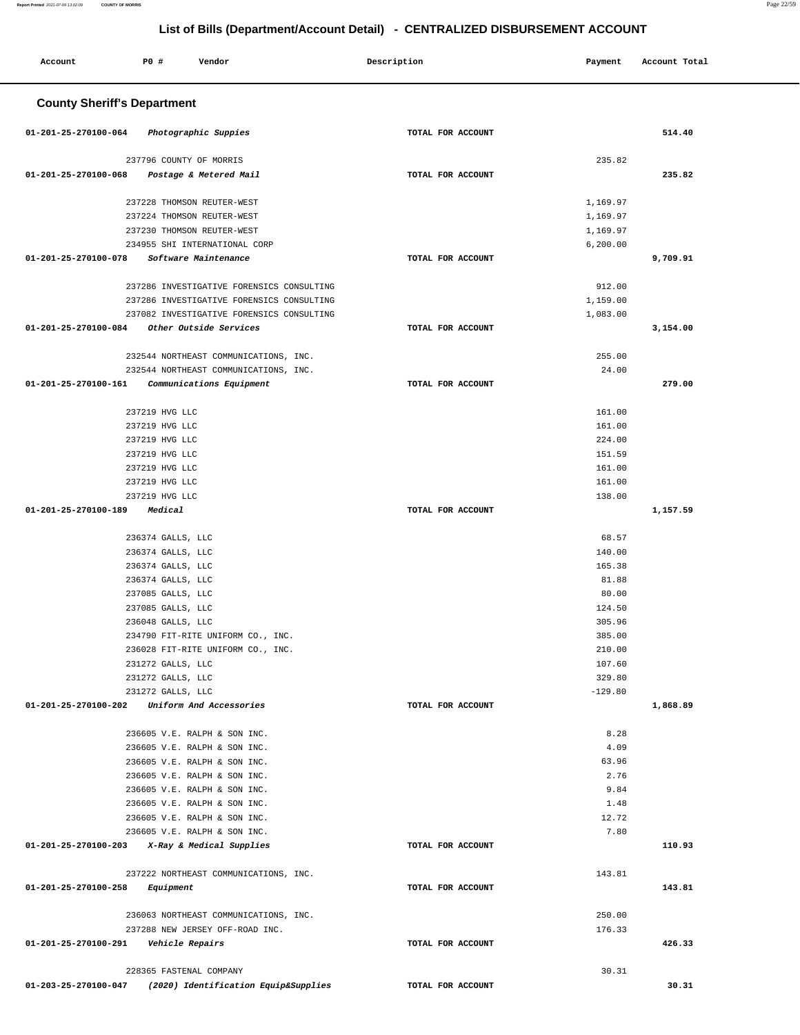۳

| Account                                       | P0 #                      | Vendor                                                                 | Description       | Payment               | Account Total |
|-----------------------------------------------|---------------------------|------------------------------------------------------------------------|-------------------|-----------------------|---------------|
| <b>County Sheriff's Department</b>            |                           |                                                                        |                   |                       |               |
|                                               |                           |                                                                        |                   |                       |               |
| 01-201-25-270100-064                          |                           | Photographic Suppies                                                   | TOTAL FOR ACCOUNT |                       | 514.40        |
|                                               | 237796 COUNTY OF MORRIS   |                                                                        |                   | 235.82                |               |
| 01-201-25-270100-068                          |                           | Postage & Metered Mail                                                 | TOTAL FOR ACCOUNT |                       | 235.82        |
|                                               |                           |                                                                        |                   |                       |               |
|                                               |                           | 237228 THOMSON REUTER-WEST                                             |                   | 1,169.97              |               |
|                                               |                           | 237224 THOMSON REUTER-WEST                                             |                   | 1,169.97              |               |
|                                               |                           | 237230 THOMSON REUTER-WEST<br>234955 SHI INTERNATIONAL CORP            |                   | 1,169.97<br>6, 200.00 |               |
| 01-201-25-270100-078                          |                           | Software Maintenance                                                   | TOTAL FOR ACCOUNT |                       | 9,709.91      |
|                                               |                           |                                                                        |                   |                       |               |
|                                               |                           | 237286 INVESTIGATIVE FORENSICS CONSULTING                              |                   | 912.00                |               |
|                                               |                           | 237286 INVESTIGATIVE FORENSICS CONSULTING                              |                   | 1,159.00              |               |
|                                               |                           | 237082 INVESTIGATIVE FORENSICS CONSULTING                              |                   | 1,083.00              |               |
| 01-201-25-270100-084                          |                           | Other Outside Services                                                 | TOTAL FOR ACCOUNT |                       | 3,154.00      |
|                                               |                           | 232544 NORTHEAST COMMUNICATIONS, INC.                                  |                   |                       |               |
|                                               |                           | 232544 NORTHEAST COMMUNICATIONS, INC.                                  |                   | 255.00<br>24.00       |               |
| 01-201-25-270100-161                          |                           | Communications Equipment                                               | TOTAL FOR ACCOUNT |                       | 279.00        |
|                                               |                           |                                                                        |                   |                       |               |
|                                               | 237219 HVG LLC            |                                                                        |                   | 161.00                |               |
|                                               | 237219 HVG LLC            |                                                                        |                   | 161.00                |               |
|                                               | 237219 HVG LLC            |                                                                        |                   | 224.00                |               |
|                                               | 237219 HVG LLC            |                                                                        |                   | 151.59                |               |
|                                               | 237219 HVG LLC            |                                                                        |                   | 161.00                |               |
|                                               | 237219 HVG LLC            |                                                                        |                   | 161.00                |               |
| 01-201-25-270100-189                          | 237219 HVG LLC<br>Medical |                                                                        | TOTAL FOR ACCOUNT | 138.00                | 1,157.59      |
|                                               |                           |                                                                        |                   |                       |               |
|                                               | 236374 GALLS, LLC         |                                                                        |                   | 68.57                 |               |
|                                               | 236374 GALLS, LLC         |                                                                        |                   | 140.00                |               |
|                                               | 236374 GALLS, LLC         |                                                                        |                   | 165.38                |               |
|                                               | 236374 GALLS, LLC         |                                                                        |                   | 81.88                 |               |
|                                               | 237085 GALLS, LLC         |                                                                        |                   | 80.00                 |               |
|                                               | 237085 GALLS, LLC         |                                                                        |                   | 124.50                |               |
|                                               | 236048 GALLS, LLC         |                                                                        |                   | 305.96                |               |
|                                               |                           | 234790 FIT-RITE UNIFORM CO., INC.<br>236028 FIT-RITE UNIFORM CO., INC. |                   | 385.00<br>210.00      |               |
|                                               | 231272 GALLS, LLC         |                                                                        |                   | 107.60                |               |
|                                               | 231272 GALLS, LLC         |                                                                        |                   | 329.80                |               |
|                                               | 231272 GALLS, LLC         |                                                                        |                   | $-129.80$             |               |
| 01-201-25-270100-202 Uniform And Accessories  |                           |                                                                        | TOTAL FOR ACCOUNT |                       | 1,868.89      |
|                                               |                           |                                                                        |                   |                       |               |
|                                               |                           | 236605 V.E. RALPH & SON INC.                                           |                   | 8.28                  |               |
|                                               |                           | 236605 V.E. RALPH & SON INC.                                           |                   | 4.09                  |               |
|                                               |                           | 236605 V.E. RALPH & SON INC.<br>236605 V.E. RALPH & SON INC.           |                   | 63.96<br>2.76         |               |
|                                               |                           | 236605 V.E. RALPH & SON INC.                                           |                   | 9.84                  |               |
|                                               |                           | 236605 V.E. RALPH & SON INC.                                           |                   | 1.48                  |               |
|                                               |                           | 236605 V.E. RALPH & SON INC.                                           |                   | 12.72                 |               |
|                                               |                           | 236605 V.E. RALPH & SON INC.                                           |                   | 7.80                  |               |
| 01-201-25-270100-203 X-Ray & Medical Supplies |                           |                                                                        | TOTAL FOR ACCOUNT |                       | 110.93        |
|                                               |                           |                                                                        |                   |                       |               |
|                                               |                           | 237222 NORTHEAST COMMUNICATIONS, INC.                                  |                   | 143.81                |               |
| 01-201-25-270100-258                          | Equipment                 |                                                                        | TOTAL FOR ACCOUNT |                       | 143.81        |
|                                               |                           | 236063 NORTHEAST COMMUNICATIONS, INC.                                  |                   | 250.00                |               |
|                                               |                           | 237288 NEW JERSEY OFF-ROAD INC.                                        |                   | 176.33                |               |
| 01-201-25-270100-291                          | Vehicle Repairs           |                                                                        | TOTAL FOR ACCOUNT |                       | 426.33        |
|                                               |                           |                                                                        |                   |                       |               |
|                                               | 228365 FASTENAL COMPANY   |                                                                        |                   | 30.31                 |               |
| 01-203-25-270100-047                          |                           | (2020) Identification Equip&Supplies                                   | TOTAL FOR ACCOUNT |                       | 30.31         |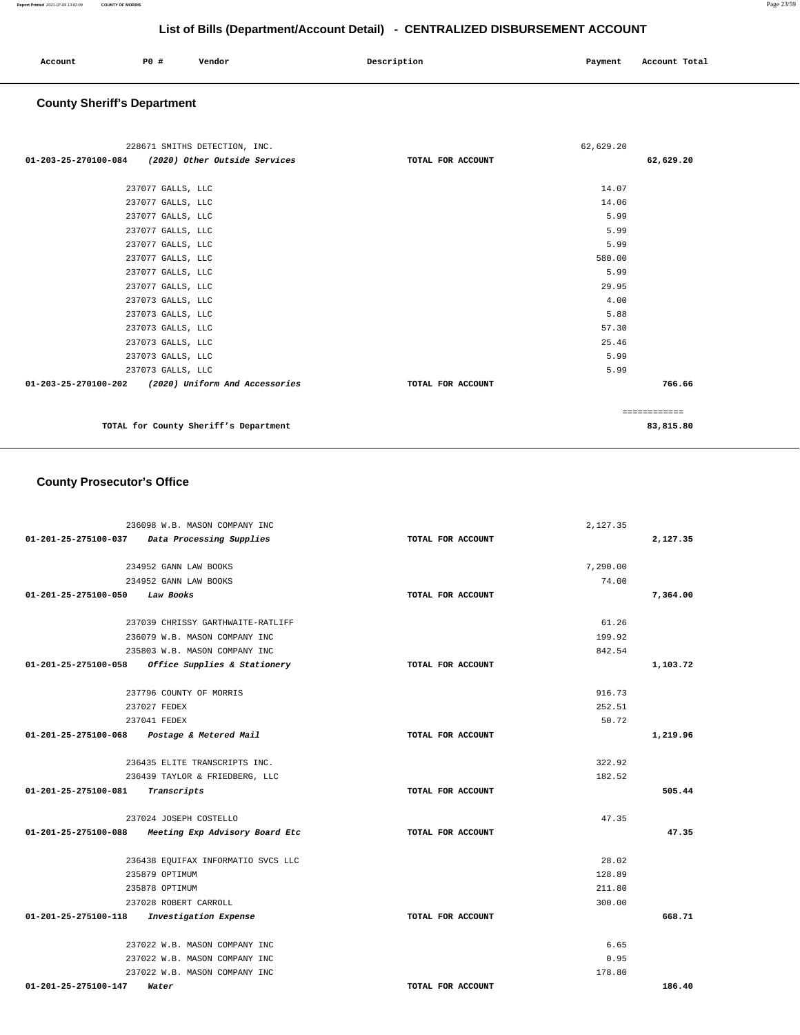| Account | P0 | Vendor | Description | Payment | Account Total |
|---------|----|--------|-------------|---------|---------------|
|         |    |        |             |         |               |

### **County Sheriff's Department**

| 228671 SMITHS DETECTION, INC.                       | 62,629.20         |              |
|-----------------------------------------------------|-------------------|--------------|
| 01-203-25-270100-084 (2020) Other Outside Services  | TOTAL FOR ACCOUNT | 62,629.20    |
|                                                     |                   |              |
| 237077 GALLS, LLC                                   |                   | 14.07        |
| 237077 GALLS, LLC                                   |                   | 14.06        |
| 237077 GALLS, LLC                                   |                   | 5.99         |
| 237077 GALLS, LLC                                   |                   | 5.99         |
| 237077 GALLS, LLC                                   |                   | 5.99         |
| 237077 GALLS, LLC                                   |                   | 580.00       |
| 237077 GALLS, LLC                                   |                   | 5.99         |
| 237077 GALLS, LLC                                   |                   | 29.95        |
| 237073 GALLS, LLC                                   |                   | 4.00         |
| 237073 GALLS, LLC                                   |                   | 5.88         |
| 237073 GALLS, LLC                                   |                   | 57.30        |
| 237073 GALLS, LLC                                   |                   | 25.46        |
| 237073 GALLS, LLC                                   |                   | 5.99         |
| 237073 GALLS, LLC                                   |                   | 5.99         |
| 01-203-25-270100-202 (2020) Uniform And Accessories | TOTAL FOR ACCOUNT | 766.66       |
|                                                     |                   | ============ |
| TOTAL for County Sheriff's Department               |                   | 83,815.80    |

### **County Prosecutor's Office**

|                                             | 236098 W.B. MASON COMPANY INC                       |                   | 2,127.35 |          |
|---------------------------------------------|-----------------------------------------------------|-------------------|----------|----------|
| 01-201-25-275100-037                        | Data Processing Supplies                            | TOTAL FOR ACCOUNT |          | 2,127.35 |
|                                             | 234952 GANN LAW BOOKS                               |                   | 7,290.00 |          |
|                                             | 234952 GANN LAW BOOKS                               |                   | 74.00    |          |
| 01-201-25-275100-050 Law Books              |                                                     | TOTAL FOR ACCOUNT |          | 7,364.00 |
|                                             |                                                     |                   |          |          |
|                                             | 237039 CHRISSY GARTHWAITE-RATLIFF                   |                   | 61.26    |          |
|                                             | 236079 W.B. MASON COMPANY INC                       |                   | 199.92   |          |
|                                             | 235803 W.B. MASON COMPANY INC                       |                   | 842.54   |          |
|                                             | $01-201-25-275100-058$ Office Supplies & Stationery | TOTAL FOR ACCOUNT |          | 1,103.72 |
|                                             | 237796 COUNTY OF MORRIS                             |                   | 916.73   |          |
|                                             | 237027 FEDEX                                        |                   | 252.51   |          |
|                                             | 237041 FEDEX                                        |                   | 50.72    |          |
| 01-201-25-275100-068 Postage & Metered Mail |                                                     | TOTAL FOR ACCOUNT |          | 1,219.96 |
|                                             | 236435 ELITE TRANSCRIPTS INC.                       |                   | 322.92   |          |
|                                             | 236439 TAYLOR & FRIEDBERG, LLC                      |                   | 182.52   |          |
| 01-201-25-275100-081                        | Transcripts                                         | TOTAL FOR ACCOUNT |          | 505.44   |
|                                             | 237024 JOSEPH COSTELLO                              |                   | 47.35    |          |
|                                             | 01-201-25-275100-088 Meeting Exp Advisory Board Etc | TOTAL FOR ACCOUNT |          | 47.35    |
|                                             |                                                     |                   |          |          |
|                                             | 236438 EQUIFAX INFORMATIO SVCS LLC                  |                   | 28.02    |          |
|                                             | 235879 OPTIMUM                                      |                   | 128.89   |          |
|                                             | 235878 OPTIMUM                                      |                   | 211.80   |          |
|                                             | 237028 ROBERT CARROLL                               |                   | 300.00   |          |
| 01-201-25-275100-118                        | Investigation Expense                               | TOTAL FOR ACCOUNT |          | 668.71   |
|                                             | 237022 W.B. MASON COMPANY INC                       |                   | 6.65     |          |
|                                             | 237022 W.B. MASON COMPANY INC                       |                   | 0.95     |          |
|                                             | 237022 W.B. MASON COMPANY INC                       |                   | 178.80   |          |
| 01-201-25-275100-147                        | Water                                               | TOTAL FOR ACCOUNT |          | 186.40   |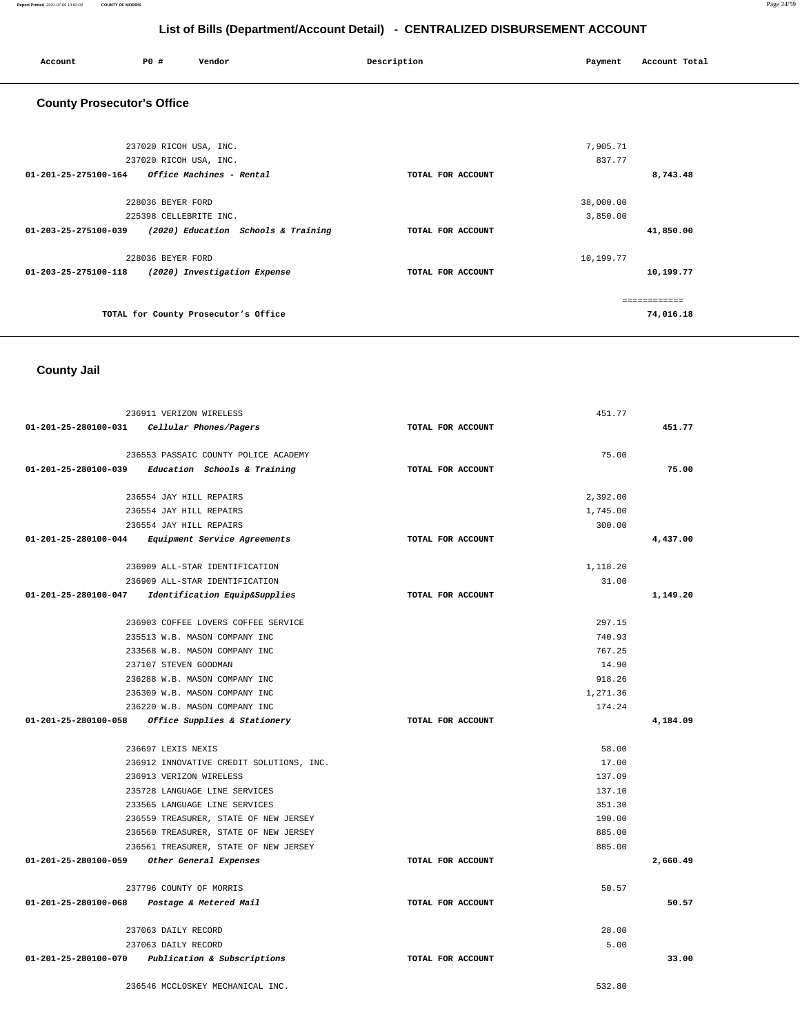| Account                           | PO#                                              | Vendor                               | Description       | Payment               | Account Total |
|-----------------------------------|--------------------------------------------------|--------------------------------------|-------------------|-----------------------|---------------|
| <b>County Prosecutor's Office</b> |                                                  |                                      |                   |                       |               |
|                                   | 237020 RICOH USA, INC.<br>237020 RICOH USA, INC. |                                      |                   | 7,905.71<br>837.77    |               |
| 01-201-25-275100-164              |                                                  | Office Machines - Rental             | TOTAL FOR ACCOUNT |                       | 8,743.48      |
|                                   | 228036 BEYER FORD<br>225398 CELLEBRITE INC.      |                                      |                   | 38,000.00<br>3,850.00 |               |
| 01-203-25-275100-039              |                                                  | (2020) Education Schools & Training  | TOTAL FOR ACCOUNT |                       | 41,850.00     |
| 01-203-25-275100-118              | 228036 BEYER FORD                                | (2020) Investigation Expense         | TOTAL FOR ACCOUNT | 10,199.77             | 10,199.77     |
|                                   |                                                  |                                      |                   |                       | ============  |
|                                   |                                                  | TOTAL for County Prosecutor's Office |                   |                       | 74,016.18     |

### **County Jail**

| 236911 VERIZON WIRELESS                             | 451.77            |          |  |
|-----------------------------------------------------|-------------------|----------|--|
| 01-201-25-280100-031 Cellular Phones/Pagers         | TOTAL FOR ACCOUNT | 451.77   |  |
| 236553 PASSAIC COUNTY POLICE ACADEMY                | 75.00             |          |  |
| $01-201-25-280100-039$ Education Schools & Training | TOTAL FOR ACCOUNT | 75.00    |  |
| 236554 JAY HILL REPAIRS                             | 2,392.00          |          |  |
| 236554 JAY HILL REPAIRS                             | 1,745.00          |          |  |
| 236554 JAY HILL REPAIRS                             | 300.00            |          |  |
| 01-201-25-280100-044 Equipment Service Agreements   | TOTAL FOR ACCOUNT | 4,437.00 |  |
| 236909 ALL-STAR IDENTIFICATION                      | 1,118.20          |          |  |
| 236909 ALL-STAR IDENTIFICATION                      | 31.00             |          |  |
| 01-201-25-280100-047 Identification Equip&Supplies  | TOTAL FOR ACCOUNT | 1,149.20 |  |
| 236903 COFFEE LOVERS COFFEE SERVICE                 | 297.15            |          |  |
| 235513 W.B. MASON COMPANY INC                       | 740.93            |          |  |
| 233568 W.B. MASON COMPANY INC                       | 767.25            |          |  |
| 237107 STEVEN GOODMAN                               | 14.90             |          |  |
| 236288 W.B. MASON COMPANY INC                       | 918.26            |          |  |
| 236309 W.B. MASON COMPANY INC                       | 1,271.36          |          |  |
| 236220 W.B. MASON COMPANY INC                       | 174.24            |          |  |
| 01-201-25-280100-058 Office Supplies & Stationery   | TOTAL FOR ACCOUNT | 4,184.09 |  |
| 236697 LEXIS NEXIS                                  | 58.00             |          |  |
| 236912 INNOVATIVE CREDIT SOLUTIONS, INC.            | 17.00             |          |  |
| 236913 VERIZON WIRELESS                             | 137.09            |          |  |
| 235728 LANGUAGE LINE SERVICES                       | 137.10            |          |  |
| 233565 LANGUAGE LINE SERVICES                       | 351.30            |          |  |
| 236559 TREASURER, STATE OF NEW JERSEY               | 190.00            |          |  |
| 236560 TREASURER, STATE OF NEW JERSEY               | 885.00            |          |  |
| 236561 TREASURER, STATE OF NEW JERSEY               | 885.00            |          |  |
| 01-201-25-280100-059 Other General Expenses         | TOTAL FOR ACCOUNT | 2,660.49 |  |
| 237796 COUNTY OF MORRIS                             | 50.57             |          |  |
| 01-201-25-280100-068 Postage & Metered Mail         | TOTAL FOR ACCOUNT | 50.57    |  |
| 237063 DAILY RECORD                                 | 28.00             |          |  |
| 237063 DAILY RECORD                                 | 5.00              |          |  |
| 01-201-25-280100-070 Publication & Subscriptions    | TOTAL FOR ACCOUNT | 33.00    |  |
| 236546 MCCLOSKEY MECHANICAL INC.                    | 532.80            |          |  |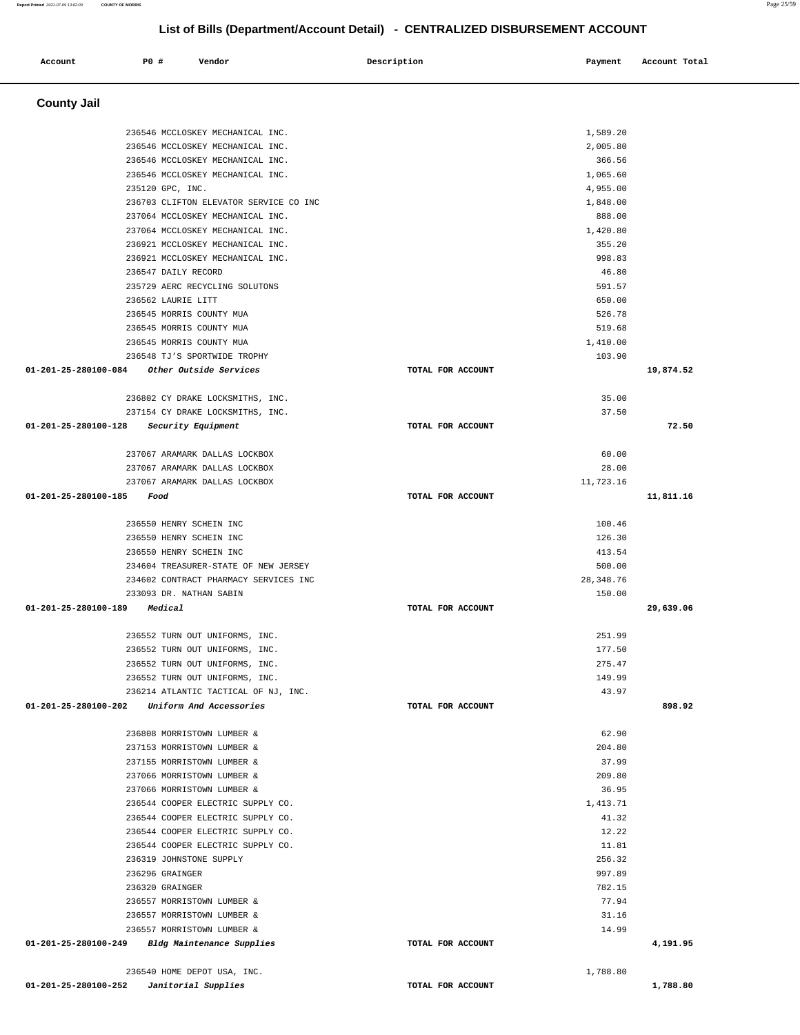Ī.

| Account              | P0 # | Vendor                                                                 | Description       | Payment              | Account Total |
|----------------------|------|------------------------------------------------------------------------|-------------------|----------------------|---------------|
| <b>County Jail</b>   |      |                                                                        |                   |                      |               |
|                      |      |                                                                        |                   |                      |               |
|                      |      | 236546 MCCLOSKEY MECHANICAL INC.                                       |                   | 1,589.20             |               |
|                      |      | 236546 MCCLOSKEY MECHANICAL INC.                                       |                   | 2,005.80             |               |
|                      |      | 236546 MCCLOSKEY MECHANICAL INC.                                       |                   | 366.56               |               |
|                      |      | 236546 MCCLOSKEY MECHANICAL INC.<br>235120 GPC, INC.                   |                   | 1,065.60<br>4,955.00 |               |
|                      |      | 236703 CLIFTON ELEVATOR SERVICE CO INC                                 |                   | 1,848.00             |               |
|                      |      | 237064 MCCLOSKEY MECHANICAL INC.                                       |                   | 888.00               |               |
|                      |      | 237064 MCCLOSKEY MECHANICAL INC.                                       |                   | 1,420.80             |               |
|                      |      | 236921 MCCLOSKEY MECHANICAL INC.                                       |                   | 355.20               |               |
|                      |      | 236921 MCCLOSKEY MECHANICAL INC.                                       |                   | 998.83               |               |
|                      |      | 236547 DAILY RECORD                                                    |                   | 46.80                |               |
|                      |      | 235729 AERC RECYCLING SOLUTONS                                         |                   | 591.57               |               |
|                      |      | 236562 LAURIE LITT                                                     |                   | 650.00               |               |
|                      |      | 236545 MORRIS COUNTY MUA<br>236545 MORRIS COUNTY MUA                   |                   | 526.78<br>519.68     |               |
|                      |      | 236545 MORRIS COUNTY MUA                                               |                   | 1,410.00             |               |
|                      |      | 236548 TJ'S SPORTWIDE TROPHY                                           |                   | 103.90               |               |
| 01-201-25-280100-084 |      | Other Outside Services                                                 | TOTAL FOR ACCOUNT |                      | 19,874.52     |
|                      |      |                                                                        |                   |                      |               |
|                      |      | 236802 CY DRAKE LOCKSMITHS, INC.                                       |                   | 35.00                |               |
|                      |      | 237154 CY DRAKE LOCKSMITHS, INC.                                       |                   | 37.50                |               |
| 01-201-25-280100-128 |      | Security Equipment                                                     | TOTAL FOR ACCOUNT |                      | 72.50         |
|                      |      | 237067 ARAMARK DALLAS LOCKBOX                                          |                   | 60.00                |               |
|                      |      | 237067 ARAMARK DALLAS LOCKBOX                                          |                   | 28.00                |               |
|                      |      | 237067 ARAMARK DALLAS LOCKBOX                                          |                   | 11,723.16            |               |
| 01-201-25-280100-185 |      | Food                                                                   | TOTAL FOR ACCOUNT |                      | 11,811.16     |
|                      |      | 236550 HENRY SCHEIN INC                                                |                   | 100.46               |               |
|                      |      | 236550 HENRY SCHEIN INC                                                |                   | 126.30               |               |
|                      |      | 236550 HENRY SCHEIN INC                                                |                   | 413.54               |               |
|                      |      | 234604 TREASURER-STATE OF NEW JERSEY                                   |                   | 500.00               |               |
|                      |      | 234602 CONTRACT PHARMACY SERVICES INC                                  |                   | 28, 348.76           |               |
| 01-201-25-280100-189 |      | 233093 DR. NATHAN SABIN<br>Medical                                     | TOTAL FOR ACCOUNT | 150.00               | 29,639.06     |
|                      |      |                                                                        |                   |                      |               |
|                      |      | 236552 TURN OUT UNIFORMS, INC                                          |                   | 251.99               |               |
|                      |      | 236552 TURN OUT UNIFORMS, INC.                                         |                   | 177.50               |               |
|                      |      | 236552 TURN OUT UNIFORMS, INC.                                         |                   | 275.47               |               |
|                      |      | 236552 TURN OUT UNIFORMS, INC.<br>236214 ATLANTIC TACTICAL OF NJ, INC. |                   | 149.99<br>43.97      |               |
| 01-201-25-280100-202 |      | Uniform And Accessories                                                | TOTAL FOR ACCOUNT |                      | 898.92        |
|                      |      |                                                                        |                   |                      |               |
|                      |      | 236808 MORRISTOWN LUMBER &                                             |                   | 62.90                |               |
|                      |      | 237153 MORRISTOWN LUMBER &                                             |                   | 204.80               |               |
|                      |      | 237155 MORRISTOWN LUMBER &                                             |                   | 37.99                |               |
|                      |      | 237066 MORRISTOWN LUMBER &                                             |                   | 209.80               |               |
|                      |      | 237066 MORRISTOWN LUMBER &                                             |                   | 36.95                |               |
|                      |      | 236544 COOPER ELECTRIC SUPPLY CO.<br>236544 COOPER ELECTRIC SUPPLY CO. |                   | 1,413.71<br>41.32    |               |
|                      |      | 236544 COOPER ELECTRIC SUPPLY CO.                                      |                   | 12.22                |               |
|                      |      | 236544 COOPER ELECTRIC SUPPLY CO.                                      |                   | 11.81                |               |
|                      |      | 236319 JOHNSTONE SUPPLY                                                |                   | 256.32               |               |
|                      |      | 236296 GRAINGER                                                        |                   | 997.89               |               |
|                      |      | 236320 GRAINGER                                                        |                   | 782.15               |               |
|                      |      | 236557 MORRISTOWN LUMBER &                                             |                   | 77.94                |               |
|                      |      | 236557 MORRISTOWN LUMBER &                                             |                   | 31.16                |               |
|                      |      | 236557 MORRISTOWN LUMBER &                                             |                   | 14.99                |               |
| 01-201-25-280100-249 |      | Bldg Maintenance Supplies                                              | TOTAL FOR ACCOUNT |                      | 4,191.95      |
|                      |      | 236540 HOME DEPOT USA, INC.                                            |                   | 1,788.80             |               |
| 01-201-25-280100-252 |      | Janitorial Supplies                                                    | TOTAL FOR ACCOUNT |                      | 1,788.80      |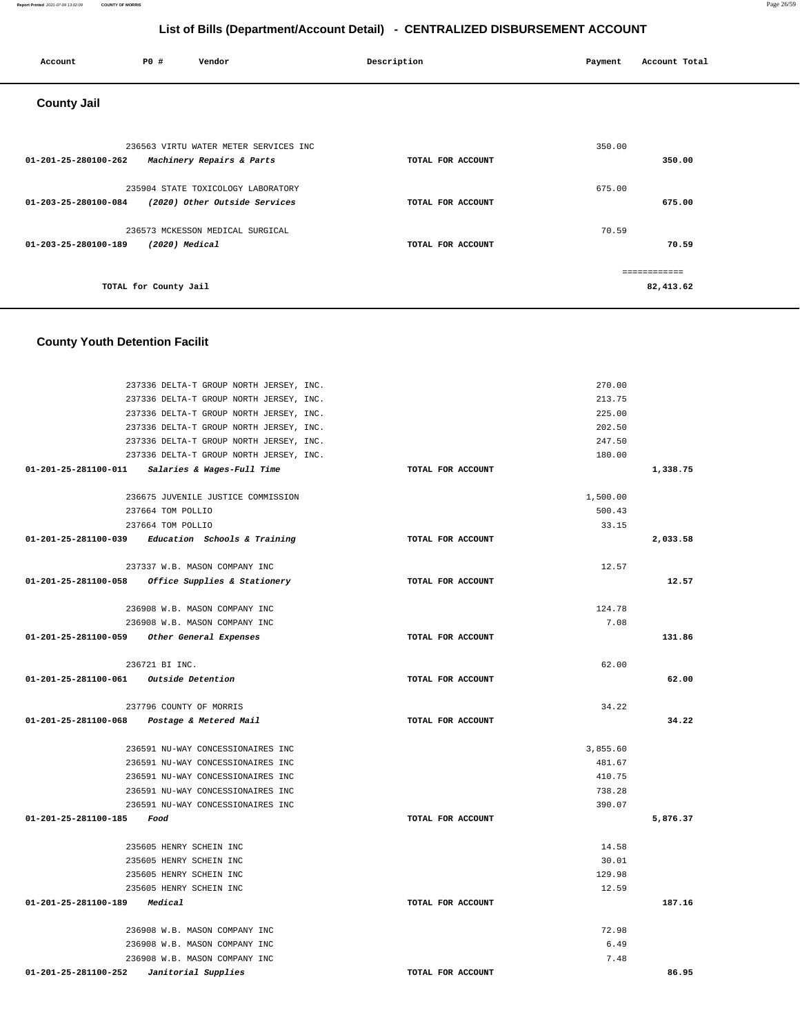| Account              | P0 #                  | Vendor                                                              | Description |                   | Payment | Account Total             |
|----------------------|-----------------------|---------------------------------------------------------------------|-------------|-------------------|---------|---------------------------|
| <b>County Jail</b>   |                       |                                                                     |             |                   |         |                           |
| 01-201-25-280100-262 |                       | 236563 VIRTU WATER METER SERVICES INC<br>Machinery Repairs & Parts  |             | TOTAL FOR ACCOUNT | 350.00  | 350.00                    |
| 01-203-25-280100-084 |                       | 235904 STATE TOXICOLOGY LABORATORY<br>(2020) Other Outside Services |             | TOTAL FOR ACCOUNT | 675.00  | 675.00                    |
| 01-203-25-280100-189 | (2020) Medical        | 236573 MCKESSON MEDICAL SURGICAL                                    |             | TOTAL FOR ACCOUNT | 70.59   | 70.59                     |
|                      | TOTAL for County Jail |                                                                     |             |                   |         | ============<br>82,413.62 |

## **County Youth Detention Facilit**

| 237336 DELTA-T GROUP NORTH JERSEY, INC.           |                   | 270.00   |          |
|---------------------------------------------------|-------------------|----------|----------|
| 237336 DELTA-T GROUP NORTH JERSEY, INC.           |                   | 213.75   |          |
| 237336 DELTA-T GROUP NORTH JERSEY, INC.           |                   | 225.00   |          |
| 237336 DELTA-T GROUP NORTH JERSEY, INC.           |                   | 202.50   |          |
| 237336 DELTA-T GROUP NORTH JERSEY, INC.           |                   | 247.50   |          |
| 237336 DELTA-T GROUP NORTH JERSEY, INC.           |                   | 180.00   |          |
| 01-201-25-281100-011 Salaries & Wages-Full Time   | TOTAL FOR ACCOUNT |          | 1,338.75 |
| 236675 JUVENILE JUSTICE COMMISSION                |                   | 1,500.00 |          |
| 237664 TOM POLLIO                                 |                   | 500.43   |          |
| 237664 TOM POLLIO                                 |                   | 33.15    |          |
| 01-201-25-281100-039 Education Schools & Training | TOTAL FOR ACCOUNT |          | 2,033.58 |
| 237337 W.B. MASON COMPANY INC                     |                   | 12.57    |          |
| 01-201-25-281100-058 Office Supplies & Stationery | TOTAL FOR ACCOUNT |          | 12.57    |
|                                                   |                   |          |          |
| 236908 W.B. MASON COMPANY INC                     |                   | 124.78   |          |
| 236908 W.B. MASON COMPANY INC                     |                   | 7.08     |          |
| 01-201-25-281100-059 Other General Expenses       | TOTAL FOR ACCOUNT |          | 131.86   |
|                                                   |                   |          |          |
| 236721 BI INC.                                    |                   | 62.00    |          |
| 01-201-25-281100-061 Outside Detention            | TOTAL FOR ACCOUNT |          | 62.00    |
|                                                   |                   |          |          |
| 237796 COUNTY OF MORRIS                           |                   | 34.22    |          |
| 01-201-25-281100-068 Postage & Metered Mail       | TOTAL FOR ACCOUNT |          | 34.22    |
|                                                   |                   |          |          |
| 236591 NU-WAY CONCESSIONAIRES INC                 |                   | 3,855.60 |          |
| 236591 NU-WAY CONCESSIONAIRES INC                 |                   | 481.67   |          |
| 236591 NU-WAY CONCESSIONAIRES INC                 |                   | 410.75   |          |
| 236591 NU-WAY CONCESSIONAIRES INC                 |                   | 738.28   |          |
| 236591 NU-WAY CONCESSIONAIRES INC                 |                   | 390.07   |          |
| 01-201-25-281100-185 Food                         | TOTAL FOR ACCOUNT |          | 5,876.37 |
| 235605 HENRY SCHEIN INC                           |                   | 14.58    |          |
| 235605 HENRY SCHEIN INC                           |                   | 30.01    |          |
| 235605 HENRY SCHEIN INC                           |                   | 129.98   |          |
| 235605 HENRY SCHEIN INC                           |                   | 12.59    |          |
| 01-201-25-281100-189 Medical                      | TOTAL FOR ACCOUNT |          | 187.16   |
| 236908 W.B. MASON COMPANY INC                     |                   | 72.98    |          |
| 236908 W.B. MASON COMPANY INC                     |                   | 6.49     |          |
| 236908 W.B. MASON COMPANY INC                     |                   | 7.48     |          |
| 01-201-25-281100-252<br>Janitorial Supplies       | TOTAL FOR ACCOUNT |          | 86.95    |
|                                                   |                   |          |          |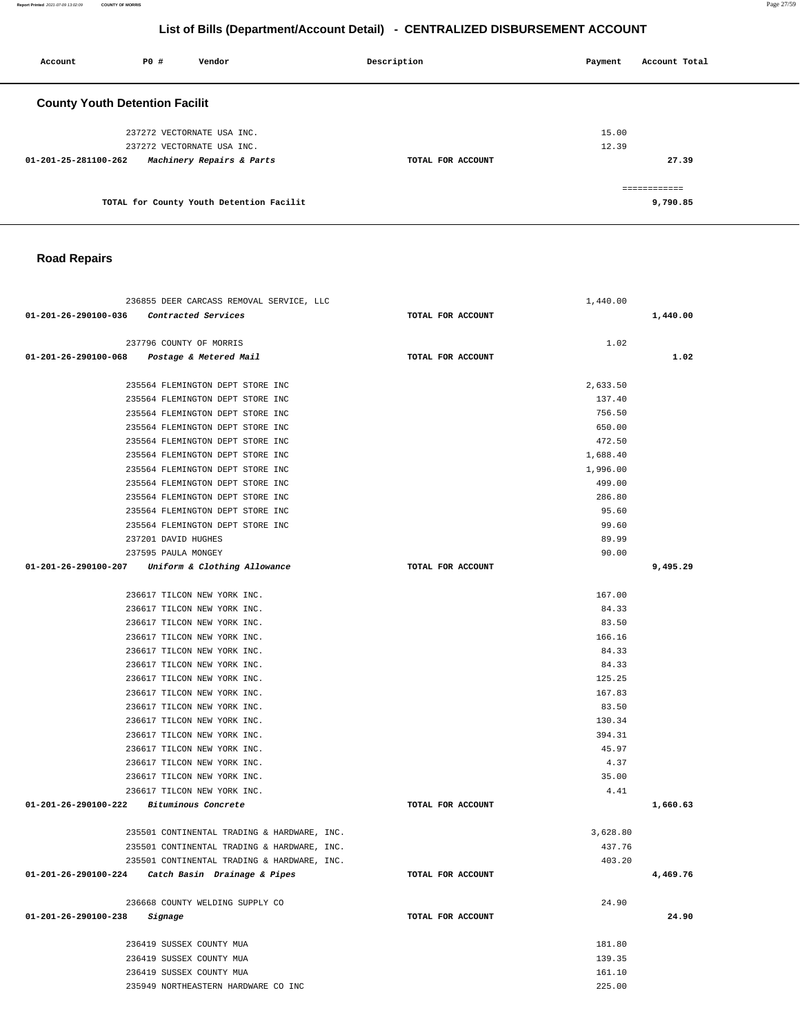**List of Bills (Department/Account Detail) - CENTRALIZED DISBURSEMENT ACCOUNT Account** 20 **P P**  $\uparrow$  **Payment** Payment Account Total  **County Youth Detention Facilit**

| 237272 VECTORNATE USA INC.<br>237272 VECTORNATE USA INC. |                   | 15.00<br>12.39 |
|----------------------------------------------------------|-------------------|----------------|
| Machinery Repairs & Parts<br>01-201-25-281100-262        | TOTAL FOR ACCOUNT | 27.39          |
|                                                          |                   |                |
| TOTAL for County Youth Detention Facilit                 |                   | 9,790.85       |

### **Road Repairs**

| 236855 DEER CARCASS REMOVAL SERVICE, LLC            |                   | 1,440.00 |          |
|-----------------------------------------------------|-------------------|----------|----------|
| 01-201-26-290100-036 Contracted Services            | TOTAL FOR ACCOUNT |          | 1,440.00 |
|                                                     |                   |          |          |
| 237796 COUNTY OF MORRIS                             |                   | 1.02     |          |
| 01-201-26-290100-068 Postage & Metered Mail         | TOTAL FOR ACCOUNT |          | 1.02     |
|                                                     |                   |          |          |
| 235564 FLEMINGTON DEPT STORE INC                    |                   | 2,633.50 |          |
| 235564 FLEMINGTON DEPT STORE INC                    |                   | 137.40   |          |
| 235564 FLEMINGTON DEPT STORE INC                    |                   | 756.50   |          |
| 235564 FLEMINGTON DEPT STORE INC                    |                   | 650.00   |          |
| 235564 FLEMINGTON DEPT STORE INC                    |                   | 472.50   |          |
| 235564 FLEMINGTON DEPT STORE INC                    |                   | 1,688.40 |          |
| 235564 FLEMINGTON DEPT STORE INC                    |                   | 1,996.00 |          |
| 235564 FLEMINGTON DEPT STORE INC                    |                   | 499.00   |          |
| 235564 FLEMINGTON DEPT STORE INC                    |                   | 286.80   |          |
| 235564 FLEMINGTON DEPT STORE INC                    |                   | 95.60    |          |
| 235564 FLEMINGTON DEPT STORE INC                    |                   | 99.60    |          |
| 237201 DAVID HUGHES                                 |                   | 89.99    |          |
| 237595 PAULA MONGEY                                 |                   | 90.00    |          |
| $01-201-26-290100-207$ Uniform & Clothing Allowance | TOTAL FOR ACCOUNT |          | 9,495.29 |
|                                                     |                   |          |          |
| 236617 TILCON NEW YORK INC.                         |                   | 167.00   |          |
| 236617 TILCON NEW YORK INC.                         |                   | 84.33    |          |
| 236617 TILCON NEW YORK INC.                         |                   | 83.50    |          |
| 236617 TILCON NEW YORK INC.                         |                   | 166.16   |          |
| 236617 TILCON NEW YORK INC.                         |                   | 84.33    |          |
| 236617 TILCON NEW YORK INC.                         |                   | 84.33    |          |
| 236617 TILCON NEW YORK INC.                         |                   | 125.25   |          |
| 236617 TILCON NEW YORK INC.                         |                   | 167.83   |          |
| 236617 TILCON NEW YORK INC.                         |                   | 83.50    |          |
| 236617 TILCON NEW YORK INC.                         |                   | 130.34   |          |
| 236617 TILCON NEW YORK INC.                         |                   | 394.31   |          |
| 236617 TILCON NEW YORK INC.                         |                   | 45.97    |          |
| 236617 TILCON NEW YORK INC.                         |                   | 4.37     |          |
| 236617 TILCON NEW YORK INC.                         |                   | 35.00    |          |
| 236617 TILCON NEW YORK INC.                         |                   | 4.41     |          |
| 01-201-26-290100-222 Bituminous Concrete            | TOTAL FOR ACCOUNT |          | 1,660.63 |
|                                                     |                   |          |          |
| 235501 CONTINENTAL TRADING & HARDWARE, INC.         |                   | 3,628.80 |          |
| 235501 CONTINENTAL TRADING & HARDWARE, INC.         |                   | 437.76   |          |
| 235501 CONTINENTAL TRADING & HARDWARE, INC.         |                   | 403.20   |          |
| 01-201-26-290100-224 Catch Basin Drainage & Pipes   | TOTAL FOR ACCOUNT |          | 4,469.76 |
| 236668 COUNTY WELDING SUPPLY CO                     |                   | 24.90    |          |
| 01-201-26-290100-238                                | TOTAL FOR ACCOUNT |          | 24.90    |
| Signage                                             |                   |          |          |
| 236419 SUSSEX COUNTY MUA                            |                   | 181.80   |          |
| 236419 SUSSEX COUNTY MUA                            |                   | 139.35   |          |
| 236419 SUSSEX COUNTY MUA                            |                   | 161.10   |          |
| 235949 NORTHEASTERN HARDWARE CO INC                 |                   | 225.00   |          |
|                                                     |                   |          |          |

**Report Printed** 2021-07-09 13:02:09 **COUNTY OF MORRIS** Page 27/59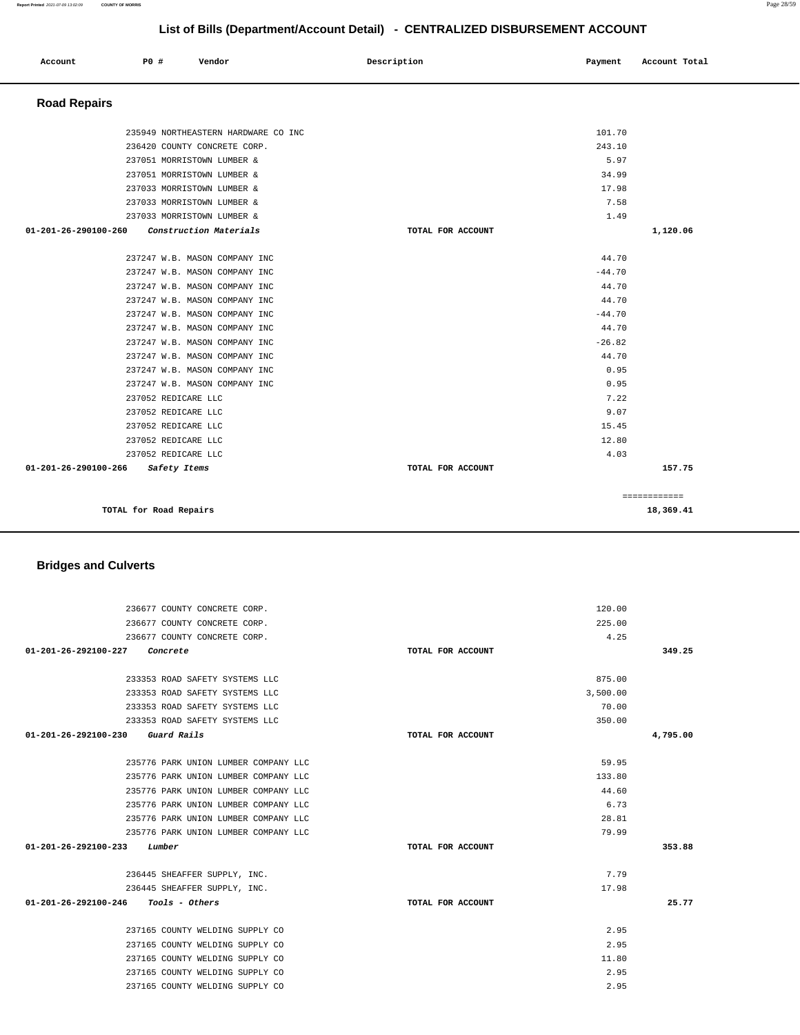| LIST OF BIIIS (Department/Account Detail) - CENTRALIZED DISBURSEMENT ACCOUNT |      |                                            |                   |              |                           |
|------------------------------------------------------------------------------|------|--------------------------------------------|-------------------|--------------|---------------------------|
| Account                                                                      | P0 # | Vendor                                     | Description       | Payment      | Account Total             |
| <b>Road Repairs</b>                                                          |      |                                            |                   |              |                           |
|                                                                              |      | 235949 NORTHEASTERN HARDWARE CO INC        |                   | 101.70       |                           |
|                                                                              |      | 236420 COUNTY CONCRETE CORP.               |                   | 243.10       |                           |
|                                                                              |      | 237051 MORRISTOWN LUMBER &                 |                   | 5.97         |                           |
|                                                                              |      | 237051 MORRISTOWN LUMBER &                 |                   | 34.99        |                           |
|                                                                              |      | 237033 MORRISTOWN LUMBER &                 |                   | 17.98        |                           |
|                                                                              |      | 237033 MORRISTOWN LUMBER &                 |                   | 7.58         |                           |
|                                                                              |      | 237033 MORRISTOWN LUMBER &                 |                   | 1.49         |                           |
| 01-201-26-290100-260                                                         |      | Construction Materials                     | TOTAL FOR ACCOUNT |              | 1,120.06                  |
|                                                                              |      | 237247 W.B. MASON COMPANY INC              |                   | 44.70        |                           |
|                                                                              |      | 237247 W.B. MASON COMPANY INC              |                   | $-44.70$     |                           |
|                                                                              |      | 237247 W.B. MASON COMPANY INC              |                   | 44.70        |                           |
|                                                                              |      | 237247 W.B. MASON COMPANY INC              |                   | 44.70        |                           |
|                                                                              |      | 237247 W.B. MASON COMPANY INC              |                   | $-44.70$     |                           |
|                                                                              |      | 237247 W.B. MASON COMPANY INC              |                   | 44.70        |                           |
|                                                                              |      | 237247 W.B. MASON COMPANY INC              |                   | $-26.82$     |                           |
|                                                                              |      | 237247 W.B. MASON COMPANY INC              |                   | 44.70        |                           |
|                                                                              |      | 237247 W.B. MASON COMPANY INC              |                   | 0.95         |                           |
|                                                                              |      | 237247 W.B. MASON COMPANY INC              |                   | 0.95         |                           |
|                                                                              |      | 237052 REDICARE LLC<br>237052 REDICARE LLC |                   | 7.22<br>9.07 |                           |
|                                                                              |      | 237052 REDICARE LLC                        |                   | 15.45        |                           |
|                                                                              |      | 237052 REDICARE LLC                        |                   | 12.80        |                           |
|                                                                              |      | 237052 REDICARE LLC                        |                   | 4.03         |                           |
| 01-201-26-290100-266                                                         |      | Safety Items                               | TOTAL FOR ACCOUNT |              | 157.75                    |
|                                                                              |      |                                            |                   |              |                           |
|                                                                              |      | TOTAL for Road Repairs                     |                   |              | ------------<br>18,369.41 |
| <b>Bridges and Culverts</b>                                                  |      |                                            |                   |              |                           |
|                                                                              |      |                                            |                   |              |                           |
|                                                                              |      | 236677 COUNTY CONCRETE CORP.               |                   | 120.00       |                           |
|                                                                              |      | 236677 COUNTY CONCRETE CORP.               |                   | 225.00       |                           |
|                                                                              |      | 236677 COUNTY CONCRETE CORP.               |                   | 4.25         |                           |
| 01-201-26-292100-227                                                         |      | Concrete                                   | TOTAL FOR ACCOUNT |              | 349.25                    |
|                                                                              |      | 233353 ROAD SAFETY SYSTEMS LLC             |                   | 875.00       |                           |
|                                                                              |      | 233353 ROAD SAFETY SYSTEMS LLC             |                   | 3,500.00     |                           |
|                                                                              |      | 233353 ROAD SAFETY SYSTEMS LLC             |                   | 70.00        |                           |
|                                                                              |      | 233353 ROAD SAFETY SYSTEMS LLC             |                   | 350.00       |                           |
| 01-201-26-292100-230                                                         |      | Guard Rails                                | TOTAL FOR ACCOUNT |              | 4,795.00                  |
|                                                                              |      | 235776 PARK UNION LUMBER COMPANY LLC       |                   | 59.95        |                           |
|                                                                              |      | 235776 PARK UNION LUMBER COMPANY LLC       |                   | 133.80       |                           |
|                                                                              |      | 235776 PARK UNION LUMBER COMPANY LLC       |                   | 44.60        |                           |
|                                                                              |      | 235776 PARK UNION LUMBER COMPANY LLC       |                   | 6.73         |                           |
|                                                                              |      | 235776 PARK UNION LUMBER COMPANY LLC       |                   | 28.81        |                           |
|                                                                              |      |                                            |                   |              |                           |

235776 PARK UNION LUMBER COMPANY LLC **01-201-26-292100-233 Lumber TOTAL FOR ACCOUNT**  79.99 236445 SHEAFFER SUPPLY, INC. 236445 SHEAFFER SUPPLY, INC. **01-201-26-292100-246 Tools - Others TOTAL FOR ACCOUNT**  7.79 17.98 237165 COUNTY WELDING SUPPLY CO 2.95 237165 COUNTY WELDING SUPPLY CO 2.95 237165 COUNTY WELDING SUPPLY CO 11.80 237165 COUNTY WELDING SUPPLY CO 2.95 237165 COUNTY WELDING SUPPLY CO 2.95

**353.88**

**25.77**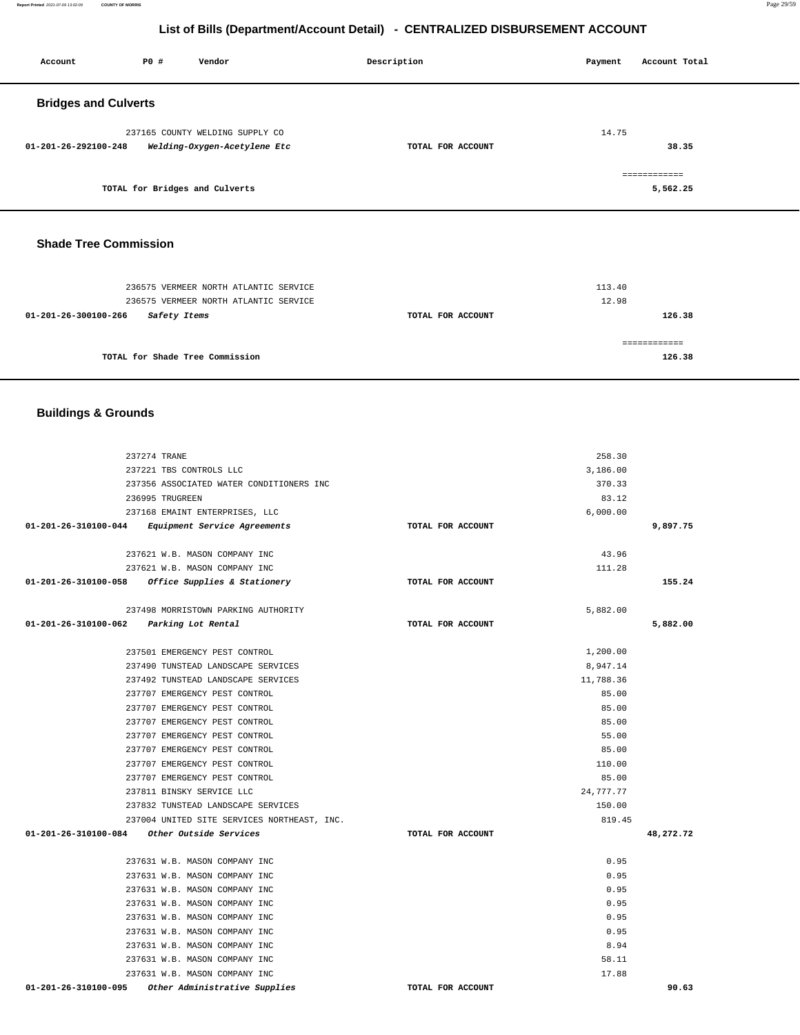**Report Printed** 2021-07-09 13:02:09 **COUNTY OF MORRIS** Page 29/59

### **List of Bills (Department/Account Detail) - CENTRALIZED DISBURSEMENT ACCOUNT**

| Account                     | P0 # | Vendor                                                          | Description       | Payment | Account Total            |
|-----------------------------|------|-----------------------------------------------------------------|-------------------|---------|--------------------------|
| <b>Bridges and Culverts</b> |      |                                                                 |                   |         |                          |
| 01-201-26-292100-248        |      | 237165 COUNTY WELDING SUPPLY CO<br>Welding-Oxygen-Acetylene Etc | TOTAL FOR ACCOUNT | 14.75   | 38.35                    |
|                             |      | TOTAL for Bridges and Culverts                                  |                   |         | ============<br>5,562.25 |

### **Shade Tree Commission**

| 236575 VERMEER NORTH ATLANTIC SERVICE |                   | 113.40 |
|---------------------------------------|-------------------|--------|
| 236575 VERMEER NORTH ATLANTIC SERVICE |                   | 12.98  |
| 01-201-26-300100-266<br>Safety Items  | TOTAL FOR ACCOUNT | 126.38 |
|                                       |                   |        |
|                                       |                   |        |
| TOTAL for Shade Tree Commission       |                   | 126.38 |
|                                       |                   |        |

### **Buildings & Grounds**

| 237274 TRANE                                          |                   | 258.30    |           |
|-------------------------------------------------------|-------------------|-----------|-----------|
| 237221 TBS CONTROLS LLC                               |                   | 3,186.00  |           |
| 237356 ASSOCIATED WATER CONDITIONERS INC              |                   | 370.33    |           |
| 236995 TRUGREEN                                       |                   | 83.12     |           |
| 237168 EMAINT ENTERPRISES, LLC                        |                   | 6,000.00  |           |
| 01-201-26-310100-044 Equipment Service Agreements     | TOTAL FOR ACCOUNT |           | 9,897.75  |
| 237621 W.B. MASON COMPANY INC                         |                   | 43.96     |           |
| 237621 W.B. MASON COMPANY INC                         |                   | 111.28    |           |
| 01-201-26-310100-058 Office Supplies & Stationery     | TOTAL FOR ACCOUNT |           | 155.24    |
| 237498 MORRISTOWN PARKING AUTHORITY                   |                   | 5,882.00  |           |
| 01-201-26-310100-062 Parking Lot Rental               | TOTAL FOR ACCOUNT |           | 5,882.00  |
| 237501 EMERGENCY PEST CONTROL                         |                   | 1,200.00  |           |
| 237490 TUNSTEAD LANDSCAPE SERVICES                    |                   | 8,947.14  |           |
| 237492 TUNSTEAD LANDSCAPE SERVICES                    |                   | 11,788.36 |           |
| 237707 EMERGENCY PEST CONTROL                         |                   | 85.00     |           |
| 237707 EMERGENCY PEST CONTROL                         |                   | 85.00     |           |
| 237707 EMERGENCY PEST CONTROL                         |                   | 85.00     |           |
| 237707 EMERGENCY PEST CONTROL                         |                   | 55.00     |           |
| 237707 EMERGENCY PEST CONTROL                         |                   | 85.00     |           |
| 237707 EMERGENCY PEST CONTROL                         |                   | 110.00    |           |
| 237707 EMERGENCY PEST CONTROL                         |                   | 85.00     |           |
| 237811 BINSKY SERVICE LLC                             |                   | 24,777.77 |           |
| 237832 TUNSTEAD LANDSCAPE SERVICES                    |                   | 150.00    |           |
| 237004 UNITED SITE SERVICES NORTHEAST, INC.           |                   | 819.45    |           |
| 01-201-26-310100-084 Other Outside Services           | TOTAL FOR ACCOUNT |           | 48,272.72 |
| 237631 W.B. MASON COMPANY INC                         |                   | 0.95      |           |
| 237631 W.B. MASON COMPANY INC                         |                   | 0.95      |           |
| 237631 W.B. MASON COMPANY INC                         |                   | 0.95      |           |
| 237631 W.B. MASON COMPANY INC                         |                   | 0.95      |           |
| 237631 W.B. MASON COMPANY INC                         |                   | 0.95      |           |
| 237631 W.B. MASON COMPANY INC                         |                   | 0.95      |           |
| 237631 W.B. MASON COMPANY INC                         |                   | 8.94      |           |
| 237631 W.B. MASON COMPANY INC                         |                   | 58.11     |           |
| 237631 W.B. MASON COMPANY INC                         |                   | 17.88     |           |
| 01-201-26-310100-095<br>Other Administrative Supplies | TOTAL FOR ACCOUNT |           | 90.63     |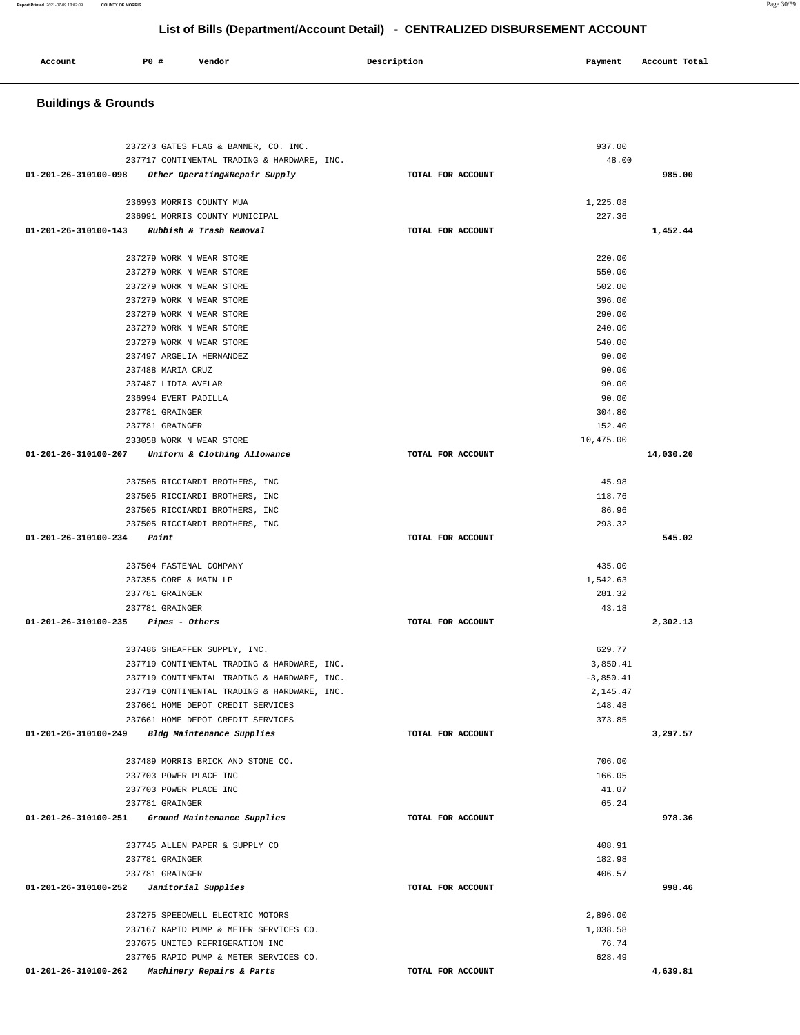**Buildings & Grounds**  237273 GATES FLAG & BANNER, CO. INC. 237717 CONTINENTAL TRADING & HARDWARE, INC. **01-201-26-310100-098 Other Operating&Repair Supply TOTAL FOR ACCOUNT**  937.00 48.00 **985.00** 236993 MORRIS COUNTY MUA 236991 MORRIS COUNTY MUNICIPAL **01-201-26-310100-143 Rubbish & Trash Removal TOTAL FOR ACCOUNT**  1,225.08 227.36 **1,452.44** 237279 WORK N WEAR STORE 237279 WORK N WEAR STORE 237279 WORK N WEAR STORE 237279 WORK N WEAR STORE 237279 WORK N WEAR STORE 237279 WORK N WEAR STORE 237279 WORK N WEAR STORE 237497 ARGELIA HERNANDEZ 237488 MARIA CRUZ 237487 LIDIA AVELAR 236994 EVERT PADILLA 237781 GRAINGER 237781 GRAINGER 233058 WORK N WEAR STORE **01-201-26-310100-207 Uniform & Clothing Allowance TOTAL FOR ACCOUNT**  220.00 550.00 502.00 396.00 290.00 240.00 540.00 90.00 90.00 90.00 90.00 304.80 152.40 10,475.00 **14,030.20** 237505 RICCIARDI BROTHERS, INC 237505 RICCIARDI BROTHERS, INC 237505 RICCIARDI BROTHERS, INC 237505 RICCIARDI BROTHERS, INC **01-201-26-310100-234 Paint TOTAL FOR ACCOUNT**  45.98 118.76 86.96 293.32 **545.02** 237504 FASTENAL COMPANY 237355 CORE & MAIN LP 237781 GRAINGER 237781 GRAINGER **01-201-26-310100-235 Pipes - Others TOTAL FOR ACCOUNT**  435.00 1,542.63 281.32 43.18 **2,302.13** 237486 SHEAFFER SUPPLY, INC. 237719 CONTINENTAL TRADING & HARDWARE, INC. 237719 CONTINENTAL TRADING & HARDWARE, INC. 237719 CONTINENTAL TRADING & HARDWARE, INC. 237661 HOME DEPOT CREDIT SERVICES 237661 HOME DEPOT CREDIT SERVICES **01-201-26-310100-249 Bldg Maintenance Supplies TOTAL FOR ACCOUNT**  629.77 3,850.41 -3,850.41 2,145.47 148.48 373.85 **3,297.57** 237489 MORRIS BRICK AND STONE CO. 237703 POWER PLACE INC 237703 POWER PLACE INC 237781 GRAINGER **01-201-26-310100-251 Ground Maintenance Supplies TOTAL FOR ACCOUNT**  706.00 166.05 41.07 65.24 **978.36** 237745 ALLEN PAPER & SUPPLY CO 237781 GRAINGER 237781 GRAINGER **01-201-26-310100-252 Janitorial Supplies TOTAL FOR ACCOUNT**  408.91 182.98 406.57 **998.46** 237275 SPEEDWELL ELECTRIC MOTORS 237167 RAPID PUMP & METER SERVICES CO. 237675 UNITED REFRIGERATION INC 237705 RAPID PUMP & METER SERVICES CO. **01-201-26-310100-262 Machinery Repairs & Parts TOTAL FOR ACCOUNT**  2,896.00 1,038.58 76.74 628.49 **4,639.81** 

## **List of Bills (Department/Account Detail) - CENTRALIZED DISBURSEMENT ACCOUNT**

 **Account P0 # Vendor Description Payment Account Total**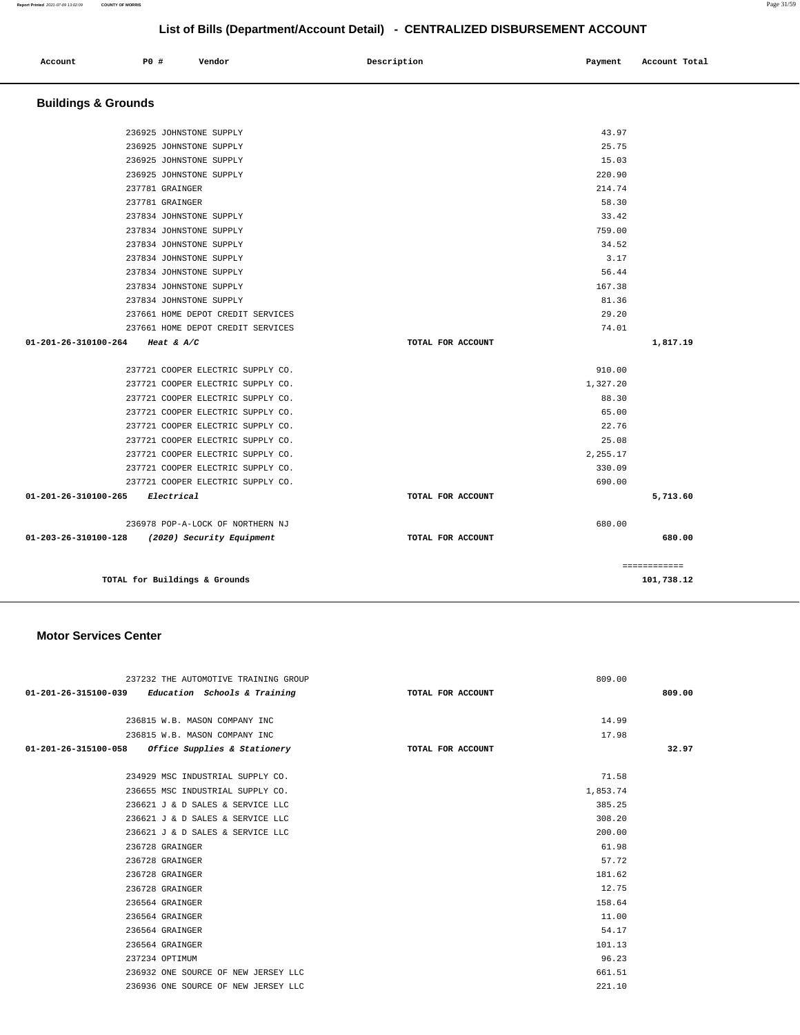| Account | P0 # | Vendor | Description | Payment Account Total |
|---------|------|--------|-------------|-----------------------|
|         |      |        |             |                       |
|         |      |        |             |                       |

| <b>Buildings &amp; Grounds</b>                              |                   |              |
|-------------------------------------------------------------|-------------------|--------------|
| 236925 JOHNSTONE SUPPLY                                     | 43.97             |              |
| 236925 JOHNSTONE SUPPLY                                     | 25.75             |              |
| 236925 JOHNSTONE SUPPLY                                     | 15.03             |              |
| 236925 JOHNSTONE SUPPLY                                     | 220.90            |              |
| 237781 GRAINGER                                             | 214.74            |              |
| 237781 GRAINGER                                             | 58.30             |              |
| 237834 JOHNSTONE SUPPLY                                     | 33.42             |              |
| 237834 JOHNSTONE SUPPLY                                     | 759.00            |              |
| 237834 JOHNSTONE SUPPLY                                     | 34.52             |              |
| 237834 JOHNSTONE SUPPLY                                     | 3.17              |              |
| 237834 JOHNSTONE SUPPLY                                     | 56.44             |              |
| 237834 JOHNSTONE SUPPLY                                     | 167.38            |              |
| 237834 JOHNSTONE SUPPLY                                     | 81.36             |              |
| 237661 HOME DEPOT CREDIT SERVICES                           | 29.20             |              |
| 237661 HOME DEPOT CREDIT SERVICES                           | 74.01             |              |
| 01-201-26-310100-264<br>Heat & $A/C$                        | TOTAL FOR ACCOUNT | 1,817.19     |
|                                                             |                   |              |
| 237721 COOPER ELECTRIC SUPPLY CO.                           | 910.00            |              |
| 237721 COOPER ELECTRIC SUPPLY CO.                           | 1,327.20          |              |
| 237721 COOPER ELECTRIC SUPPLY CO.                           | 88.30             |              |
| 237721 COOPER ELECTRIC SUPPLY CO.                           | 65.00             |              |
| 237721 COOPER ELECTRIC SUPPLY CO.                           | 22.76             |              |
| 237721 COOPER ELECTRIC SUPPLY CO.                           | 25.08             |              |
| 237721 COOPER ELECTRIC SUPPLY CO.                           | 2,255.17          |              |
| 237721 COOPER ELECTRIC SUPPLY CO.                           | 330.09            |              |
| 237721 COOPER ELECTRIC SUPPLY CO.                           | 690.00            |              |
| 01-201-26-310100-265<br>Electrical                          | TOTAL FOR ACCOUNT | 5,713.60     |
| 236978 POP-A-LOCK OF NORTHERN NJ                            | 680.00            |              |
| $01 - 203 - 26 - 310100 - 128$<br>(2020) Security Equipment | TOTAL FOR ACCOUNT | 680.00       |
|                                                             |                   | ============ |
| TOTAL for Buildings & Grounds                               |                   | 101,738.12   |

### **Motor Services Center**

| 237232 THE AUTOMOTIVE TRAINING GROUP                | 809.00            |        |
|-----------------------------------------------------|-------------------|--------|
| $01-201-26-315100-039$ Education Schools & Training | TOTAL FOR ACCOUNT | 809.00 |
|                                                     |                   |        |
| 236815 W.B. MASON COMPANY INC                       | 14.99             |        |
| 236815 W.B. MASON COMPANY INC                       | 17.98             |        |
| $01-201-26-315100-058$ Office Supplies & Stationery | TOTAL FOR ACCOUNT | 32.97  |
|                                                     |                   |        |
| 234929 MSC INDUSTRIAL SUPPLY CO.                    | 71.58             |        |
| 236655 MSC INDUSTRIAL SUPPLY CO.                    | 1,853.74          |        |
| 236621 J & D SALES & SERVICE LLC                    | 385.25            |        |
| 236621 J & D SALES & SERVICE LLC                    | 308.20            |        |
| 236621 J & D SALES & SERVICE LLC                    | 200.00            |        |
| 236728 GRAINGER                                     | 61.98             |        |
| 236728 GRAINGER                                     | 57.72             |        |
| 236728 GRAINGER                                     | 181.62            |        |
| 236728 GRAINGER                                     | 12.75             |        |
| 236564 GRAINGER                                     | 158.64            |        |
| 236564 GRAINGER                                     | 11.00             |        |
| 236564 GRAINGER                                     | 54.17             |        |
| 236564 GRAINGER                                     | 101.13            |        |
| 237234 OPTIMUM                                      | 96.23             |        |
| 236932 ONE SOURCE OF NEW JERSEY LLC                 | 661.51            |        |
| 236936 ONE SOURCE OF NEW JERSEY LLC                 | 221.10            |        |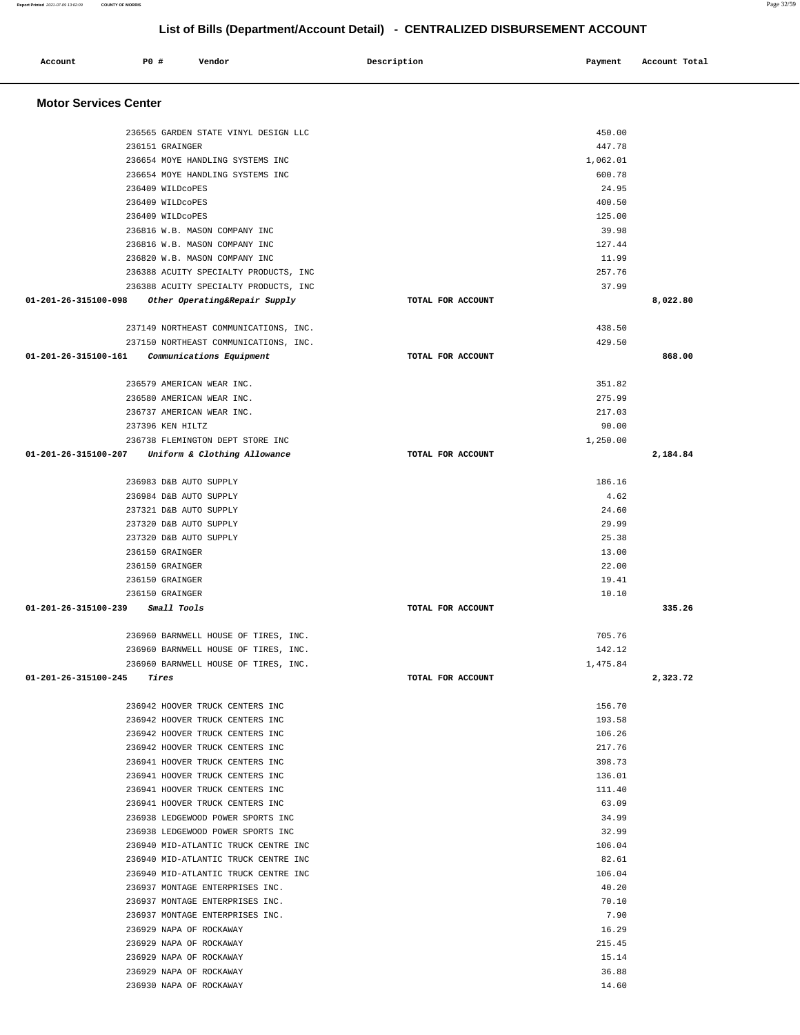| 236151 GRAINGER                                       |                   | 447.78   |          |
|-------------------------------------------------------|-------------------|----------|----------|
| 236654 MOYE HANDLING SYSTEMS INC                      |                   | 1,062.01 |          |
| 236654 MOYE HANDLING SYSTEMS INC                      |                   | 600.78   |          |
| 236409 WILDCOPES                                      |                   | 24.95    |          |
| 236409 WILDCOPES                                      |                   | 400.50   |          |
| 236409 WILDCOPES                                      |                   | 125.00   |          |
| 236816 W.B. MASON COMPANY INC                         |                   | 39.98    |          |
| 236816 W.B. MASON COMPANY INC                         |                   | 127.44   |          |
| 236820 W.B. MASON COMPANY INC                         |                   | 11.99    |          |
| 236388 ACUITY SPECIALTY PRODUCTS, INC                 |                   | 257.76   |          |
| 236388 ACUITY SPECIALTY PRODUCTS, INC                 |                   | 37.99    |          |
| 01-201-26-315100-098<br>Other Operating&Repair Supply | TOTAL FOR ACCOUNT |          | 8,022.80 |
| 237149 NORTHEAST COMMUNICATIONS, INC.                 |                   | 438.50   |          |
| 237150 NORTHEAST COMMUNICATIONS, INC.                 |                   | 429.50   |          |
| 01-201-26-315100-161<br>Communications Equipment      | TOTAL FOR ACCOUNT |          | 868.00   |
| 236579 AMERICAN WEAR INC.                             |                   | 351.82   |          |
| 236580 AMERICAN WEAR INC.                             |                   | 275.99   |          |
| 236737 AMERICAN WEAR INC.                             |                   | 217.03   |          |
| 237396 KEN HILTZ                                      |                   | 90.00    |          |
| 236738 FLEMINGTON DEPT STORE INC                      |                   | 1,250.00 |          |
| 01-201-26-315100-207 Uniform & Clothing Allowance     | TOTAL FOR ACCOUNT |          | 2,184.84 |
| 236983 D&B AUTO SUPPLY                                |                   | 186.16   |          |
| 236984 D&B AUTO SUPPLY                                |                   | 4.62     |          |
| 237321 D&B AUTO SUPPLY                                |                   | 24.60    |          |
| 237320 D&B AUTO SUPPLY                                |                   | 29.99    |          |
| 237320 D&B AUTO SUPPLY                                |                   | 25.38    |          |
| 236150 GRAINGER                                       |                   | 13.00    |          |
| 236150 GRAINGER                                       |                   | 22.00    |          |
| 236150 GRAINGER                                       |                   | 19.41    |          |
| 236150 GRAINGER                                       |                   | 10.10    |          |
| 01-201-26-315100-239<br>Small Tools                   | TOTAL FOR ACCOUNT |          | 335.26   |
|                                                       |                   |          |          |
| 236960 BARNWELL HOUSE OF TIRES, INC.                  |                   | 705.76   |          |
| 236960 BARNWELL HOUSE OF TIRES, INC.                  |                   | 142.12   |          |
| 236960 BARNWELL HOUSE OF TIRES, INC.                  |                   | 1,475.84 |          |
| 01-201-26-315100-245<br>Tires                         | TOTAL FOR ACCOUNT |          | 2,323.72 |
| 236942 HOOVER TRUCK CENTERS INC                       |                   | 156.70   |          |
| 236942 HOOVER TRUCK CENTERS INC                       |                   | 193.58   |          |
| 236942 HOOVER TRUCK CENTERS INC                       |                   | 106.26   |          |
| 236942 HOOVER TRUCK CENTERS INC                       |                   | 217.76   |          |
| 236941 HOOVER TRUCK CENTERS INC                       |                   | 398.73   |          |
| 236941 HOOVER TRUCK CENTERS INC                       |                   | 136.01   |          |
| 236941 HOOVER TRUCK CENTERS INC                       |                   | 111.40   |          |
| 236941 HOOVER TRUCK CENTERS INC                       |                   | 63.09    |          |
| 236938 LEDGEWOOD POWER SPORTS INC                     |                   | 34.99    |          |
| 236938 LEDGEWOOD POWER SPORTS INC                     |                   | 32.99    |          |
| 236940 MID-ATLANTIC TRUCK CENTRE INC                  |                   | 106.04   |          |
| 236940 MID-ATLANTIC TRUCK CENTRE INC                  |                   | 82.61    |          |
| 236940 MID-ATLANTIC TRUCK CENTRE INC                  |                   | 106.04   |          |
| 236937 MONTAGE ENTERPRISES INC.                       |                   | 40.20    |          |
| 236937 MONTAGE ENTERPRISES INC.                       |                   | 70.10    |          |
| 236937 MONTAGE ENTERPRISES INC.                       |                   | 7.90     |          |
| 236929 NAPA OF ROCKAWAY                               |                   | 16.29    |          |
| 236929 NAPA OF ROCKAWAY                               |                   | 215.45   |          |
| 236929 NAPA OF ROCKAWAY                               |                   | 15.14    |          |
| 236929 NAPA OF ROCKAWAY                               |                   | 36.88    |          |
| 236930 NAPA OF ROCKAWAY                               |                   | 14.60    |          |
|                                                       |                   |          |          |

### **Motor Services Center**

## **List of Bills (Department/Account Detail) - CENTRALIZED DISBURSEMENT ACCOUNT Account** 20 **P P**  $\uparrow$  **Payment** Payment Account Total

236565 GARDEN STATE VINYL DESIGN LLC 450.00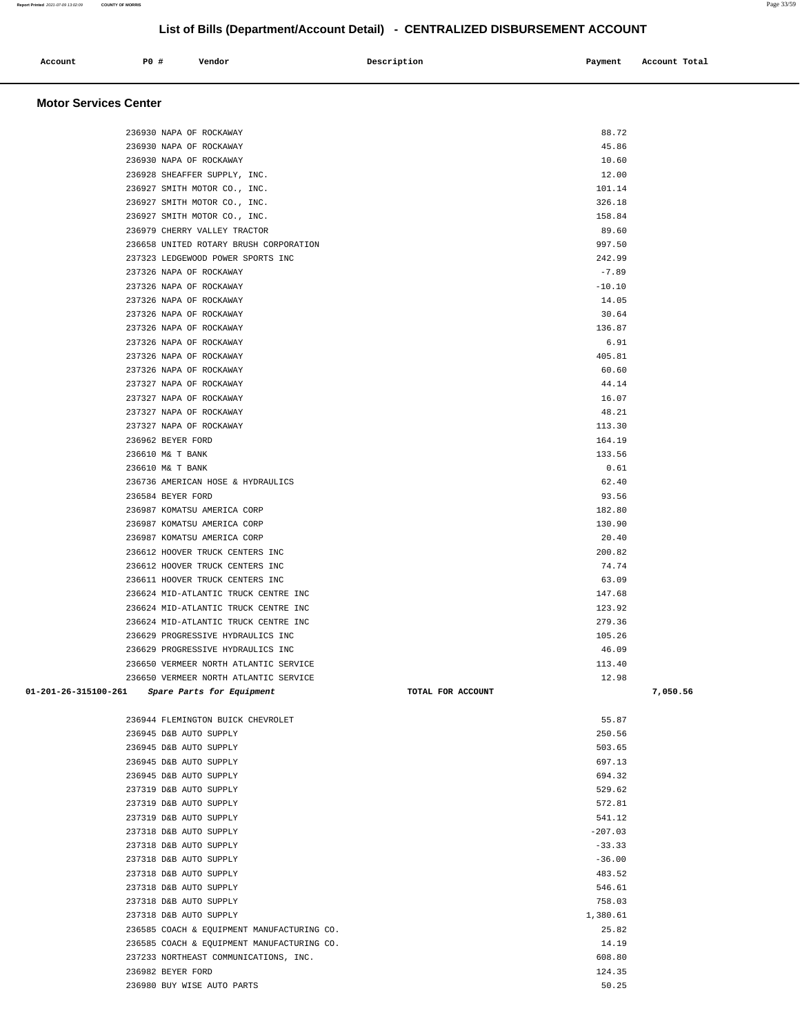### 236624 MID-ATLANTIC TRUCK CENTRE INC 123.92 236624 MID-ATLANTIC TRUCK CENTRE INC 279.36 236629 PROGRESSIVE HYDRAULICS INC 105.26 236629 PROGRESSIVE HYDRAULICS INC 46.09 236650 VERMEER NORTH ATLANTIC SERVICE 113.40 236650 VERMEER NORTH ATLANTIC SERVICE 12.98  **01-201-26-315100-261 Spare Parts for Equipment TOTAL FOR ACCOUNT 7,050.56** 236944 FLEMINGTON BUICK CHEVROLET 55.87 236945 D&B AUTO SUPPLY 250.56 236945 D&B AUTO SUPPLY 503.65 236945 D&B AUTO SUPPLY 697.13 236945 D&B AUTO SUPPLY 694.32 237319 D&B AUTO SUPPLY 529.62 237319 D&B AUTO SUPPLY 572.81 237319 D&B AUTO SUPPLY 541.12 237318 D&B AUTO SUPPLY -207.03 237318 D&B AUTO SUPPLY -33.33 237318 D&B AUTO SUPPLY -36.00 237318 D&B AUTO SUPPLY 483.52 237318 D&B AUTO SUPPLY 546.61 237318 D&B AUTO SUPPLY 758.03 237318 D&B AUTO SUPPLY 1,380.61 236585 COACH & EQUIPMENT MANUFACTURING CO. 25.82 236585 COACH & EQUIPMENT MANUFACTURING CO. 14.19 237233 NORTHEAST COMMUNICATIONS, INC. 608.80 236982 BEYER FORD 124.35 236980 BUY WISE AUTO PARTS 50.25

| 236930 NAPA OF ROCKAWAY                | 88.72    |
|----------------------------------------|----------|
| 236930 NAPA OF ROCKAWAY                | 45.86    |
| 236930 NAPA OF ROCKAWAY                | 10.60    |
| 236928 SHEAFFER SUPPLY, INC.           | 12.00    |
| 236927 SMITH MOTOR CO., INC.           | 101.14   |
| 236927 SMITH MOTOR CO., INC.           | 326.18   |
| 236927 SMITH MOTOR CO., INC.           | 158.84   |
| 236979 CHERRY VALLEY TRACTOR           | 89.60    |
| 236658 UNITED ROTARY BRUSH CORPORATION | 997.50   |
| 237323 LEDGEWOOD POWER SPORTS INC      | 242.99   |
| 237326 NAPA OF ROCKAWAY                | $-7.89$  |
| 237326 NAPA OF ROCKAWAY                | $-10.10$ |
| 237326 NAPA OF ROCKAWAY                | 14.05    |
| 237326 NAPA OF ROCKAWAY                | 30.64    |
| 237326 NAPA OF ROCKAWAY                | 136.87   |
| 237326 NAPA OF ROCKAWAY                | 6.91     |
| 237326 NAPA OF ROCKAWAY                | 405.81   |
| 237326 NAPA OF ROCKAWAY                | 60.60    |
| 237327 NAPA OF ROCKAWAY                | 44.14    |
| 237327 NAPA OF ROCKAWAY                | 16.07    |
| 237327 NAPA OF ROCKAWAY                | 48.21    |
| 237327 NAPA OF ROCKAWAY                | 113.30   |
| 236962 BEYER FORD                      | 164.19   |
| 236610 M& T BANK                       | 133.56   |
| 236610 M& T BANK                       | 0.61     |
| 236736 AMERICAN HOSE & HYDRAULICS      | 62.40    |
| 236584 BEYER FORD                      | 93.56    |
| 236987 KOMATSU AMERICA CORP            | 182.80   |
| 236987 KOMATSU AMERICA CORP            | 130.90   |
| 236987 KOMATSU AMERICA CORP            | 20.40    |
| 236612 HOOVER TRUCK CENTERS INC        | 200.82   |
| 236612 HOOVER TRUCK CENTERS INC        | 74.74    |
| 236611 HOOVER TRUCK CENTERS INC        | 63.09    |
| 236624 MID-ATLANTIC TRUCK CENTRE INC   | 147.68   |
| 236624 MID-ATLANTIC TRUCK CENTRE INC   | 123.92   |
| 236624 MID-ATLANTIC TRUCK CENTRE INC   | 279.36   |
| 236629 PROGRESSIVE HYDRAULICS INC      | 105.26   |
| 236629 PROGRESSIVE HYDRAULICS INC      | 46.09    |
| 236650 VERMEER NORTH ATLANTIC SERVICE  | 113.40   |
| 236650 VERMEER NORTH ATLANTIC SERVICE  | 12 98    |

**List of Bills (Department/Account Detail) - CENTRALIZED DISBURSEMENT ACCOUNT**

 **Motor Services Center**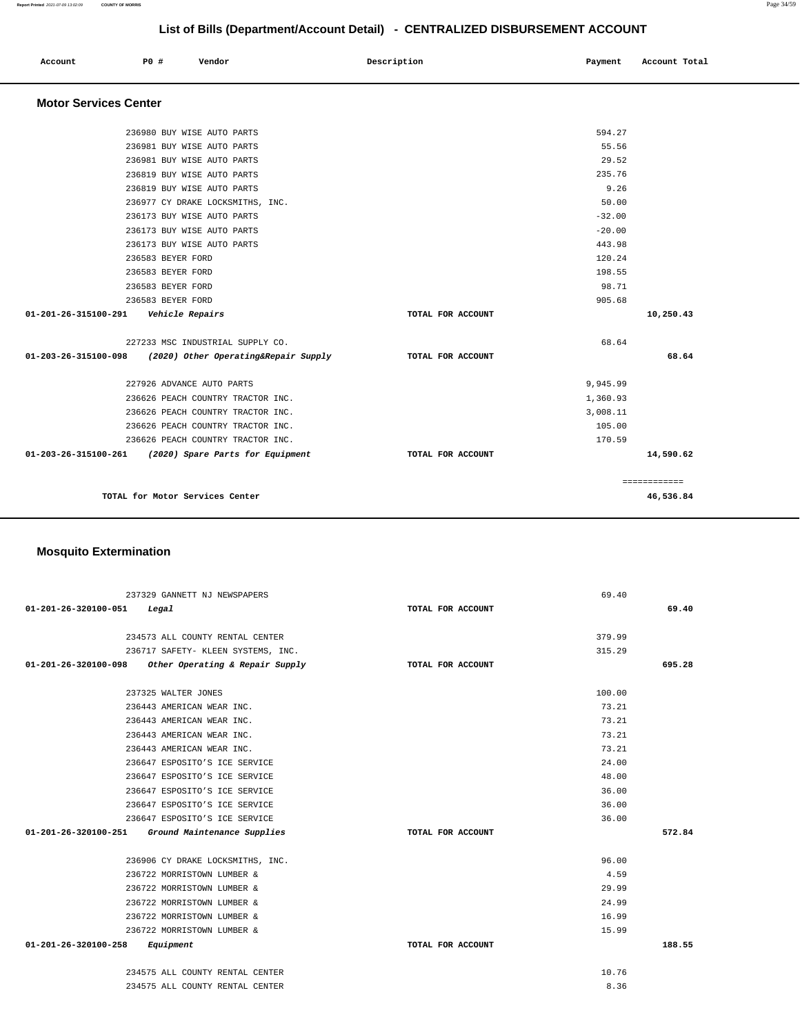| List of Bills (Department/Account Detail) - CENTRALIZED DISBURSEMENT ACCOUNT |  |                   |                                      |                   |          |               |
|------------------------------------------------------------------------------|--|-------------------|--------------------------------------|-------------------|----------|---------------|
| Account                                                                      |  | P0 #              | Vendor                               | Description       | Payment  | Account Total |
| <b>Motor Services Center</b>                                                 |  |                   |                                      |                   |          |               |
|                                                                              |  |                   | 236980 BUY WISE AUTO PARTS           |                   | 594.27   |               |
|                                                                              |  |                   | 236981 BUY WISE AUTO PARTS           |                   | 55.56    |               |
|                                                                              |  |                   | 236981 BUY WISE AUTO PARTS           |                   | 29.52    |               |
|                                                                              |  |                   | 236819 BUY WISE AUTO PARTS           |                   | 235.76   |               |
|                                                                              |  |                   | 236819 BUY WISE AUTO PARTS           |                   | 9.26     |               |
|                                                                              |  |                   | 236977 CY DRAKE LOCKSMITHS, INC.     |                   | 50.00    |               |
|                                                                              |  |                   | 236173 BUY WISE AUTO PARTS           |                   | $-32.00$ |               |
|                                                                              |  |                   | 236173 BUY WISE AUTO PARTS           |                   | $-20.00$ |               |
|                                                                              |  |                   | 236173 BUY WISE AUTO PARTS           |                   | 443.98   |               |
|                                                                              |  | 236583 BEYER FORD |                                      |                   | 120.24   |               |
|                                                                              |  | 236583 BEYER FORD |                                      |                   | 198.55   |               |
|                                                                              |  | 236583 BEYER FORD |                                      |                   | 98.71    |               |
|                                                                              |  | 236583 BEYER FORD |                                      |                   | 905.68   |               |
| 01-201-26-315100-291                                                         |  |                   | Vehicle Repairs                      | TOTAL FOR ACCOUNT |          | 10,250.43     |
|                                                                              |  |                   | 227233 MSC INDUSTRIAL SUPPLY CO.     |                   | 68.64    |               |
| 01-203-26-315100-098                                                         |  |                   | (2020) Other Operating&Repair Supply | TOTAL FOR ACCOUNT |          | 68.64         |
|                                                                              |  |                   | 227926 ADVANCE AUTO PARTS            |                   | 9,945.99 |               |
|                                                                              |  |                   | 236626 PEACH COUNTRY TRACTOR INC.    |                   | 1,360.93 |               |
|                                                                              |  |                   | 236626 PEACH COUNTRY TRACTOR INC.    |                   | 3,008.11 |               |
|                                                                              |  |                   | 236626 PEACH COUNTRY TRACTOR INC.    |                   | 105.00   |               |
|                                                                              |  |                   | 236626 PEACH COUNTRY TRACTOR INC.    |                   | 170.59   |               |

| Z300Z0 PEACH COUNIRI IRACIOR INC. |                                  |                   | <b>170.39</b> |
|-----------------------------------|----------------------------------|-------------------|---------------|
| 01-203-26-315100-261              | (2020) Spare Parts for Equipment | TOTAL FOR ACCOUNT | 14,590.62     |
|                                   |                                  |                   |               |
|                                   |                                  |                   |               |
|                                   | TOTAL for Motor Services Center  |                   | 46,536.84     |
|                                   |                                  |                   |               |

### **Mosquito Extermination**

L,

|                                          | 237329 GANNETT NJ NEWSPAPERS                         |                   | 69.40  |        |
|------------------------------------------|------------------------------------------------------|-------------------|--------|--------|
| $01 - 201 - 26 - 320100 - 051$ Legal     |                                                      | TOTAL FOR ACCOUNT |        | 69.40  |
|                                          |                                                      |                   |        |        |
|                                          | 234573 ALL COUNTY RENTAL CENTER                      |                   | 379.99 |        |
|                                          | 236717 SAFETY- KLEEN SYSTEMS, INC.                   |                   | 315.29 |        |
|                                          | 01-201-26-320100-098 Other Operating & Repair Supply | TOTAL FOR ACCOUNT |        | 695.28 |
|                                          | 237325 WALTER JONES                                  |                   | 100.00 |        |
|                                          | 236443 AMERICAN WEAR INC.                            |                   | 73.21  |        |
|                                          | 236443 AMERICAN WEAR INC.                            |                   | 73.21  |        |
|                                          | 236443 AMERICAN WEAR INC.                            |                   | 73.21  |        |
|                                          | 236443 AMERICAN WEAR INC.                            |                   | 73.21  |        |
|                                          | 236647 ESPOSITO'S ICE SERVICE                        |                   | 24.00  |        |
|                                          | 236647 ESPOSITO'S ICE SERVICE                        |                   | 48.00  |        |
|                                          | 236647 ESPOSITO'S ICE SERVICE                        |                   | 36.00  |        |
|                                          | 236647 ESPOSITO'S ICE SERVICE                        |                   | 36.00  |        |
|                                          | 236647 ESPOSITO'S ICE SERVICE                        |                   | 36.00  |        |
|                                          | 01-201-26-320100-251 Ground Maintenance Supplies     | TOTAL FOR ACCOUNT |        | 572.84 |
|                                          | 236906 CY DRAKE LOCKSMITHS, INC.                     |                   | 96.00  |        |
|                                          | 236722 MORRISTOWN LUMBER &                           |                   | 4.59   |        |
|                                          | 236722 MORRISTOWN LUMBER &                           |                   | 29.99  |        |
|                                          | 236722 MORRISTOWN LUMBER &                           |                   | 24.99  |        |
|                                          | 236722 MORRISTOWN LUMBER &                           |                   | 16.99  |        |
|                                          | 236722 MORRISTOWN LUMBER &                           |                   | 15.99  |        |
| $01 - 201 - 26 - 320100 - 258$ Equipment |                                                      | TOTAL FOR ACCOUNT |        | 188.55 |
|                                          | 234575 ALL COUNTY RENTAL CENTER                      |                   | 10.76  |        |
|                                          | 234575 ALL COUNTY RENTAL CENTER                      |                   | 8.36   |        |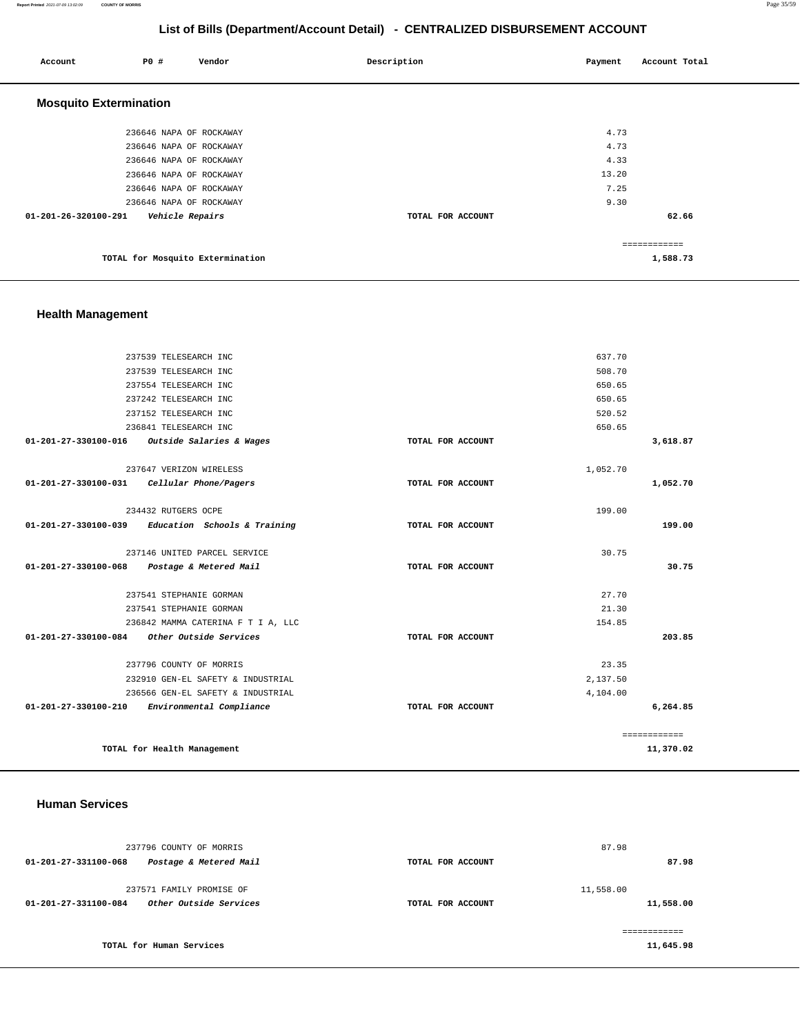### **Report Printed** 2021-07-09 13:02:09 **COUNTY OF MORRIS** Page 35/59

### **List of Bills (Department/Account Detail) - CENTRALIZED DISBURSEMENT ACCOUNT**

| Account                       | P0# | Vendor                           | Description       | Payment | Account Total |
|-------------------------------|-----|----------------------------------|-------------------|---------|---------------|
| <b>Mosquito Extermination</b> |     |                                  |                   |         |               |
|                               |     | 236646 NAPA OF ROCKAWAY          |                   | 4.73    |               |
|                               |     | 236646 NAPA OF ROCKAWAY          |                   | 4.73    |               |
|                               |     | 236646 NAPA OF ROCKAWAY          |                   | 4.33    |               |
|                               |     | 236646 NAPA OF ROCKAWAY          |                   | 13.20   |               |
|                               |     | 236646 NAPA OF ROCKAWAY          |                   | 7.25    |               |
|                               |     | 236646 NAPA OF ROCKAWAY          |                   | 9.30    |               |
| 01-201-26-320100-291          |     | Vehicle Repairs                  | TOTAL FOR ACCOUNT |         | 62.66         |
|                               |     |                                  |                   |         | ------------- |
|                               |     | TOTAL for Mosquito Extermination |                   |         | 1,588.73      |

### **Health Management**

| 237539 TELESEARCH INC                                          | 637.70            |              |
|----------------------------------------------------------------|-------------------|--------------|
| 237539 TELESEARCH INC                                          | 508.70            |              |
| 237554 TELESEARCH INC                                          | 650.65            |              |
| 237242 TELESEARCH INC                                          | 650.65            |              |
| 237152 TELESEARCH INC                                          | 520.52            |              |
| 236841 TELESEARCH INC                                          | 650.65            |              |
| Outside Salaries & Wages<br>01-201-27-330100-016               | TOTAL FOR ACCOUNT | 3,618.87     |
| 237647 VERIZON WIRELESS                                        | 1,052.70          |              |
| 01-201-27-330100-031    Cellular Phone/Pagers                  | TOTAL FOR ACCOUNT | 1,052.70     |
|                                                                |                   |              |
| 234432 RUTGERS OCPE                                            | 199.00            |              |
| Education Schools & Training<br>$01 - 201 - 27 - 330100 - 039$ | TOTAL FOR ACCOUNT | 199.00       |
| 237146 UNITED PARCEL SERVICE                                   | 30.75             |              |
| 01-201-27-330100-068 Postage & Metered Mail                    | TOTAL FOR ACCOUNT | 30.75        |
| 237541 STEPHANIE GORMAN                                        | 27.70             |              |
| 237541 STEPHANIE GORMAN                                        | 21.30             |              |
| 236842 MAMMA CATERINA F T I A, LLC                             | 154.85            |              |
| 01-201-27-330100-084 Other Outside Services                    | TOTAL FOR ACCOUNT | 203.85       |
|                                                                |                   |              |
| 237796 COUNTY OF MORRIS                                        | 23.35             |              |
| 232910 GEN-EL SAFETY & INDUSTRIAL                              | 2,137.50          |              |
| 236566 GEN-EL SAFETY & INDUSTRIAL                              | 4,104.00          |              |
| 01-201-27-330100-210 Environmental Compliance                  | TOTAL FOR ACCOUNT | 6,264.85     |
|                                                                |                   | ============ |
| TOTAL for Health Management                                    |                   | 11,370.02    |
|                                                                |                   |              |

### **Human Services**

| 237796 COUNTY OF MORRIS                                                    |                   | 87.98                  |
|----------------------------------------------------------------------------|-------------------|------------------------|
| Postage & Metered Mail<br>01-201-27-331100-068                             | TOTAL FOR ACCOUNT | 87.98                  |
| 237571 FAMILY PROMISE OF<br>Other Outside Services<br>01-201-27-331100-084 | TOTAL FOR ACCOUNT | 11,558.00<br>11,558.00 |
| TOTAL for Human Services                                                   |                   | 11,645.98              |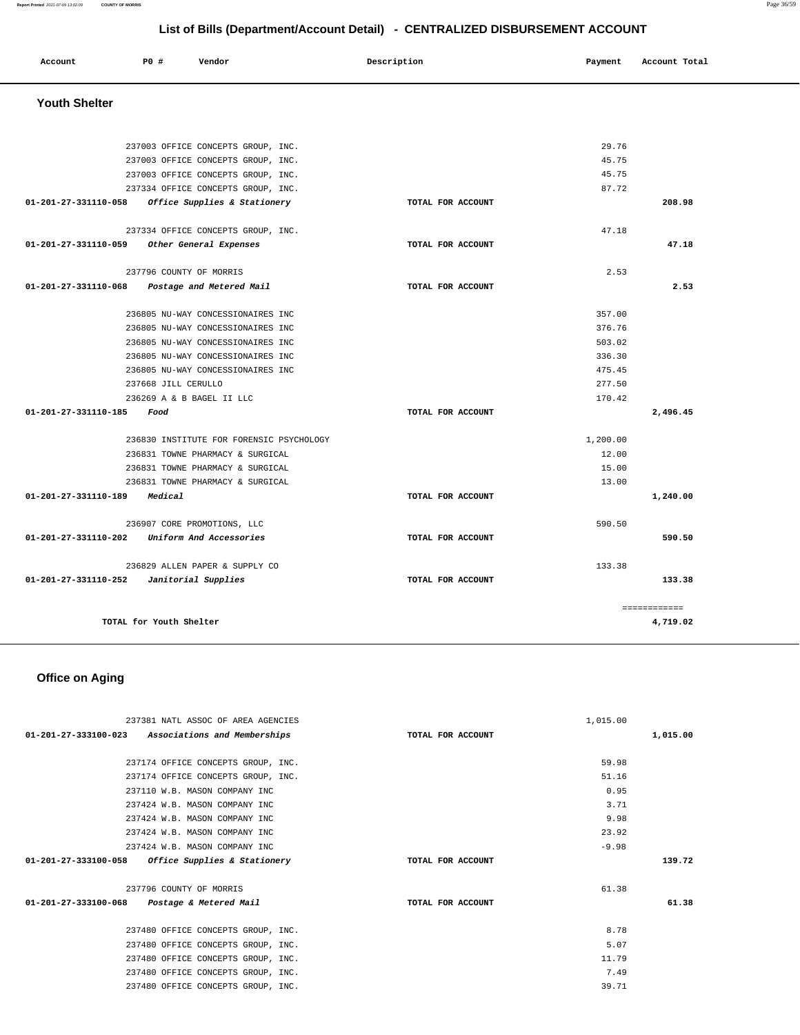### **Report Printed** 2021-07-09 13:02:09 **COUNTY OF MORRIS** Page 36/59

## **List of Bills (Department/Account Detail) - CENTRALIZED DISBURSEMENT ACCOUNT**

| Account | P0# | Vendor | Description | Payment | Account Total |
|---------|-----|--------|-------------|---------|---------------|
|         |     |        |             |         |               |

### **Youth Shelter**

| 237003 OFFICE CONCEPTS GROUP, INC.                         |                   | 29.76        |          |
|------------------------------------------------------------|-------------------|--------------|----------|
| 237003 OFFICE CONCEPTS GROUP, INC.                         |                   | 45.75        |          |
| 237003 OFFICE CONCEPTS GROUP, INC.                         |                   | 45.75        |          |
| 237334 OFFICE CONCEPTS GROUP, INC.                         |                   | 87.72        |          |
| 01-201-27-331110-058 Office Supplies & Stationery          | TOTAL FOR ACCOUNT |              | 208.98   |
| 237334 OFFICE CONCEPTS GROUP, INC.                         |                   | 47.18        |          |
| 01-201-27-331110-059<br>Other General Expenses             | TOTAL FOR ACCOUNT |              | 47.18    |
|                                                            |                   |              |          |
| 237796 COUNTY OF MORRIS                                    |                   | 2.53         |          |
| $01 - 201 - 27 - 331110 - 068$<br>Postage and Metered Mail | TOTAL FOR ACCOUNT |              | 2.53     |
| 236805 NU-WAY CONCESSIONAIRES INC                          |                   | 357.00       |          |
|                                                            |                   | 376.76       |          |
| 236805 NU-WAY CONCESSIONAIRES INC                          |                   | 503.02       |          |
| 236805 NU-WAY CONCESSIONAIRES INC                          |                   |              |          |
| 236805 NU-WAY CONCESSIONAIRES INC                          |                   | 336.30       |          |
| 236805 NU-WAY CONCESSIONAIRES INC                          |                   | 475.45       |          |
| 237668 JILL CERULLO                                        |                   | 277.50       |          |
| 236269 A & B BAGEL II LLC                                  |                   | 170.42       |          |
| 01-201-27-331110-185 Food                                  | TOTAL FOR ACCOUNT |              | 2,496.45 |
| 236830 INSTITUTE FOR FORENSIC PSYCHOLOGY                   |                   | 1,200.00     |          |
| 236831 TOWNE PHARMACY & SURGICAL                           |                   | 12.00        |          |
| 236831 TOWNE PHARMACY & SURGICAL                           |                   | 15.00        |          |
| 236831 TOWNE PHARMACY & SURGICAL                           |                   | 13.00        |          |
| 01-201-27-331110-189 Medical                               | TOTAL FOR ACCOUNT |              | 1,240.00 |
| 236907 CORE PROMOTIONS, LLC                                |                   | 590.50       |          |
| $01 - 201 - 27 - 331110 - 202$<br>Uniform And Accessories  | TOTAL FOR ACCOUNT |              | 590.50   |
|                                                            |                   |              |          |
| 236829 ALLEN PAPER & SUPPLY CO                             |                   | 133.38       |          |
| 01-201-27-331110-252 Janitorial Supplies                   | TOTAL FOR ACCOUNT |              | 133.38   |
|                                                            |                   | ============ |          |
| TOTAL for Youth Shelter                                    |                   |              | 4,719.02 |
|                                                            |                   |              |          |

## **Office on Aging**

| 237381 NATL ASSOC OF AREA AGENCIES                |                   | 1,015,00 |          |
|---------------------------------------------------|-------------------|----------|----------|
| 01-201-27-333100-023 Associations and Memberships | TOTAL FOR ACCOUNT |          | 1,015.00 |
|                                                   |                   |          |          |
| 237174 OFFICE CONCEPTS GROUP, INC.                |                   | 59.98    |          |
| 237174 OFFICE CONCEPTS GROUP, INC.                |                   | 51.16    |          |
| 237110 W.B. MASON COMPANY INC                     |                   | 0.95     |          |
| 237424 W.B. MASON COMPANY INC                     |                   | 3.71     |          |
| 237424 W.B. MASON COMPANY INC                     |                   | 9.98     |          |
| 237424 W.B. MASON COMPANY INC                     |                   | 23.92    |          |
| 237424 W.B. MASON COMPANY INC                     |                   | $-9.98$  |          |
| 01-201-27-333100-058 Office Supplies & Stationery | TOTAL FOR ACCOUNT |          | 139.72   |
|                                                   |                   |          |          |
| 237796 COUNTY OF MORRIS                           |                   | 61.38    |          |
| 01-201-27-333100-068 Postage & Metered Mail       | TOTAL FOR ACCOUNT |          | 61.38    |
|                                                   |                   |          |          |
| 237480 OFFICE CONCEPTS GROUP, INC.                |                   | 8.78     |          |
| 237480 OFFICE CONCEPTS GROUP, INC.                |                   | 5.07     |          |
| 237480 OFFICE CONCEPTS GROUP, INC.                |                   | 11.79    |          |
| 237480 OFFICE CONCEPTS GROUP, INC.                |                   | 7.49     |          |
| 237480 OFFICE CONCEPTS GROUP, INC.                |                   | 39.71    |          |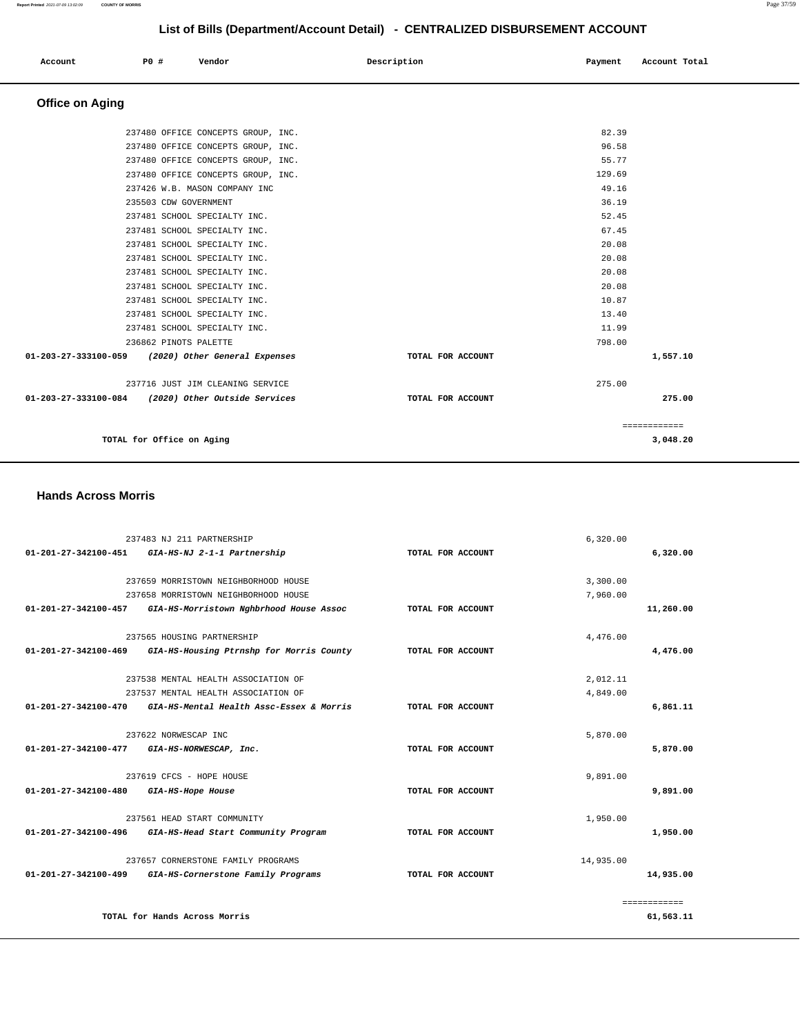| Account | P0 # | Vendor | Description | Payment Account Total<br>. |
|---------|------|--------|-------------|----------------------------|
|         |      |        |             |                            |

## **Office on Aging**

| TOTAL for Office on Aging                          |                   | 3,048.20     |
|----------------------------------------------------|-------------------|--------------|
|                                                    |                   | ============ |
| 01-203-27-333100-084 (2020) Other Outside Services | TOTAL FOR ACCOUNT | 275.00       |
| 237716 JUST JIM CLEANING SERVICE                   | 275.00            |              |
|                                                    |                   |              |
| 01-203-27-333100-059 (2020) Other General Expenses | TOTAL FOR ACCOUNT | 1,557.10     |
| 236862 PINOTS PALETTE                              | 798.00            |              |
| 237481 SCHOOL SPECIALTY INC.                       | 11.99             |              |
| 237481 SCHOOL SPECIALTY INC.                       | 13.40             |              |
| 237481 SCHOOL SPECIALTY INC.                       | 10.87             |              |
| 237481 SCHOOL SPECIALTY INC.                       | 20.08             |              |
| 237481 SCHOOL SPECIALTY INC.                       | 20.08             |              |
| 237481 SCHOOL SPECIALTY INC.                       | 20.08             |              |
| 237481 SCHOOL SPECIALTY INC.                       | 20.08             |              |
| 237481 SCHOOL SPECIALTY INC.                       | 67.45             |              |
| 237481 SCHOOL SPECIALTY INC.                       | 52.45             |              |
| 235503 CDW GOVERNMENT                              | 36.19             |              |
| 237426 W.B. MASON COMPANY INC                      | 49.16             |              |
| 237480 OFFICE CONCEPTS GROUP, INC.                 | 129.69            |              |
| 237480 OFFICE CONCEPTS GROUP, INC.                 | 55.77             |              |
| 237480 OFFICE CONCEPTS GROUP, INC.                 | 96.58             |              |
| 237480 OFFICE CONCEPTS GROUP, INC.                 | 82.39             |              |

### **Hands Across Morris**

|                                | 237483 NJ 211 PARTNERSHIP                |                   | 6,320.00     |
|--------------------------------|------------------------------------------|-------------------|--------------|
| 01-201-27-342100-451           | GIA-HS-NJ 2-1-1 Partnership              | TOTAL FOR ACCOUNT | 6,320.00     |
|                                |                                          |                   |              |
|                                | 237659 MORRISTOWN NEIGHBORHOOD HOUSE     |                   | 3,300.00     |
|                                | 237658 MORRISTOWN NEIGHBORHOOD HOUSE     |                   | 7,960.00     |
| $01 - 201 - 27 - 342100 - 457$ | GIA-HS-Morristown Nghbrhood House Assoc  | TOTAL FOR ACCOUNT | 11,260.00    |
|                                | 237565 HOUSING PARTNERSHIP               |                   | 4,476.00     |
| $01 - 201 - 27 - 342100 - 469$ | GIA-HS-Housing Ptrnshp for Morris County | TOTAL FOR ACCOUNT | 4,476.00     |
|                                | 237538 MENTAL HEALTH ASSOCIATION OF      |                   | 2,012.11     |
|                                |                                          |                   |              |
|                                | 237537 MENTAL HEALTH ASSOCIATION OF      |                   | 4,849.00     |
| 01-201-27-342100-470           | GIA-HS-Mental Health Assc-Essex & Morris | TOTAL FOR ACCOUNT | 6,861.11     |
|                                | 237622 NORWESCAP INC                     |                   | 5,870.00     |
| $01 - 201 - 27 - 342100 - 477$ | GIA-HS-NORWESCAP, Inc.                   | TOTAL FOR ACCOUNT | 5,870.00     |
|                                | 237619 CFCS - HOPE HOUSE                 |                   | 9,891.00     |
| $01 - 201 - 27 - 342100 - 480$ | GIA-HS-Hope House                        | TOTAL FOR ACCOUNT | 9,891.00     |
|                                |                                          |                   |              |
|                                | 237561 HEAD START COMMUNITY              |                   | 1,950.00     |
| 01-201-27-342100-496           | GIA-HS-Head Start Community Program      | TOTAL FOR ACCOUNT | 1,950.00     |
|                                | 237657 CORNERSTONE FAMILY PROGRAMS       |                   | 14,935.00    |
| $01 - 201 - 27 - 342100 - 499$ | GIA-HS-Cornerstone Family Programs       | TOTAL FOR ACCOUNT | 14,935.00    |
|                                |                                          |                   |              |
|                                |                                          |                   | ============ |
|                                | TOTAL for Hands Across Morris            |                   | 61,563.11    |
|                                |                                          |                   |              |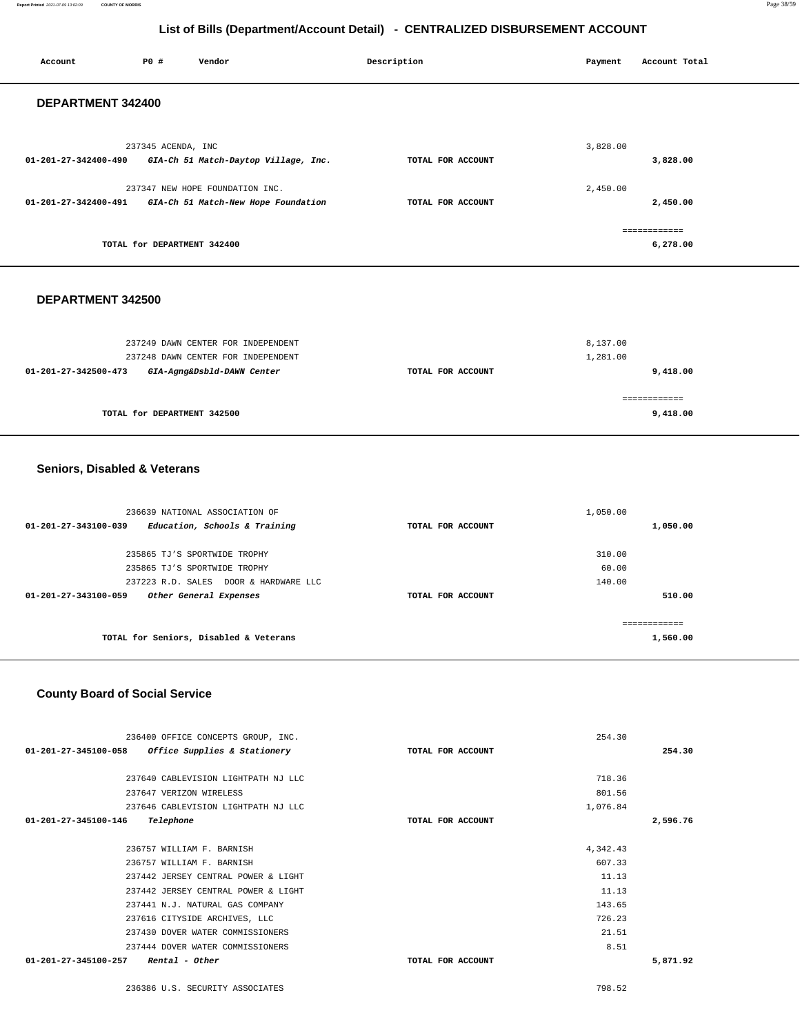| Account              | <b>PO #</b>                 | Vendor                               | Description       | Payment  | Account Total            |
|----------------------|-----------------------------|--------------------------------------|-------------------|----------|--------------------------|
| DEPARTMENT 342400    |                             |                                      |                   |          |                          |
| 01-201-27-342400-490 | 237345 ACENDA, INC          | GIA-Ch 51 Match-Daytop Village, Inc. | TOTAL FOR ACCOUNT | 3,828.00 | 3,828.00                 |
|                      |                             | 237347 NEW HOPE FOUNDATION INC.      |                   | 2,450.00 |                          |
| 01-201-27-342400-491 |                             | GIA-Ch 51 Match-New Hope Foundation  | TOTAL FOR ACCOUNT |          | 2,450.00                 |
|                      | TOTAL for DEPARTMENT 342400 |                                      |                   |          | ============<br>6,278.00 |

### **DEPARTMENT 342500**

| 237249 DAWN CENTER FOR INDEPENDENT                                                       |                   | 8,137.00             |
|------------------------------------------------------------------------------------------|-------------------|----------------------|
| 237248 DAWN CENTER FOR INDEPENDENT<br>GIA-Agng&Dsbld-DAWN Center<br>01-201-27-342500-473 | TOTAL FOR ACCOUNT | 1,281.00<br>9,418.00 |
|                                                                                          |                   |                      |
| TOTAL for DEPARTMENT 342500                                                              |                   | 9,418.00             |

### **Seniors, Disabled & Veterans**

| 236639 NATIONAL ASSOCIATION OF                                  |                   | 1,050.00 |
|-----------------------------------------------------------------|-------------------|----------|
| Education, Schools & Training<br>$01 - 201 - 27 - 343100 - 039$ | TOTAL FOR ACCOUNT | 1,050.00 |
|                                                                 |                   |          |
| 235865 TJ'S SPORTWIDE TROPHY                                    |                   | 310.00   |
| 235865 TJ'S SPORTWIDE TROPHY                                    |                   | 60.00    |
| 237223 R.D. SALES DOOR & HARDWARE LLC                           |                   | 140.00   |
| $01 - 201 - 27 - 343100 - 059$<br>Other General Expenses        | TOTAL FOR ACCOUNT | 510.00   |
|                                                                 |                   |          |
| TOTAL for Seniors, Disabled & Veterans                          |                   | 1,560.00 |

### **County Board of Social Service**

| 236400 OFFICE CONCEPTS GROUP, INC.                             |                   | 254.30   |          |
|----------------------------------------------------------------|-------------------|----------|----------|
| Office Supplies & Stationery<br>$01 - 201 - 27 - 345100 - 058$ | TOTAL FOR ACCOUNT |          | 254.30   |
|                                                                |                   |          |          |
| 237640 CABLEVISION LIGHTPATH NJ LLC                            |                   | 718.36   |          |
| 237647 VERIZON WIRELESS                                        |                   | 801.56   |          |
| 237646 CABLEVISION LIGHTPATH NJ LLC                            |                   | 1,076.84 |          |
| 01-201-27-345100-146<br>Telephone                              | TOTAL FOR ACCOUNT |          | 2,596.76 |
|                                                                |                   |          |          |
| 236757 WILLIAM F. BARNISH                                      |                   | 4,342.43 |          |
| 236757 WILLIAM F. BARNISH                                      |                   | 607.33   |          |
| 237442 JERSEY CENTRAL POWER & LIGHT                            |                   | 11.13    |          |
| 237442 JERSEY CENTRAL POWER & LIGHT                            |                   | 11.13    |          |
| 237441 N.J. NATURAL GAS COMPANY                                |                   | 143.65   |          |
| 237616 CITYSIDE ARCHIVES, LLC                                  |                   | 726.23   |          |
| 237430 DOVER WATER COMMISSIONERS                               |                   | 21.51    |          |
| 237444 DOVER WATER COMMISSIONERS                               |                   | 8.51     |          |
| 01-201-27-345100-257<br>Rental - Other                         | TOTAL FOR ACCOUNT |          | 5,871.92 |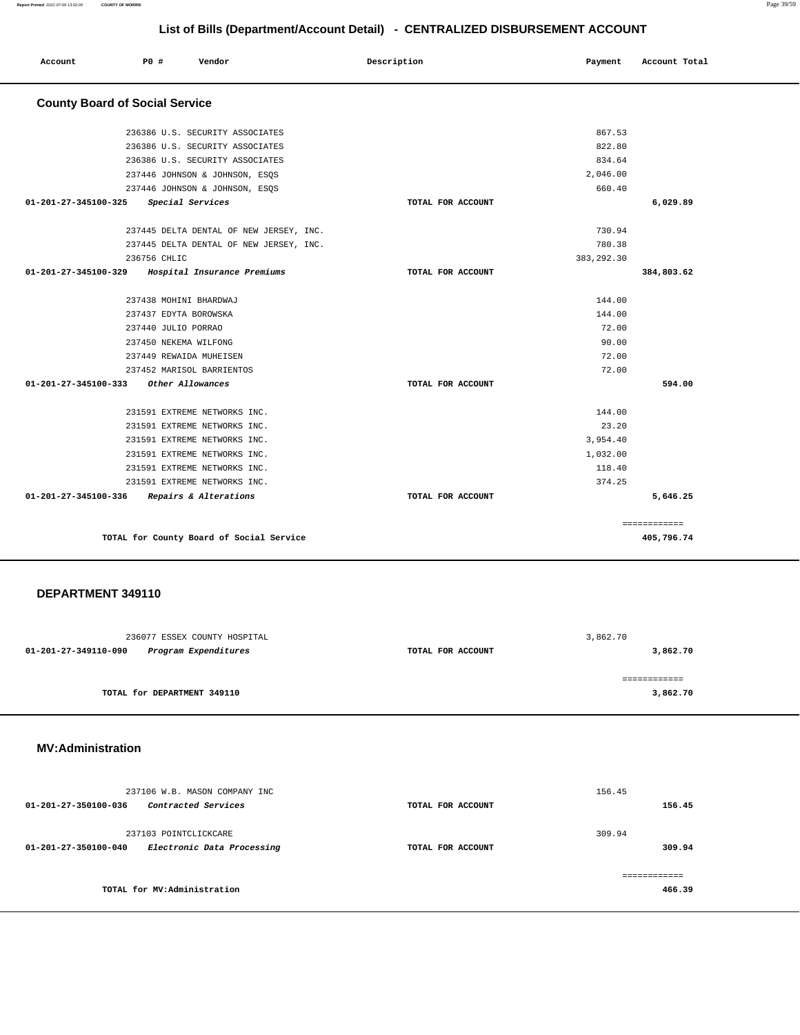| Account                               | P0 #         | Vendor                                   | Description       | Payment     | Account Total |
|---------------------------------------|--------------|------------------------------------------|-------------------|-------------|---------------|
| <b>County Board of Social Service</b> |              |                                          |                   |             |               |
|                                       |              | 236386 U.S. SECURITY ASSOCIATES          |                   | 867.53      |               |
|                                       |              | 236386 U.S. SECURITY ASSOCIATES          |                   | 822.80      |               |
|                                       |              | 236386 U.S. SECURITY ASSOCIATES          |                   | 834.64      |               |
|                                       |              | 237446 JOHNSON & JOHNSON, ESQS           |                   | 2,046.00    |               |
|                                       |              | 237446 JOHNSON & JOHNSON, ESQS           |                   | 660.40      |               |
| 01-201-27-345100-325                  |              | Special Services                         | TOTAL FOR ACCOUNT |             | 6,029.89      |
|                                       |              | 237445 DELTA DENTAL OF NEW JERSEY, INC.  |                   | 730.94      |               |
|                                       |              | 237445 DELTA DENTAL OF NEW JERSEY, INC.  |                   | 780.38      |               |
|                                       | 236756 CHLIC |                                          |                   | 383, 292.30 |               |
| 01-201-27-345100-329                  |              | Hospital Insurance Premiums              | TOTAL FOR ACCOUNT |             | 384,803.62    |
|                                       |              | 237438 MOHINI BHARDWAJ                   |                   | 144.00      |               |
|                                       |              | 237437 EDYTA BOROWSKA                    |                   | 144.00      |               |
|                                       |              | 237440 JULIO PORRAO                      |                   | 72.00       |               |
|                                       |              | 237450 NEKEMA WILFONG                    |                   | 90.00       |               |
|                                       |              | 237449 REWAIDA MUHEISEN                  |                   | 72.00       |               |
|                                       |              | 237452 MARISOL BARRIENTOS                |                   | 72.00       |               |
| 01-201-27-345100-333                  |              | Other Allowances                         | TOTAL FOR ACCOUNT |             | 594.00        |
|                                       |              | 231591 EXTREME NETWORKS INC.             |                   | 144.00      |               |
|                                       |              | 231591 EXTREME NETWORKS INC.             |                   | 23.20       |               |
|                                       |              | 231591 EXTREME NETWORKS INC.             |                   | 3,954.40    |               |
|                                       |              | 231591 EXTREME NETWORKS INC.             |                   | 1,032.00    |               |
|                                       |              | 231591 EXTREME NETWORKS INC.             |                   | 118.40      |               |
|                                       |              | 231591 EXTREME NETWORKS INC.             |                   | 374.25      |               |
| 01-201-27-345100-336                  |              | Repairs & Alterations                    | TOTAL FOR ACCOUNT |             | 5,646.25      |
|                                       |              |                                          |                   |             | ============  |
|                                       |              | TOTAL for County Board of Social Service |                   |             | 405,796.74    |

### **DEPARTMENT 349110**

| 236077 ESSEX COUNTY HOSPITAL                 |                   | 3,862.70     |
|----------------------------------------------|-------------------|--------------|
| 01-201-27-349110-090<br>Program Expenditures | TOTAL FOR ACCOUNT | 3,862.70     |
|                                              |                   |              |
|                                              |                   | ============ |
| TOTAL for DEPARTMENT 349110                  |                   | 3,862.70     |
|                                              |                   |              |

### **MV:Administration**

| 237106 W.B. MASON COMPANY INC<br>Contracted Services<br>$01 - 201 - 27 - 350100 - 036$ | TOTAL FOR ACCOUNT | 156.45<br>156.45        |
|----------------------------------------------------------------------------------------|-------------------|-------------------------|
| 237103 POINTCLICKCARE<br>Electronic Data Processing<br>01-201-27-350100-040            | TOTAL FOR ACCOUNT | 309.94<br>309.94        |
| TOTAL for MV:Administration                                                            |                   | -------------<br>466.39 |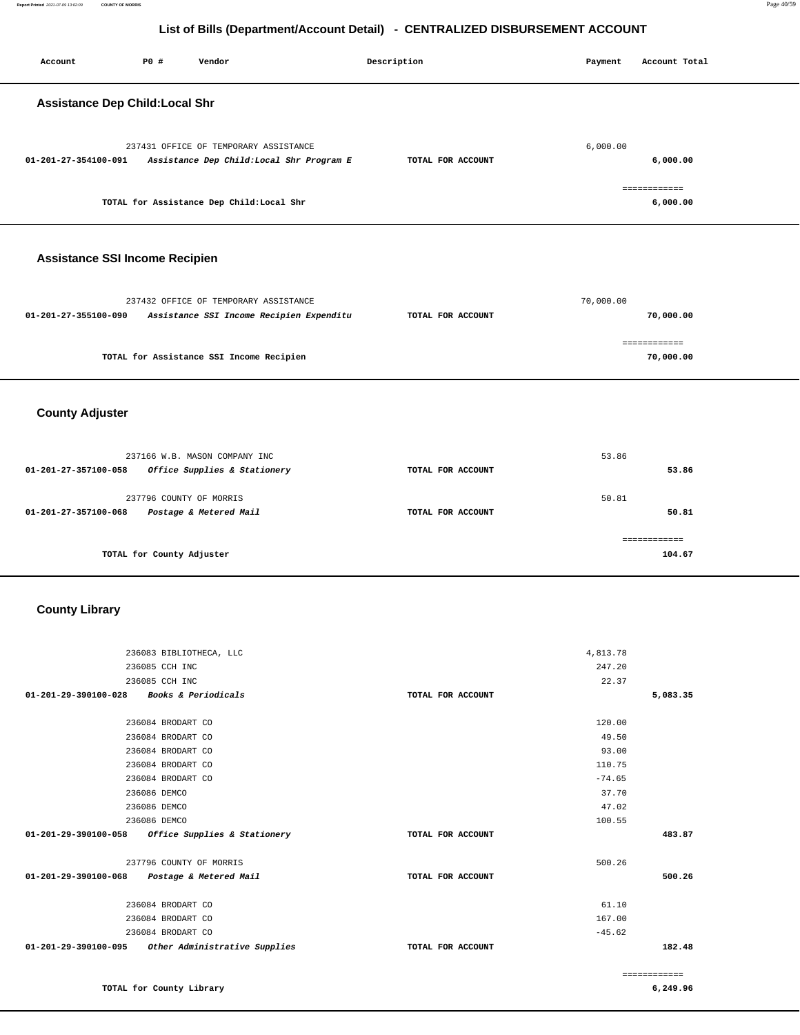**104.67**

### **List of Bills (Department/Account Detail) - CENTRALIZED DISBURSEMENT ACCOUNT**

|                                       |                         | List of Bins (Bepartment/Rossum Betail)                                            | --------------    |           |                           |
|---------------------------------------|-------------------------|------------------------------------------------------------------------------------|-------------------|-----------|---------------------------|
| Account                               | P0 #                    | Vendor                                                                             | Description       | Payment   | Account Total             |
| <b>Assistance Dep Child:Local Shr</b> |                         |                                                                                    |                   |           |                           |
| 01-201-27-354100-091                  |                         | 237431 OFFICE OF TEMPORARY ASSISTANCE<br>Assistance Dep Child: Local Shr Program E | TOTAL FOR ACCOUNT | 6,000.00  | 6,000.00                  |
|                                       |                         | TOTAL for Assistance Dep Child:Local Shr                                           |                   |           | ============<br>6,000.00  |
| <b>Assistance SSI Income Recipien</b> |                         |                                                                                    |                   |           |                           |
| 01-201-27-355100-090                  |                         | 237432 OFFICE OF TEMPORARY ASSISTANCE<br>Assistance SSI Income Recipien Expenditu  | TOTAL FOR ACCOUNT | 70,000.00 | 70,000.00                 |
|                                       |                         | TOTAL for Assistance SSI Income Recipien                                           |                   |           | ============<br>70,000.00 |
| <b>County Adjuster</b>                |                         |                                                                                    |                   |           |                           |
|                                       |                         | 237166 W.B. MASON COMPANY INC                                                      |                   | 53.86     |                           |
| 01-201-27-357100-058                  |                         | Office Supplies & Stationery                                                       | TOTAL FOR ACCOUNT |           | 53.86                     |
|                                       | 237796 COUNTY OF MORRIS |                                                                                    |                   | 50.81     |                           |
| 01-201-27-357100-068                  |                         | Postage & Metered Mail                                                             | TOTAL FOR ACCOUNT |           | 50.81                     |
|                                       |                         |                                                                                    |                   |           | -------------             |

**TOTAL for County Adjuster** 

### **County Library**

| 236083 BIBLIOTHECA, LLC                                  |                   | 4,813.78 |              |
|----------------------------------------------------------|-------------------|----------|--------------|
| 236085 CCH INC                                           |                   | 247.20   |              |
|                                                          |                   |          |              |
| 236085 CCH INC                                           |                   | 22.37    |              |
| Books & Periodicals<br>01-201-29-390100-028              | TOTAL FOR ACCOUNT |          | 5,083.35     |
|                                                          |                   |          |              |
| 236084 BRODART CO                                        |                   | 120.00   |              |
| 236084 BRODART CO                                        |                   | 49.50    |              |
| 236084 BRODART CO                                        |                   | 93.00    |              |
| 236084 BRODART CO                                        |                   | 110.75   |              |
| 236084 BRODART CO                                        |                   | $-74.65$ |              |
| 236086 DEMCO                                             |                   | 37.70    |              |
| 236086 DEMCO                                             |                   | 47.02    |              |
| 236086 DEMCO                                             |                   | 100.55   |              |
| Office Supplies & Stationery<br>01-201-29-390100-058     | TOTAL FOR ACCOUNT |          | 483.87       |
| 237796 COUNTY OF MORRIS                                  |                   | 500.26   |              |
| $01 - 201 - 29 - 390100 - 068$<br>Postage & Metered Mail | TOTAL FOR ACCOUNT |          | 500.26       |
| 236084 BRODART CO                                        |                   | 61.10    |              |
| 236084 BRODART CO                                        |                   | 167.00   |              |
| 236084 BRODART CO                                        |                   | $-45.62$ |              |
| Other Administrative Supplies<br>01-201-29-390100-095    | TOTAL FOR ACCOUNT |          | 182.48       |
|                                                          |                   |          |              |
|                                                          |                   |          | ============ |
| TOTAL for County Library                                 |                   |          | 6,249.96     |

**TOTAL for County Library**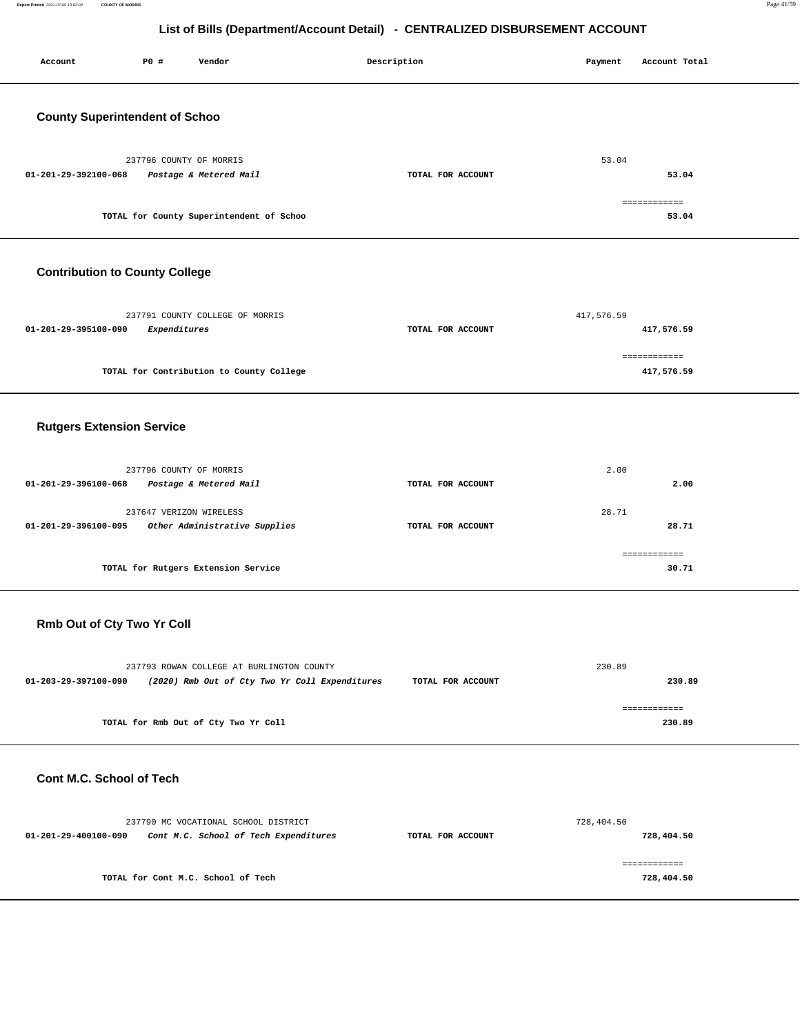| Account                               | P0 #                    | Vendor                                   | Description       | Payment    | Account Total              |
|---------------------------------------|-------------------------|------------------------------------------|-------------------|------------|----------------------------|
| <b>County Superintendent of Schoo</b> |                         |                                          |                   |            |                            |
| 01-201-29-392100-068                  | 237796 COUNTY OF MORRIS | Postage & Metered Mail                   | TOTAL FOR ACCOUNT | 53.04      | 53.04                      |
|                                       |                         | TOTAL for County Superintendent of Schoo |                   |            | ============<br>53.04      |
| <b>Contribution to County College</b> |                         |                                          |                   |            |                            |
| 01-201-29-395100-090                  | Expenditures            | 237791 COUNTY COLLEGE OF MORRIS          | TOTAL FOR ACCOUNT | 417,576.59 | 417,576.59                 |
|                                       |                         | TOTAL for Contribution to County College |                   |            | ============<br>417,576.59 |
| <b>Rutgers Extension Service</b>      |                         |                                          |                   |            |                            |

|                                                                                                                                                      | 2.00              |
|------------------------------------------------------------------------------------------------------------------------------------------------------|-------------------|
| TOTAL FOR ACCOUNT                                                                                                                                    | 2.00              |
|                                                                                                                                                      | 28.71             |
|                                                                                                                                                      | 28.71             |
|                                                                                                                                                      |                   |
|                                                                                                                                                      | 30.71             |
| 237796 COUNTY OF MORRIS<br>Postage & Metered Mail<br>237647 VERIZON WIRELESS<br>Other Administrative Supplies<br>TOTAL for Rutgers Extension Service | TOTAL FOR ACCOUNT |

### **Rmb Out of Cty Two Yr Coll**

|                      | 237793 ROWAN COLLEGE AT BURLINGTON COUNTY      |                   | 230.89 |
|----------------------|------------------------------------------------|-------------------|--------|
| 01-203-29-397100-090 | (2020) Rmb Out of Cty Two Yr Coll Expenditures | TOTAL FOR ACCOUNT | 230.89 |
|                      |                                                |                   |        |
|                      |                                                |                   |        |
|                      | TOTAL for Rmb Out of Cty Two Yr Coll           |                   | 230.89 |
|                      |                                                |                   |        |

### **Cont M.C. School of Tech**

|                      | 237790 MC VOCATIONAL SCHOOL DISTRICT  |                   | 728,404.50 |
|----------------------|---------------------------------------|-------------------|------------|
| 01-201-29-400100-090 | Cont M.C. School of Tech Expenditures | TOTAL FOR ACCOUNT | 728,404.50 |
|                      |                                       |                   |            |
|                      |                                       |                   |            |
|                      | TOTAL for Cont M.C. School of Tech    |                   | 728,404.50 |
|                      |                                       |                   |            |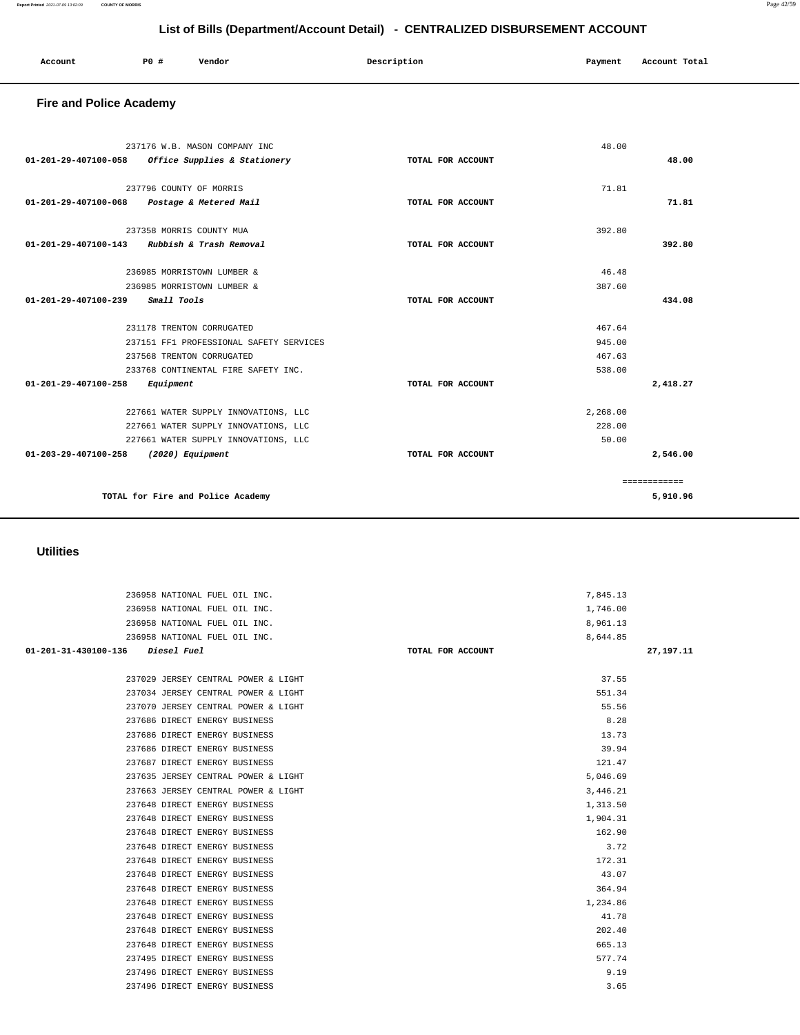| 236958 NATIONAL FUEL OIL INC.              | 1,746.00          |             |
|--------------------------------------------|-------------------|-------------|
| 236958 NATIONAL FUEL OIL INC.              | 8,961.13          |             |
| 236958 NATIONAL FUEL OIL INC.              | 8,644.85          |             |
| 01-201-31-430100-136<br><i>Diesel Fuel</i> | TOTAL FOR ACCOUNT | 27, 197. 11 |
|                                            |                   |             |
| 237029 JERSEY CENTRAL POWER & LIGHT        | 37.55             |             |
| 237034 JERSEY CENTRAL POWER & LIGHT        | 551.34            |             |
| 237070 JERSEY CENTRAL POWER & LIGHT        | 55.56             |             |
| 237686 DIRECT ENERGY BUSINESS              | 8.28              |             |
| 237686 DIRECT ENERGY BUSINESS              | 13.73             |             |
| 237686 DIRECT ENERGY BUSINESS              | 39.94             |             |
| 237687 DIRECT ENERGY BUSINESS              | 121.47            |             |
| 237635 JERSEY CENTRAL POWER & LIGHT        | 5,046.69          |             |
| 237663 JERSEY CENTRAL POWER & LIGHT        | 3,446.21          |             |
| 237648 DIRECT ENERGY BUSINESS              | 1,313.50          |             |
| 237648 DIRECT ENERGY BUSINESS              | 1,904.31          |             |
| 237648 DIRECT ENERGY BUSINESS              | 162.90            |             |
| 237648 DIRECT ENERGY BUSINESS              | 3.72              |             |
| 237648 DIRECT ENERGY BUSINESS              | 172.31            |             |
| 237648 DIRECT ENERGY BUSINESS              | 43.07             |             |
| 237648 DIRECT ENERGY BUSINESS              | 364.94            |             |
| 237648 DIRECT ENERGY BUSINESS              | 1,234.86          |             |
| 237648 DIRECT ENERGY BUSINESS              | 41.78             |             |
| 237648 DIRECT ENERGY BUSINESS              | 202.40            |             |
| 237648 DIRECT ENERGY BUSINESS              | 665.13            |             |
| 237495 DIRECT ENERGY BUSINESS              | 577.74            |             |
| 237496 DIRECT ENERGY BUSINESS              | 9.19              |             |
| 237496 DIRECT ENERGY BUSINESS              | 3.65              |             |

236958 NATIONAL FUEL OIL INC. 7,845.13

### **Utilities**

|                      | 237176 W.B. MASON COMPANY INC           |                   | 48.00    |              |
|----------------------|-----------------------------------------|-------------------|----------|--------------|
| 01-201-29-407100-058 | Office Supplies & Stationery            | TOTAL FOR ACCOUNT |          | 48.00        |
|                      | 237796 COUNTY OF MORRIS                 |                   | 71.81    |              |
| 01-201-29-407100-068 | Postage & Metered Mail                  | TOTAL FOR ACCOUNT |          | 71.81        |
|                      | 237358 MORRIS COUNTY MUA                |                   | 392.80   |              |
| 01-201-29-407100-143 | Rubbish & Trash Removal                 | TOTAL FOR ACCOUNT |          | 392.80       |
|                      | 236985 MORRISTOWN LUMBER &              |                   | 46.48    |              |
|                      | 236985 MORRISTOWN LUMBER &              |                   | 387.60   |              |
| 01-201-29-407100-239 | Small Tools                             | TOTAL FOR ACCOUNT |          | 434.08       |
|                      | 231178 TRENTON CORRUGATED               |                   | 467.64   |              |
|                      | 237151 FF1 PROFESSIONAL SAFETY SERVICES |                   | 945.00   |              |
|                      | 237568 TRENTON CORRUGATED               |                   | 467.63   |              |
|                      | 233768 CONTINENTAL FIRE SAFETY INC.     |                   | 538.00   |              |
| 01-201-29-407100-258 | Equipment                               | TOTAL FOR ACCOUNT |          | 2,418.27     |
|                      | 227661 WATER SUPPLY INNOVATIONS, LLC    |                   | 2,268.00 |              |
|                      | 227661 WATER SUPPLY INNOVATIONS, LLC    |                   | 228.00   |              |
|                      | 227661 WATER SUPPLY INNOVATIONS, LLC    |                   | 50.00    |              |
| 01-203-29-407100-258 | (2020) Equipment                        | TOTAL FOR ACCOUNT |          | 2,546.00     |
|                      |                                         |                   |          | ============ |
|                      | TOTAL for Fire and Police Academy       |                   |          | 5,910.96     |

### **Fire and Police Academy**

# **Account** 20 **P P**  $\uparrow$  **Payment** Payment Account Total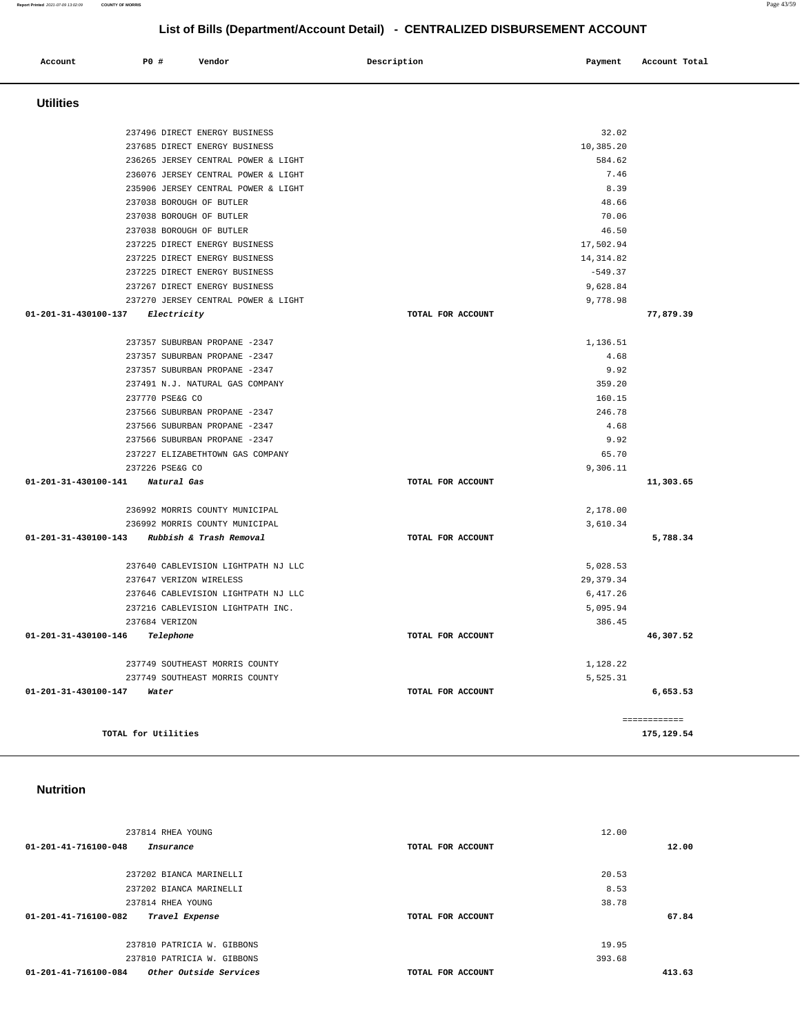### 237202 BIANCA MARINELLI 237814 RHEA YOUNG 8.53 38.78 **67.84** 237810 PATRICIA W. GIBBONS 237810 PATRICIA W. GIBBONS 19.95 393.68  **01-201-41-716100-084 Other Outside Services TOTAL FOR ACCOUNT 413.63**

| 237814 RHEA YOUNG<br>01-201-41-716100-048<br>Insurance | TOTAL FOR ACCOUNT | 12.00  | 12.00 |
|--------------------------------------------------------|-------------------|--------|-------|
| 237202 BIANCA MARINELLI                                |                   | 20.53  |       |
| 237202 BIANCA MARINELLI                                |                   | 8.53   |       |
| 237814 RHEA YOUNG                                      |                   | 38.78  |       |
| 01-201-41-716100-082<br>Travel Expense                 | TOTAL FOR ACCOUNT |        | 67.84 |
| 237810 PATRICIA W. GIBBONS                             |                   | 19.95  |       |
| 237810 PATRICIA W. GIBBONS                             |                   | 393.68 |       |

### **Nutrition**

| 237496 DIRECT ENERGY BUSINESS                |                   | 32.02      |              |
|----------------------------------------------|-------------------|------------|--------------|
| 237685 DIRECT ENERGY BUSINESS                |                   | 10,385.20  |              |
| 236265 JERSEY CENTRAL POWER & LIGHT          |                   | 584.62     |              |
| 236076 JERSEY CENTRAL POWER & LIGHT          |                   | 7.46       |              |
| 235906 JERSEY CENTRAL POWER & LIGHT          |                   | 8.39       |              |
| 237038 BOROUGH OF BUTLER                     |                   | 48.66      |              |
| 237038 BOROUGH OF BUTLER                     |                   | 70.06      |              |
| 237038 BOROUGH OF BUTLER                     |                   | 46.50      |              |
| 237225 DIRECT ENERGY BUSINESS                |                   | 17,502.94  |              |
| 237225 DIRECT ENERGY BUSINESS                |                   | 14, 314.82 |              |
| 237225 DIRECT ENERGY BUSINESS                |                   | $-549.37$  |              |
| 237267 DIRECT ENERGY BUSINESS                |                   | 9,628.84   |              |
| 237270 JERSEY CENTRAL POWER & LIGHT          |                   | 9,778.98   |              |
| 01-201-31-430100-137 Electricity             | TOTAL FOR ACCOUNT |            | 77,879.39    |
| 237357 SUBURBAN PROPANE -2347                |                   | 1,136.51   |              |
| 237357 SUBURBAN PROPANE -2347                |                   | 4.68       |              |
| 237357 SUBURBAN PROPANE -2347                |                   | 9.92       |              |
| 237491 N.J. NATURAL GAS COMPANY              |                   | 359.20     |              |
| 237770 PSE&G CO                              |                   | 160.15     |              |
| 237566 SUBURBAN PROPANE -2347                |                   | 246.78     |              |
| 237566 SUBURBAN PROPANE -2347                |                   | 4.68       |              |
| 237566 SUBURBAN PROPANE -2347                |                   | 9.92       |              |
| 237227 ELIZABETHTOWN GAS COMPANY             |                   | 65.70      |              |
| 237226 PSE&G CO                              |                   | 9,306.11   |              |
| 01-201-31-430100-141 Natural Gas             | TOTAL FOR ACCOUNT |            | 11,303.65    |
| 236992 MORRIS COUNTY MUNICIPAL               |                   | 2,178.00   |              |
| 236992 MORRIS COUNTY MUNICIPAL               |                   | 3,610.34   |              |
| 01-201-31-430100-143 Rubbish & Trash Removal | TOTAL FOR ACCOUNT |            | 5,788.34     |
| 237640 CABLEVISION LIGHTPATH NJ LLC          |                   | 5,028.53   |              |
| 237647 VERIZON WIRELESS                      |                   | 29, 379.34 |              |
| 237646 CABLEVISION LIGHTPATH NJ LLC          |                   | 6,417.26   |              |
| 237216 CABLEVISION LIGHTPATH INC.            |                   | 5,095.94   |              |
| 237684 VERIZON                               |                   | 386.45     |              |
| 01-201-31-430100-146 Telephone               | TOTAL FOR ACCOUNT |            | 46,307.52    |
| 237749 SOUTHEAST MORRIS COUNTY               |                   | 1,128.22   |              |
| 237749 SOUTHEAST MORRIS COUNTY               |                   | 5,525.31   |              |
| 01-201-31-430100-147<br>Water                | TOTAL FOR ACCOUNT |            | 6,653.53     |
|                                              |                   |            | ============ |
| TOTAL for Utilities                          |                   |            | 175,129.54   |

### **Utilities**

## **List of Bills (Department/Account Detail) - CENTRALIZED DISBURSEMENT ACCOUNT**

 **Account** 20 **P P**  $\uparrow$  **Payment** Payment Account Total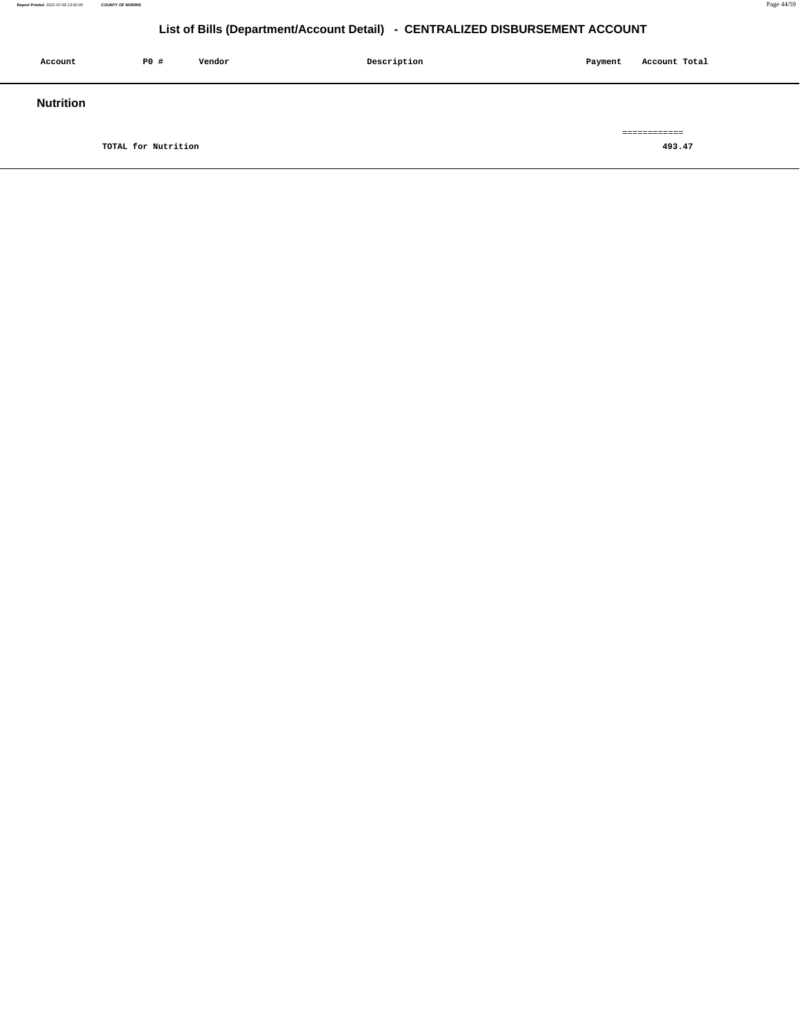| Account          | P0 #                | Vendor | Description | Payment | Account Total |
|------------------|---------------------|--------|-------------|---------|---------------|
| <b>Nutrition</b> |                     |        |             |         |               |
|                  |                     |        |             |         | ============  |
|                  | TOTAL for Nutrition |        |             |         | 493.47        |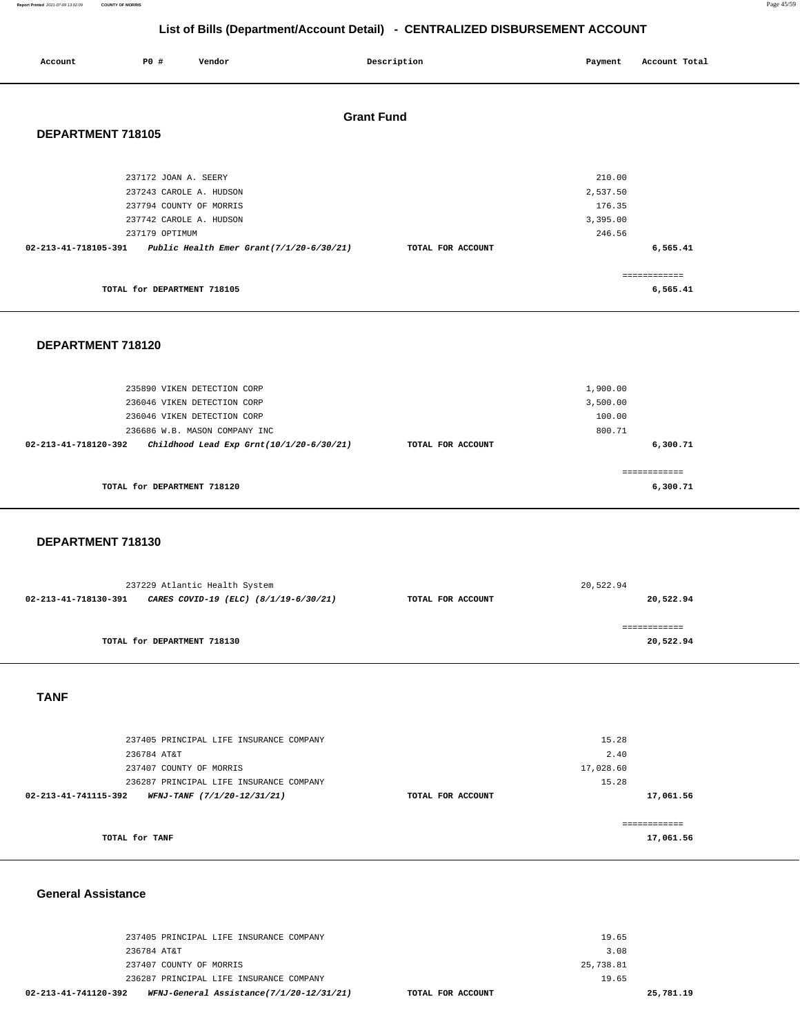**Report Printed** 2021-07-09 13:02:09 **COUNTY OF MORRIS** Page 45/59

============ **17,061.56**

### **List of Bills (Department/Account Detail) - CENTRALIZED DISBURSEMENT ACCOUNT**

| Account              | P0 #                                      | Vendor                                  |                                          | Description       | Payment            | Account Total            |
|----------------------|-------------------------------------------|-----------------------------------------|------------------------------------------|-------------------|--------------------|--------------------------|
| <b>Grant Fund</b>    |                                           |                                         |                                          |                   |                    |                          |
| DEPARTMENT 718105    |                                           |                                         |                                          |                   |                    |                          |
|                      |                                           |                                         |                                          |                   |                    |                          |
|                      | 237172 JOAN A. SEERY                      |                                         |                                          |                   | 210.00             |                          |
|                      | 237243 CAROLE A. HUDSON                   |                                         |                                          |                   | 2,537.50           |                          |
|                      | 237794 COUNTY OF MORRIS                   |                                         |                                          |                   | 176.35             |                          |
|                      | 237742 CAROLE A. HUDSON<br>237179 OPTIMUM |                                         |                                          |                   | 3,395.00<br>246.56 |                          |
| 02-213-41-718105-391 |                                           |                                         | Public Health Emer Grant(7/1/20-6/30/21) | TOTAL FOR ACCOUNT |                    | 6,565.41                 |
|                      |                                           |                                         |                                          |                   |                    | ============             |
|                      | TOTAL for DEPARTMENT 718105               |                                         |                                          |                   |                    | 6,565.41                 |
|                      |                                           |                                         |                                          |                   |                    |                          |
|                      |                                           |                                         |                                          |                   |                    |                          |
| DEPARTMENT 718120    |                                           |                                         |                                          |                   |                    |                          |
|                      |                                           |                                         |                                          |                   |                    |                          |
|                      |                                           | 235890 VIKEN DETECTION CORP             |                                          |                   | 1,900.00           |                          |
|                      |                                           | 236046 VIKEN DETECTION CORP             |                                          |                   | 3,500.00           |                          |
|                      |                                           | 236046 VIKEN DETECTION CORP             |                                          |                   | 100.00<br>800.71   |                          |
| 02-213-41-718120-392 |                                           | 236686 W.B. MASON COMPANY INC           | Childhood Lead Exp Grnt(10/1/20-6/30/21) | TOTAL FOR ACCOUNT |                    | 6,300.71                 |
|                      |                                           |                                         |                                          |                   |                    |                          |
|                      | TOTAL for DEPARTMENT 718120               |                                         |                                          |                   |                    | ============<br>6,300.71 |
|                      |                                           |                                         |                                          |                   |                    |                          |
|                      |                                           |                                         |                                          |                   |                    |                          |
| DEPARTMENT 718130    |                                           |                                         |                                          |                   |                    |                          |
|                      |                                           |                                         |                                          |                   |                    |                          |
|                      |                                           | 237229 Atlantic Health System           |                                          |                   | 20,522.94          |                          |
| 02-213-41-718130-391 |                                           |                                         | CARES COVID-19 (ELC) (8/1/19-6/30/21)    | TOTAL FOR ACCOUNT |                    | 20,522.94                |
|                      |                                           |                                         |                                          |                   |                    | ------------             |
|                      | TOTAL for DEPARTMENT 718130               |                                         |                                          |                   |                    | 20,522.94                |
|                      |                                           |                                         |                                          |                   |                    |                          |
|                      |                                           |                                         |                                          |                   |                    |                          |
| <b>TANF</b>          |                                           |                                         |                                          |                   |                    |                          |
|                      |                                           |                                         |                                          |                   |                    |                          |
|                      |                                           | 237405 PRINCIPAL LIFE INSURANCE COMPANY |                                          |                   | 15.28              |                          |
|                      | 236784 AT&T<br>237407 COUNTY OF MORRIS    |                                         |                                          |                   | 2.40<br>17,028.60  |                          |
|                      |                                           | 236287 PRINCIPAL LIFE INSURANCE COMPANY |                                          |                   | 15.28              |                          |
| 02-213-41-741115-392 |                                           | WFNJ-TANF (7/1/20-12/31/21)             |                                          | TOTAL FOR ACCOUNT |                    | 17,061.56                |
|                      |                                           |                                         |                                          |                   |                    |                          |

**TOTAL for TANF** 

### **General Assistance**

| 02-213-41-741120-392 |                         | WFNJ-General Assistance(7/1/20-12/31/21) | TOTAL FOR ACCOUNT |           | 25,781.19 |
|----------------------|-------------------------|------------------------------------------|-------------------|-----------|-----------|
|                      |                         | 236287 PRINCIPAL LIFE INSURANCE COMPANY  |                   | 19.65     |           |
|                      | 237407 COUNTY OF MORRIS |                                          |                   | 25,738.81 |           |
|                      | 236784 AT&T             |                                          |                   | 3.08      |           |
|                      |                         | 237405 PRINCIPAL LIFE INSURANCE COMPANY  |                   | 19.65     |           |
|                      |                         |                                          |                   |           |           |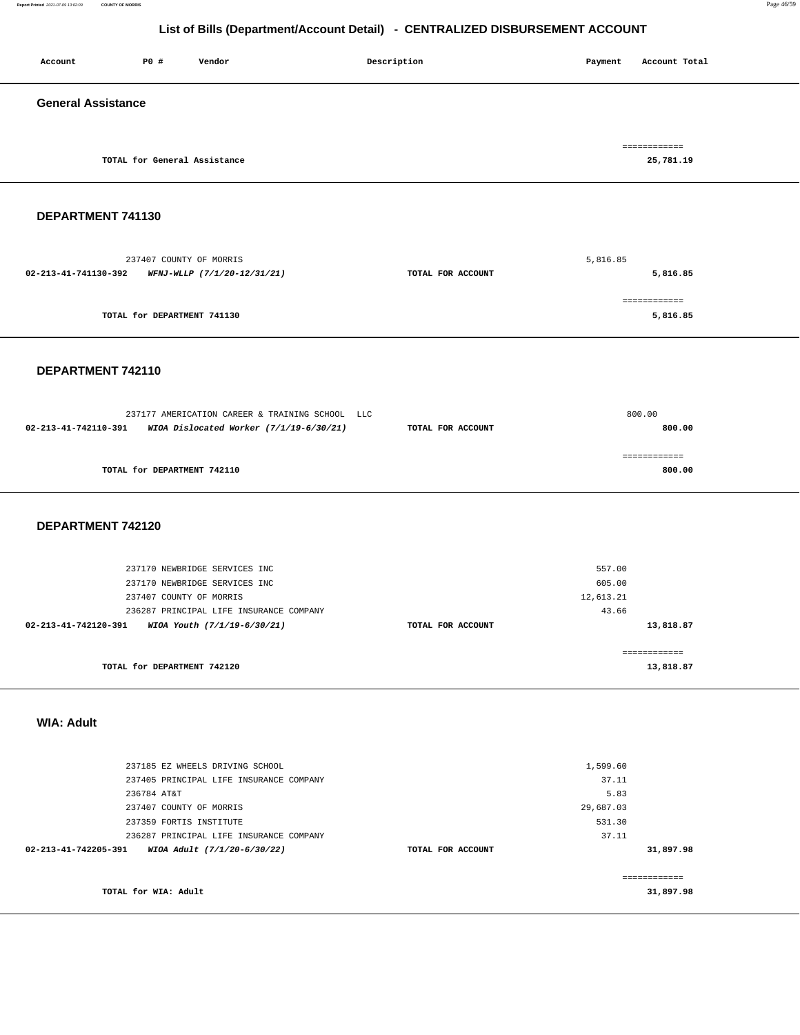**Report Printed** 2021-07-09 13:02:09 **COUNTY OF MORRIS** Page 46/59

### **List of Bills (Department/Account Detail) - CENTRALIZED DISBURSEMENT ACCOUNT**

| Account                                          | P0 #                         | Vendor                                          | Description       | Payment  | Account Total            |  |
|--------------------------------------------------|------------------------------|-------------------------------------------------|-------------------|----------|--------------------------|--|
| <b>General Assistance</b>                        |                              |                                                 |                   |          |                          |  |
|                                                  |                              |                                                 |                   |          | ============             |  |
|                                                  | TOTAL for General Assistance |                                                 |                   |          | 25,781.19                |  |
|                                                  |                              |                                                 |                   |          |                          |  |
| DEPARTMENT 741130                                |                              |                                                 |                   |          |                          |  |
|                                                  | 237407 COUNTY OF MORRIS      |                                                 |                   | 5,816.85 |                          |  |
| 02-213-41-741130-392 WFNJ-WLLP (7/1/20-12/31/21) |                              |                                                 | TOTAL FOR ACCOUNT |          | 5,816.85                 |  |
|                                                  | TOTAL for DEPARTMENT 741130  |                                                 |                   |          | ============<br>5,816.85 |  |
| DEPARTMENT 742110                                |                              |                                                 |                   |          |                          |  |
|                                                  |                              |                                                 |                   |          |                          |  |
|                                                  |                              | 237177 AMERICATION CAREER & TRAINING SCHOOL LLC |                   |          | 800.00                   |  |
| 02-213-41-742110-391                             |                              | WIOA Dislocated Worker (7/1/19-6/30/21)         | TOTAL FOR ACCOUNT |          | 800.00                   |  |
|                                                  |                              |                                                 |                   |          | ============             |  |
|                                                  | TOTAL for DEPARTMENT 742110  |                                                 |                   |          | 800.00                   |  |
|                                                  |                              |                                                 |                   |          |                          |  |
|                                                  |                              |                                                 |                   |          |                          |  |

### **DEPARTMENT 742120**

| 237170 NEWBRIDGE SERVICES INC                       |                   | 557.00    |
|-----------------------------------------------------|-------------------|-----------|
| 237170 NEWBRIDGE SERVICES INC                       |                   | 605.00    |
| 237407 COUNTY OF MORRIS                             |                   | 12,613.21 |
| 236287 PRINCIPAL LIFE INSURANCE COMPANY             |                   | 43.66     |
| 02-213-41-742120-391<br>WIOA Youth (7/1/19-6/30/21) | TOTAL FOR ACCOUNT | 13,818.87 |
|                                                     |                   |           |
|                                                     |                   |           |
| TOTAL for DEPARTMENT 742120                         |                   | 13,818.87 |

### **WIA: Adult**

| 237185 EZ WHEELS DRIVING SCHOOL                     |                   | 1,599.60  |           |
|-----------------------------------------------------|-------------------|-----------|-----------|
| 237405 PRINCIPAL LIFE INSURANCE COMPANY             |                   | 37.11     |           |
| 236784 AT&T                                         |                   | 5.83      |           |
| 237407 COUNTY OF MORRIS                             |                   | 29,687.03 |           |
| 237359 FORTIS INSTITUTE                             |                   | 531.30    |           |
| 236287 PRINCIPAL LIFE INSURANCE COMPANY             |                   | 37.11     |           |
| 02-213-41-742205-391<br>WIOA Adult (7/1/20-6/30/22) | TOTAL FOR ACCOUNT |           | 31,897.98 |
|                                                     |                   |           |           |
|                                                     |                   |           |           |
| TOTAL for WIA: Adult                                |                   |           | 31,897.98 |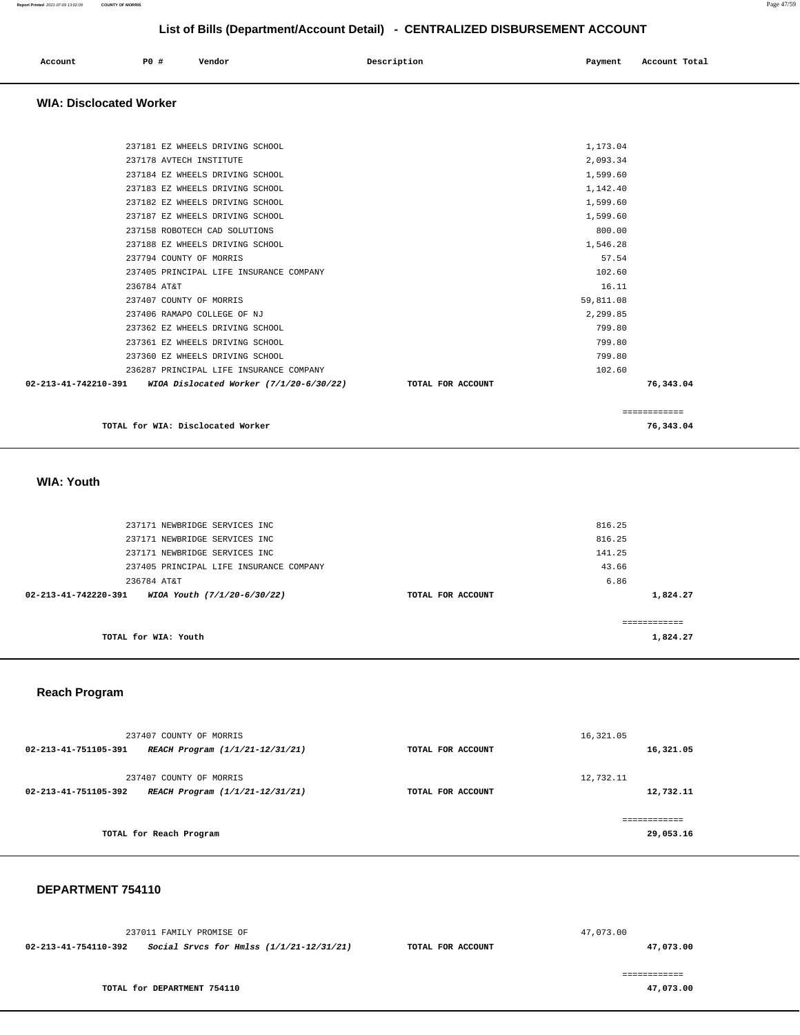| Account<br>. | <b>PO #</b> | Vendor | Description<br>$\sim$ $\sim$ $\sim$ | Payment | Account Total |
|--------------|-------------|--------|-------------------------------------|---------|---------------|
|              |             |        |                                     |         |               |

### **WIA: Disclocated Worker**

| 237181 EZ WHEELS DRIVING SCHOOL                                 |                   | 1,173.04  |              |
|-----------------------------------------------------------------|-------------------|-----------|--------------|
| 237178 AVTECH INSTITUTE                                         |                   | 2,093.34  |              |
| 237184 EZ WHEELS DRIVING SCHOOL                                 |                   | 1,599.60  |              |
| 237183 EZ WHEELS DRIVING SCHOOL                                 |                   | 1,142.40  |              |
| 237182 EZ WHEELS DRIVING SCHOOL                                 |                   | 1,599.60  |              |
| 237187 EZ WHEELS DRIVING SCHOOL                                 |                   | 1,599.60  |              |
| 237158 ROBOTECH CAD SOLUTIONS                                   |                   | 800.00    |              |
| 237188 EZ WHEELS DRIVING SCHOOL                                 |                   | 1,546.28  |              |
| 237794 COUNTY OF MORRIS                                         |                   | 57.54     |              |
| 237405 PRINCIPAL LIFE INSURANCE COMPANY                         |                   | 102.60    |              |
| 236784 AT&T                                                     |                   | 16.11     |              |
| 237407 COUNTY OF MORRIS                                         |                   | 59,811.08 |              |
| 237406 RAMAPO COLLEGE OF NJ                                     |                   | 2.299.85  |              |
| 237362 EZ WHEELS DRIVING SCHOOL                                 |                   | 799.80    |              |
| 237361 EZ WHEELS DRIVING SCHOOL                                 |                   | 799.80    |              |
| 237360 EZ WHEELS DRIVING SCHOOL                                 |                   | 799.80    |              |
| 236287 PRINCIPAL LIFE INSURANCE COMPANY                         |                   | 102.60    |              |
| 02-213-41-742210-391<br>WIOA Dislocated Worker (7/1/20-6/30/22) | TOTAL FOR ACCOUNT |           | 76,343.04    |
|                                                                 |                   |           | ============ |

**TOTAL for WIA: Disclocated Worker 76,343.04**

### **WIA: Youth**

| 237171 NEWBRIDGE SERVICES INC<br>237171 NEWBRIDGE SERVICES INC |                   | 816.25<br>816.25 |
|----------------------------------------------------------------|-------------------|------------------|
| 237171 NEWBRIDGE SERVICES INC                                  |                   | 141.25           |
| 237405 PRINCIPAL LIFE INSURANCE COMPANY                        |                   | 43.66            |
| 236784 AT&T                                                    |                   | 6.86             |
| $02 - 213 - 41 - 742220 - 391$<br>WIOA Youth (7/1/20-6/30/22)  | TOTAL FOR ACCOUNT | 1,824.27         |
|                                                                |                   |                  |
| TOTAL for WIA: Youth                                           |                   | 1,824.27         |

### **Reach Program**

| 237407 COUNTY OF MORRIS                                 |                   | 16,321.05    |
|---------------------------------------------------------|-------------------|--------------|
| 02-213-41-751105-391<br>REACH Program (1/1/21-12/31/21) | TOTAL FOR ACCOUNT | 16,321.05    |
| 237407 COUNTY OF MORRIS                                 |                   | 12,732.11    |
| 02-213-41-751105-392<br>REACH Program (1/1/21-12/31/21) | TOTAL FOR ACCOUNT | 12,732.11    |
|                                                         |                   | ============ |
| TOTAL for Reach Program                                 |                   | 29,053.16    |

### **DEPARTMENT 754110**

|                      | 237011 FAMILY PROMISE OF                   |                   | 47,073.00 |
|----------------------|--------------------------------------------|-------------------|-----------|
| 02-213-41-754110-392 | Social Srvcs for Hmlss $(1/1/21-12/31/21)$ | TOTAL FOR ACCOUNT | 47,073.00 |
|                      |                                            |                   |           |
|                      |                                            |                   |           |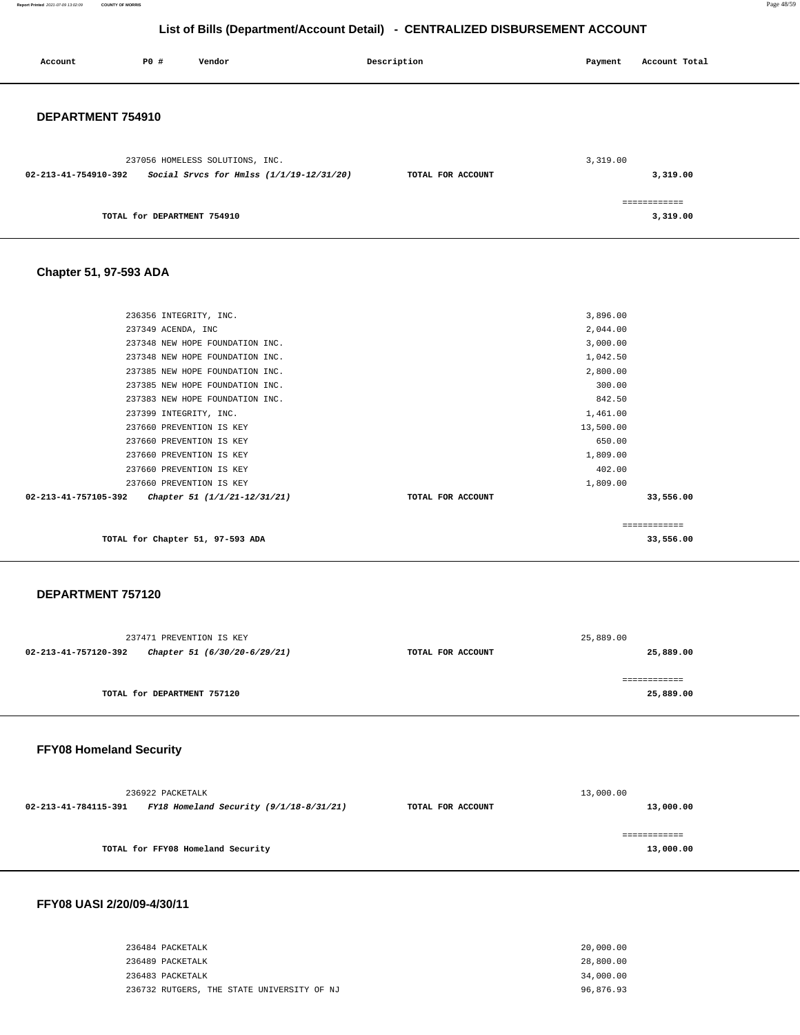**Report Printed** 2021-07-09 13:02:09 **COUNTY OF MORRIS** Page 48/59

### **List of Bills (Department/Account Detail) - CENTRALIZED DISBURSEMENT ACCOUNT**

| Account              | <b>PO #</b>                 | Vendor                                   | Description       | Payment  | Account Total            |
|----------------------|-----------------------------|------------------------------------------|-------------------|----------|--------------------------|
| DEPARTMENT 754910    |                             |                                          |                   |          |                          |
|                      |                             | 237056 HOMELESS SOLUTIONS, INC.          |                   | 3,319.00 |                          |
| 02-213-41-754910-392 |                             | Social Srvcs for Hmlss (1/1/19-12/31/20) | TOTAL FOR ACCOUNT |          | 3,319.00                 |
|                      | TOTAL for DEPARTMENT 754910 |                                          |                   |          | ============<br>3,319.00 |

### **Chapter 51, 97-593 ADA**

| TOTAL for Chapter 51, 97-593 ADA                     |                   | 33,556.00    |  |
|------------------------------------------------------|-------------------|--------------|--|
|                                                      |                   | ============ |  |
| 02-213-41-757105-392<br>Chapter 51 (1/1/21-12/31/21) | TOTAL FOR ACCOUNT | 33,556.00    |  |
| 237660 PREVENTION IS KEY                             |                   | 1,809.00     |  |
| 237660 PREVENTION IS KEY                             |                   | 402.00       |  |
| 237660 PREVENTION IS KEY                             |                   | 1,809.00     |  |
| 237660 PREVENTION IS KEY                             |                   | 650.00       |  |
| 237660 PREVENTION IS KEY                             |                   | 13,500.00    |  |
| 237399 INTEGRITY, INC.                               |                   | 1,461.00     |  |
| 237383 NEW HOPE FOUNDATION INC.                      |                   | 842.50       |  |
| 237385 NEW HOPE FOUNDATION INC.                      |                   | 300.00       |  |
| 237385 NEW HOPE FOUNDATION INC.                      |                   | 2,800.00     |  |
| 237348 NEW HOPE FOUNDATION INC.                      |                   | 1,042.50     |  |
| 237348 NEW HOPE FOUNDATION INC.                      |                   | 3,000.00     |  |
| 237349 ACENDA, INC                                   |                   | 2,044.00     |  |
| 236356 INTEGRITY, INC.                               |                   | 3,896.00     |  |
|                                                      |                   |              |  |

### **DEPARTMENT 757120**

| 237471 PREVENTION IS KEY |                              |                   | 25,889.00    |
|--------------------------|------------------------------|-------------------|--------------|
| 02-213-41-757120-392     | Chapter 51 (6/30/20-6/29/21) | TOTAL FOR ACCOUNT | 25,889.00    |
|                          |                              |                   |              |
|                          |                              |                   | ------------ |
|                          | TOTAL for DEPARTMENT 757120  |                   | 25,889.00    |
|                          |                              |                   |              |
|                          |                              |                   |              |

### **FFY08 Homeland Security**

| 236922 PACKETALK     |                                           | 13,000.00         |           |  |
|----------------------|-------------------------------------------|-------------------|-----------|--|
| 02-213-41-784115-391 | FY18 Homeland Security $(9/1/18-8/31/21)$ | TOTAL FOR ACCOUNT | 13,000.00 |  |
|                      | TOTAL for FFY08 Homeland Security         |                   | 13,000.00 |  |

### **FFY08 UASI 2/20/09-4/30/11**

| 236484 PACKETALK                           | 20,000.00 |
|--------------------------------------------|-----------|
| 236489 PACKETALK                           | 28,800.00 |
| 236483 PACKETALK                           | 34,000.00 |
| 236732 RUTGERS, THE STATE UNIVERSITY OF NJ | 96,876.93 |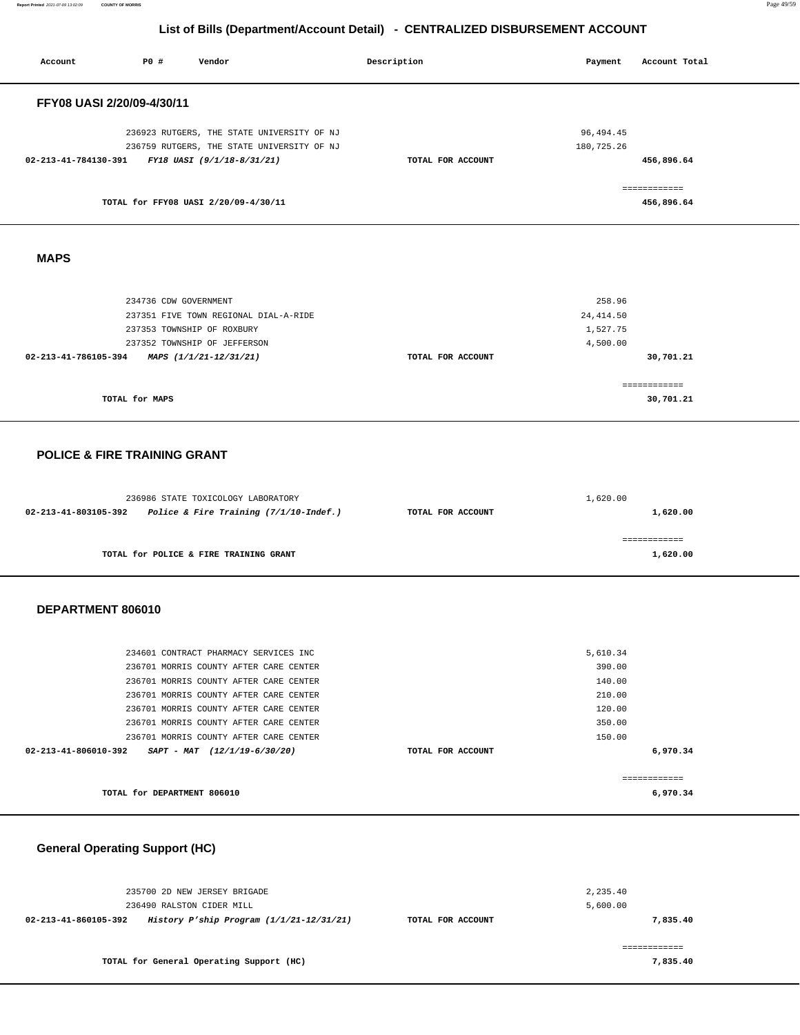**Report Printed** 2021-07-09 13:02:09 **COUNTY OF MORRIS** Page 49/59

| P0 #<br>Account<br>Vendor                                                                                                                                                                                                                                                                         | Description       | Payment                                                              | Account Total              |  |
|---------------------------------------------------------------------------------------------------------------------------------------------------------------------------------------------------------------------------------------------------------------------------------------------------|-------------------|----------------------------------------------------------------------|----------------------------|--|
| FFY08 UASI 2/20/09-4/30/11                                                                                                                                                                                                                                                                        |                   |                                                                      |                            |  |
| 236923 RUTGERS, THE STATE UNIVERSITY OF NJ<br>236759 RUTGERS, THE STATE UNIVERSITY OF NJ<br>02-213-41-784130-391<br>FY18 UASI (9/1/18-8/31/21)                                                                                                                                                    | TOTAL FOR ACCOUNT | 96, 494.45<br>180,725.26                                             | 456,896.64                 |  |
| TOTAL for FFY08 UASI 2/20/09-4/30/11                                                                                                                                                                                                                                                              |                   |                                                                      | ============<br>456,896.64 |  |
| <b>MAPS</b>                                                                                                                                                                                                                                                                                       |                   |                                                                      |                            |  |
| 234736 CDW GOVERNMENT<br>237351 FIVE TOWN REGIONAL DIAL-A-RIDE<br>237353 TOWNSHIP OF ROXBURY<br>237352 TOWNSHIP OF JEFFERSON<br>02-213-41-786105-394<br>MAPS (1/1/21-12/31/21)                                                                                                                    | TOTAL FOR ACCOUNT | 258.96<br>24, 414.50<br>1,527.75<br>4,500.00                         | 30,701.21                  |  |
| TOTAL for MAPS                                                                                                                                                                                                                                                                                    |                   |                                                                      | ============<br>30,701.21  |  |
| <b>POLICE &amp; FIRE TRAINING GRANT</b>                                                                                                                                                                                                                                                           |                   |                                                                      |                            |  |
| 236986 STATE TOXICOLOGY LABORATORY<br>Police & Fire Training $(7/1/10$ -Indef.)<br>02-213-41-803105-392                                                                                                                                                                                           | TOTAL FOR ACCOUNT | 1,620.00                                                             | 1,620.00                   |  |
| TOTAL for POLICE & FIRE TRAINING GRANT                                                                                                                                                                                                                                                            |                   |                                                                      | ============<br>1,620.00   |  |
| DEPARTMENT 806010                                                                                                                                                                                                                                                                                 |                   |                                                                      |                            |  |
| 234601 CONTRACT PHARMACY SERVICES INC<br>236701 MORRIS COUNTY AFTER CARE CENTER<br>236701 MORRIS COUNTY AFTER CARE CENTER<br>236701 MORRIS COUNTY AFTER CARE CENTER<br>236701 MORRIS COUNTY AFTER CARE CENTER<br>236701 MORRIS COUNTY AFTER CARE CENTER<br>236701 MORRIS COUNTY AFTER CARE CENTER |                   | 5,610.34<br>390.00<br>140.00<br>210.00<br>120.00<br>350.00<br>150.00 |                            |  |
| 02-213-41-806010-392<br>SAPT - MAT (12/1/19-6/30/20)                                                                                                                                                                                                                                              | TOTAL FOR ACCOUNT |                                                                      | 6,970.34<br>============   |  |
| TOTAL for DEPARTMENT 806010<br><b>General Operating Support (HC)</b>                                                                                                                                                                                                                              |                   |                                                                      | 6,970.34                   |  |

| 235700 2D NEW JERSEY BRIGADE<br>236490 RALSTON CIDER MILL          |                   | 2,235.40<br>5,600.00 |
|--------------------------------------------------------------------|-------------------|----------------------|
| History P'ship Program $(1/1/21-12/31/21)$<br>02-213-41-860105-392 | TOTAL FOR ACCOUNT | 7,835,40             |
| TOTAL for General Operating Support (HC)                           |                   | 7,835,40             |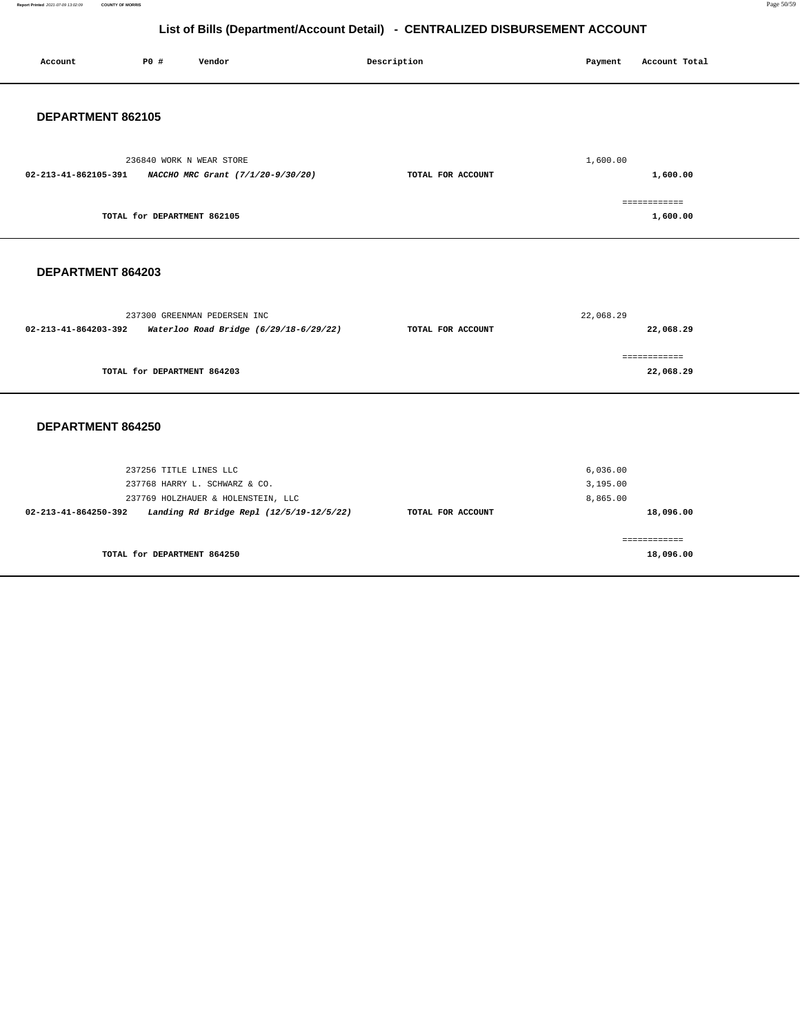**Report Printed** 2021-07-09 13:02:09 **COUNTY OF MORRIS** Page 50/59

| Account              | P0 #                        | Vendor                                                                 | Description       | Payment              | Account Total             |
|----------------------|-----------------------------|------------------------------------------------------------------------|-------------------|----------------------|---------------------------|
| DEPARTMENT 862105    |                             |                                                                        |                   |                      |                           |
| 02-213-41-862105-391 |                             | 236840 WORK N WEAR STORE<br>NACCHO MRC Grant (7/1/20-9/30/20)          | TOTAL FOR ACCOUNT | 1,600.00             | 1,600.00                  |
|                      | TOTAL for DEPARTMENT 862105 |                                                                        |                   |                      | ============<br>1,600.00  |
| DEPARTMENT 864203    |                             |                                                                        |                   |                      |                           |
| 02-213-41-864203-392 |                             | 237300 GREENMAN PEDERSEN INC<br>Waterloo Road Bridge (6/29/18-6/29/22) | TOTAL FOR ACCOUNT | 22,068.29            | 22,068.29                 |
|                      | TOTAL for DEPARTMENT 864203 |                                                                        |                   |                      | ============<br>22,068.29 |
| DEPARTMENT 864250    |                             |                                                                        |                   |                      |                           |
|                      | 237256 TITLE LINES LLC      |                                                                        |                   | 6,036.00             |                           |
|                      |                             | 237768 HARRY L. SCHWARZ & CO.<br>237769 HOLZHAUER & HOLENSTEIN, LLC    |                   | 3,195.00<br>8,865.00 |                           |
| 02-213-41-864250-392 |                             | Landing Rd Bridge Repl (12/5/19-12/5/22)                               | TOTAL FOR ACCOUNT |                      | 18,096.00                 |
|                      |                             |                                                                        |                   |                      | ============              |
|                      | TOTAL for DEPARTMENT 864250 |                                                                        |                   |                      | 18,096.00                 |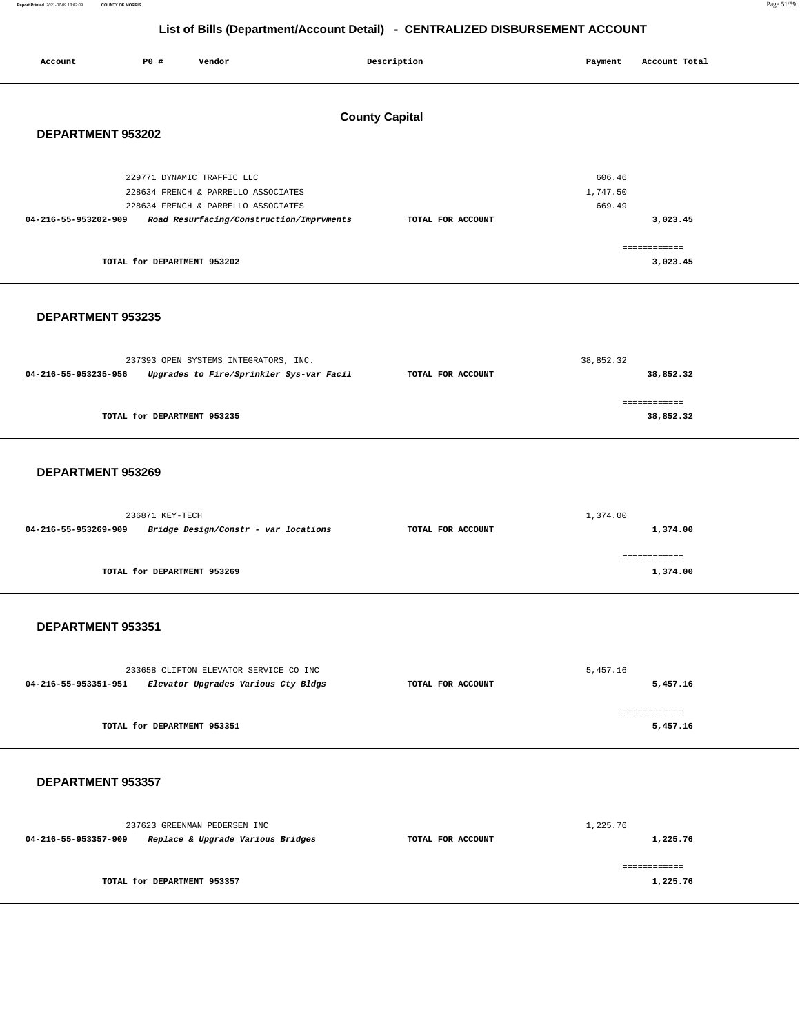**Report Printed** 2021-07-09 13:02:09 **COUNTY OF MORRIS** Page 51/59

| <b>County Capital</b><br>DEPARTMENT 953202<br>229771 DYNAMIC TRAFFIC LLC<br>606.46<br>1,747.50<br>228634 FRENCH & PARRELLO ASSOCIATES<br>228634 FRENCH & PARRELLO ASSOCIATES<br>669.49<br>04-216-55-953202-909<br>Road Resurfacing/Construction/Imprvments<br>TOTAL FOR ACCOUNT<br>3,023.45<br>============<br>TOTAL for DEPARTMENT 953202<br>3,023.45<br>DEPARTMENT 953235<br>38,852.32<br>237393 OPEN SYSTEMS INTEGRATORS, INC.<br>04-216-55-953235-956<br>Upgrades to Fire/Sprinkler Sys-var Facil<br>TOTAL FOR ACCOUNT<br>38,852.32 |  |  |  |  |  |  |  |  |
|-----------------------------------------------------------------------------------------------------------------------------------------------------------------------------------------------------------------------------------------------------------------------------------------------------------------------------------------------------------------------------------------------------------------------------------------------------------------------------------------------------------------------------------------|--|--|--|--|--|--|--|--|
|                                                                                                                                                                                                                                                                                                                                                                                                                                                                                                                                         |  |  |  |  |  |  |  |  |
|                                                                                                                                                                                                                                                                                                                                                                                                                                                                                                                                         |  |  |  |  |  |  |  |  |
|                                                                                                                                                                                                                                                                                                                                                                                                                                                                                                                                         |  |  |  |  |  |  |  |  |
|                                                                                                                                                                                                                                                                                                                                                                                                                                                                                                                                         |  |  |  |  |  |  |  |  |
|                                                                                                                                                                                                                                                                                                                                                                                                                                                                                                                                         |  |  |  |  |  |  |  |  |
| ------------<br>TOTAL for DEPARTMENT 953235<br>38,852.32                                                                                                                                                                                                                                                                                                                                                                                                                                                                                |  |  |  |  |  |  |  |  |
| DEPARTMENT 953269                                                                                                                                                                                                                                                                                                                                                                                                                                                                                                                       |  |  |  |  |  |  |  |  |
| 236871 KEY-TECH<br>1,374.00<br>04-216-55-953269-909<br>Bridge Design/Constr - var locations<br>TOTAL FOR ACCOUNT<br>1,374.00                                                                                                                                                                                                                                                                                                                                                                                                            |  |  |  |  |  |  |  |  |
| ============<br>TOTAL for DEPARTMENT 953269<br>1,374.00                                                                                                                                                                                                                                                                                                                                                                                                                                                                                 |  |  |  |  |  |  |  |  |
| DEPARTMENT 953351                                                                                                                                                                                                                                                                                                                                                                                                                                                                                                                       |  |  |  |  |  |  |  |  |
| 5,457.16<br>233658 CLIFTON ELEVATOR SERVICE CO INC<br>04-216-55-953351-951<br>Elevator Upgrades Various Cty Bldgs<br>TOTAL FOR ACCOUNT<br>5,457.16                                                                                                                                                                                                                                                                                                                                                                                      |  |  |  |  |  |  |  |  |
| ============<br>TOTAL for DEPARTMENT 953351<br>5,457.16                                                                                                                                                                                                                                                                                                                                                                                                                                                                                 |  |  |  |  |  |  |  |  |
| DEPARTMENT 953357                                                                                                                                                                                                                                                                                                                                                                                                                                                                                                                       |  |  |  |  |  |  |  |  |
| 237623 GREENMAN PEDERSEN INC<br>1,225.76<br>04-216-55-953357-909<br>Replace & Upgrade Various Bridges<br>TOTAL FOR ACCOUNT<br>1,225.76                                                                                                                                                                                                                                                                                                                                                                                                  |  |  |  |  |  |  |  |  |
| ============<br>TOTAL for DEPARTMENT 953357<br>1,225.76                                                                                                                                                                                                                                                                                                                                                                                                                                                                                 |  |  |  |  |  |  |  |  |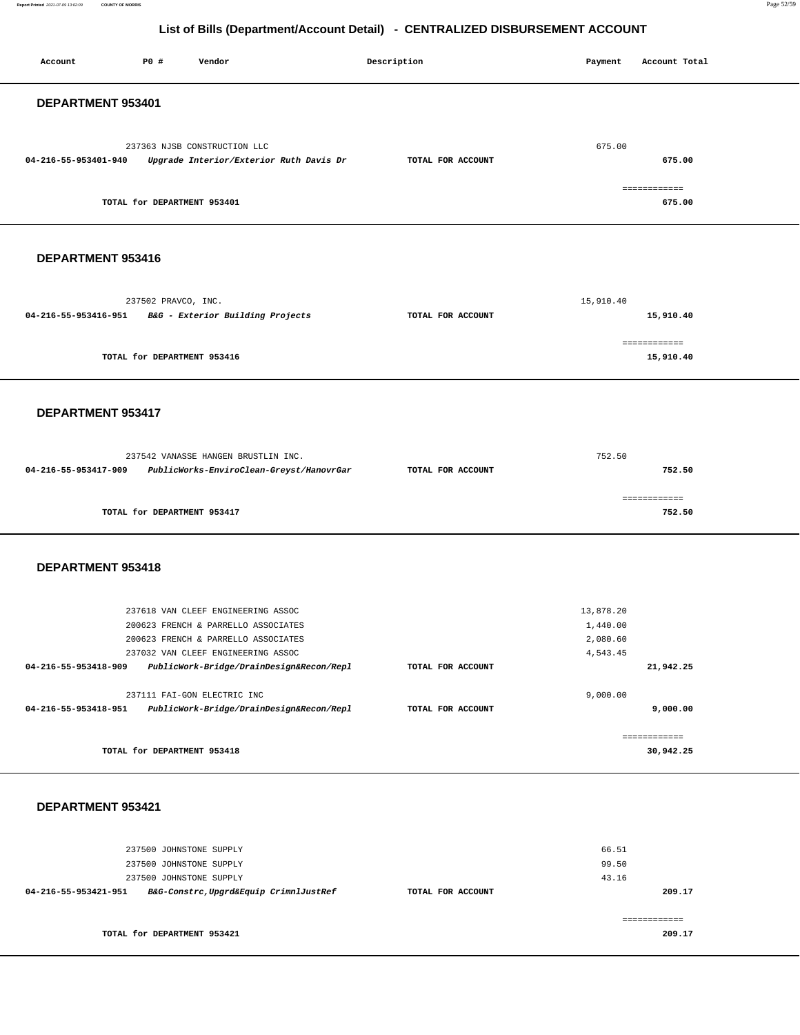**Report Printed** 2021-07-09 13:02:09 **COUNTY OF MORRIS** Page 52/59

| Account                                               | P0 #                        | Vendor                                                                    | Description       | Payment              | Account Total |
|-------------------------------------------------------|-----------------------------|---------------------------------------------------------------------------|-------------------|----------------------|---------------|
|                                                       |                             |                                                                           |                   |                      |               |
| DEPARTMENT 953401                                     |                             |                                                                           |                   |                      |               |
|                                                       |                             |                                                                           |                   |                      |               |
|                                                       |                             |                                                                           |                   |                      |               |
|                                                       |                             | 237363 NJSB CONSTRUCTION LLC                                              |                   | 675.00               |               |
| 04-216-55-953401-940                                  |                             | Upgrade Interior/Exterior Ruth Davis Dr                                   | TOTAL FOR ACCOUNT |                      | 675.00        |
|                                                       |                             |                                                                           |                   |                      |               |
|                                                       |                             |                                                                           |                   |                      | ============  |
|                                                       | TOTAL for DEPARTMENT 953401 |                                                                           |                   |                      | 675.00        |
|                                                       |                             |                                                                           |                   |                      |               |
|                                                       |                             |                                                                           |                   |                      |               |
| DEPARTMENT 953416                                     |                             |                                                                           |                   |                      |               |
|                                                       |                             |                                                                           |                   |                      |               |
|                                                       |                             |                                                                           |                   |                      |               |
|                                                       | 237502 PRAVCO, INC.         |                                                                           |                   | 15,910.40            |               |
| 04-216-55-953416-951 B&G - Exterior Building Projects |                             |                                                                           | TOTAL FOR ACCOUNT |                      | 15,910.40     |
|                                                       |                             |                                                                           |                   |                      |               |
|                                                       |                             |                                                                           |                   |                      | ============  |
|                                                       | TOTAL for DEPARTMENT 953416 |                                                                           |                   |                      | 15,910.40     |
|                                                       |                             |                                                                           |                   |                      |               |
|                                                       |                             |                                                                           |                   |                      |               |
| DEPARTMENT 953417                                     |                             |                                                                           |                   |                      |               |
|                                                       |                             |                                                                           |                   |                      |               |
|                                                       |                             |                                                                           |                   |                      |               |
|                                                       |                             | 237542 VANASSE HANGEN BRUSTLIN INC.                                       |                   | 752.50               |               |
| 04-216-55-953417-909                                  |                             | PublicWorks-EnviroClean-Greyst/HanovrGar                                  | TOTAL FOR ACCOUNT |                      | 752.50        |
|                                                       |                             |                                                                           |                   |                      |               |
|                                                       |                             |                                                                           |                   |                      | ============  |
|                                                       | TOTAL for DEPARTMENT 953417 |                                                                           |                   |                      | 752.50        |
|                                                       |                             |                                                                           |                   |                      |               |
|                                                       |                             |                                                                           |                   |                      |               |
|                                                       |                             |                                                                           |                   |                      |               |
| DEPARTMENT 953418                                     |                             |                                                                           |                   |                      |               |
|                                                       |                             |                                                                           |                   |                      |               |
|                                                       |                             |                                                                           |                   |                      |               |
|                                                       |                             | 237618 VAN CLEEF ENGINEERING ASSOC                                        |                   | 13,878.20            |               |
|                                                       |                             | 200623 FRENCH & PARRELLO ASSOCIATES                                       |                   | 1,440.00             |               |
|                                                       |                             | 200623 FRENCH & PARRELLO ASSOCIATES<br>237032 VAN CLEEF ENGINEERING ASSOC |                   | 2,080.60<br>4,543.45 |               |
|                                                       |                             |                                                                           | TOTAL FOR ACCOUNT |                      | 21,942.25     |
| 04-216-55-953418-909                                  |                             | PublicWork-Bridge/DrainDesign&Recon/Repl                                  |                   |                      |               |
|                                                       |                             | 237111 FAI-GON ELECTRIC INC                                               |                   | 9,000.00             |               |
| 04-216-55-953418-951                                  |                             | PublicWork-Bridge/DrainDesign&Recon/Repl                                  | TOTAL FOR ACCOUNT |                      | 9,000.00      |
|                                                       |                             |                                                                           |                   |                      |               |
|                                                       |                             |                                                                           |                   |                      | ============  |
|                                                       | TOTAL for DEPARTMENT 953418 |                                                                           |                   |                      | 30,942.25     |
|                                                       |                             |                                                                           |                   |                      |               |
|                                                       |                             |                                                                           |                   |                      |               |
|                                                       |                             |                                                                           |                   |                      |               |
| DEPARTMENT 953421                                     |                             |                                                                           |                   |                      |               |
|                                                       |                             |                                                                           |                   |                      |               |
|                                                       |                             |                                                                           |                   |                      |               |
|                                                       | 237500 JOHNSTONE SUPPLY     |                                                                           |                   | 66.51                |               |
|                                                       | 237500 JOHNSTONE SUPPLY     |                                                                           |                   | 99.50                |               |
|                                                       | 237500 JOHNSTONE SUPPLY     |                                                                           |                   | 43.16                |               |
| 04-216-55-953421-951                                  |                             | B&G-Constrc, Upgrd&Equip CrimnlJustRef                                    | TOTAL FOR ACCOUNT |                      | 209.17        |
|                                                       |                             |                                                                           |                   |                      | ============  |
|                                                       | TOTAL for DEPARTMENT 953421 |                                                                           |                   |                      | 209.17        |
|                                                       |                             |                                                                           |                   |                      |               |
|                                                       |                             |                                                                           |                   |                      |               |
|                                                       |                             |                                                                           |                   |                      |               |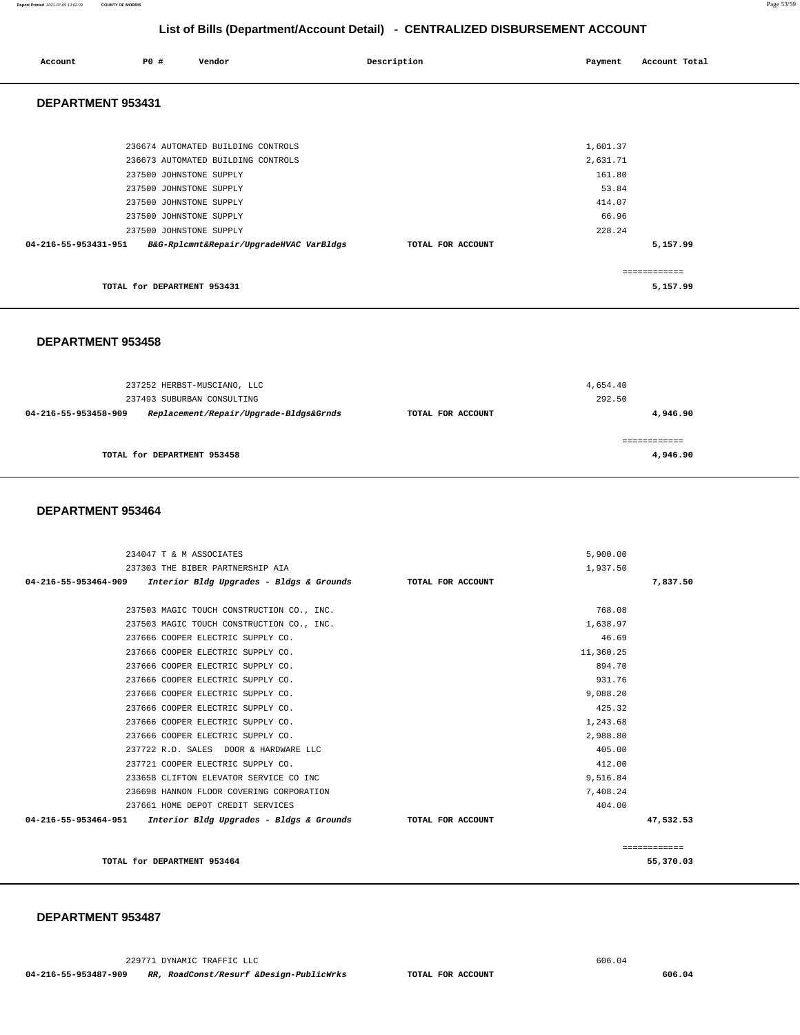### **Report Printed** 2021-07-09 13:02:09 **COUNTY OF MORRIS** Page 53/59

## **List of Bills (Department/Account Detail) - CENTRALIZED DISBURSEMENT ACCOUNT**

| Account Total<br>Payment |
|--------------------------|
|                          |
|                          |
| 1,601.37                 |
| 2,631.71                 |
| 161.80                   |
| 53.84                    |
| 414.07                   |
| 66.96                    |
| 228.24                   |
| 5,157.99                 |
| ============             |
| 5,157.99                 |
|                          |

### **DEPARTMENT 953458**

| 237252 HERBST-MUSCIANO, LLC                                                                  | 4,654.40          |                    |  |
|----------------------------------------------------------------------------------------------|-------------------|--------------------|--|
| 237493 SUBURBAN CONSULTING<br>Replacement/Repair/Upgrade-Bldgs&Grnds<br>04-216-55-953458-909 | TOTAL FOR ACCOUNT | 292.50<br>4,946.90 |  |
|                                                                                              |                   |                    |  |
| TOTAL for DEPARTMENT 953458                                                                  |                   | 4,946.90           |  |

### **DEPARTMENT 953464**

| 234047 T & M ASSOCIATES                                                         | 5,900.00  |              |
|---------------------------------------------------------------------------------|-----------|--------------|
| 237303 THE BIBER PARTNERSHIP AIA                                                | 1,937.50  |              |
| 04-216-55-953464-909 Interior Bldg Upgrades - Bldgs & Grounds TOTAL FOR ACCOUNT |           | 7,837.50     |
|                                                                                 |           |              |
| 237503 MAGIC TOUCH CONSTRUCTION CO., INC.                                       | 768.08    |              |
| 237503 MAGIC TOUCH CONSTRUCTION CO., INC.                                       | 1,638.97  |              |
| 237666 COOPER ELECTRIC SUPPLY CO.                                               | 46.69     |              |
| 237666 COOPER ELECTRIC SUPPLY CO.                                               | 11,360.25 |              |
| 237666 COOPER ELECTRIC SUPPLY CO.                                               | 894.70    |              |
| 237666 COOPER ELECTRIC SUPPLY CO.                                               | 931.76    |              |
| 237666 COOPER ELECTRIC SUPPLY CO.                                               | 9,088.20  |              |
| 237666 COOPER ELECTRIC SUPPLY CO.                                               | 425.32    |              |
| 237666 COOPER ELECTRIC SUPPLY CO.                                               | 1,243.68  |              |
| 237666 COOPER ELECTRIC SUPPLY CO.                                               | 2,988.80  |              |
| 237722 R.D. SALES DOOR & HARDWARE LLC                                           | 405.00    |              |
| 237721 COOPER ELECTRIC SUPPLY CO.                                               | 412.00    |              |
| 233658 CLIFTON ELEVATOR SERVICE CO INC                                          | 9,516.84  |              |
| 236698 HANNON FLOOR COVERING CORPORATION                                        | 7,408.24  |              |
| 237661 HOME DEPOT CREDIT SERVICES                                               | 404.00    |              |
| 04-216-55-953464-951 Interior Bldg Upgrades - Bldgs & Grounds TOTAL FOR ACCOUNT |           | 47,532.53    |
|                                                                                 |           | ============ |
| TOTAL for DEPARTMENT 953464                                                     |           | 55,370.03    |

### **DEPARTMENT 953487**

229771 DYNAMIC TRAFFIC LLC 606.04  **04-216-55-953487-909 RR, RoadConst/Resurf &Design-PublicWrks TOTAL FOR ACCOUNT 606.04**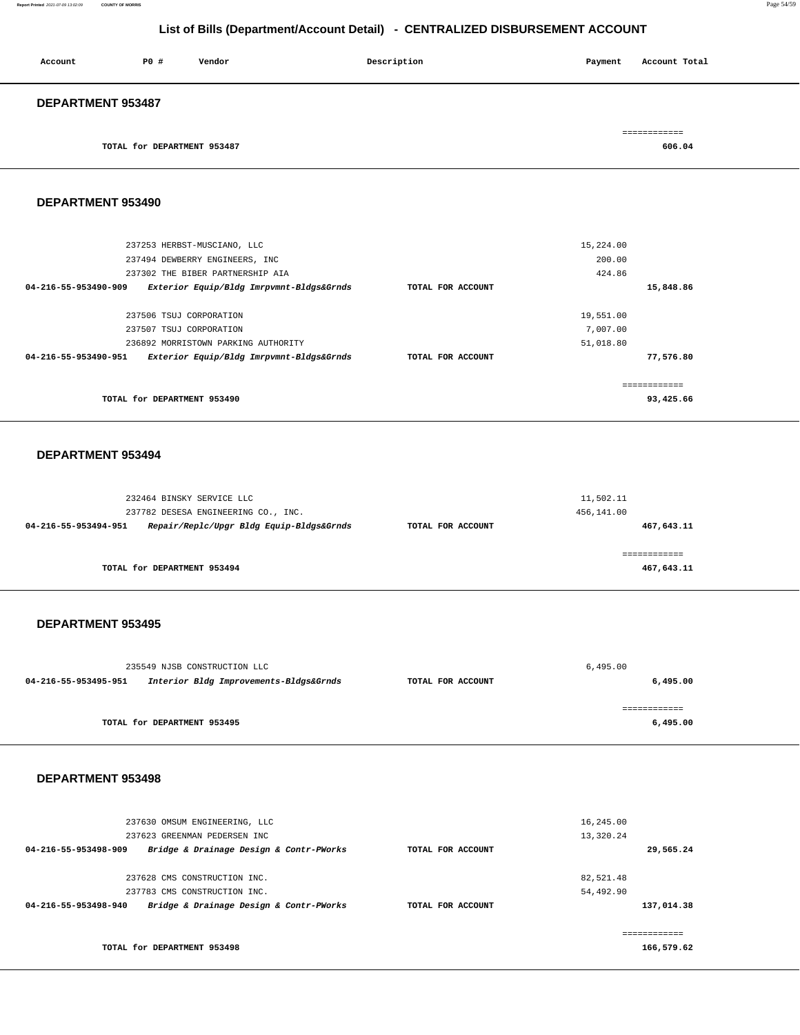### **Report Printed** 2021-07-09 13:02:09 **COUNTY OF MORRIS** Page 54/59

### **List of Bills (Department/Account Detail) - CENTRALIZED DISBURSEMENT ACCOUNT**

| Account                  | PO# | Vendor | Description | Payment | Account Total |
|--------------------------|-----|--------|-------------|---------|---------------|
| <b>DEPARTMENT 953487</b> |     |        |             |         | ============  |

**TOTAL for DEPARTMENT 953487 606.04** 

### **DEPARTMENT 953490**

| TOTAL for DEPARTMENT 953490                                      |                   | ------------- | 93,425.66 |
|------------------------------------------------------------------|-------------------|---------------|-----------|
| 04-216-55-953490-951<br>Exterior Equip/Bldg Imrpvmnt-Bldgs&Grnds | TOTAL FOR ACCOUNT |               | 77,576.80 |
| 236892 MORRISTOWN PARKING AUTHORITY                              |                   | 51,018.80     |           |
| 237507 TSUJ CORPORATION                                          |                   | 7.007.00      |           |
| 237506 TSUJ CORPORATION                                          |                   | 19,551.00     |           |
| 04-216-55-953490-909<br>Exterior Equip/Bldg Imrpvmnt-Bldgs&Grnds | TOTAL FOR ACCOUNT |               | 15,848.86 |
| 237302 THE BIBER PARTNERSHIP AIA                                 |                   | 424.86        |           |
| 237494 DEWBERRY ENGINEERS, INC                                   |                   | 200.00        |           |
| 237253 HERBST-MUSCIANO, LLC                                      |                   | 15,224.00     |           |
|                                                                  |                   |               |           |

### **DEPARTMENT 953494**

| 232464 BINSKY SERVICE LLC<br>237782 DESESA ENGINEERING CO., INC. |                   | 11,502.11<br>456,141.00 |
|------------------------------------------------------------------|-------------------|-------------------------|
| Repair/Replc/Upgr Bldg Equip-Bldgs&Grnds<br>04-216-55-953494-951 | TOTAL FOR ACCOUNT | 467,643.11              |
| TOTAL for DEPARTMENT 953494                                      |                   | 467,643.11              |

### **DEPARTMENT 953495**

|                      | 235549 NJSB CONSTRUCTION LLC           | 6.495.00          |          |
|----------------------|----------------------------------------|-------------------|----------|
| 04-216-55-953495-951 | Interior Bldg Improvements-Bldgs&Grnds | TOTAL FOR ACCOUNT | 6,495.00 |
|                      |                                        |                   |          |
|                      |                                        |                   |          |
|                      | TOTAL for DEPARTMENT 953495            |                   | 6,495.00 |
|                      |                                        |                   |          |

### **DEPARTMENT 953498**

| 237630 OMSUM ENGINEERING, LLC<br>237623 GREENMAN PEDERSEN INC   |                   | 16,245.00<br>13,320.24 |
|-----------------------------------------------------------------|-------------------|------------------------|
| Bridge & Drainage Design & Contr-PWorks<br>04-216-55-953498-909 | TOTAL FOR ACCOUNT | 29,565.24              |
| 237628 CMS CONSTRUCTION INC.                                    |                   | 82,521.48              |
| 237783 CMS CONSTRUCTION INC.                                    |                   | 54,492.90              |
| Bridge & Drainage Design & Contr-PWorks<br>04-216-55-953498-940 | TOTAL FOR ACCOUNT | 137,014.38             |
|                                                                 |                   |                        |
| TOTAL for DEPARTMENT 953498                                     |                   | 166,579.62             |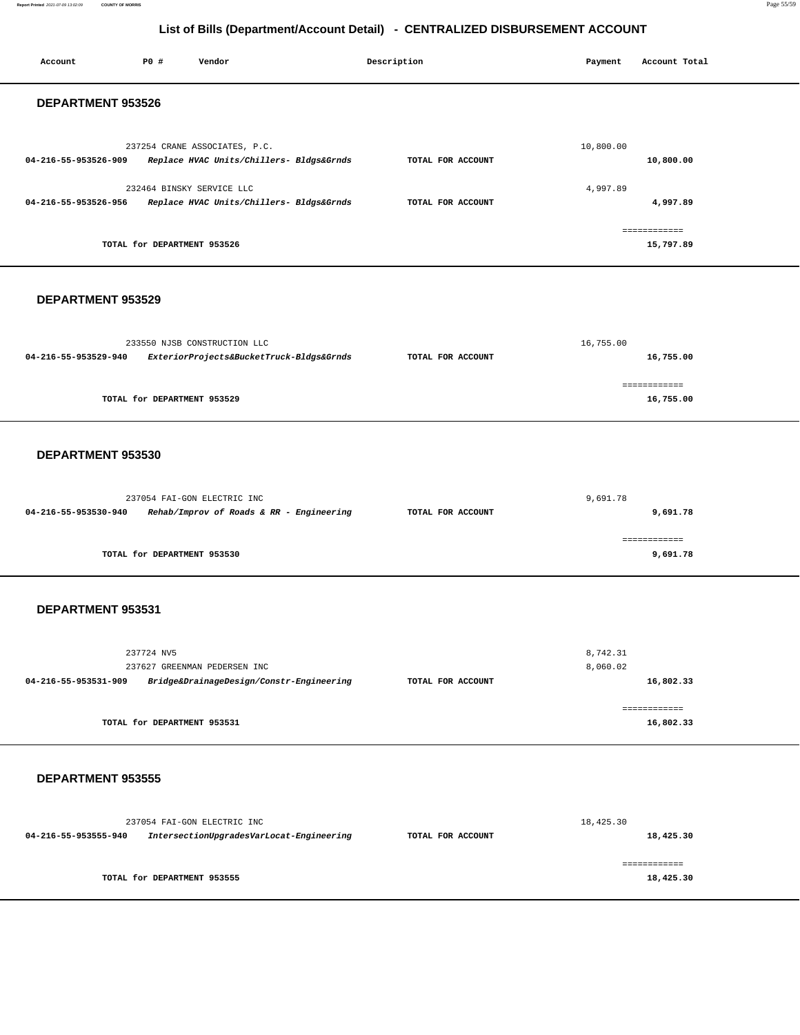### **Report Printed** 2021-07-09 13:02:09 **COUNTY OF MORRIS** Page 55/59

| Account              | P0 #                        | Vendor                                                                    | Description       | Payment              | Account Total             |
|----------------------|-----------------------------|---------------------------------------------------------------------------|-------------------|----------------------|---------------------------|
| DEPARTMENT 953526    |                             |                                                                           |                   |                      |                           |
| 04-216-55-953526-909 |                             | 237254 CRANE ASSOCIATES, P.C.<br>Replace HVAC Units/Chillers- Bldgs&Grnds | TOTAL FOR ACCOUNT | 10,800.00            | 10,800.00                 |
| 04-216-55-953526-956 |                             | 232464 BINSKY SERVICE LLC<br>Replace HVAC Units/Chillers- Bldgs&Grnds     | TOTAL FOR ACCOUNT | 4,997.89             | 4,997.89                  |
|                      | TOTAL for DEPARTMENT 953526 |                                                                           |                   |                      | ============<br>15,797.89 |
| DEPARTMENT 953529    |                             |                                                                           |                   |                      |                           |
| 04-216-55-953529-940 |                             | 233550 NJSB CONSTRUCTION LLC<br>ExteriorProjects&BucketTruck-Bldgs&Grnds  | TOTAL FOR ACCOUNT | 16,755.00            | 16,755.00                 |
|                      | TOTAL for DEPARTMENT 953529 |                                                                           |                   |                      | ============<br>16,755.00 |
| DEPARTMENT 953530    |                             |                                                                           |                   |                      |                           |
| 04-216-55-953530-940 |                             | 237054 FAI-GON ELECTRIC INC<br>Rehab/Improv of Roads & RR - Engineering   | TOTAL FOR ACCOUNT | 9,691.78             | 9,691.78                  |
|                      | TOTAL for DEPARTMENT 953530 |                                                                           |                   |                      | ============<br>9,691.78  |
| DEPARTMENT 953531    |                             |                                                                           |                   |                      |                           |
| 04-216-55-953531-909 | 237724 NV5                  | 237627 GREENMAN PEDERSEN INC<br>Bridge&DrainageDesign/Constr-Engineering  | TOTAL FOR ACCOUNT | 8,742.31<br>8,060.02 | 16,802.33                 |
|                      | TOTAL for DEPARTMENT 953531 |                                                                           |                   |                      | ============<br>16,802.33 |
| DEPARTMENT 953555    |                             |                                                                           |                   |                      |                           |
| 04-216-55-953555-940 |                             | 237054 FAI-GON ELECTRIC INC<br>IntersectionUpgradesVarLocat-Engineering   | TOTAL FOR ACCOUNT | 18,425.30            | 18,425.30                 |
|                      | TOTAL for DEPARTMENT 953555 |                                                                           |                   |                      | ============<br>18,425.30 |
|                      |                             |                                                                           |                   |                      |                           |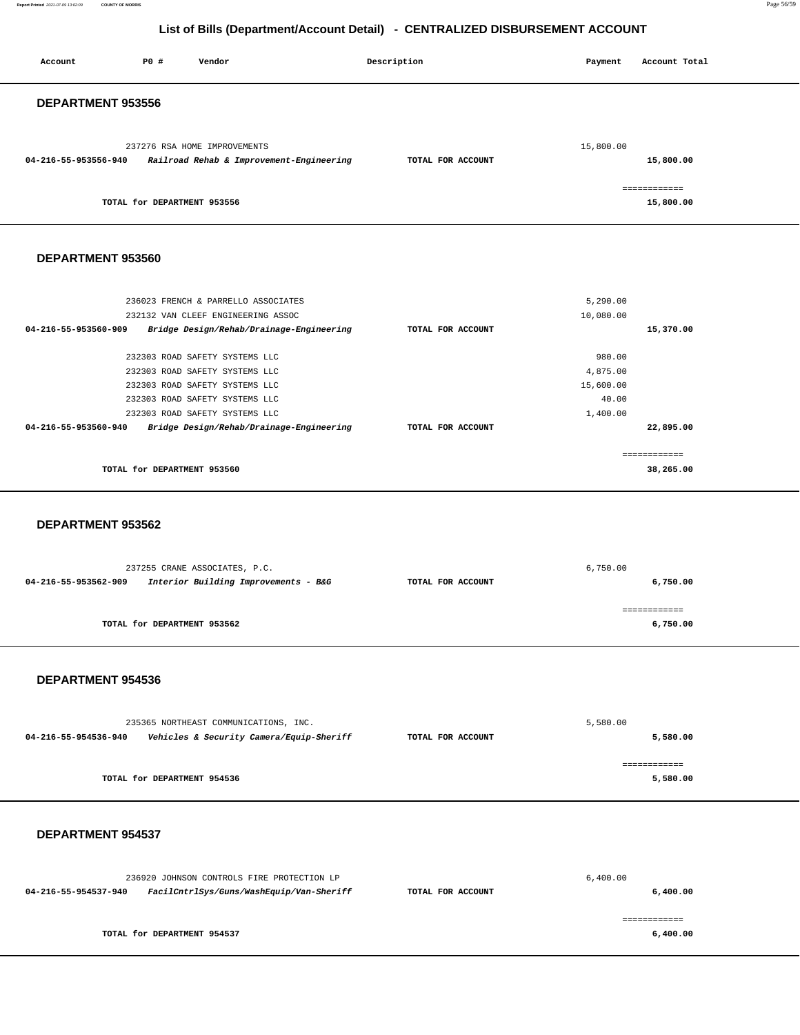**Report Printed** 2021-07-09 13:02:09 **COUNTY OF MORRIS** Page 56/59

### **List of Bills (Department/Account Detail) - CENTRALIZED DISBURSEMENT ACCOUNT**

| Account              | PO#                         | Vendor                                                                   | Description       | Payment   | Account Total |
|----------------------|-----------------------------|--------------------------------------------------------------------------|-------------------|-----------|---------------|
| DEPARTMENT 953556    |                             |                                                                          |                   |           |               |
|                      |                             |                                                                          |                   |           |               |
|                      |                             |                                                                          |                   |           |               |
| 04-216-55-953556-940 |                             | 237276 RSA HOME IMPROVEMENTS<br>Railroad Rehab & Improvement-Engineering | TOTAL FOR ACCOUNT | 15,800.00 | 15,800.00     |
|                      |                             |                                                                          |                   |           |               |
|                      |                             |                                                                          |                   |           | ============  |
|                      | TOTAL for DEPARTMENT 953556 |                                                                          |                   |           | 15,800.00     |
|                      |                             |                                                                          |                   |           |               |
| DEPARTMENT 953560    |                             |                                                                          |                   |           |               |
|                      |                             |                                                                          |                   |           |               |
|                      |                             |                                                                          |                   |           |               |
|                      |                             | 236023 FRENCH & PARRELLO ASSOCIATES                                      |                   | 5,290.00  |               |
| 04-216-55-953560-909 |                             | 232132 VAN CLEEF ENGINEERING ASSOC                                       | TOTAL FOR ACCOUNT | 10,080.00 |               |
|                      |                             | Bridge Design/Rehab/Drainage-Engineering                                 |                   |           | 15,370.00     |
|                      |                             | 232303 ROAD SAFETY SYSTEMS LLC                                           |                   | 980.00    |               |
|                      |                             | 232303 ROAD SAFETY SYSTEMS LLC                                           |                   | 4,875.00  |               |
|                      |                             | 232303 ROAD SAFETY SYSTEMS LLC                                           |                   | 15,600.00 |               |
|                      |                             | 232303 ROAD SAFETY SYSTEMS LLC                                           |                   | 40.00     |               |
|                      |                             | 232303 ROAD SAFETY SYSTEMS LLC                                           |                   | 1,400.00  |               |
| 04-216-55-953560-940 |                             | Bridge Design/Rehab/Drainage-Engineering                                 | TOTAL FOR ACCOUNT |           | 22,895.00     |
|                      |                             |                                                                          |                   |           |               |
|                      |                             |                                                                          |                   |           | ------------  |
|                      | TOTAL for DEPARTMENT 953560 |                                                                          |                   |           | 38,265.00     |
|                      |                             |                                                                          |                   |           |               |
|                      |                             |                                                                          |                   |           |               |
| DEPARTMENT 953562    |                             |                                                                          |                   |           |               |
|                      |                             |                                                                          |                   |           |               |
|                      |                             | 237255 CRANE ASSOCIATES, P.C.                                            |                   | 6,750.00  |               |
| 04-216-55-953562-909 |                             | Interior Building Improvements - B&G                                     | TOTAL FOR ACCOUNT |           | 6,750.00      |
|                      |                             |                                                                          |                   |           |               |
|                      |                             |                                                                          |                   |           | ============  |
|                      | TOTAL for DEPARTMENT 953562 |                                                                          |                   |           | 6,750.00      |
|                      |                             |                                                                          |                   |           |               |
|                      |                             |                                                                          |                   |           |               |
| DEPARTMENT 954536    |                             |                                                                          |                   |           |               |
|                      |                             |                                                                          |                   |           |               |
|                      |                             |                                                                          |                   |           |               |
|                      |                             | 235365 NORTHEAST COMMUNICATIONS, INC.                                    |                   | 5,580.00  |               |
| 04-216-55-954536-940 |                             | Vehicles & Security Camera/Equip-Sheriff                                 | TOTAL FOR ACCOUNT |           | 5,580.00      |

|                             | ============ |
|-----------------------------|--------------|
| TOTAL for DEPARTMENT 954536 | 5,580.00     |

### **DEPARTMENT 954537**

| 236920 JOHNSON CONTROLS FIRE PROTECTION LP |                                          |                   | 6,400.00 |  |
|--------------------------------------------|------------------------------------------|-------------------|----------|--|
| 04-216-55-954537-940                       | FacilCntrlSys/Guns/WashEquip/Van-Sheriff | TOTAL FOR ACCOUNT | 6,400.00 |  |
|                                            |                                          |                   |          |  |
|                                            | TOTAL for DEPARTMENT 954537              |                   | 6,400.00 |  |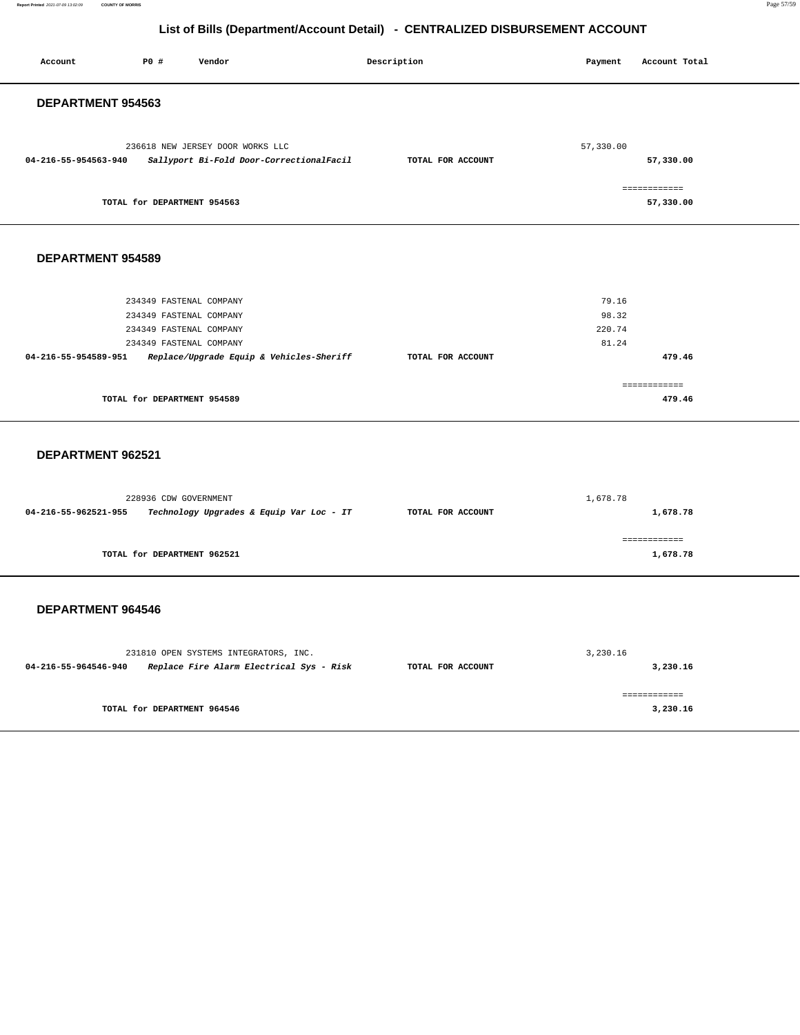**Report Printed** 2021-07-09 13:02:09 **COUNTY OF MORRIS** Page 57/59

| Account                  | P0 #                                                                                                     | Vendor                                                                            | Description       | Payment                           | Account Total             |
|--------------------------|----------------------------------------------------------------------------------------------------------|-----------------------------------------------------------------------------------|-------------------|-----------------------------------|---------------------------|
| DEPARTMENT 954563        |                                                                                                          |                                                                                   |                   |                                   |                           |
| 04-216-55-954563-940     |                                                                                                          | 236618 NEW JERSEY DOOR WORKS LLC<br>Sallyport Bi-Fold Door-CorrectionalFacil      | TOTAL FOR ACCOUNT | 57,330.00                         | 57,330.00<br>============ |
|                          | TOTAL for DEPARTMENT 954563                                                                              |                                                                                   |                   |                                   | 57,330.00                 |
| <b>DEPARTMENT 954589</b> |                                                                                                          |                                                                                   |                   |                                   |                           |
| 04-216-55-954589-951     | 234349 FASTENAL COMPANY<br>234349 FASTENAL COMPANY<br>234349 FASTENAL COMPANY<br>234349 FASTENAL COMPANY | Replace/Upgrade Equip & Vehicles-Sheriff                                          | TOTAL FOR ACCOUNT | 79.16<br>98.32<br>220.74<br>81.24 | 479.46                    |
|                          | TOTAL for DEPARTMENT 954589                                                                              |                                                                                   |                   |                                   | ============<br>479.46    |
| DEPARTMENT 962521        |                                                                                                          |                                                                                   |                   |                                   |                           |
| 04-216-55-962521-955     | 228936 CDW GOVERNMENT                                                                                    | Technology Upgrades & Equip Var Loc - IT                                          | TOTAL FOR ACCOUNT | 1,678.78                          | 1,678.78                  |
|                          | TOTAL for DEPARTMENT 962521                                                                              |                                                                                   |                   |                                   | ============<br>1,678.78  |
| DEPARTMENT 964546        |                                                                                                          |                                                                                   |                   |                                   |                           |
| 04-216-55-964546-940     |                                                                                                          | 231810 OPEN SYSTEMS INTEGRATORS, INC.<br>Replace Fire Alarm Electrical Sys - Risk | TOTAL FOR ACCOUNT | 3,230.16                          | 3,230.16                  |
|                          | TOTAL for DEPARTMENT 964546                                                                              |                                                                                   |                   |                                   | ------------<br>3,230.16  |
|                          |                                                                                                          |                                                                                   |                   |                                   |                           |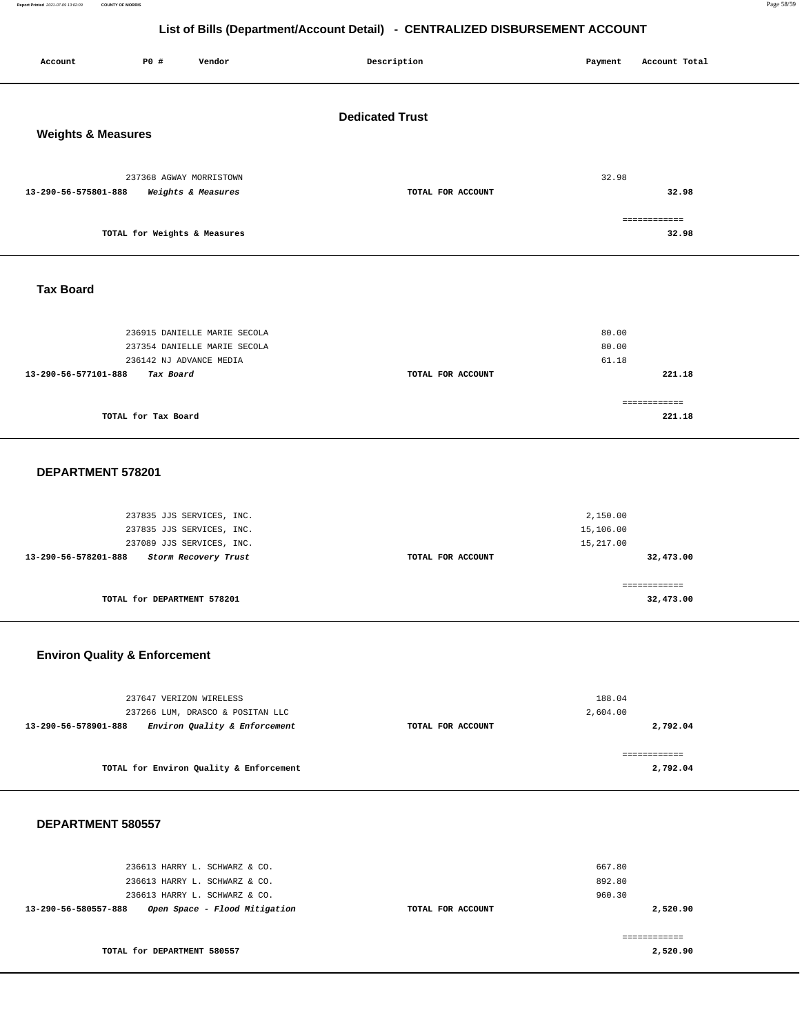Report Printed 2021-07-09 13:02:09 **Report Printed** 2021-07-09 13:02:09 **COUNTY OF MORRIS** Page 58/59

### **List of Bills (Department/Account Detail) - CENTRALIZED DISBURSEMENT ACCOUNT**

| P0 #<br>Account<br>Vendor                                                                                                                                | Description       | Account Total<br>Payment                        |  |  |  |  |
|----------------------------------------------------------------------------------------------------------------------------------------------------------|-------------------|-------------------------------------------------|--|--|--|--|
| <b>Dedicated Trust</b><br><b>Weights &amp; Measures</b>                                                                                                  |                   |                                                 |  |  |  |  |
| 237368 AGWAY MORRISTOWN<br>13-290-56-575801-888<br>Weights & Measures                                                                                    | TOTAL FOR ACCOUNT | 32.98<br>32.98                                  |  |  |  |  |
| TOTAL for Weights & Measures                                                                                                                             |                   | ============<br>32.98                           |  |  |  |  |
| <b>Tax Board</b>                                                                                                                                         |                   |                                                 |  |  |  |  |
| 236915 DANIELLE MARIE SECOLA<br>237354 DANIELLE MARIE SECOLA<br>236142 NJ ADVANCE MEDIA<br>13-290-56-577101-888<br>Tax Board                             | TOTAL FOR ACCOUNT | 80.00<br>80.00<br>61.18<br>221.18               |  |  |  |  |
| TOTAL for Tax Board                                                                                                                                      |                   | ------------<br>221.18                          |  |  |  |  |
| DEPARTMENT 578201                                                                                                                                        |                   |                                                 |  |  |  |  |
| 237835 JJS SERVICES, INC.<br>237835 JJS SERVICES, INC.<br>237089 JJS SERVICES, INC.<br>13-290-56-578201-888<br>Storm Recovery Trust                      | TOTAL FOR ACCOUNT | 2,150.00<br>15,106.00<br>15,217.00<br>32,473.00 |  |  |  |  |
| TOTAL for DEPARTMENT 578201                                                                                                                              |                   | ============<br>32,473.00                       |  |  |  |  |
| <b>Environ Quality &amp; Enforcement</b>                                                                                                                 |                   |                                                 |  |  |  |  |
| 237647 VERIZON WIRELESS<br>237266 LUM, DRASCO & POSITAN LLC<br>Environ Quality & Enforcement<br>13-290-56-578901-888                                     | TOTAL FOR ACCOUNT | 188.04<br>2,604.00<br>2,792.04<br>============  |  |  |  |  |
| TOTAL for Environ Quality & Enforcement                                                                                                                  |                   | 2,792.04                                        |  |  |  |  |
| DEPARTMENT 580557                                                                                                                                        |                   |                                                 |  |  |  |  |
| 236613 HARRY L. SCHWARZ & CO.<br>236613 HARRY L. SCHWARZ & CO.<br>236613 HARRY L. SCHWARZ & CO.<br>Open Space - Flood Mitigation<br>13-290-56-580557-888 | TOTAL FOR ACCOUNT | 667.80<br>892.80<br>960.30<br>2,520.90          |  |  |  |  |

============ **2,520.90** 

**TOTAL for DEPARTMENT 580557**